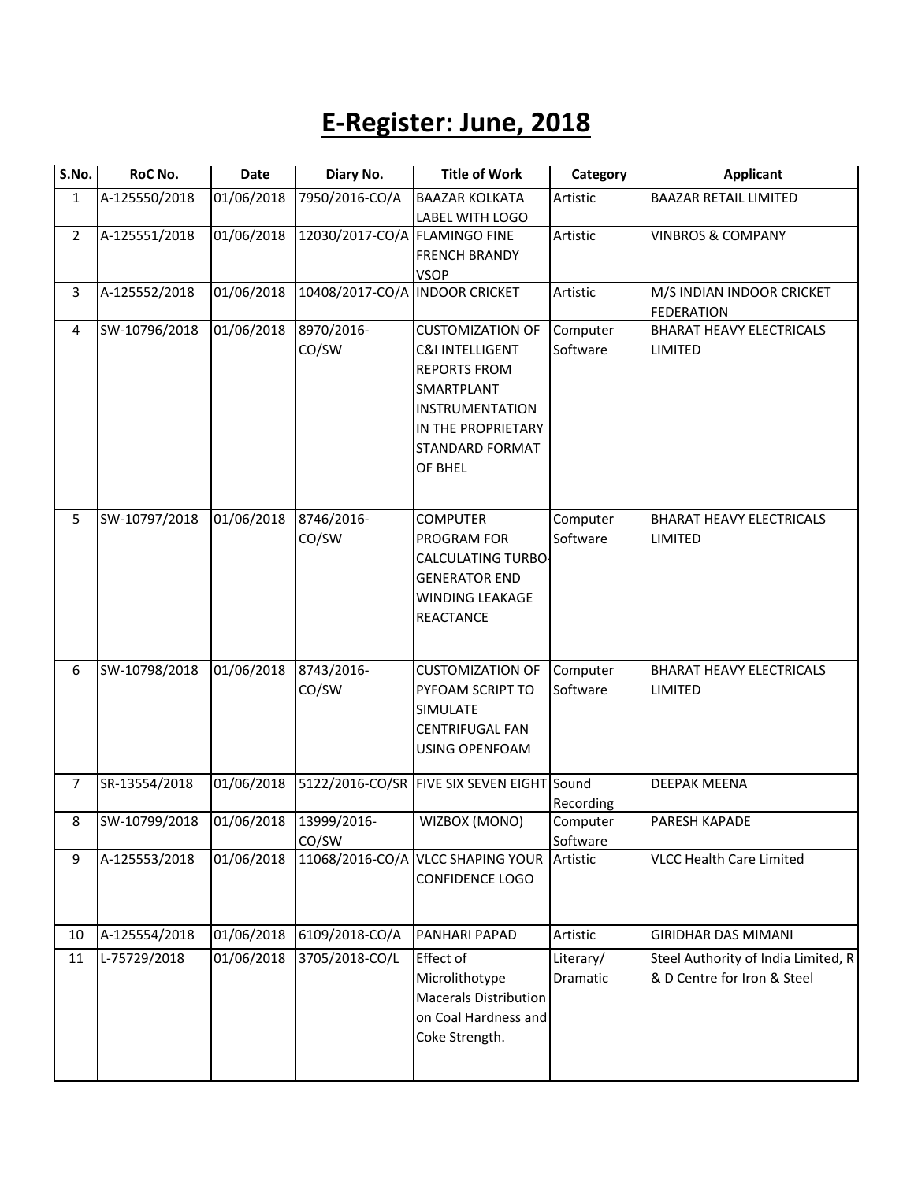## **E-Register: June, 2018**

| S.No.          | RoC No.       | Date       | Diary No.                      | <b>Title of Work</b>                                                                                                                                                            | Category              | <b>Applicant</b>                                                   |
|----------------|---------------|------------|--------------------------------|---------------------------------------------------------------------------------------------------------------------------------------------------------------------------------|-----------------------|--------------------------------------------------------------------|
| $\mathbf{1}$   | A-125550/2018 | 01/06/2018 | 7950/2016-CO/A                 | <b>BAAZAR KOLKATA</b><br>LABEL WITH LOGO                                                                                                                                        | Artistic              | <b>BAAZAR RETAIL LIMITED</b>                                       |
| $\overline{2}$ | A-125551/2018 | 01/06/2018 | 12030/2017-CO/A FLAMINGO FINE  | <b>FRENCH BRANDY</b><br><b>VSOP</b>                                                                                                                                             | Artistic              | <b>VINBROS &amp; COMPANY</b>                                       |
| 3              | A-125552/2018 | 01/06/2018 | 10408/2017-CO/A INDOOR CRICKET |                                                                                                                                                                                 | Artistic              | M/S INDIAN INDOOR CRICKET<br><b>FEDERATION</b>                     |
| 4              | SW-10796/2018 | 01/06/2018 | 8970/2016-<br>CO/SW            | <b>CUSTOMIZATION OF</b><br><b>C&amp;I INTELLIGENT</b><br><b>REPORTS FROM</b><br>SMARTPLANT<br><b>INSTRUMENTATION</b><br>IN THE PROPRIETARY<br><b>STANDARD FORMAT</b><br>OF BHEL | Computer<br>Software  | <b>BHARAT HEAVY ELECTRICALS</b><br><b>LIMITED</b>                  |
| 5              | SW-10797/2018 | 01/06/2018 | 8746/2016-<br>CO/SW            | <b>COMPUTER</b><br>PROGRAM FOR<br><b>CALCULATING TURBO</b><br><b>GENERATOR END</b><br><b>WINDING LEAKAGE</b><br>REACTANCE                                                       | Computer<br>Software  | <b>BHARAT HEAVY ELECTRICALS</b><br>LIMITED                         |
| 6              | SW-10798/2018 | 01/06/2018 | 8743/2016-<br>CO/SW            | <b>CUSTOMIZATION OF</b><br>PYFOAM SCRIPT TO<br>SIMULATE<br><b>CENTRIFUGAL FAN</b><br><b>USING OPENFOAM</b>                                                                      | Computer<br>Software  | <b>BHARAT HEAVY ELECTRICALS</b><br>LIMITED                         |
| $\overline{7}$ | SR-13554/2018 | 01/06/2018 |                                | 5122/2016-CO/SR FIVE SIX SEVEN EIGHT Sound                                                                                                                                      | Recording             | <b>DEEPAK MEENA</b>                                                |
| 8              | SW-10799/2018 | 01/06/2018 | 13999/2016-<br>CO/SW           | WIZBOX (MONO)                                                                                                                                                                   | Computer<br>Software  | PARESH KAPADE                                                      |
| 9              | A-125553/2018 | 01/06/2018 |                                | 11068/2016-CO/A VLCC SHAPING YOUR<br><b>CONFIDENCE LOGO</b>                                                                                                                     | Artistic              | <b>VLCC Health Care Limited</b>                                    |
| 10             | A-125554/2018 | 01/06/2018 | 6109/2018-CO/A                 | PANHARI PAPAD                                                                                                                                                                   | Artistic              | <b>GIRIDHAR DAS MIMANI</b>                                         |
| 11             | L-75729/2018  | 01/06/2018 | 3705/2018-CO/L                 | <b>Effect of</b><br>Microlithotype<br><b>Macerals Distribution</b><br>on Coal Hardness and<br>Coke Strength.                                                                    | Literary/<br>Dramatic | Steel Authority of India Limited, R<br>& D Centre for Iron & Steel |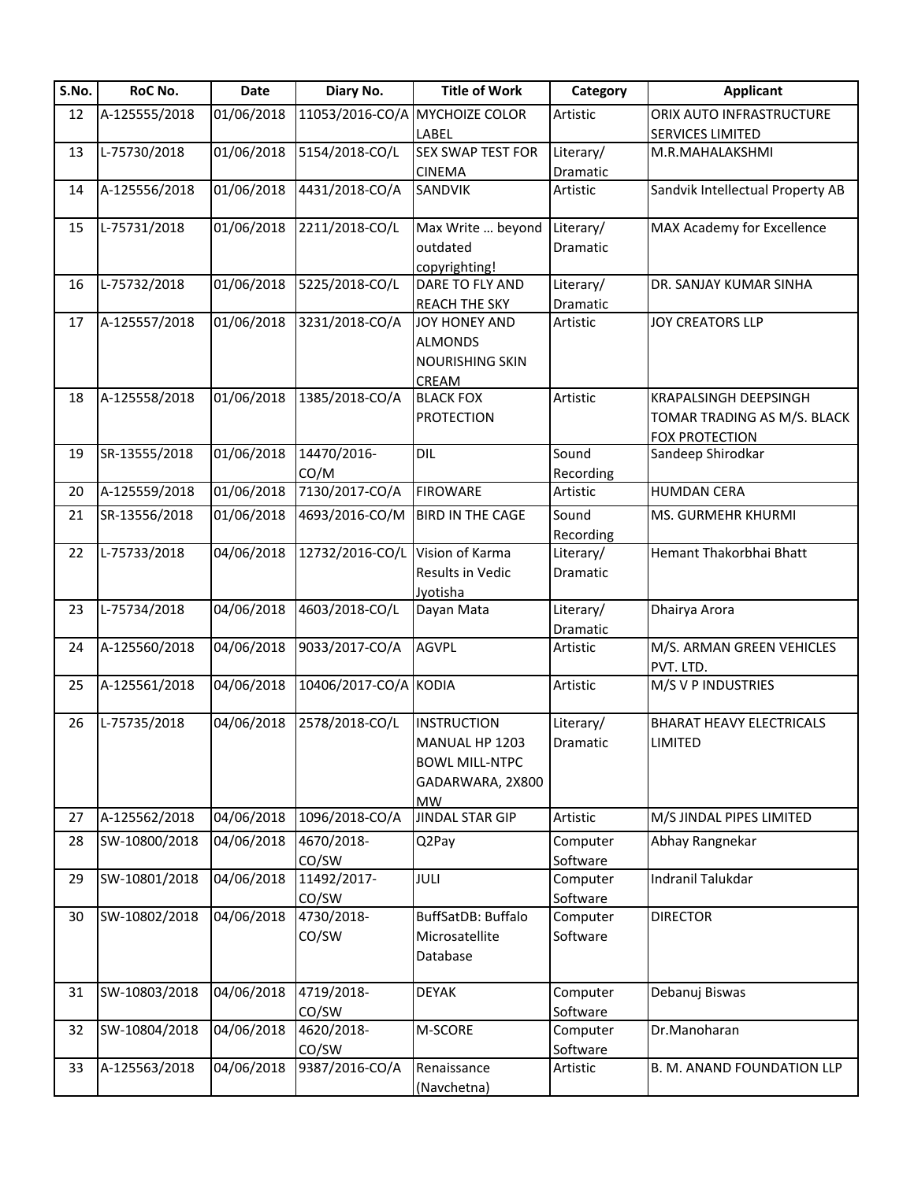| S.No. | RoC No.       | Date       | Diary No.                       | <b>Title of Work</b>           | Category             | <b>Applicant</b>                       |
|-------|---------------|------------|---------------------------------|--------------------------------|----------------------|----------------------------------------|
| 12    | A-125555/2018 | 01/06/2018 |                                 | 11053/2016-CO/A MYCHOIZE COLOR | Artistic             | ORIX AUTO INFRASTRUCTURE               |
|       |               |            |                                 | LABEL                          |                      | <b>SERVICES LIMITED</b>                |
| 13    | L-75730/2018  | 01/06/2018 | 5154/2018-CO/L                  | <b>SEX SWAP TEST FOR</b>       | Literary/            | M.R.MAHALAKSHMI                        |
|       |               |            |                                 | <b>CINEMA</b>                  | Dramatic             |                                        |
| 14    | A-125556/2018 | 01/06/2018 | 4431/2018-CO/A                  | SANDVIK                        | Artistic             | Sandvik Intellectual Property AB       |
| 15    | L-75731/2018  | 01/06/2018 | 2211/2018-CO/L                  | Max Write  beyond              | Literary/            | MAX Academy for Excellence             |
|       |               |            |                                 | outdated                       | Dramatic             |                                        |
|       |               |            |                                 | copyrighting!                  |                      |                                        |
| 16    | L-75732/2018  | 01/06/2018 | 5225/2018-CO/L                  | DARE TO FLY AND                | Literary/            | DR. SANJAY KUMAR SINHA                 |
|       |               |            |                                 | <b>REACH THE SKY</b>           | Dramatic             |                                        |
| 17    | A-125557/2018 | 01/06/2018 | 3231/2018-CO/A                  | JOY HONEY AND                  | Artistic             | <b>JOY CREATORS LLP</b>                |
|       |               |            |                                 | <b>ALMONDS</b>                 |                      |                                        |
|       |               |            |                                 | <b>NOURISHING SKIN</b>         |                      |                                        |
|       |               |            |                                 | CREAM                          |                      |                                        |
| 18    | A-125558/2018 | 01/06/2018 | 1385/2018-CO/A                  | <b>BLACK FOX</b>               | Artistic             | <b>KRAPALSINGH DEEPSINGH</b>           |
|       |               |            |                                 | <b>PROTECTION</b>              |                      | TOMAR TRADING AS M/S. BLACK            |
|       |               |            |                                 |                                |                      | FOX PROTECTION                         |
| 19    | SR-13555/2018 | 01/06/2018 | 14470/2016-                     | DIL                            | Sound                | Sandeep Shirodkar                      |
|       |               |            | CO/M                            |                                | Recording            |                                        |
| 20    | A-125559/2018 | 01/06/2018 | 7130/2017-CO/A                  | <b>FIROWARE</b>                | Artistic             | <b>HUMDAN CERA</b>                     |
| 21    | SR-13556/2018 | 01/06/2018 | 4693/2016-CO/M                  | <b>BIRD IN THE CAGE</b>        | Sound                | MS. GURMEHR KHURMI                     |
|       |               |            |                                 |                                | Recording            |                                        |
| 22    | L-75733/2018  | 04/06/2018 | 12732/2016-CO/L Vision of Karma |                                | Literary/            | Hemant Thakorbhai Bhatt                |
|       |               |            |                                 | Results in Vedic               | Dramatic             |                                        |
|       |               |            |                                 | Jyotisha                       |                      |                                        |
| 23    | L-75734/2018  | 04/06/2018 | 4603/2018-CO/L                  | Dayan Mata                     | Literary/            | Dhairya Arora                          |
|       |               |            |                                 |                                | Dramatic             |                                        |
| 24    | A-125560/2018 | 04/06/2018 | 9033/2017-CO/A                  | <b>AGVPL</b>                   | Artistic             | M/S. ARMAN GREEN VEHICLES<br>PVT. LTD. |
| 25    | A-125561/2018 | 04/06/2018 | 10406/2017-CO/A KODIA           |                                | Artistic             | M/S V P INDUSTRIES                     |
|       |               |            |                                 |                                |                      |                                        |
| 26    | L-75735/2018  | 04/06/2018 | 2578/2018-CO/L                  | <b>INSTRUCTION</b>             | Literary/            | <b>BHARAT HEAVY ELECTRICALS</b>        |
|       |               |            |                                 | MANUAL HP 1203                 | Dramatic             | <b>LIMITED</b>                         |
|       |               |            |                                 | <b>BOWL MILL-NTPC</b>          |                      |                                        |
|       |               |            |                                 | GADARWARA, 2X800               |                      |                                        |
|       |               |            |                                 | <b>MW</b>                      |                      |                                        |
| 27    | A-125562/2018 | 04/06/2018 | 1096/2018-CO/A                  | JINDAL STAR GIP                | Artistic             | M/S JINDAL PIPES LIMITED               |
| 28    | SW-10800/2018 | 04/06/2018 | 4670/2018-                      | Q2Pay                          | Computer             | Abhay Rangnekar                        |
|       |               |            | CO/SW                           |                                | Software             |                                        |
| 29    | SW-10801/2018 | 04/06/2018 | 11492/2017-                     | JULI                           | Computer             | Indranil Talukdar                      |
|       |               |            | CO/SW                           |                                | Software             |                                        |
| 30    | SW-10802/2018 | 04/06/2018 | 4730/2018-                      | BuffSatDB: Buffalo             | Computer             | <b>DIRECTOR</b>                        |
|       |               |            | CO/SW                           | Microsatellite                 | Software             |                                        |
|       |               |            |                                 | Database                       |                      |                                        |
| 31    | SW-10803/2018 | 04/06/2018 | 4719/2018-                      | <b>DEYAK</b>                   | Computer             | Debanuj Biswas                         |
|       |               |            | CO/SW                           |                                | Software             |                                        |
| 32    | SW-10804/2018 | 04/06/2018 | 4620/2018-                      | M-SCORE                        | Computer             | Dr.Manoharan                           |
|       |               |            |                                 |                                |                      |                                        |
| 33    | A-125563/2018 | 04/06/2018 | CO/SW<br>9387/2016-CO/A         | Renaissance                    | Software<br>Artistic | B. M. ANAND FOUNDATION LLP             |
|       |               |            |                                 |                                |                      |                                        |
|       |               |            |                                 | (Navchetna)                    |                      |                                        |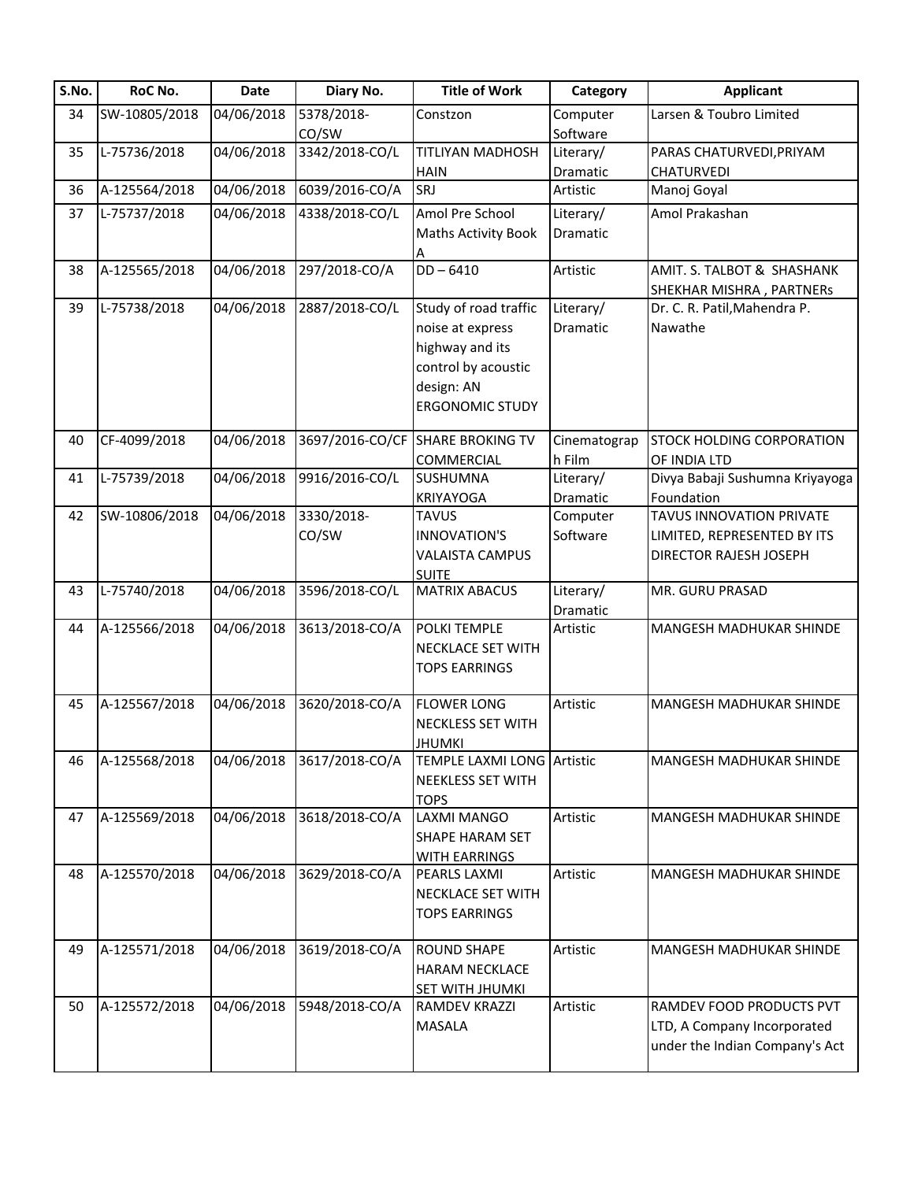| S.No. | RoC No.       | <b>Date</b> | Diary No.       | <b>Title of Work</b>       | Category     | <b>Applicant</b>                                              |
|-------|---------------|-------------|-----------------|----------------------------|--------------|---------------------------------------------------------------|
| 34    | SW-10805/2018 | 04/06/2018  | 5378/2018-      | Constzon                   | Computer     | Larsen & Toubro Limited                                       |
|       |               |             | CO/SW           |                            | Software     |                                                               |
| 35    | L-75736/2018  | 04/06/2018  | 3342/2018-CO/L  | TITLIYAN MADHOSH           | Literary/    | PARAS CHATURVEDI, PRIYAM                                      |
|       |               |             |                 | <b>HAIN</b>                | Dramatic     | <b>CHATURVEDI</b>                                             |
| 36    | A-125564/2018 | 04/06/2018  | 6039/2016-CO/A  | SRJ                        | Artistic     | Manoj Goyal                                                   |
| 37    | L-75737/2018  | 04/06/2018  | 4338/2018-CO/L  | Amol Pre School            | Literary/    | Amol Prakashan                                                |
|       |               |             |                 | <b>Maths Activity Book</b> | Dramatic     |                                                               |
|       |               |             |                 | А                          |              |                                                               |
| 38    | A-125565/2018 | 04/06/2018  | 297/2018-CO/A   | $DD - 6410$                | Artistic     | AMIT. S. TALBOT & SHASHANK                                    |
|       |               |             |                 |                            |              | SHEKHAR MISHRA, PARTNERs                                      |
| 39    | L-75738/2018  | 04/06/2018  | 2887/2018-CO/L  | Study of road traffic      | Literary/    | Dr. C. R. Patil, Mahendra P.                                  |
|       |               |             |                 | noise at express           | Dramatic     | Nawathe                                                       |
|       |               |             |                 | highway and its            |              |                                                               |
|       |               |             |                 | control by acoustic        |              |                                                               |
|       |               |             |                 | design: AN                 |              |                                                               |
|       |               |             |                 | <b>ERGONOMIC STUDY</b>     |              |                                                               |
|       |               |             |                 |                            |              |                                                               |
| 40    | CF-4099/2018  | 04/06/2018  | 3697/2016-CO/CF | <b>SHARE BROKING TV</b>    | Cinematograp | STOCK HOLDING CORPORATION                                     |
|       |               |             |                 | COMMERCIAL                 | h Film       | OF INDIA LTD                                                  |
| 41    | L-75739/2018  | 04/06/2018  | 9916/2016-CO/L  | <b>SUSHUMNA</b>            | Literary/    | Divya Babaji Sushumna Kriyayoga                               |
|       |               |             |                 | <b>KRIYAYOGA</b>           | Dramatic     | Foundation                                                    |
| 42    | SW-10806/2018 | 04/06/2018  | 3330/2018-      | <b>TAVUS</b>               | Computer     | TAVUS INNOVATION PRIVATE                                      |
|       |               |             | CO/SW           | <b>INNOVATION'S</b>        | Software     | LIMITED, REPRESENTED BY ITS                                   |
|       |               |             |                 | <b>VALAISTA CAMPUS</b>     |              | DIRECTOR RAJESH JOSEPH                                        |
|       |               |             |                 | <b>SUITE</b>               |              |                                                               |
| 43    | L-75740/2018  | 04/06/2018  | 3596/2018-CO/L  | <b>MATRIX ABACUS</b>       | Literary/    | MR. GURU PRASAD                                               |
|       |               |             |                 |                            | Dramatic     |                                                               |
| 44    | A-125566/2018 | 04/06/2018  | 3613/2018-CO/A  | POLKI TEMPLE               | Artistic     | MANGESH MADHUKAR SHINDE                                       |
|       |               |             |                 | NECKLACE SET WITH          |              |                                                               |
|       |               |             |                 | <b>TOPS EARRINGS</b>       |              |                                                               |
|       |               |             |                 |                            |              |                                                               |
| 45    | A-125567/2018 | 04/06/2018  | 3620/2018-CO/A  | <b>FLOWER LONG</b>         | Artistic     | MANGESH MADHUKAR SHINDE                                       |
|       |               |             |                 | NECKLESS SET WITH          |              |                                                               |
|       |               |             |                 | JHUMKI                     |              |                                                               |
| 46    | A-125568/2018 | 04/06/2018  | 3617/2018-CO/A  | TEMPLE LAXMI LONG Artistic |              | MANGESH MADHUKAR SHINDE                                       |
|       |               |             |                 | NEEKLESS SET WITH          |              |                                                               |
|       |               |             |                 | <b>TOPS</b>                |              |                                                               |
| 47    | A-125569/2018 | 04/06/2018  | 3618/2018-CO/A  | LAXMI MANGO                | Artistic     | MANGESH MADHUKAR SHINDE                                       |
|       |               |             |                 | SHAPE HARAM SET            |              |                                                               |
|       |               |             |                 | WITH EARRINGS              |              |                                                               |
| 48    | A-125570/2018 | 04/06/2018  | 3629/2018-CO/A  | PEARLS LAXMI               | Artistic     | MANGESH MADHUKAR SHINDE                                       |
|       |               |             |                 | NECKLACE SET WITH          |              |                                                               |
|       |               |             |                 | <b>TOPS EARRINGS</b>       |              |                                                               |
|       |               |             |                 |                            |              |                                                               |
| 49    | A-125571/2018 | 04/06/2018  | 3619/2018-CO/A  | <b>ROUND SHAPE</b>         | Artistic     | MANGESH MADHUKAR SHINDE                                       |
|       |               |             |                 | <b>HARAM NECKLACE</b>      |              |                                                               |
|       |               |             |                 | SET WITH JHUMKI            |              |                                                               |
|       | A-125572/2018 | 04/06/2018  | 5948/2018-CO/A  | <b>RAMDEV KRAZZI</b>       | Artistic     | RAMDEV FOOD PRODUCTS PVT                                      |
| 50    |               |             |                 |                            |              |                                                               |
|       |               |             |                 | <b>MASALA</b>              |              | LTD, A Company Incorporated<br>under the Indian Company's Act |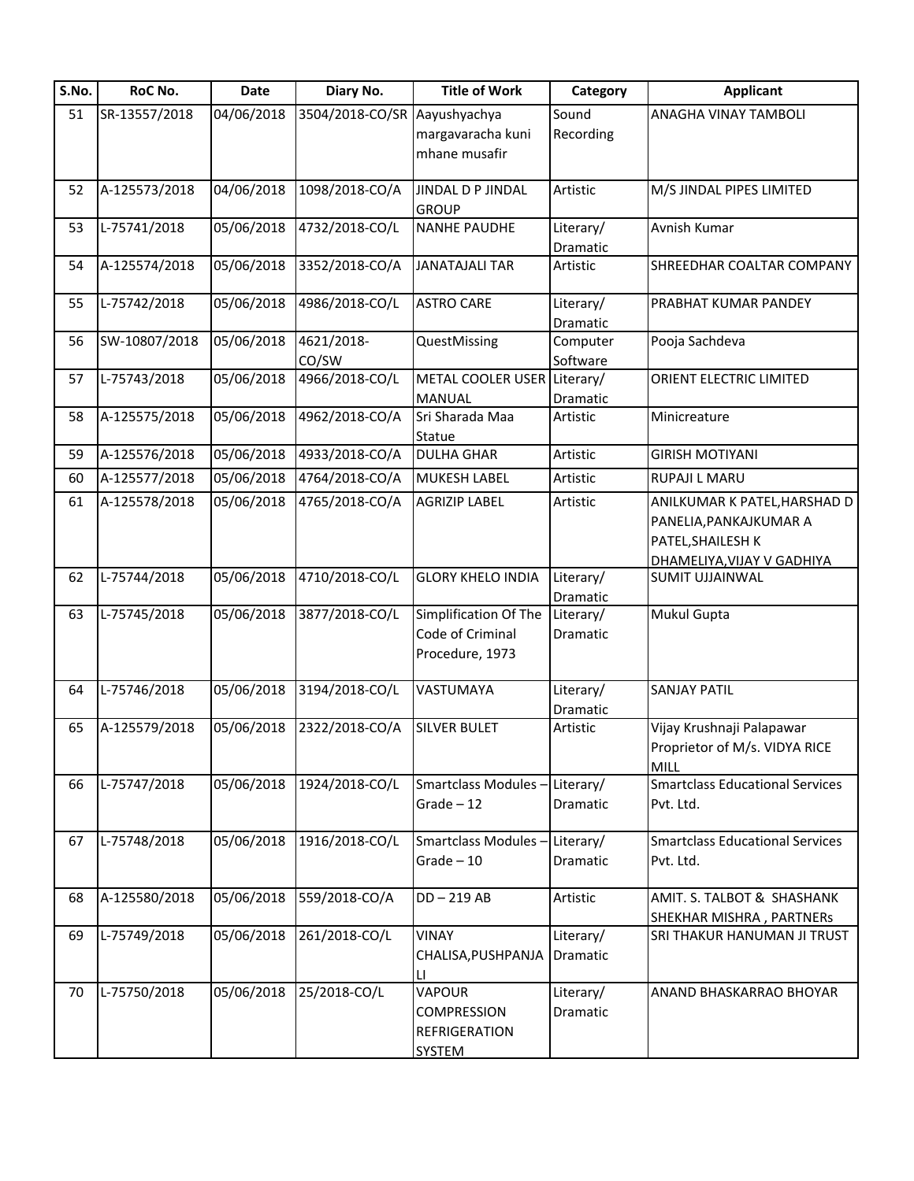| S.No. | RoC No.       | <b>Date</b> | Diary No.           | <b>Title of Work</b>                                                  | Category              | <b>Applicant</b>                                                                                          |
|-------|---------------|-------------|---------------------|-----------------------------------------------------------------------|-----------------------|-----------------------------------------------------------------------------------------------------------|
| 51    | SR-13557/2018 | 04/06/2018  | 3504/2018-CO/SR     | Aayushyachya                                                          | Sound                 | <b>ANAGHA VINAY TAMBOLI</b>                                                                               |
|       |               |             |                     | margavaracha kuni                                                     | Recording             |                                                                                                           |
|       |               |             |                     | mhane musafir                                                         |                       |                                                                                                           |
| 52    | A-125573/2018 | 04/06/2018  | 1098/2018-CO/A      | JINDAL D P JINDAL                                                     | Artistic              | M/S JINDAL PIPES LIMITED                                                                                  |
|       |               |             |                     | <b>GROUP</b>                                                          |                       |                                                                                                           |
| 53    | L-75741/2018  | 05/06/2018  | 4732/2018-CO/L      | <b>NANHE PAUDHE</b>                                                   | Literary/<br>Dramatic | Avnish Kumar                                                                                              |
| 54    | A-125574/2018 | 05/06/2018  | 3352/2018-CO/A      | <b>JANATAJALI TAR</b>                                                 | Artistic              | SHREEDHAR COALTAR COMPANY                                                                                 |
| 55    | L-75742/2018  | 05/06/2018  | 4986/2018-CO/L      | <b>ASTRO CARE</b>                                                     | Literary/<br>Dramatic | PRABHAT KUMAR PANDEY                                                                                      |
| 56    | SW-10807/2018 | 05/06/2018  | 4621/2018-<br>CO/SW | QuestMissing                                                          | Computer<br>Software  | Pooja Sachdeva                                                                                            |
| 57    | L-75743/2018  | 05/06/2018  | 4966/2018-CO/L      | METAL COOLER USER Literary/<br><b>MANUAL</b>                          | Dramatic              | ORIENT ELECTRIC LIMITED                                                                                   |
| 58    | A-125575/2018 | 05/06/2018  | 4962/2018-CO/A      | Sri Sharada Maa<br>Statue                                             | Artistic              | Minicreature                                                                                              |
| 59    | A-125576/2018 | 05/06/2018  | 4933/2018-CO/A      | <b>DULHA GHAR</b>                                                     | Artistic              | <b>GIRISH MOTIYANI</b>                                                                                    |
| 60    | A-125577/2018 | 05/06/2018  | 4764/2018-CO/A      | <b>MUKESH LABEL</b>                                                   | Artistic              | <b>RUPAJI L MARU</b>                                                                                      |
| 61    | A-125578/2018 | 05/06/2018  | 4765/2018-CO/A      | <b>AGRIZIP LABEL</b>                                                  | Artistic              | ANILKUMAR K PATEL, HARSHAD D<br>PANELIA, PANKAJKUMAR A<br>PATEL, SHAILESH K<br>DHAMELIYA, VIJAY V GADHIYA |
| 62    | L-75744/2018  | 05/06/2018  | 4710/2018-CO/L      | <b>GLORY KHELO INDIA</b>                                              | Literary/<br>Dramatic | <b>SUMIT UJJAINWAL</b>                                                                                    |
| 63    | L-75745/2018  | 05/06/2018  | 3877/2018-CO/L      | Simplification Of The<br>Code of Criminal<br>Procedure, 1973          | Literary/<br>Dramatic | <b>Mukul Gupta</b>                                                                                        |
| 64    | L-75746/2018  | 05/06/2018  | 3194/2018-CO/L      | VASTUMAYA                                                             | Literary/<br>Dramatic | <b>SANJAY PATIL</b>                                                                                       |
| 65    | A-125579/2018 | 05/06/2018  | 2322/2018-CO/A      | <b>SILVER BULET</b>                                                   | Artistic              | Vijay Krushnaji Palapawar<br>Proprietor of M/s. VIDYA RICE<br><b>MILL</b>                                 |
| 66    | L-75747/2018  | 05/06/2018  | 1924/2018-CO/L      | Smartclass Modules - Literary/<br>$Grade - 12$                        | Dramatic              | <b>Smartclass Educational Services</b><br>Pvt. Ltd.                                                       |
| 67    | L-75748/2018  | 05/06/2018  | 1916/2018-CO/L      | Smartclass Modules-<br>$Grade - 10$                                   | Literary/<br>Dramatic | <b>Smartclass Educational Services</b><br>Pvt. Ltd.                                                       |
| 68    | A-125580/2018 | 05/06/2018  | 559/2018-CO/A       | $DD - 219$ AB                                                         | Artistic              | AMIT. S. TALBOT & SHASHANK<br>SHEKHAR MISHRA, PARTNERs                                                    |
| 69    | L-75749/2018  | 05/06/2018  | 261/2018-CO/L       | <b>VINAY</b><br>CHALISA, PUSHPANJA<br>LI                              | Literary/<br>Dramatic | <b>SRI THAKUR HANUMAN JI TRUST</b>                                                                        |
| 70    | L-75750/2018  | 05/06/2018  | 25/2018-CO/L        | <b>VAPOUR</b><br><b>COMPRESSION</b><br>REFRIGERATION<br><b>SYSTEM</b> | Literary/<br>Dramatic | ANAND BHASKARRAO BHOYAR                                                                                   |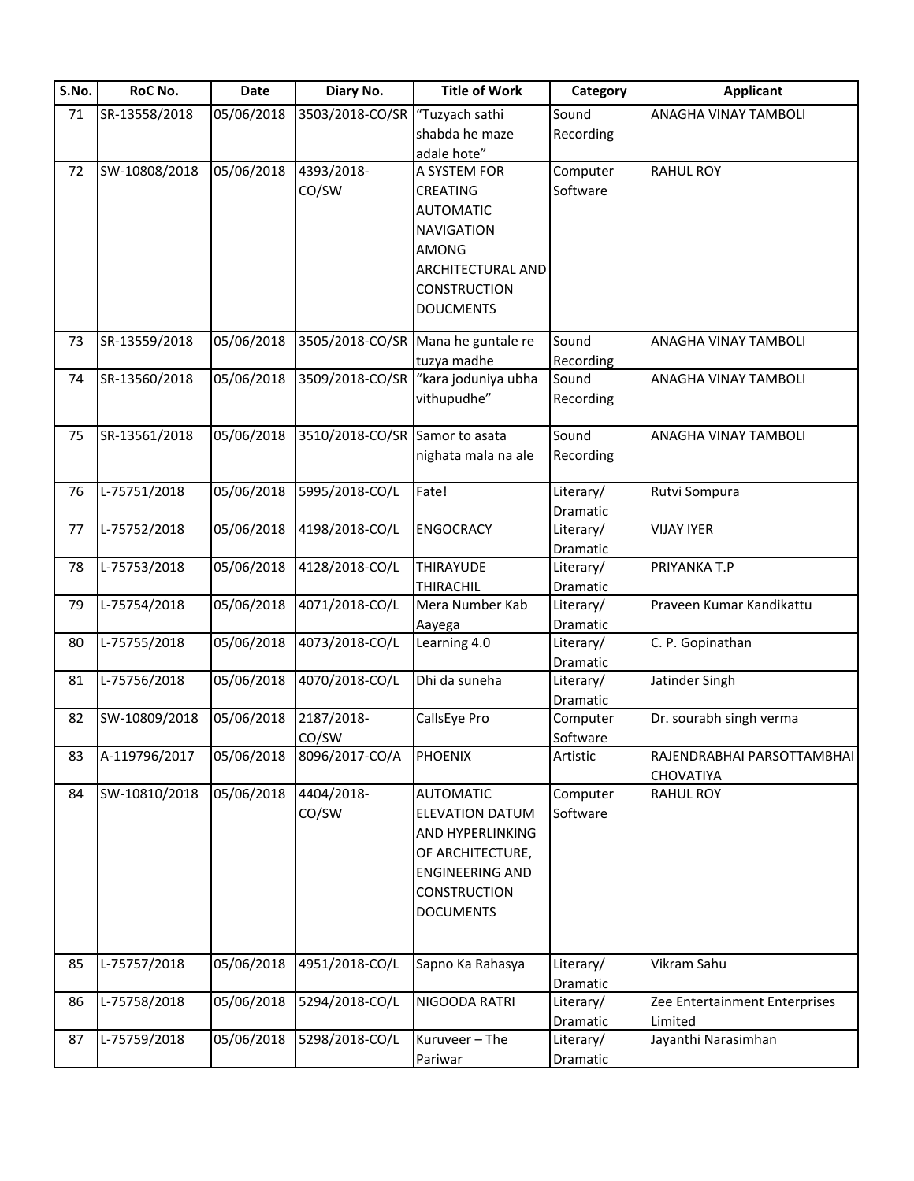| S.No. | RoC No.       | <b>Date</b> | Diary No.       | <b>Title of Work</b>   | Category  | <b>Applicant</b>              |
|-------|---------------|-------------|-----------------|------------------------|-----------|-------------------------------|
| 71    | SR-13558/2018 | 05/06/2018  | 3503/2018-CO/SR | "Tuzyach sathi         | Sound     | ANAGHA VINAY TAMBOLI          |
|       |               |             |                 | shabda he maze         | Recording |                               |
|       |               |             |                 | adale hote"            |           |                               |
| 72    | SW-10808/2018 | 05/06/2018  | 4393/2018-      | A SYSTEM FOR           | Computer  | <b>RAHUL ROY</b>              |
|       |               |             | CO/SW           | <b>CREATING</b>        | Software  |                               |
|       |               |             |                 | <b>AUTOMATIC</b>       |           |                               |
|       |               |             |                 | <b>NAVIGATION</b>      |           |                               |
|       |               |             |                 | <b>AMONG</b>           |           |                               |
|       |               |             |                 | ARCHITECTURAL AND      |           |                               |
|       |               |             |                 | <b>CONSTRUCTION</b>    |           |                               |
|       |               |             |                 | <b>DOUCMENTS</b>       |           |                               |
| 73    | SR-13559/2018 | 05/06/2018  | 3505/2018-CO/SR | Mana he guntale re     | Sound     | ANAGHA VINAY TAMBOLI          |
|       |               |             |                 | tuzya madhe            | Recording |                               |
| 74    | SR-13560/2018 | 05/06/2018  | 3509/2018-CO/SR | "kara joduniya ubha    | Sound     | ANAGHA VINAY TAMBOLI          |
|       |               |             |                 | vithupudhe"            | Recording |                               |
|       |               |             |                 |                        |           |                               |
| 75    | SR-13561/2018 | 05/06/2018  | 3510/2018-CO/SR | Samor to asata         | Sound     | ANAGHA VINAY TAMBOLI          |
|       |               |             |                 | nighata mala na ale    | Recording |                               |
|       |               |             |                 |                        |           |                               |
| 76    | L-75751/2018  | 05/06/2018  | 5995/2018-CO/L  | Fate!                  | Literary/ | Rutvi Sompura                 |
|       |               |             |                 |                        | Dramatic  |                               |
| 77    | L-75752/2018  | 05/06/2018  | 4198/2018-CO/L  | <b>ENGOCRACY</b>       | Literary/ | <b>VIJAY IYER</b>             |
|       |               |             |                 |                        | Dramatic  |                               |
| 78    | L-75753/2018  | 05/06/2018  | 4128/2018-CO/L  | THIRAYUDE              | Literary/ | PRIYANKA T.P                  |
|       |               |             |                 | THIRACHIL              | Dramatic  |                               |
| 79    | L-75754/2018  | 05/06/2018  | 4071/2018-CO/L  | Mera Number Kab        | Literary/ | Praveen Kumar Kandikattu      |
|       |               |             |                 | Aayega                 | Dramatic  |                               |
| 80    | L-75755/2018  | 05/06/2018  | 4073/2018-CO/L  | Learning 4.0           | Literary/ | C. P. Gopinathan              |
|       |               |             |                 |                        | Dramatic  |                               |
| 81    | L-75756/2018  | 05/06/2018  | 4070/2018-CO/L  | Dhi da suneha          | Literary/ | Jatinder Singh                |
|       |               |             |                 |                        | Dramatic  |                               |
| 82    | SW-10809/2018 | 05/06/2018  | 2187/2018-      | CallsEye Pro           | Computer  | Dr. sourabh singh verma       |
|       |               |             | CO/SW           |                        | Software  |                               |
| 83    | A-119796/2017 | 05/06/2018  | 8096/2017-CO/A  | <b>PHOENIX</b>         | Artistic  | RAJENDRABHAI PARSOTTAMBHAI    |
|       |               |             |                 |                        |           | CHOVATIYA                     |
| 84    | SW-10810/2018 | 05/06/2018  | 4404/2018-      | <b>AUTOMATIC</b>       | Computer  | <b>RAHUL ROY</b>              |
|       |               |             | CO/SW           | <b>ELEVATION DATUM</b> | Software  |                               |
|       |               |             |                 | AND HYPERLINKING       |           |                               |
|       |               |             |                 | OF ARCHITECTURE,       |           |                               |
|       |               |             |                 | <b>ENGINEERING AND</b> |           |                               |
|       |               |             |                 | <b>CONSTRUCTION</b>    |           |                               |
|       |               |             |                 | <b>DOCUMENTS</b>       |           |                               |
|       |               |             |                 |                        |           |                               |
| 85    | L-75757/2018  | 05/06/2018  | 4951/2018-CO/L  | Sapno Ka Rahasya       | Literary/ | Vikram Sahu                   |
|       |               |             |                 |                        | Dramatic  |                               |
| 86    | L-75758/2018  | 05/06/2018  | 5294/2018-CO/L  | NIGOODA RATRI          | Literary/ | Zee Entertainment Enterprises |
|       |               |             |                 |                        | Dramatic  | Limited                       |
| 87    | L-75759/2018  | 05/06/2018  | 5298/2018-CO/L  | Kuruveer - The         | Literary/ | Jayanthi Narasimhan           |
|       |               |             |                 | Pariwar                | Dramatic  |                               |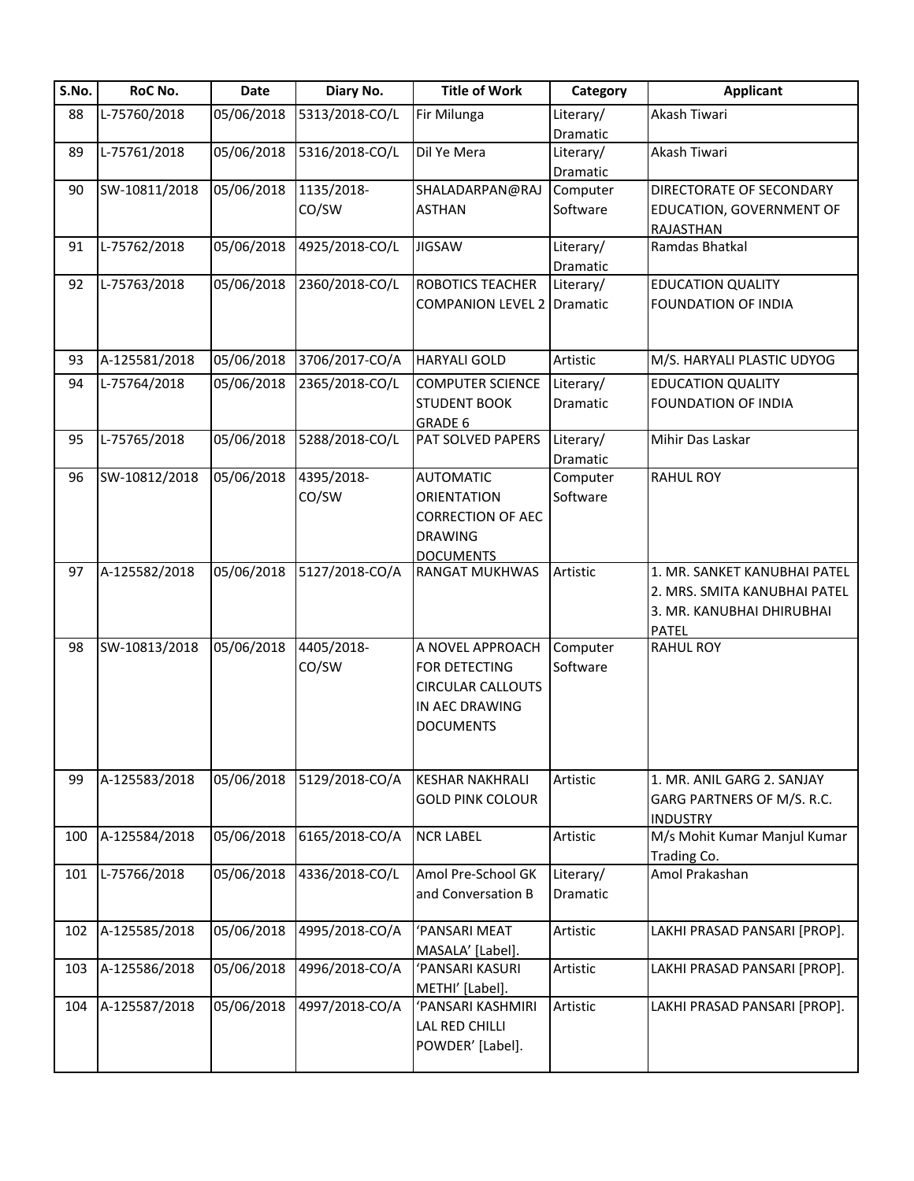| S.No. | RoC No.       | Date       | Diary No.      | <b>Title of Work</b>              | Category  | <b>Applicant</b>             |
|-------|---------------|------------|----------------|-----------------------------------|-----------|------------------------------|
| 88    | L-75760/2018  | 05/06/2018 | 5313/2018-CO/L | Fir Milunga                       | Literary/ | Akash Tiwari                 |
|       |               |            |                |                                   | Dramatic  |                              |
| 89    | L-75761/2018  | 05/06/2018 | 5316/2018-CO/L | Dil Ye Mera                       | Literary/ | Akash Tiwari                 |
|       |               |            |                |                                   | Dramatic  |                              |
| 90    | SW-10811/2018 | 05/06/2018 | 1135/2018-     | SHALADARPAN@RAJ                   | Computer  | DIRECTORATE OF SECONDARY     |
|       |               |            | CO/SW          | <b>ASTHAN</b>                     | Software  | EDUCATION, GOVERNMENT OF     |
|       |               |            |                |                                   |           | RAJASTHAN                    |
| 91    | L-75762/2018  | 05/06/2018 | 4925/2018-CO/L | <b>JIGSAW</b>                     | Literary/ | Ramdas Bhatkal               |
|       |               |            |                |                                   | Dramatic  |                              |
| 92    | L-75763/2018  | 05/06/2018 | 2360/2018-CO/L | ROBOTICS TEACHER                  | Literary/ | <b>EDUCATION QUALITY</b>     |
|       |               |            |                | <b>COMPANION LEVEL 2 Dramatic</b> |           | FOUNDATION OF INDIA          |
|       |               |            |                |                                   |           |                              |
|       |               |            |                |                                   |           |                              |
| 93    | A-125581/2018 | 05/06/2018 | 3706/2017-CO/A | <b>HARYALI GOLD</b>               | Artistic  | M/S. HARYALI PLASTIC UDYOG   |
| 94    | L-75764/2018  | 05/06/2018 | 2365/2018-CO/L | <b>COMPUTER SCIENCE</b>           | Literary/ | <b>EDUCATION QUALITY</b>     |
|       |               |            |                | <b>STUDENT BOOK</b>               | Dramatic  | <b>FOUNDATION OF INDIA</b>   |
|       |               |            |                | GRADE 6                           |           |                              |
| 95    | L-75765/2018  | 05/06/2018 | 5288/2018-CO/L | PAT SOLVED PAPERS                 | Literary/ | Mihir Das Laskar             |
|       |               |            |                |                                   | Dramatic  |                              |
| 96    | SW-10812/2018 | 05/06/2018 | 4395/2018-     | <b>AUTOMATIC</b>                  | Computer  | <b>RAHUL ROY</b>             |
|       |               |            | CO/SW          | <b>ORIENTATION</b>                | Software  |                              |
|       |               |            |                | <b>CORRECTION OF AEC</b>          |           |                              |
|       |               |            |                | <b>DRAWING</b>                    |           |                              |
|       |               |            |                | <b>DOCUMENTS</b>                  |           |                              |
| 97    | A-125582/2018 | 05/06/2018 | 5127/2018-CO/A | <b>RANGAT MUKHWAS</b>             | Artistic  | 1. MR. SANKET KANUBHAI PATEL |
|       |               |            |                |                                   |           | 2. MRS. SMITA KANUBHAI PATEL |
|       |               |            |                |                                   |           | 3. MR. KANUBHAI DHIRUBHAI    |
|       |               |            |                |                                   |           | <b>PATEL</b>                 |
| 98    | SW-10813/2018 | 05/06/2018 | 4405/2018-     | A NOVEL APPROACH                  | Computer  | <b>RAHUL ROY</b>             |
|       |               |            | CO/SW          | FOR DETECTING                     | Software  |                              |
|       |               |            |                | <b>CIRCULAR CALLOUTS</b>          |           |                              |
|       |               |            |                | IN AEC DRAWING                    |           |                              |
|       |               |            |                | <b>DOCUMENTS</b>                  |           |                              |
|       |               |            |                |                                   |           |                              |
|       |               |            |                |                                   |           |                              |
| 99    | A-125583/2018 | 05/06/2018 | 5129/2018-CO/A | <b>KESHAR NAKHRALI</b>            | Artistic  | 1. MR. ANIL GARG 2. SANJAY   |
|       |               |            |                | <b>GOLD PINK COLOUR</b>           |           | GARG PARTNERS OF M/S. R.C.   |
|       |               |            |                |                                   |           | <b>INDUSTRY</b>              |
| 100   | A-125584/2018 | 05/06/2018 | 6165/2018-CO/A | <b>NCR LABEL</b>                  | Artistic  | M/s Mohit Kumar Manjul Kumar |
|       |               |            |                |                                   |           | Trading Co.                  |
| 101   | L-75766/2018  | 05/06/2018 | 4336/2018-CO/L | Amol Pre-School GK                | Literary/ | Amol Prakashan               |
|       |               |            |                | and Conversation B                | Dramatic  |                              |
|       |               |            |                |                                   |           |                              |
| 102   | A-125585/2018 | 05/06/2018 | 4995/2018-CO/A | 'PANSARI MEAT                     | Artistic  | LAKHI PRASAD PANSARI [PROP]. |
|       |               |            |                | MASALA' [Label].                  |           |                              |
| 103   | A-125586/2018 | 05/06/2018 | 4996/2018-CO/A | 'PANSARI KASURI                   | Artistic  | LAKHI PRASAD PANSARI [PROP]. |
|       |               |            |                | METHI' [Label].                   |           |                              |
| 104   | A-125587/2018 | 05/06/2018 | 4997/2018-CO/A | 'PANSARI KASHMIRI                 | Artistic  | LAKHI PRASAD PANSARI [PROP]. |
|       |               |            |                | LAL RED CHILLI                    |           |                              |
|       |               |            |                | POWDER' [Label].                  |           |                              |
|       |               |            |                |                                   |           |                              |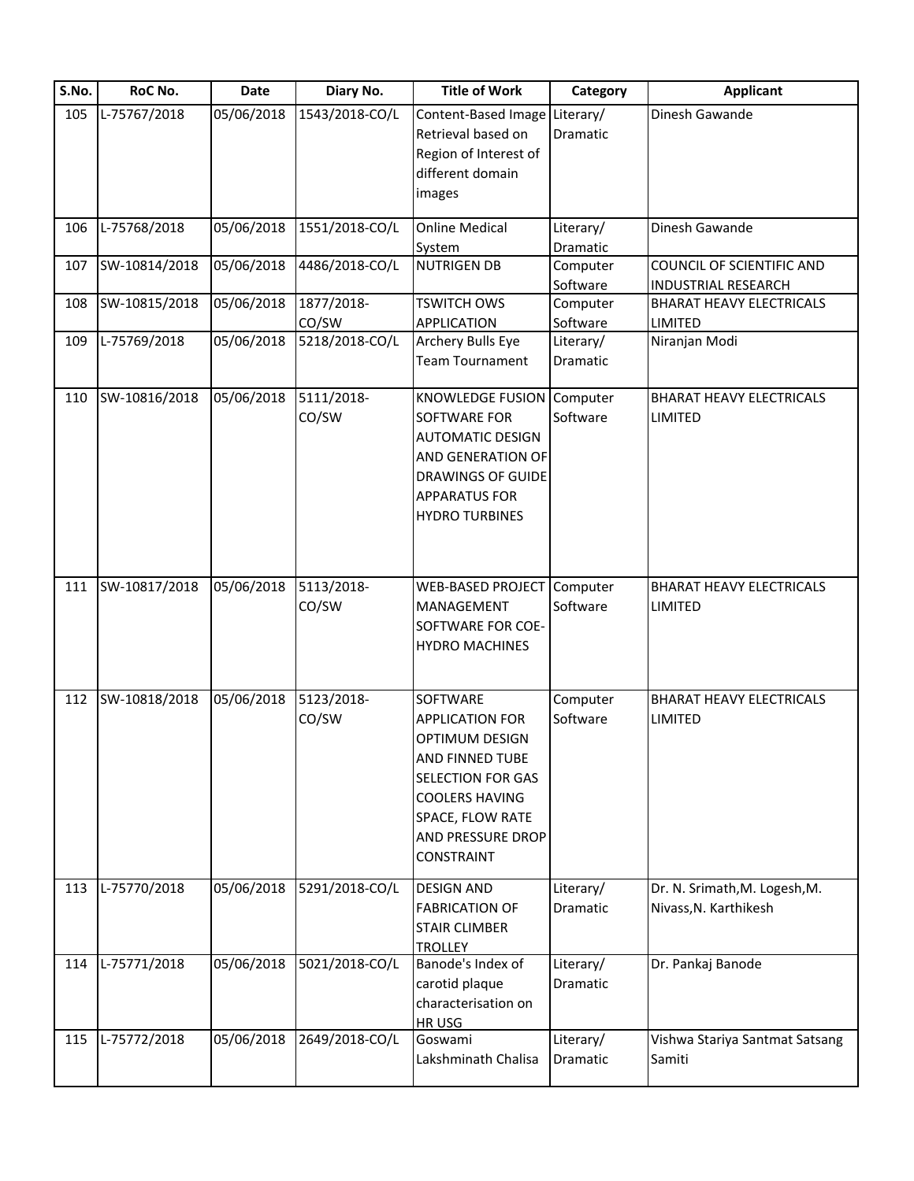| S.No. | RoC No.       | <b>Date</b> | Diary No.           | <b>Title of Work</b>                                                                                                                                                                       | Category              | <b>Applicant</b>                                        |
|-------|---------------|-------------|---------------------|--------------------------------------------------------------------------------------------------------------------------------------------------------------------------------------------|-----------------------|---------------------------------------------------------|
| 105   | L-75767/2018  | 05/06/2018  | 1543/2018-CO/L      | Content-Based Image Literary/<br>Retrieval based on<br>Region of Interest of<br>different domain<br>images                                                                                 | <b>Dramatic</b>       | Dinesh Gawande                                          |
| 106   | L-75768/2018  | 05/06/2018  | 1551/2018-CO/L      | <b>Online Medical</b><br>System                                                                                                                                                            | Literary/<br>Dramatic | Dinesh Gawande                                          |
| 107   | SW-10814/2018 | 05/06/2018  | 4486/2018-CO/L      | <b>NUTRIGEN DB</b>                                                                                                                                                                         | Computer<br>Software  | COUNCIL OF SCIENTIFIC AND<br><b>INDUSTRIAL RESEARCH</b> |
| 108   | SW-10815/2018 | 05/06/2018  | 1877/2018-<br>CO/SW | <b>TSWITCH OWS</b><br>APPLICATION                                                                                                                                                          | Computer<br>Software  | <b>BHARAT HEAVY ELECTRICALS</b><br><b>LIMITED</b>       |
| 109   | L-75769/2018  | 05/06/2018  | 5218/2018-CO/L      | Archery Bulls Eye<br><b>Team Tournament</b>                                                                                                                                                | Literary/<br>Dramatic | Niranjan Modi                                           |
| 110   | SW-10816/2018 | 05/06/2018  | 5111/2018-<br>CO/SW | <b>KNOWLEDGE FUSION</b><br>SOFTWARE FOR<br><b>AUTOMATIC DESIGN</b><br>AND GENERATION OF<br><b>DRAWINGS OF GUIDE</b><br><b>APPARATUS FOR</b><br><b>HYDRO TURBINES</b>                       | Computer<br>Software  | <b>BHARAT HEAVY ELECTRICALS</b><br><b>LIMITED</b>       |
| 111   | SW-10817/2018 | 05/06/2018  | 5113/2018-<br>CO/SW | <b>WEB-BASED PROJECT</b><br>MANAGEMENT<br>SOFTWARE FOR COE-<br><b>HYDRO MACHINES</b>                                                                                                       | Computer<br>Software  | <b>BHARAT HEAVY ELECTRICALS</b><br>LIMITED              |
| 112   | SW-10818/2018 | 05/06/2018  | 5123/2018-<br>CO/SW | SOFTWARE<br><b>APPLICATION FOR</b><br>OPTIMUM DESIGN<br>AND FINNED TUBE<br><b>SELECTION FOR GAS</b><br><b>COOLERS HAVING</b><br>SPACE, FLOW RATE<br>AND PRESSURE DROP<br><b>CONSTRAINT</b> | Computer<br>Software  | <b>BHARAT HEAVY ELECTRICALS</b><br><b>LIMITED</b>       |
| 113   | L-75770/2018  | 05/06/2018  | 5291/2018-CO/L      | <b>DESIGN AND</b><br><b>FABRICATION OF</b><br><b>STAIR CLIMBER</b><br><b>TROLLEY</b>                                                                                                       | Literary/<br>Dramatic | Dr. N. Srimath, M. Logesh, M.<br>Nivass, N. Karthikesh  |
| 114   | L-75771/2018  | 05/06/2018  | 5021/2018-CO/L      | Banode's Index of<br>carotid plaque<br>characterisation on<br>HR USG                                                                                                                       | Literary/<br>Dramatic | Dr. Pankaj Banode                                       |
| 115   | L-75772/2018  | 05/06/2018  | 2649/2018-CO/L      | Goswami<br>Lakshminath Chalisa                                                                                                                                                             | Literary/<br>Dramatic | Vishwa Stariya Santmat Satsang<br>Samiti                |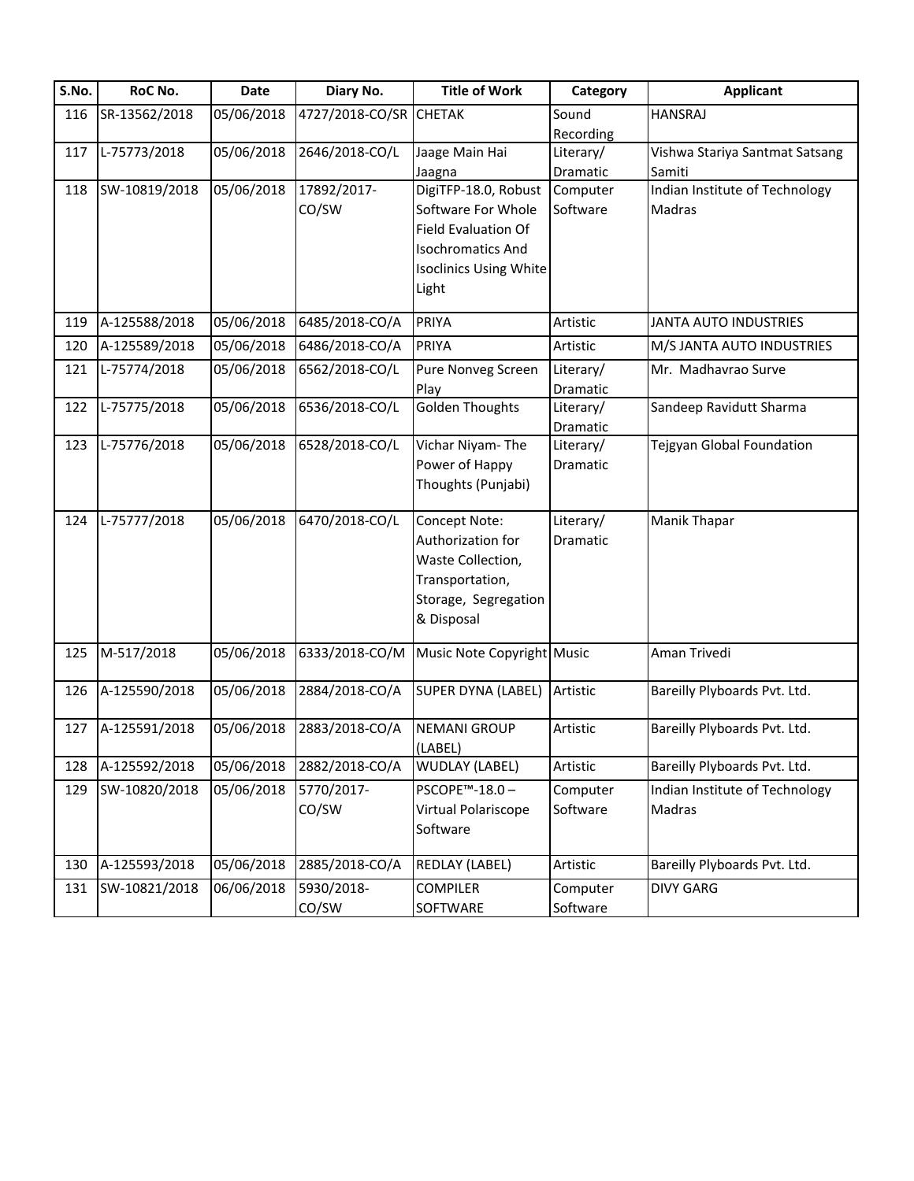| S.No. | RoC No.       | <b>Date</b> | Diary No.       | <b>Title of Work</b>           | Category              | <b>Applicant</b>                         |
|-------|---------------|-------------|-----------------|--------------------------------|-----------------------|------------------------------------------|
| 116   | SR-13562/2018 | 05/06/2018  | 4727/2018-CO/SR | <b>CHETAK</b>                  | Sound                 | <b>HANSRAJ</b>                           |
|       |               | 05/06/2018  |                 |                                | Recording             |                                          |
| 117   | L-75773/2018  |             | 2646/2018-CO/L  | Jaage Main Hai                 | Literary/<br>Dramatic | Vishwa Stariya Santmat Satsang<br>Samiti |
| 118   | SW-10819/2018 | 05/06/2018  | 17892/2017-     | Jaagna<br>DigiTFP-18.0, Robust | Computer              | Indian Institute of Technology           |
|       |               |             | CO/SW           | Software For Whole             | Software              | <b>Madras</b>                            |
|       |               |             |                 | <b>Field Evaluation Of</b>     |                       |                                          |
|       |               |             |                 | <b>Isochromatics And</b>       |                       |                                          |
|       |               |             |                 | <b>Isoclinics Using White</b>  |                       |                                          |
|       |               |             |                 | Light                          |                       |                                          |
| 119   | A-125588/2018 | 05/06/2018  | 6485/2018-CO/A  | PRIYA                          | Artistic              | <b>JANTA AUTO INDUSTRIES</b>             |
| 120   | A-125589/2018 | 05/06/2018  | 6486/2018-CO/A  | PRIYA                          | Artistic              | M/S JANTA AUTO INDUSTRIES                |
| 121   | L-75774/2018  | 05/06/2018  | 6562/2018-CO/L  | Pure Nonveg Screen             | Literary/             | Mr. Madhavrao Surve                      |
|       |               |             |                 | Play                           | Dramatic              |                                          |
| 122   | L-75775/2018  | 05/06/2018  | 6536/2018-CO/L  | <b>Golden Thoughts</b>         | Literary/             | Sandeep Ravidutt Sharma                  |
|       |               |             |                 |                                | Dramatic              |                                          |
| 123   | L-75776/2018  | 05/06/2018  | 6528/2018-CO/L  | Vichar Niyam-The               | Literary/             | Tejgyan Global Foundation                |
|       |               |             |                 | Power of Happy                 | Dramatic              |                                          |
|       |               |             |                 | Thoughts (Punjabi)             |                       |                                          |
| 124   | L-75777/2018  | 05/06/2018  | 6470/2018-CO/L  | Concept Note:                  | Literary/             | Manik Thapar                             |
|       |               |             |                 | Authorization for              | Dramatic              |                                          |
|       |               |             |                 | Waste Collection,              |                       |                                          |
|       |               |             |                 | Transportation,                |                       |                                          |
|       |               |             |                 | Storage, Segregation           |                       |                                          |
|       |               |             |                 | & Disposal                     |                       |                                          |
| 125   | M-517/2018    | 05/06/2018  | 6333/2018-CO/M  | Music Note Copyright Music     |                       | Aman Trivedi                             |
| 126   | A-125590/2018 | 05/06/2018  | 2884/2018-CO/A  | SUPER DYNA (LABEL)             | Artistic              | Bareilly Plyboards Pvt. Ltd.             |
| 127   | A-125591/2018 | 05/06/2018  | 2883/2018-CO/A  | <b>NEMANI GROUP</b>            | Artistic              | Bareilly Plyboards Pvt. Ltd.             |
|       |               |             |                 | (LABEL)                        |                       |                                          |
| 128   | A-125592/2018 | 05/06/2018  | 2882/2018-CO/A  | <b>WUDLAY (LABEL)</b>          | Artistic              | Bareilly Plyboards Pvt. Ltd.             |
| 129   | SW-10820/2018 | 05/06/2018  | 5770/2017-      | PSCOPE <sup>™</sup> -18.0-     | Computer              | Indian Institute of Technology           |
|       |               |             | CO/SW           | Virtual Polariscope            | Software              | Madras                                   |
|       |               |             |                 | Software                       |                       |                                          |
| 130   | A-125593/2018 | 05/06/2018  | 2885/2018-CO/A  | REDLAY (LABEL)                 | Artistic              | Bareilly Plyboards Pvt. Ltd.             |
| 131   | SW-10821/2018 | 06/06/2018  | 5930/2018-      | <b>COMPILER</b>                | Computer              | <b>DIVY GARG</b>                         |
|       |               |             | CO/SW           | SOFTWARE                       | Software              |                                          |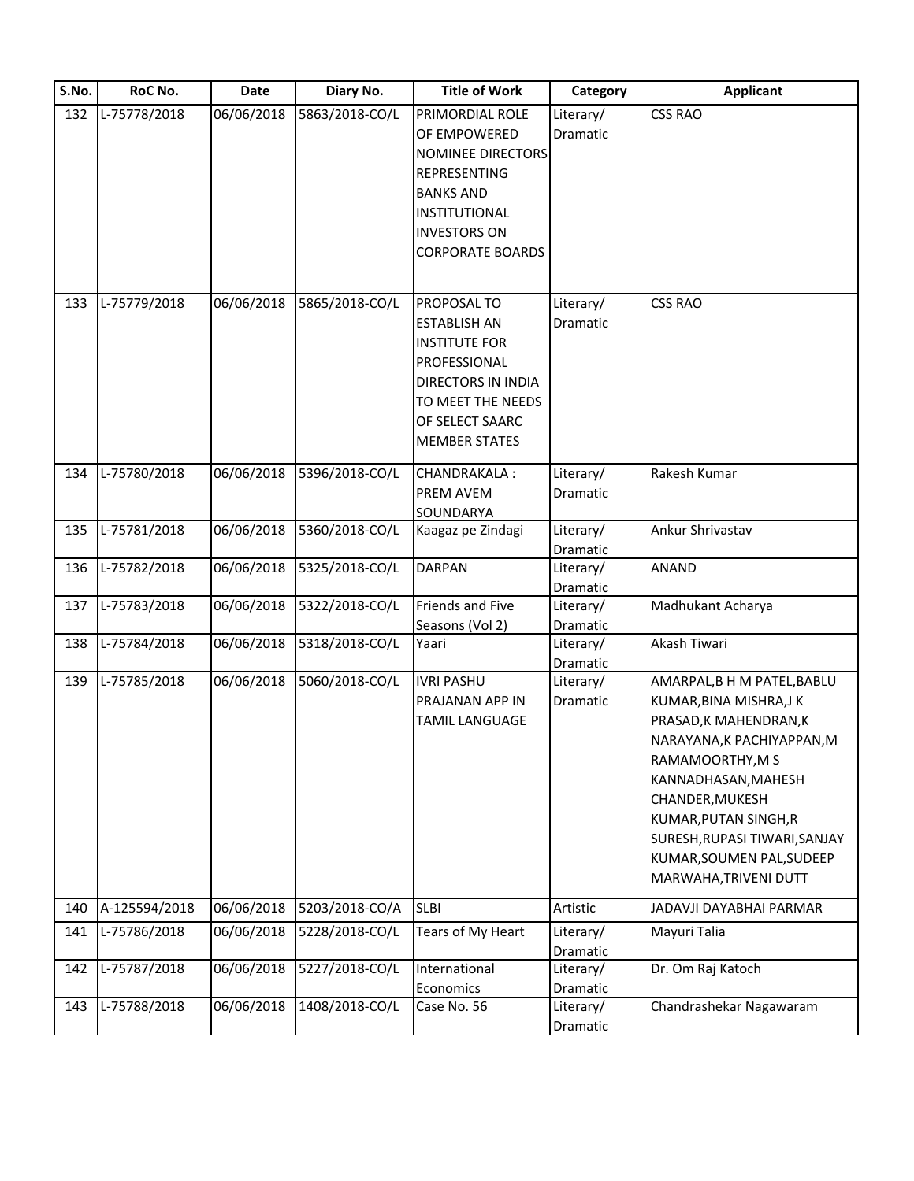| S.No. | RoC No.       | Date       | Diary No.      | <b>Title of Work</b>    | Category              | <b>Applicant</b>              |
|-------|---------------|------------|----------------|-------------------------|-----------------------|-------------------------------|
| 132   | L-75778/2018  | 06/06/2018 | 5863/2018-CO/L | PRIMORDIAL ROLE         | Literary/             | <b>CSS RAO</b>                |
|       |               |            |                | OF EMPOWERED            | Dramatic              |                               |
|       |               |            |                | NOMINEE DIRECTORS       |                       |                               |
|       |               |            |                | <b>REPRESENTING</b>     |                       |                               |
|       |               |            |                | <b>BANKS AND</b>        |                       |                               |
|       |               |            |                | <b>INSTITUTIONAL</b>    |                       |                               |
|       |               |            |                | <b>INVESTORS ON</b>     |                       |                               |
|       |               |            |                | <b>CORPORATE BOARDS</b> |                       |                               |
|       |               |            |                |                         |                       |                               |
| 133   | L-75779/2018  | 06/06/2018 | 5865/2018-CO/L | PROPOSAL TO             | Literary/             | <b>CSS RAO</b>                |
|       |               |            |                | <b>ESTABLISH AN</b>     | Dramatic              |                               |
|       |               |            |                | <b>INSTITUTE FOR</b>    |                       |                               |
|       |               |            |                | PROFESSIONAL            |                       |                               |
|       |               |            |                | DIRECTORS IN INDIA      |                       |                               |
|       |               |            |                | TO MEET THE NEEDS       |                       |                               |
|       |               |            |                | OF SELECT SAARC         |                       |                               |
|       |               |            |                | <b>MEMBER STATES</b>    |                       |                               |
|       |               |            |                |                         |                       |                               |
| 134   | L-75780/2018  | 06/06/2018 | 5396/2018-CO/L | <b>CHANDRAKALA:</b>     | Literary/             | Rakesh Kumar                  |
|       |               |            |                | PREM AVEM               | Dramatic              |                               |
|       |               |            |                | SOUNDARYA               |                       |                               |
| 135   | L-75781/2018  | 06/06/2018 | 5360/2018-CO/L | Kaagaz pe Zindagi       | Literary/             | Ankur Shrivastav              |
|       |               |            |                |                         | Dramatic              |                               |
| 136   | L-75782/2018  | 06/06/2018 | 5325/2018-CO/L | <b>DARPAN</b>           | Literary/             | <b>ANAND</b>                  |
|       |               |            |                |                         | Dramatic              |                               |
| 137   | L-75783/2018  | 06/06/2018 | 5322/2018-CO/L | Friends and Five        | Literary/             | Madhukant Acharya             |
|       |               |            |                | Seasons (Vol 2)         | Dramatic              |                               |
| 138   | L-75784/2018  | 06/06/2018 | 5318/2018-CO/L | Yaari                   | Literary/             | Akash Tiwari                  |
| 139   | L-75785/2018  | 06/06/2018 | 5060/2018-CO/L | <b>IVRI PASHU</b>       | Dramatic<br>Literary/ | AMARPAL, B H M PATEL, BABLU   |
|       |               |            |                | PRAJANAN APP IN         | Dramatic              | KUMAR, BINA MISHRA, JK        |
|       |               |            |                | <b>TAMIL LANGUAGE</b>   |                       | PRASAD, K MAHENDRAN, K        |
|       |               |            |                |                         |                       | NARAYANA, K PACHIYAPPAN, M    |
|       |               |            |                |                         |                       | RAMAMOORTHY, M S              |
|       |               |            |                |                         |                       | KANNADHASAN, MAHESH           |
|       |               |            |                |                         |                       | CHANDER, MUKESH               |
|       |               |            |                |                         |                       | KUMAR, PUTAN SINGH, R         |
|       |               |            |                |                         |                       | SURESH, RUPASI TIWARI, SANJAY |
|       |               |            |                |                         |                       | KUMAR, SOUMEN PAL, SUDEEP     |
|       |               |            |                |                         |                       | MARWAHA, TRIVENI DUTT         |
|       |               |            |                |                         |                       |                               |
| 140   | A-125594/2018 | 06/06/2018 | 5203/2018-CO/A | <b>SLBI</b>             | Artistic              | JADAVJI DAYABHAI PARMAR       |
| 141   | L-75786/2018  | 06/06/2018 | 5228/2018-CO/L | Tears of My Heart       | Literary/             | Mayuri Talia                  |
|       |               |            |                |                         | Dramatic              |                               |
| 142   | L-75787/2018  | 06/06/2018 | 5227/2018-CO/L | International           | Literary/             | Dr. Om Raj Katoch             |
|       |               |            |                | Economics               | Dramatic              |                               |
| 143   | L-75788/2018  | 06/06/2018 | 1408/2018-CO/L | Case No. 56             | Literary/             | Chandrashekar Nagawaram       |
|       |               |            |                |                         | Dramatic              |                               |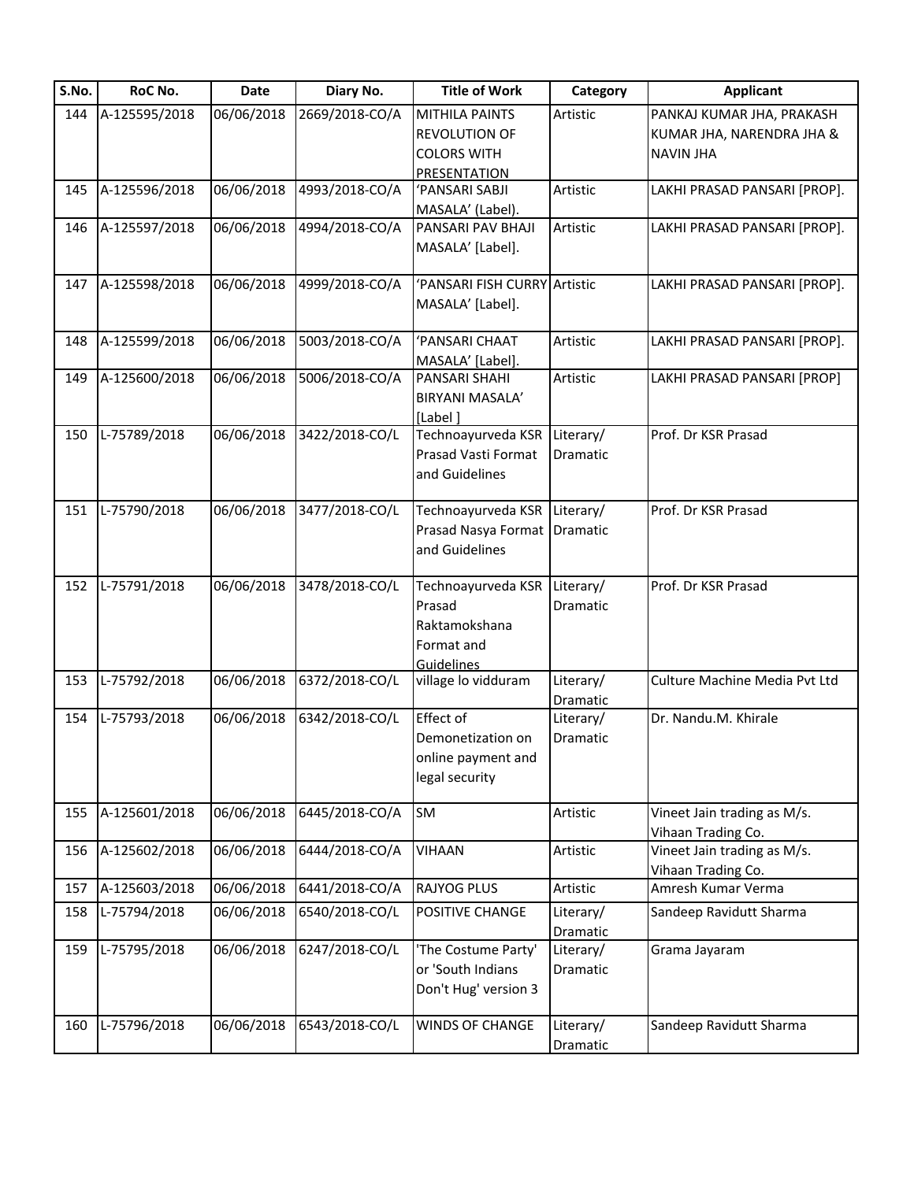| S.No. | RoC No.       | Date       | Diary No.      | <b>Title of Work</b>         | Category  | <b>Applicant</b>              |
|-------|---------------|------------|----------------|------------------------------|-----------|-------------------------------|
| 144   | A-125595/2018 | 06/06/2018 | 2669/2018-CO/A | <b>MITHILA PAINTS</b>        | Artistic  | PANKAJ KUMAR JHA, PRAKASH     |
|       |               |            |                | <b>REVOLUTION OF</b>         |           | KUMAR JHA, NARENDRA JHA &     |
|       |               |            |                | <b>COLORS WITH</b>           |           | <b>NAVIN JHA</b>              |
|       |               |            |                | PRESENTATION                 |           |                               |
| 145   | A-125596/2018 | 06/06/2018 | 4993/2018-CO/A | 'PANSARI SABJI               | Artistic  | LAKHI PRASAD PANSARI [PROP].  |
|       |               |            |                | MASALA' (Label).             |           |                               |
| 146   | A-125597/2018 | 06/06/2018 | 4994/2018-CO/A | PANSARI PAV BHAJI            | Artistic  | LAKHI PRASAD PANSARI [PROP].  |
|       |               |            |                | MASALA' [Label].             |           |                               |
|       |               |            |                |                              |           |                               |
| 147   | A-125598/2018 | 06/06/2018 | 4999/2018-CO/A | 'PANSARI FISH CURRY Artistic |           | LAKHI PRASAD PANSARI [PROP].  |
|       |               |            |                | MASALA' [Label].             |           |                               |
|       |               |            |                |                              |           |                               |
| 148   | A-125599/2018 | 06/06/2018 | 5003/2018-CO/A | 'PANSARI CHAAT               | Artistic  | LAKHI PRASAD PANSARI [PROP].  |
|       |               |            |                | MASALA' [Label].             |           |                               |
| 149   | A-125600/2018 | 06/06/2018 | 5006/2018-CO/A | PANSARI SHAHI                | Artistic  | LAKHI PRASAD PANSARI [PROP]   |
|       |               |            |                | BIRYANI MASALA'              |           |                               |
|       |               |            |                | [Label]                      |           |                               |
| 150   | L-75789/2018  | 06/06/2018 | 3422/2018-CO/L | Technoayurveda KSR           | Literary/ | Prof. Dr KSR Prasad           |
|       |               |            |                | Prasad Vasti Format          | Dramatic  |                               |
|       |               |            |                | and Guidelines               |           |                               |
|       |               |            |                |                              |           |                               |
| 151   | L-75790/2018  | 06/06/2018 | 3477/2018-CO/L | Technoayurveda KSR           | Literary/ | Prof. Dr KSR Prasad           |
|       |               |            |                |                              |           |                               |
|       |               |            |                | Prasad Nasya Format          | Dramatic  |                               |
|       |               |            |                | and Guidelines               |           |                               |
|       |               |            |                |                              |           |                               |
| 152   | L-75791/2018  | 06/06/2018 | 3478/2018-CO/L | Technoayurveda KSR           | Literary/ | Prof. Dr KSR Prasad           |
|       |               |            |                | Prasad                       | Dramatic  |                               |
|       |               |            |                | Raktamokshana                |           |                               |
|       |               |            |                | Format and                   |           |                               |
|       |               |            |                | Guidelines                   |           |                               |
| 153   | L-75792/2018  | 06/06/2018 | 6372/2018-CO/L | village lo vidduram          | Literary/ | Culture Machine Media Pvt Ltd |
|       |               |            |                |                              | Dramatic  |                               |
| 154   | L-75793/2018  | 06/06/2018 | 6342/2018-CO/L | Effect of                    | Literary/ | Dr. Nandu.M. Khirale          |
|       |               |            |                | Demonetization on            | Dramatic  |                               |
|       |               |            |                | online payment and           |           |                               |
|       |               |            |                | legal security               |           |                               |
|       |               |            |                |                              |           |                               |
| 155   | A-125601/2018 | 06/06/2018 | 6445/2018-CO/A | <b>SM</b>                    | Artistic  | Vineet Jain trading as M/s.   |
|       |               |            |                |                              |           | Vihaan Trading Co.            |
| 156   | A-125602/2018 | 06/06/2018 | 6444/2018-CO/A | VIHAAN                       | Artistic  | Vineet Jain trading as M/s.   |
|       |               |            |                |                              |           | Vihaan Trading Co.            |
| 157   | A-125603/2018 | 06/06/2018 | 6441/2018-CO/A | <b>RAJYOG PLUS</b>           | Artistic  | Amresh Kumar Verma            |
| 158   | L-75794/2018  | 06/06/2018 | 6540/2018-CO/L | POSITIVE CHANGE              | Literary/ | Sandeep Ravidutt Sharma       |
|       |               |            |                |                              | Dramatic  |                               |
| 159   | L-75795/2018  | 06/06/2018 | 6247/2018-CO/L | 'The Costume Party'          | Literary/ | Grama Jayaram                 |
|       |               |            |                | or 'South Indians            | Dramatic  |                               |
|       |               |            |                |                              |           |                               |
|       |               |            |                | Don't Hug' version 3         |           |                               |
|       | L-75796/2018  | 06/06/2018 | 6543/2018-CO/L | WINDS OF CHANGE              |           |                               |
| 160   |               |            |                |                              | Literary/ | Sandeep Ravidutt Sharma       |
|       |               |            |                |                              | Dramatic  |                               |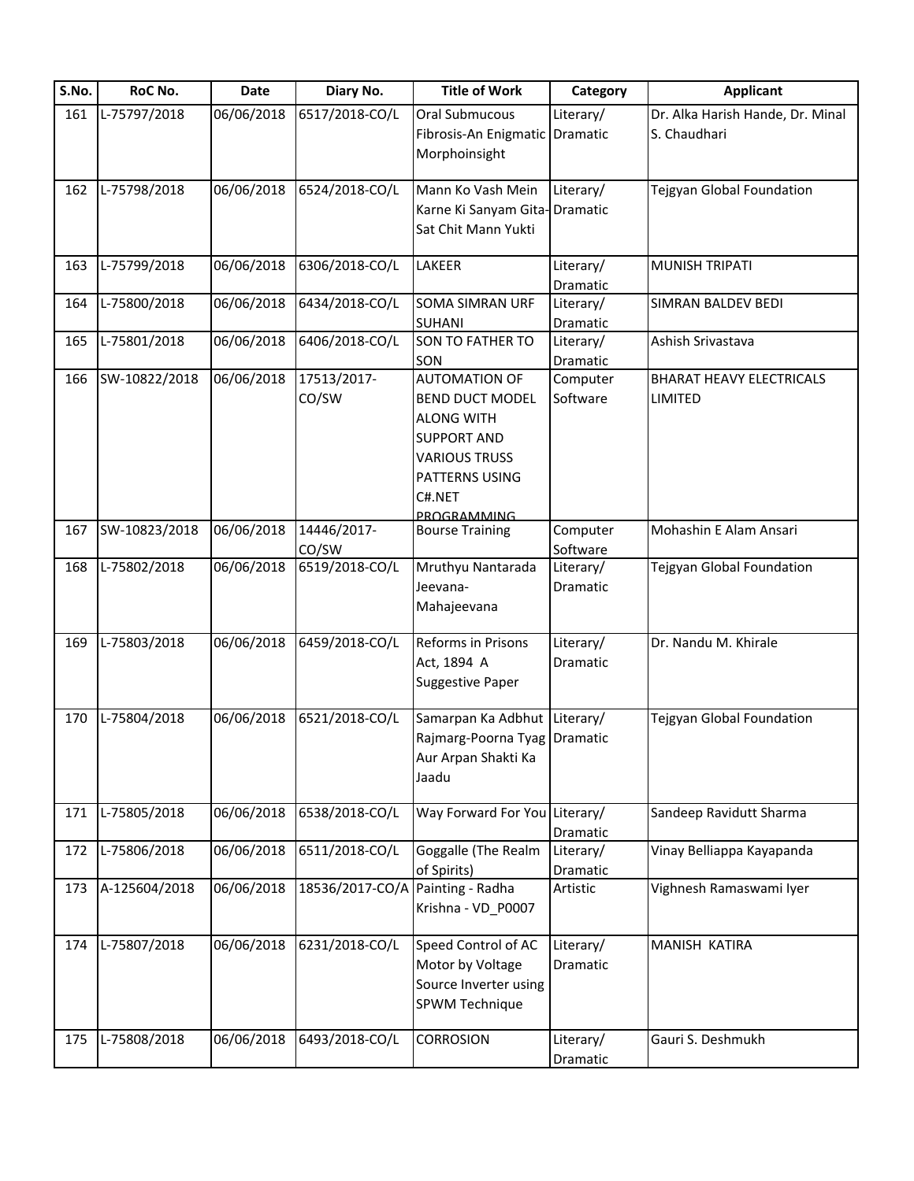| S.No. | RoC No.       | <b>Date</b> | Diary No.       | <b>Title of Work</b>           | Category  | <b>Applicant</b>                 |
|-------|---------------|-------------|-----------------|--------------------------------|-----------|----------------------------------|
| 161   | L-75797/2018  | 06/06/2018  | 6517/2018-CO/L  | Oral Submucous                 | Literary/ | Dr. Alka Harish Hande, Dr. Minal |
|       |               |             |                 | Fibrosis-An Enigmatic Dramatic |           | S. Chaudhari                     |
|       |               |             |                 | Morphoinsight                  |           |                                  |
| 162   | L-75798/2018  | 06/06/2018  | 6524/2018-CO/L  | Mann Ko Vash Mein              | Literary/ | Tejgyan Global Foundation        |
|       |               |             |                 | Karne Ki Sanyam Gita-Dramatic  |           |                                  |
|       |               |             |                 | Sat Chit Mann Yukti            |           |                                  |
|       |               |             |                 |                                |           |                                  |
| 163   | L-75799/2018  | 06/06/2018  | 6306/2018-CO/L  | LAKEER                         | Literary/ | <b>MUNISH TRIPATI</b>            |
|       |               |             |                 |                                | Dramatic  |                                  |
| 164   | L-75800/2018  | 06/06/2018  | 6434/2018-CO/L  | <b>SOMA SIMRAN URF</b>         | Literary/ | SIMRAN BALDEV BEDI               |
|       |               |             |                 | SUHANI                         | Dramatic  |                                  |
| 165   | L-75801/2018  | 06/06/2018  | 6406/2018-CO/L  | SON TO FATHER TO               | Literary/ | Ashish Srivastava                |
|       |               |             |                 | SON                            | Dramatic  |                                  |
| 166   | SW-10822/2018 | 06/06/2018  | 17513/2017-     | <b>AUTOMATION OF</b>           | Computer  | <b>BHARAT HEAVY ELECTRICALS</b>  |
|       |               |             | CO/SW           | <b>BEND DUCT MODEL</b>         | Software  | <b>LIMITED</b>                   |
|       |               |             |                 | <b>ALONG WITH</b>              |           |                                  |
|       |               |             |                 | <b>SUPPORT AND</b>             |           |                                  |
|       |               |             |                 | <b>VARIOUS TRUSS</b>           |           |                                  |
|       |               |             |                 | PATTERNS USING                 |           |                                  |
|       |               |             |                 | C#.NET                         |           |                                  |
|       |               |             |                 | <b>PROGRAMMING</b>             |           |                                  |
| 167   | SW-10823/2018 | 06/06/2018  | 14446/2017-     | <b>Bourse Training</b>         | Computer  | Mohashin E Alam Ansari           |
|       |               |             | CO/SW           |                                | Software  |                                  |
| 168   | L-75802/2018  | 06/06/2018  | 6519/2018-CO/L  | Mruthyu Nantarada              | Literary/ | Tejgyan Global Foundation        |
|       |               |             |                 | Jeevana-                       | Dramatic  |                                  |
|       |               |             |                 | Mahajeevana                    |           |                                  |
| 169   | L-75803/2018  | 06/06/2018  | 6459/2018-CO/L  | Reforms in Prisons             | Literary/ | Dr. Nandu M. Khirale             |
|       |               |             |                 | Act, 1894 A                    | Dramatic  |                                  |
|       |               |             |                 | <b>Suggestive Paper</b>        |           |                                  |
|       |               |             |                 |                                |           |                                  |
| 170   | L-75804/2018  | 06/06/2018  | 6521/2018-CO/L  | Samarpan Ka Adbhut Literary/   |           | Tejgyan Global Foundation        |
|       |               |             |                 | Rajmarg-Poorna Tyag Dramatic   |           |                                  |
|       |               |             |                 | Aur Arpan Shakti Ka            |           |                                  |
|       |               |             |                 | Jaadu                          |           |                                  |
| 171   | L-75805/2018  | 06/06/2018  | 6538/2018-CO/L  | Way Forward For You Literary/  |           | Sandeep Ravidutt Sharma          |
|       |               |             |                 |                                | Dramatic  |                                  |
| 172   | L-75806/2018  | 06/06/2018  | 6511/2018-CO/L  | Goggalle (The Realm            | Literary/ | Vinay Belliappa Kayapanda        |
|       |               |             |                 | of Spirits)                    | Dramatic  |                                  |
| 173   | A-125604/2018 | 06/06/2018  | 18536/2017-CO/A | Painting - Radha               | Artistic  | Vighnesh Ramaswami Iyer          |
|       |               |             |                 | Krishna - VD_P0007             |           |                                  |
|       |               |             |                 |                                |           |                                  |
| 174   | L-75807/2018  | 06/06/2018  | 6231/2018-CO/L  | Speed Control of AC            | Literary/ | MANISH KATIRA                    |
|       |               |             |                 | Motor by Voltage               | Dramatic  |                                  |
|       |               |             |                 | Source Inverter using          |           |                                  |
|       |               |             |                 | SPWM Technique                 |           |                                  |
|       |               |             |                 |                                |           |                                  |
| 175   | L-75808/2018  | 06/06/2018  | 6493/2018-CO/L  | <b>CORROSION</b>               | Literary/ | Gauri S. Deshmukh                |
|       |               |             |                 |                                | Dramatic  |                                  |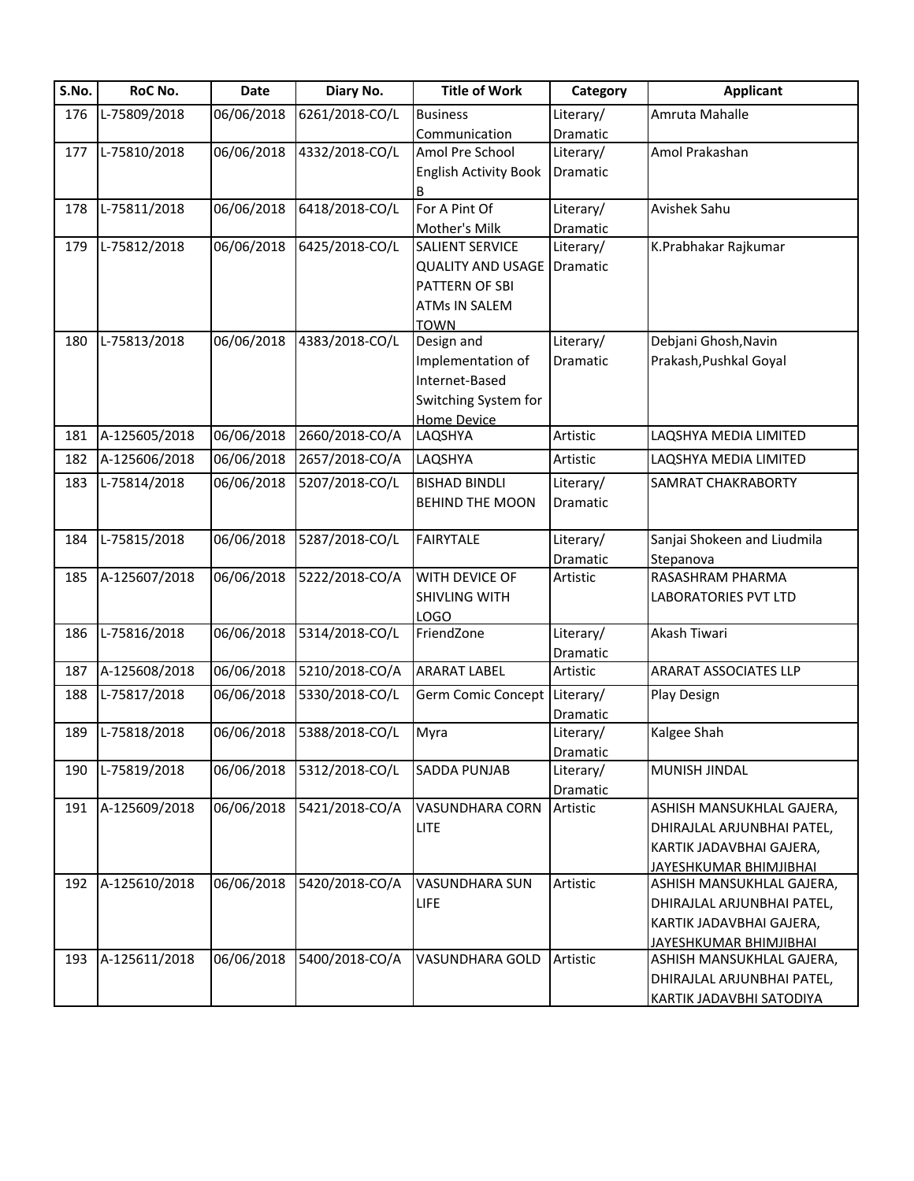| S.No. | RoC No.       | Date       | Diary No.      | <b>Title of Work</b>          | Category  | <b>Applicant</b>              |
|-------|---------------|------------|----------------|-------------------------------|-----------|-------------------------------|
| 176   | L-75809/2018  | 06/06/2018 | 6261/2018-CO/L | <b>Business</b>               | Literary/ | Amruta Mahalle                |
|       |               |            |                | Communication                 | Dramatic  |                               |
| 177   | L-75810/2018  | 06/06/2018 | 4332/2018-CO/L | Amol Pre School               | Literary/ | Amol Prakashan                |
|       |               |            |                | <b>English Activity Book</b>  | Dramatic  |                               |
|       |               |            |                | B                             |           |                               |
| 178   | L-75811/2018  | 06/06/2018 | 6418/2018-CO/L | For A Pint Of                 | Literary/ | Avishek Sahu                  |
|       |               |            |                | Mother's Milk                 | Dramatic  |                               |
| 179   | L-75812/2018  | 06/06/2018 | 6425/2018-CO/L | SALIENT SERVICE               | Literary/ | K.Prabhakar Rajkumar          |
|       |               |            |                | <b>QUALITY AND USAGE</b>      | Dramatic  |                               |
|       |               |            |                | PATTERN OF SBI                |           |                               |
|       |               |            |                | <b>ATMs IN SALEM</b>          |           |                               |
|       |               |            |                | <b>TOWN</b>                   |           |                               |
| 180   | L-75813/2018  | 06/06/2018 | 4383/2018-CO/L | Design and                    | Literary/ | Debjani Ghosh, Navin          |
|       |               |            |                | Implementation of             | Dramatic  | Prakash, Pushkal Goyal        |
|       |               |            |                | Internet-Based                |           |                               |
|       |               |            |                | Switching System for          |           |                               |
| 181   | A-125605/2018 | 06/06/2018 | 2660/2018-CO/A | <b>Home Device</b><br>LAQSHYA | Artistic  | LAQSHYA MEDIA LIMITED         |
|       |               |            |                |                               |           |                               |
| 182   | A-125606/2018 | 06/06/2018 | 2657/2018-CO/A | LAQSHYA                       | Artistic  | LAQSHYA MEDIA LIMITED         |
| 183   | L-75814/2018  | 06/06/2018 | 5207/2018-CO/L | <b>BISHAD BINDLI</b>          | Literary/ | SAMRAT CHAKRABORTY            |
|       |               |            |                | <b>BEHIND THE MOON</b>        | Dramatic  |                               |
| 184   | L-75815/2018  | 06/06/2018 | 5287/2018-CO/L | <b>FAIRYTALE</b>              | Literary/ | Sanjai Shokeen and Liudmila   |
|       |               |            |                |                               | Dramatic  | Stepanova                     |
| 185   | A-125607/2018 | 06/06/2018 | 5222/2018-CO/A | WITH DEVICE OF                | Artistic  | RASASHRAM PHARMA              |
|       |               |            |                | SHIVLING WITH                 |           | <b>LABORATORIES PVT LTD</b>   |
|       |               |            |                | <b>LOGO</b>                   |           |                               |
| 186   | L-75816/2018  | 06/06/2018 | 5314/2018-CO/L | FriendZone                    | Literary/ | Akash Tiwari                  |
|       |               |            |                |                               | Dramatic  |                               |
| 187   | A-125608/2018 | 06/06/2018 | 5210/2018-CO/A | <b>ARARAT LABEL</b>           | Artistic  | <b>ARARAT ASSOCIATES LLP</b>  |
| 188   | L-75817/2018  | 06/06/2018 | 5330/2018-CO/L | Germ Comic Concept Literary/  |           | Play Design                   |
|       |               |            |                |                               | Dramatic  |                               |
| 189   | L-75818/2018  | 06/06/2018 | 5388/2018-CO/L | Myra                          | Literary/ | Kalgee Shah                   |
|       |               |            |                |                               | Dramatic  |                               |
| 190   | L-75819/2018  | 06/06/2018 | 5312/2018-CO/L | <b>SADDA PUNJAB</b>           | Literary/ | <b>MUNISH JINDAL</b>          |
|       |               |            |                |                               | Dramatic  |                               |
| 191   | A-125609/2018 | 06/06/2018 | 5421/2018-CO/A | <b>VASUNDHARA CORN</b>        | Artistic  | ASHISH MANSUKHLAL GAJERA,     |
|       |               |            |                | <b>LITE</b>                   |           | DHIRAJLAL ARJUNBHAI PATEL,    |
|       |               |            |                |                               |           | KARTIK JADAVBHAI GAJERA,      |
|       |               |            |                |                               |           | JAYESHKUMAR BHIMJIBHAI        |
| 192   | A-125610/2018 | 06/06/2018 | 5420/2018-CO/A | VASUNDHARA SUN                | Artistic  | ASHISH MANSUKHLAL GAJERA,     |
|       |               |            |                | <b>LIFE</b>                   |           | DHIRAJLAL ARJUNBHAI PATEL,    |
|       |               |            |                |                               |           | KARTIK JADAVBHAI GAJERA,      |
|       |               | 06/06/2018 | 5400/2018-CO/A |                               |           | <u>JAYESHKUMAR BHIMJIBHAI</u> |
| 193   | A-125611/2018 |            |                | VASUNDHARA GOLD               | Artistic  | ASHISH MANSUKHLAL GAJERA,     |
|       |               |            |                |                               |           | DHIRAJLAL ARJUNBHAI PATEL,    |
|       |               |            |                |                               |           | KARTIK JADAVBHI SATODIYA      |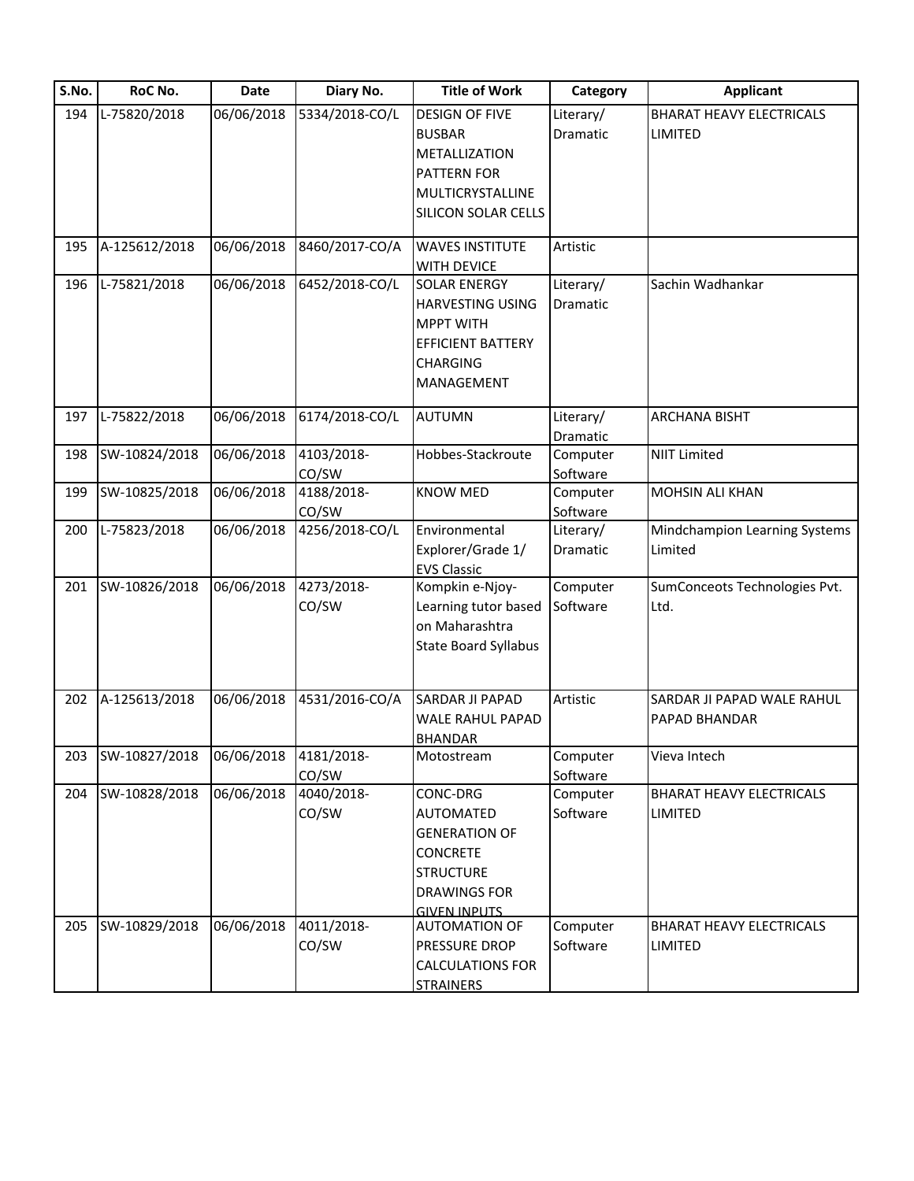| S.No. | RoC No.       | Date       | Diary No.           | <b>Title of Work</b>                    | Category             | <b>Applicant</b>                |
|-------|---------------|------------|---------------------|-----------------------------------------|----------------------|---------------------------------|
| 194   | L-75820/2018  | 06/06/2018 | 5334/2018-CO/L      | <b>DESIGN OF FIVE</b>                   | Literary/            | <b>BHARAT HEAVY ELECTRICALS</b> |
|       |               |            |                     | <b>BUSBAR</b>                           | <b>Dramatic</b>      | LIMITED                         |
|       |               |            |                     | METALLIZATION                           |                      |                                 |
|       |               |            |                     | PATTERN FOR                             |                      |                                 |
|       |               |            |                     | MULTICRYSTALLINE                        |                      |                                 |
|       |               |            |                     | SILICON SOLAR CELLS                     |                      |                                 |
|       |               |            |                     |                                         |                      |                                 |
| 195   | A-125612/2018 | 06/06/2018 | 8460/2017-CO/A      | <b>WAVES INSTITUTE</b>                  | Artistic             |                                 |
|       |               |            |                     | WITH DEVICE                             |                      |                                 |
| 196   | L-75821/2018  | 06/06/2018 | 6452/2018-CO/L      | <b>SOLAR ENERGY</b>                     | Literary/            | Sachin Wadhankar                |
|       |               |            |                     | <b>HARVESTING USING</b>                 | Dramatic             |                                 |
|       |               |            |                     | <b>MPPT WITH</b>                        |                      |                                 |
|       |               |            |                     | <b>EFFICIENT BATTERY</b>                |                      |                                 |
|       |               |            |                     | <b>CHARGING</b>                         |                      |                                 |
|       |               |            |                     | MANAGEMENT                              |                      |                                 |
| 197   | L-75822/2018  | 06/06/2018 | 6174/2018-CO/L      | <b>AUTUMN</b>                           | Literary/            | <b>ARCHANA BISHT</b>            |
|       |               |            |                     |                                         | Dramatic             |                                 |
| 198   | SW-10824/2018 | 06/06/2018 | 4103/2018-          | Hobbes-Stackroute                       | Computer             | <b>NIIT Limited</b>             |
|       |               |            | CO/SW               |                                         | Software             |                                 |
| 199   | SW-10825/2018 | 06/06/2018 | 4188/2018-          | <b>KNOW MED</b>                         | Computer             | MOHSIN ALI KHAN                 |
|       |               |            | CO/SW               |                                         | Software             |                                 |
| 200   | L-75823/2018  | 06/06/2018 | 4256/2018-CO/L      | Environmental                           | Literary/            | Mindchampion Learning Systems   |
|       |               |            |                     | Explorer/Grade 1/                       | Dramatic             | Limited                         |
|       |               |            |                     | <b>EVS Classic</b>                      |                      |                                 |
| 201   | SW-10826/2018 | 06/06/2018 | 4273/2018-          | Kompkin e-Njoy-                         | Computer             | SumConceots Technologies Pvt.   |
|       |               |            | CO/SW               | Learning tutor based                    | Software             | Ltd.                            |
|       |               |            |                     | on Maharashtra                          |                      |                                 |
|       |               |            |                     | <b>State Board Syllabus</b>             |                      |                                 |
|       |               |            |                     |                                         |                      |                                 |
|       |               |            |                     |                                         |                      |                                 |
| 202   | A-125613/2018 | 06/06/2018 | 4531/2016-CO/A      | SARDAR JI PAPAD                         | Artistic             | SARDAR JI PAPAD WALE RAHUL      |
|       |               |            |                     | WALE RAHUL PAPAD                        |                      | PAPAD BHANDAR                   |
|       | SW-10827/2018 | 06/06/2018 |                     | <b>BHANDAR</b>                          | Computer             |                                 |
| 203   |               |            | 4181/2018-<br>CO/SW | Motostream                              |                      | Vieva Intech                    |
| 204   | SW-10828/2018 | 06/06/2018 | 4040/2018-          | CONC-DRG                                | Software<br>Computer | <b>BHARAT HEAVY ELECTRICALS</b> |
|       |               |            | CO/SW               | AUTOMATED                               | Software             | <b>LIMITED</b>                  |
|       |               |            |                     |                                         |                      |                                 |
|       |               |            |                     | <b>GENERATION OF</b><br><b>CONCRETE</b> |                      |                                 |
|       |               |            |                     |                                         |                      |                                 |
|       |               |            |                     | <b>STRUCTURE</b>                        |                      |                                 |
|       |               |            |                     | <b>DRAWINGS FOR</b>                     |                      |                                 |
| 205   | SW-10829/2018 | 06/06/2018 | 4011/2018-          | <b>GIVEN INPUTS</b><br>AUTOMATION OF    | Computer             | <b>BHARAT HEAVY ELECTRICALS</b> |
|       |               |            | CO/SW               | PRESSURE DROP                           | Software             | LIMITED                         |
|       |               |            |                     | <b>CALCULATIONS FOR</b>                 |                      |                                 |
|       |               |            |                     | <b>STRAINERS</b>                        |                      |                                 |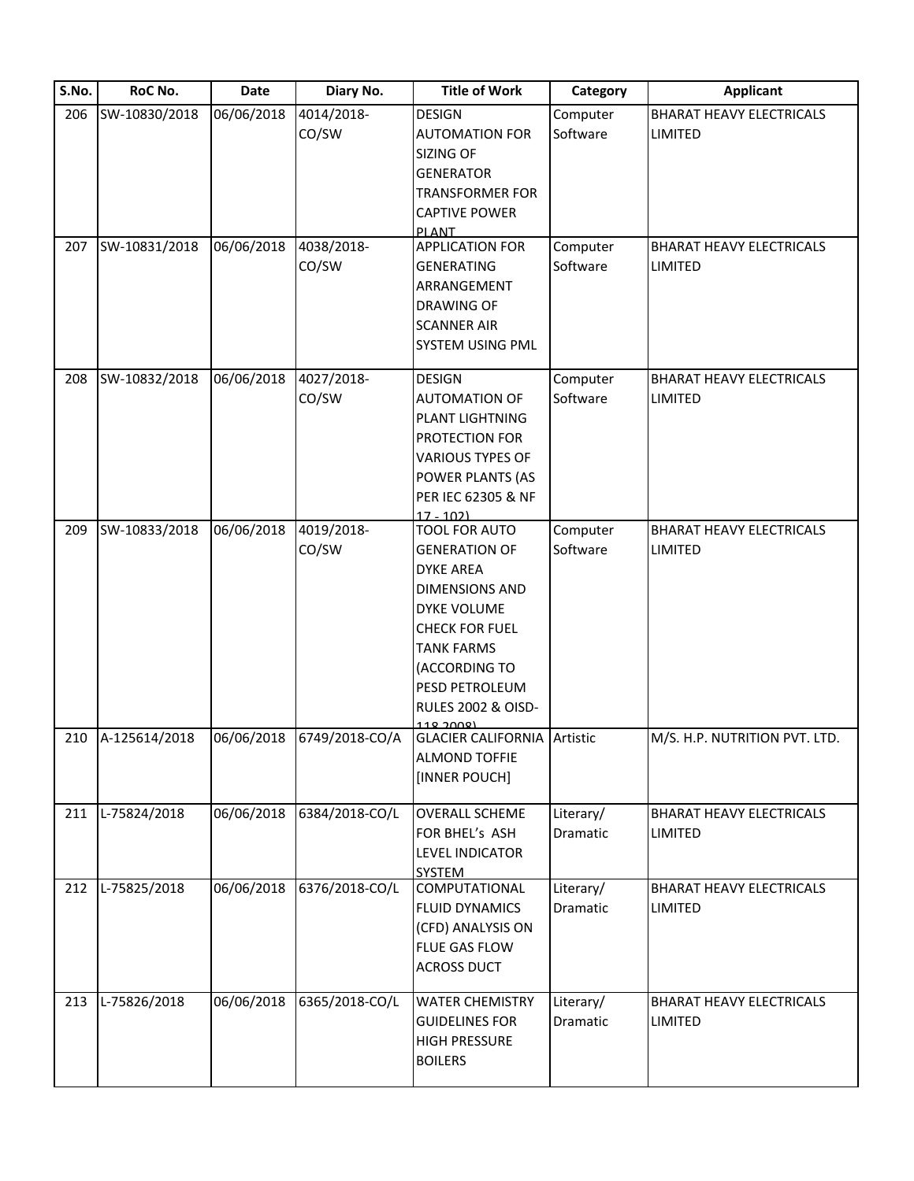| S.No. | RoC No.       | <b>Date</b> | Diary No.           | <b>Title of Work</b>                                                                                                                                                                                                                     | Category              | <b>Applicant</b>                                  |
|-------|---------------|-------------|---------------------|------------------------------------------------------------------------------------------------------------------------------------------------------------------------------------------------------------------------------------------|-----------------------|---------------------------------------------------|
| 206   | SW-10830/2018 | 06/06/2018  | 4014/2018-<br>CO/SW | <b>DESIGN</b><br><b>AUTOMATION FOR</b><br>SIZING OF<br><b>GENERATOR</b><br><b>TRANSFORMER FOR</b><br><b>CAPTIVE POWER</b><br>PI ANT                                                                                                      | Computer<br>Software  | <b>BHARAT HEAVY ELECTRICALS</b><br><b>LIMITED</b> |
| 207   | SW-10831/2018 | 06/06/2018  | 4038/2018-<br>CO/SW | <b>APPLICATION FOR</b><br><b>GENERATING</b><br>ARRANGEMENT<br><b>DRAWING OF</b><br><b>SCANNER AIR</b><br>SYSTEM USING PML                                                                                                                | Computer<br>Software  | <b>BHARAT HEAVY ELECTRICALS</b><br><b>LIMITED</b> |
| 208   | SW-10832/2018 | 06/06/2018  | 4027/2018-<br>CO/SW | <b>DESIGN</b><br><b>AUTOMATION OF</b><br>PLANT LIGHTNING<br>PROTECTION FOR<br><b>VARIOUS TYPES OF</b><br>POWER PLANTS (AS<br>PER IEC 62305 & NF<br>$17 - 102$                                                                            | Computer<br>Software  | <b>BHARAT HEAVY ELECTRICALS</b><br><b>LIMITED</b> |
| 209   | SW-10833/2018 | 06/06/2018  | 4019/2018-<br>CO/SW | TOOL FOR AUTO<br><b>GENERATION OF</b><br><b>DYKE AREA</b><br><b>DIMENSIONS AND</b><br>DYKE VOLUME<br><b>CHECK FOR FUEL</b><br><b>TANK FARMS</b><br>(ACCORDING TO<br>PESD PETROLEUM<br><b>RULES 2002 &amp; OISD-</b><br><u> 118 JANRI</u> | Computer<br>Software  | <b>BHARAT HEAVY ELECTRICALS</b><br>LIMITED        |
| 210   | A-125614/2018 | 06/06/2018  | 6749/2018-CO/A      | <b>GLACIER CALIFORNIA</b><br><b>ALMOND TOFFIE</b><br>[INNER POUCH]                                                                                                                                                                       | Artistic              | M/S. H.P. NUTRITION PVT. LTD.                     |
| 211   | L-75824/2018  | 06/06/2018  | 6384/2018-CO/L      | <b>OVERALL SCHEME</b><br>FOR BHEL's ASH<br><b>LEVEL INDICATOR</b><br><b>SYSTEM</b>                                                                                                                                                       | Literary/<br>Dramatic | <b>BHARAT HEAVY ELECTRICALS</b><br><b>LIMITED</b> |
| 212   | L-75825/2018  | 06/06/2018  | 6376/2018-CO/L      | COMPUTATIONAL<br>FLUID DYNAMICS<br>(CFD) ANALYSIS ON<br>FLUE GAS FLOW<br><b>ACROSS DUCT</b>                                                                                                                                              | Literary/<br>Dramatic | <b>BHARAT HEAVY ELECTRICALS</b><br>LIMITED        |
| 213   | L-75826/2018  | 06/06/2018  | 6365/2018-CO/L      | <b>WATER CHEMISTRY</b><br><b>GUIDELINES FOR</b><br><b>HIGH PRESSURE</b><br><b>BOILERS</b>                                                                                                                                                | Literary/<br>Dramatic | <b>BHARAT HEAVY ELECTRICALS</b><br><b>LIMITED</b> |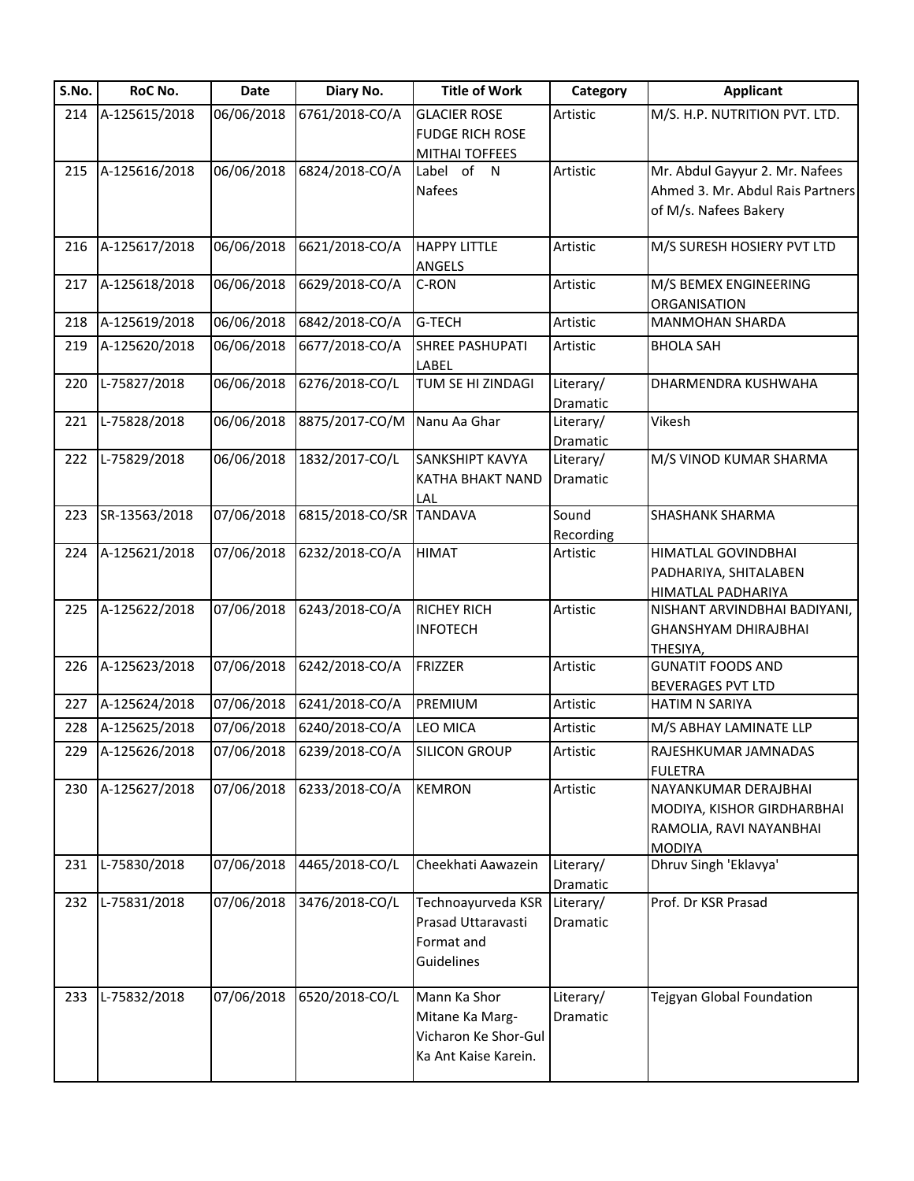| S.No. | RoC No.       | Date       | Diary No.               | <b>Title of Work</b>    | Category              | <b>Applicant</b>                     |
|-------|---------------|------------|-------------------------|-------------------------|-----------------------|--------------------------------------|
| 214   | A-125615/2018 | 06/06/2018 | 6761/2018-CO/A          | <b>GLACIER ROSE</b>     | Artistic              | M/S. H.P. NUTRITION PVT. LTD.        |
|       |               |            |                         | <b>FUDGE RICH ROSE</b>  |                       |                                      |
|       |               |            |                         | <b>MITHAI TOFFEES</b>   |                       |                                      |
| 215   | A-125616/2018 | 06/06/2018 | 6824/2018-CO/A          | Label of N              | Artistic              | Mr. Abdul Gayyur 2. Mr. Nafees       |
|       |               |            |                         | <b>Nafees</b>           |                       | Ahmed 3. Mr. Abdul Rais Partners     |
|       |               |            |                         |                         |                       | of M/s. Nafees Bakery                |
| 216   | A-125617/2018 | 06/06/2018 | 6621/2018-CO/A          | <b>HAPPY LITTLE</b>     | Artistic              | M/S SURESH HOSIERY PVT LTD           |
|       |               |            |                         | ANGELS                  |                       |                                      |
| 217   | A-125618/2018 | 06/06/2018 | 6629/2018-CO/A          | C-RON                   | Artistic              | M/S BEMEX ENGINEERING                |
|       |               |            |                         |                         |                       | ORGANISATION                         |
| 218   | A-125619/2018 | 06/06/2018 | 6842/2018-CO/A          | G-TECH                  | Artistic              | <b>MANMOHAN SHARDA</b>               |
| 219   | A-125620/2018 | 06/06/2018 | 6677/2018-CO/A          | <b>SHREE PASHUPATI</b>  | Artistic              | <b>BHOLA SAH</b>                     |
|       |               |            |                         | LABEL                   |                       |                                      |
| 220   | L-75827/2018  | 06/06/2018 | 6276/2018-CO/L          | TUM SE HI ZINDAGI       | Literary/             | DHARMENDRA KUSHWAHA                  |
| 221   | L-75828/2018  | 06/06/2018 | 8875/2017-CO/M          | Nanu Aa Ghar            | Dramatic<br>Literary/ | Vikesh                               |
|       |               |            |                         |                         | Dramatic              |                                      |
| 222   | L-75829/2018  | 06/06/2018 | 1832/2017-CO/L          | SANKSHIPT KAVYA         | Literary/             | M/S VINOD KUMAR SHARMA               |
|       |               |            |                         | <b>KATHA BHAKT NAND</b> | Dramatic              |                                      |
|       |               |            |                         | LAL                     |                       |                                      |
| 223   | SR-13563/2018 | 07/06/2018 | 6815/2018-CO/SR TANDAVA |                         | Sound                 | <b>SHASHANK SHARMA</b>               |
|       |               |            |                         |                         | Recording             |                                      |
| 224   | A-125621/2018 | 07/06/2018 | 6232/2018-CO/A          | <b>HIMAT</b>            | Artistic              | HIMATLAL GOVINDBHAI                  |
|       |               |            |                         |                         |                       | PADHARIYA, SHITALABEN                |
|       |               |            |                         |                         |                       | HIMATLAL PADHARIYA                   |
| 225   | A-125622/2018 | 07/06/2018 | 6243/2018-CO/A          | <b>RICHEY RICH</b>      | Artistic              | NISHANT ARVINDBHAI BADIYANI,         |
|       |               |            |                         | <b>INFOTECH</b>         |                       | <b>GHANSHYAM DHIRAJBHAI</b>          |
|       | A-125623/2018 | 07/06/2018 | 6242/2018-CO/A          | <b>FRIZZER</b>          | Artistic              | THESIYA,<br><b>GUNATIT FOODS AND</b> |
| 226   |               |            |                         |                         |                       | <b>BEVERAGES PVT LTD</b>             |
| 227   | A-125624/2018 | 07/06/2018 | 6241/2018-CO/A          | PREMIUM                 | Artistic              | <b>HATIM N SARIYA</b>                |
| 228   | A-125625/2018 | 07/06/2018 | 6240/2018-CO/A          | <b>LEO MICA</b>         | Artistic              | M/S ABHAY LAMINATE LLP               |
| 229   | A-125626/2018 | 07/06/2018 | 6239/2018-CO/A          | <b>SILICON GROUP</b>    | Artistic              | RAJESHKUMAR JAMNADAS                 |
|       |               |            |                         |                         |                       | <b>FULETRA</b>                       |
| 230   | A-125627/2018 | 07/06/2018 | 6233/2018-CO/A          | <b>KEMRON</b>           | Artistic              | NAYANKUMAR DERAJBHAI                 |
|       |               |            |                         |                         |                       | MODIYA, KISHOR GIRDHARBHAI           |
|       |               |            |                         |                         |                       | RAMOLIA, RAVI NAYANBHAI              |
|       |               |            |                         |                         |                       | <b>MODIYA</b>                        |
| 231   | L-75830/2018  | 07/06/2018 | 4465/2018-CO/L          | Cheekhati Aawazein      | Literary/             | Dhruv Singh 'Eklavya'                |
|       |               |            |                         |                         | Dramatic              |                                      |
| 232   | L-75831/2018  | 07/06/2018 | 3476/2018-CO/L          | Technoayurveda KSR      | Literary/             | Prof. Dr KSR Prasad                  |
|       |               |            |                         | Prasad Uttaravasti      | Dramatic              |                                      |
|       |               |            |                         | Format and              |                       |                                      |
|       |               |            |                         | Guidelines              |                       |                                      |
| 233   | L-75832/2018  | 07/06/2018 | 6520/2018-CO/L          | Mann Ka Shor            | Literary/             | Tejgyan Global Foundation            |
|       |               |            |                         | Mitane Ka Marg-         | Dramatic              |                                      |
|       |               |            |                         | Vicharon Ke Shor-Gul    |                       |                                      |
|       |               |            |                         | Ka Ant Kaise Karein.    |                       |                                      |
|       |               |            |                         |                         |                       |                                      |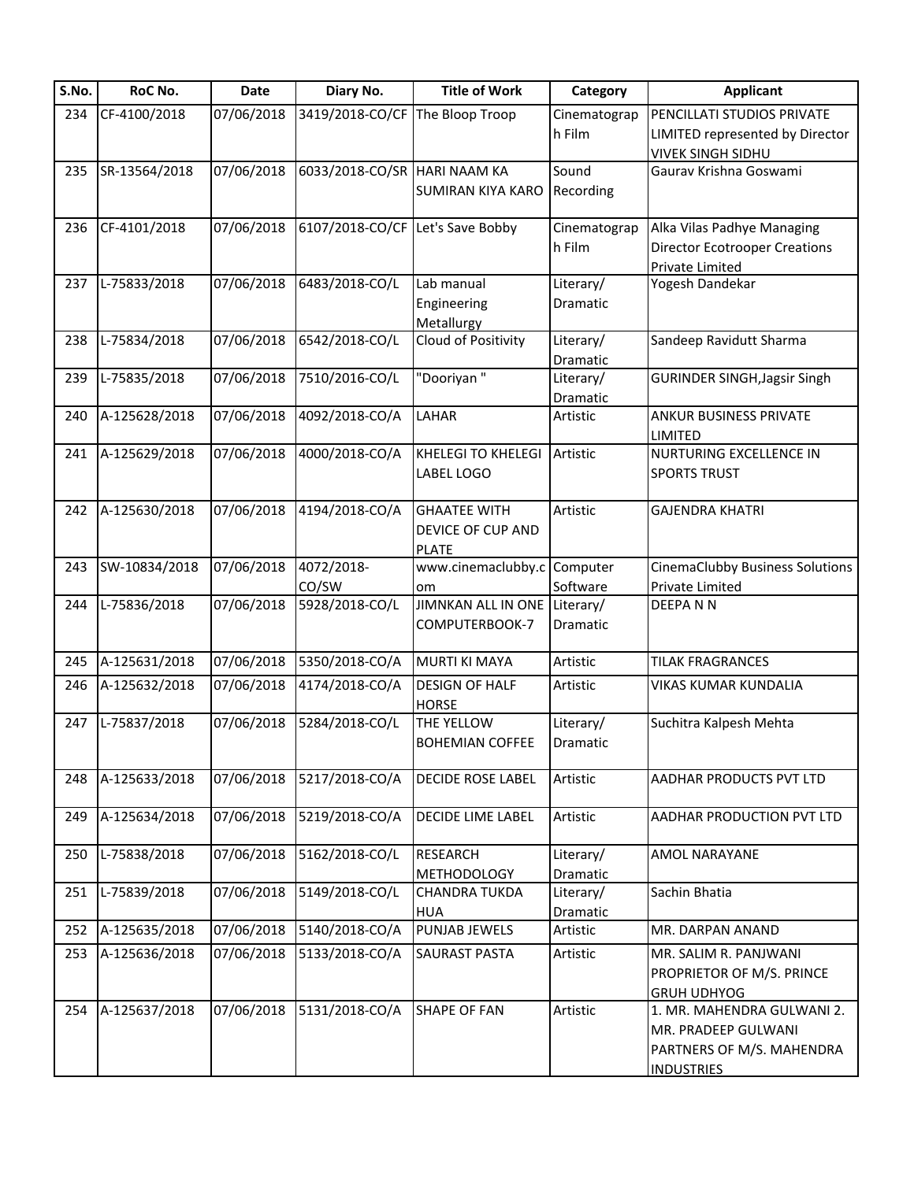| S.No. | RoC No.       | Date       | Diary No.                        | <b>Title of Work</b>         | Category              | <b>Applicant</b>                       |
|-------|---------------|------------|----------------------------------|------------------------------|-----------------------|----------------------------------------|
| 234   | CF-4100/2018  | 07/06/2018 | 3419/2018-CO/CF                  | The Bloop Troop              | Cinematograp          | PENCILLATI STUDIOS PRIVATE             |
|       |               |            |                                  |                              | h Film                | LIMITED represented by Director        |
|       |               |            |                                  |                              |                       | <b>VIVEK SINGH SIDHU</b>               |
| 235   | SR-13564/2018 | 07/06/2018 | 6033/2018-CO/SR HARI NAAM KA     |                              | Sound                 | Gaurav Krishna Goswami                 |
|       |               |            |                                  | <b>SUMIRAN KIYA KARO</b>     | Recording             |                                        |
| 236   | CF-4101/2018  | 07/06/2018 | 6107/2018-CO/CF Let's Save Bobby |                              | Cinematograp          | Alka Vilas Padhye Managing             |
|       |               |            |                                  |                              | h Film                | <b>Director Ecotrooper Creations</b>   |
|       |               |            |                                  |                              |                       | Private Limited                        |
| 237   | L-75833/2018  | 07/06/2018 | 6483/2018-CO/L                   | Lab manual                   | Literary/             | Yogesh Dandekar                        |
|       |               |            |                                  | Engineering                  | Dramatic              |                                        |
|       |               |            |                                  | Metallurgy                   |                       |                                        |
| 238   | L-75834/2018  | 07/06/2018 | 6542/2018-CO/L                   | Cloud of Positivity          | Literary/             | Sandeep Ravidutt Sharma                |
| 239   | L-75835/2018  | 07/06/2018 | 7510/2016-CO/L                   | "Dooriyan"                   | Dramatic<br>Literary/ |                                        |
|       |               |            |                                  |                              |                       | <b>GURINDER SINGH, Jagsir Singh</b>    |
| 240   | A-125628/2018 | 07/06/2018 | 4092/2018-CO/A                   | LAHAR                        | Dramatic<br>Artistic  | <b>ANKUR BUSINESS PRIVATE</b>          |
|       |               |            |                                  |                              |                       | LIMITED                                |
| 241   | A-125629/2018 | 07/06/2018 | 4000/2018-CO/A                   | <b>KHELEGI TO KHELEGI</b>    | Artistic              | NURTURING EXCELLENCE IN                |
|       |               |            |                                  | LABEL LOGO                   |                       | <b>SPORTS TRUST</b>                    |
|       |               |            |                                  |                              |                       |                                        |
| 242   | A-125630/2018 | 07/06/2018 | 4194/2018-CO/A                   | <b>GHAATEE WITH</b>          | Artistic              | <b>GAJENDRA KHATRI</b>                 |
|       |               |            |                                  | DEVICE OF CUP AND            |                       |                                        |
|       |               |            |                                  | <b>PLATE</b>                 |                       |                                        |
| 243   | SW-10834/2018 | 07/06/2018 | 4072/2018-                       | www.cinemaclubby.c Computer  |                       | <b>CinemaClubby Business Solutions</b> |
|       |               |            | CO/SW                            | om                           | Software              | Private Limited                        |
| 244   | L-75836/2018  | 07/06/2018 | 5928/2018-CO/L                   | JIMNKAN ALL IN ONE Literary/ |                       | DEEPANN                                |
|       |               |            |                                  | COMPUTERBOOK-7               | Dramatic              |                                        |
| 245   | A-125631/2018 | 07/06/2018 | 5350/2018-CO/A                   | <b>MURTI KI MAYA</b>         | Artistic              | <b>TILAK FRAGRANCES</b>                |
| 246   | A-125632/2018 | 07/06/2018 | 4174/2018-CO/A                   | <b>DESIGN OF HALF</b>        | Artistic              | VIKAS KUMAR KUNDALIA                   |
|       |               |            |                                  | <b>HORSE</b>                 |                       |                                        |
| 247   | L-75837/2018  | 07/06/2018 | 5284/2018-CO/L                   | THE YELLOW                   | Literary/             | Suchitra Kalpesh Mehta                 |
|       |               |            |                                  | <b>BOHEMIAN COFFEE</b>       | Dramatic              |                                        |
|       |               |            |                                  |                              |                       |                                        |
| 248   | A-125633/2018 | 07/06/2018 | 5217/2018-CO/A                   | <b>DECIDE ROSE LABEL</b>     | Artistic              | AADHAR PRODUCTS PVT LTD                |
| 249   | A-125634/2018 | 07/06/2018 | 5219/2018-CO/A                   | DECIDE LIME LABEL            | Artistic              | AADHAR PRODUCTION PVT LTD              |
|       |               |            |                                  |                              |                       |                                        |
| 250   | L-75838/2018  | 07/06/2018 | 5162/2018-CO/L                   | <b>RESEARCH</b>              | Literary/             | <b>AMOL NARAYANE</b>                   |
|       |               |            |                                  | <b>METHODOLOGY</b>           | Dramatic              |                                        |
| 251   | L-75839/2018  | 07/06/2018 | 5149/2018-CO/L                   | <b>CHANDRA TUKDA</b>         | Literary/             | Sachin Bhatia                          |
|       |               |            |                                  | <b>HUA</b>                   | Dramatic              |                                        |
| 252   | A-125635/2018 | 07/06/2018 | 5140/2018-CO/A                   | PUNJAB JEWELS                | Artistic              | MR. DARPAN ANAND                       |
| 253   | A-125636/2018 | 07/06/2018 | 5133/2018-CO/A                   | <b>SAURAST PASTA</b>         | Artistic              | MR. SALIM R. PANJWANI                  |
|       |               |            |                                  |                              |                       | PROPRIETOR OF M/S. PRINCE              |
|       |               |            |                                  |                              |                       | <b>GRUH UDHYOG</b>                     |
| 254   | A-125637/2018 | 07/06/2018 | 5131/2018-CO/A                   | <b>SHAPE OF FAN</b>          | Artistic              | 1. MR. MAHENDRA GULWANI 2.             |
|       |               |            |                                  |                              |                       | MR. PRADEEP GULWANI                    |
|       |               |            |                                  |                              |                       | PARTNERS OF M/S. MAHENDRA              |
|       |               |            |                                  |                              |                       | <b>INDUSTRIES</b>                      |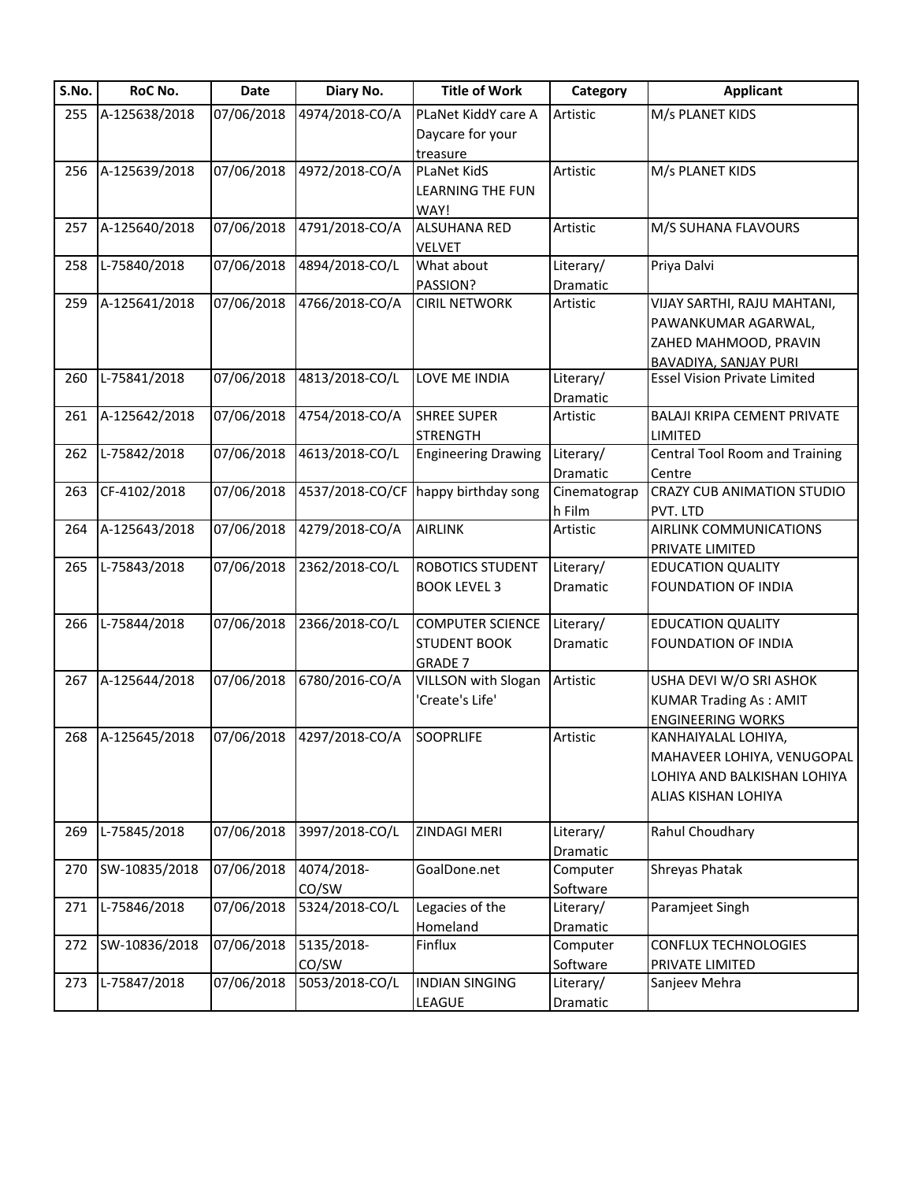| S.No. | RoC No.       | <b>Date</b> | Diary No.       | <b>Title of Work</b>       | Category     | <b>Applicant</b>                      |
|-------|---------------|-------------|-----------------|----------------------------|--------------|---------------------------------------|
| 255   | A-125638/2018 | 07/06/2018  | 4974/2018-CO/A  | PLaNet KiddY care A        | Artistic     | M/s PLANET KIDS                       |
|       |               |             |                 | Daycare for your           |              |                                       |
|       |               |             |                 | treasure                   |              |                                       |
| 256   | A-125639/2018 | 07/06/2018  | 4972/2018-CO/A  | <b>PLaNet KidS</b>         | Artistic     | M/s PLANET KIDS                       |
|       |               |             |                 | LEARNING THE FUN           |              |                                       |
|       |               |             |                 | WAY!                       |              |                                       |
| 257   | A-125640/2018 | 07/06/2018  | 4791/2018-CO/A  | <b>ALSUHANA RED</b>        | Artistic     | M/S SUHANA FLAVOURS                   |
|       |               |             |                 | <b>VELVET</b>              |              |                                       |
| 258   | L-75840/2018  | 07/06/2018  | 4894/2018-CO/L  | What about                 | Literary/    | Priya Dalvi                           |
|       |               |             |                 | PASSION?                   | Dramatic     |                                       |
| 259   | A-125641/2018 | 07/06/2018  | 4766/2018-CO/A  | <b>CIRIL NETWORK</b>       | Artistic     | VIJAY SARTHI, RAJU MAHTANI,           |
|       |               |             |                 |                            |              | PAWANKUMAR AGARWAL,                   |
|       |               |             |                 |                            |              | ZAHED MAHMOOD, PRAVIN                 |
|       |               |             |                 |                            |              | <b>BAVADIYA, SANJAY PURI</b>          |
| 260   | L-75841/2018  | 07/06/2018  | 4813/2018-CO/L  | LOVE ME INDIA              | Literary/    | <b>Essel Vision Private Limited</b>   |
|       |               |             |                 |                            | Dramatic     |                                       |
| 261   | A-125642/2018 | 07/06/2018  | 4754/2018-CO/A  | <b>SHREE SUPER</b>         | Artistic     | <b>BALAJI KRIPA CEMENT PRIVATE</b>    |
|       |               |             |                 | <b>STRENGTH</b>            |              | LIMITED                               |
| 262   | L-75842/2018  | 07/06/2018  | 4613/2018-CO/L  | <b>Engineering Drawing</b> | Literary/    | <b>Central Tool Room and Training</b> |
|       |               |             |                 |                            | Dramatic     | Centre                                |
| 263   | CF-4102/2018  | 07/06/2018  | 4537/2018-CO/CF | happy birthday song        | Cinematograp | CRAZY CUB ANIMATION STUDIO            |
|       |               |             |                 |                            | h Film       | PVT. LTD                              |
| 264   | A-125643/2018 | 07/06/2018  | 4279/2018-CO/A  | <b>AIRLINK</b>             | Artistic     | AIRLINK COMMUNICATIONS                |
|       |               |             |                 |                            |              | PRIVATE LIMITED                       |
| 265   | L-75843/2018  | 07/06/2018  | 2362/2018-CO/L  | <b>ROBOTICS STUDENT</b>    | Literary/    | <b>EDUCATION QUALITY</b>              |
|       |               |             |                 | <b>BOOK LEVEL 3</b>        | Dramatic     | <b>FOUNDATION OF INDIA</b>            |
|       |               |             |                 |                            |              |                                       |
| 266   | L-75844/2018  | 07/06/2018  | 2366/2018-CO/L  | <b>COMPUTER SCIENCE</b>    | Literary/    | <b>EDUCATION QUALITY</b>              |
|       |               |             |                 | <b>STUDENT BOOK</b>        | Dramatic     | FOUNDATION OF INDIA                   |
|       |               |             |                 | <b>GRADE 7</b>             |              |                                       |
| 267   | A-125644/2018 | 07/06/2018  | 6780/2016-CO/A  | <b>VILLSON with Slogan</b> | Artistic     | USHA DEVI W/O SRI ASHOK               |
|       |               |             |                 | 'Create's Life'            |              | <b>KUMAR Trading As: AMIT</b>         |
|       |               |             |                 |                            |              | <b>ENGINEERING WORKS</b>              |
| 268   | A-125645/2018 | 07/06/2018  | 4297/2018-CO/A  | <b>SOOPRLIFE</b>           | Artistic     | KANHAIYALAL LOHIYA,                   |
|       |               |             |                 |                            |              | MAHAVEER LOHIYA, VENUGOPAL            |
|       |               |             |                 |                            |              | LOHIYA AND BALKISHAN LOHIYA           |
|       |               |             |                 |                            |              |                                       |
|       |               |             |                 |                            |              | ALIAS KISHAN LOHIYA                   |
| 269   | L-75845/2018  | 07/06/2018  | 3997/2018-CO/L  | ZINDAGI MERI               | Literary/    | Rahul Choudhary                       |
|       |               |             |                 |                            | Dramatic     |                                       |
| 270   | SW-10835/2018 | 07/06/2018  | 4074/2018-      | GoalDone.net               | Computer     | <b>Shreyas Phatak</b>                 |
|       |               |             | CO/SW           |                            | Software     |                                       |
| 271   | L-75846/2018  | 07/06/2018  | 5324/2018-CO/L  | Legacies of the            | Literary/    | Paramjeet Singh                       |
|       |               |             |                 | Homeland                   | Dramatic     |                                       |
| 272   | SW-10836/2018 | 07/06/2018  | 5135/2018-      | Finflux                    | Computer     | CONFLUX TECHNOLOGIES                  |
|       |               |             |                 |                            |              |                                       |
|       |               |             | CO/SW           | <b>INDIAN SINGING</b>      | Software     | PRIVATE LIMITED                       |
| 273   | L-75847/2018  | 07/06/2018  | 5053/2018-CO/L  |                            | Literary/    | Sanjeev Mehra                         |
|       |               |             |                 | LEAGUE                     | Dramatic     |                                       |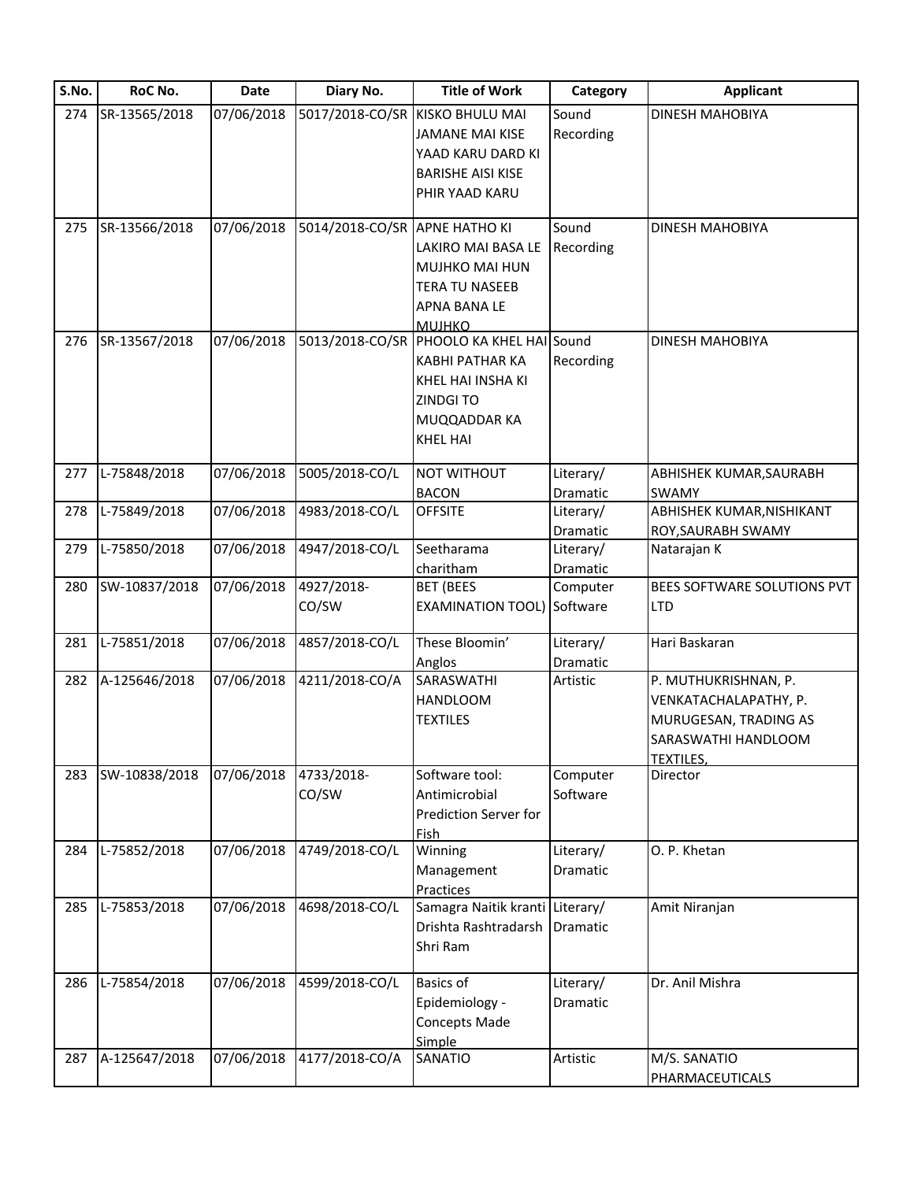| S.No. | RoC No.       | Date       | Diary No.                     | <b>Title of Work</b>              | Category  | <b>Applicant</b>            |
|-------|---------------|------------|-------------------------------|-----------------------------------|-----------|-----------------------------|
| 274   | SR-13565/2018 | 07/06/2018 |                               | 5017/2018-CO/SR KISKO BHULU MAI   | Sound     | DINESH MAHOBIYA             |
|       |               |            |                               | <b>JAMANE MAI KISE</b>            | Recording |                             |
|       |               |            |                               | YAAD KARU DARD KI                 |           |                             |
|       |               |            |                               | <b>BARISHE AISI KISE</b>          |           |                             |
|       |               |            |                               | PHIR YAAD KARU                    |           |                             |
|       |               |            |                               |                                   |           |                             |
| 275   | SR-13566/2018 | 07/06/2018 | 5014/2018-CO/SR APNE HATHO KI |                                   | Sound     | DINESH MAHOBIYA             |
|       |               |            |                               | LAKIRO MAI BASA LE                | Recording |                             |
|       |               |            |                               | MUJHKO MAI HUN                    |           |                             |
|       |               |            |                               | <b>TERA TU NASEEB</b>             |           |                             |
|       |               |            |                               | APNA BANA LE                      |           |                             |
|       |               |            |                               | <b>MUJHKO</b>                     |           |                             |
| 276   | SR-13567/2018 | 07/06/2018 | 5013/2018-CO/SR               | PHOOLO KA KHEL HAI Sound          |           | DINESH MAHOBIYA             |
|       |               |            |                               | <b>KABHI PATHAR KA</b>            | Recording |                             |
|       |               |            |                               | KHEL HAI INSHA KI                 |           |                             |
|       |               |            |                               | ZINDGI TO                         |           |                             |
|       |               |            |                               | MUQQADDAR KA                      |           |                             |
|       |               |            |                               | <b>KHEL HAI</b>                   |           |                             |
|       |               |            |                               |                                   |           |                             |
| 277   | L-75848/2018  | 07/06/2018 | 5005/2018-CO/L                | <b>NOT WITHOUT</b>                | Literary/ | ABHISHEK KUMAR, SAURABH     |
|       |               |            |                               | <b>BACON</b>                      | Dramatic  | SWAMY                       |
| 278   | L-75849/2018  | 07/06/2018 | 4983/2018-CO/L                | <b>OFFSITE</b>                    | Literary/ | ABHISHEK KUMAR, NISHIKANT   |
|       |               |            |                               |                                   | Dramatic  | ROY, SAURABH SWAMY          |
| 279   | L-75850/2018  | 07/06/2018 | 4947/2018-CO/L                | Seetharama                        | Literary/ | Natarajan K                 |
|       |               |            |                               | charitham                         | Dramatic  |                             |
| 280   | SW-10837/2018 | 07/06/2018 | 4927/2018-                    | <b>BET (BEES</b>                  | Computer  | BEES SOFTWARE SOLUTIONS PVT |
|       |               |            | CO/SW                         | <b>EXAMINATION TOOL) Software</b> |           | <b>LTD</b>                  |
|       |               |            |                               |                                   |           |                             |
| 281   | L-75851/2018  | 07/06/2018 | 4857/2018-CO/L                | These Bloomin'                    | Literary/ | Hari Baskaran               |
|       |               |            |                               | Anglos                            | Dramatic  |                             |
| 282   | A-125646/2018 | 07/06/2018 | 4211/2018-CO/A                | <b>SARASWATHI</b>                 | Artistic  | P. MUTHUKRISHNAN, P.        |
|       |               |            |                               | <b>HANDLOOM</b>                   |           | VENKATACHALAPATHY, P.       |
|       |               |            |                               | <b>TEXTILES</b>                   |           | MURUGESAN, TRADING AS       |
|       |               |            |                               |                                   |           | SARASWATHI HANDLOOM         |
|       |               |            |                               |                                   |           | <b>TEXTILES,</b>            |
| 283   | SW-10838/2018 | 07/06/2018 | 4733/2018-                    | Software tool:                    | Computer  | Director                    |
|       |               |            | CO/SW                         | Antimicrobial                     | Software  |                             |
|       |               |            |                               | Prediction Server for             |           |                             |
|       |               |            |                               | Fish                              |           |                             |
| 284   | L-75852/2018  | 07/06/2018 | 4749/2018-CO/L                | Winning                           | Literary/ | O. P. Khetan                |
|       |               |            |                               | Management                        | Dramatic  |                             |
|       |               |            |                               | Practices                         |           |                             |
| 285   | L-75853/2018  | 07/06/2018 | 4698/2018-CO/L                | Samagra Naitik kranti Literary/   |           | Amit Niranjan               |
|       |               |            |                               | Drishta Rashtradarsh              | Dramatic  |                             |
|       |               |            |                               | Shri Ram                          |           |                             |
|       |               |            |                               |                                   |           |                             |
| 286   | L-75854/2018  | 07/06/2018 | 4599/2018-CO/L                | <b>Basics of</b>                  | Literary/ | Dr. Anil Mishra             |
|       |               |            |                               | Epidemiology -                    | Dramatic  |                             |
|       |               |            |                               | Concepts Made                     |           |                             |
|       |               |            |                               | Simple                            |           |                             |
| 287   | A-125647/2018 | 07/06/2018 | 4177/2018-CO/A                | SANATIO                           | Artistic  | M/S. SANATIO                |
|       |               |            |                               |                                   |           | PHARMACEUTICALS             |
|       |               |            |                               |                                   |           |                             |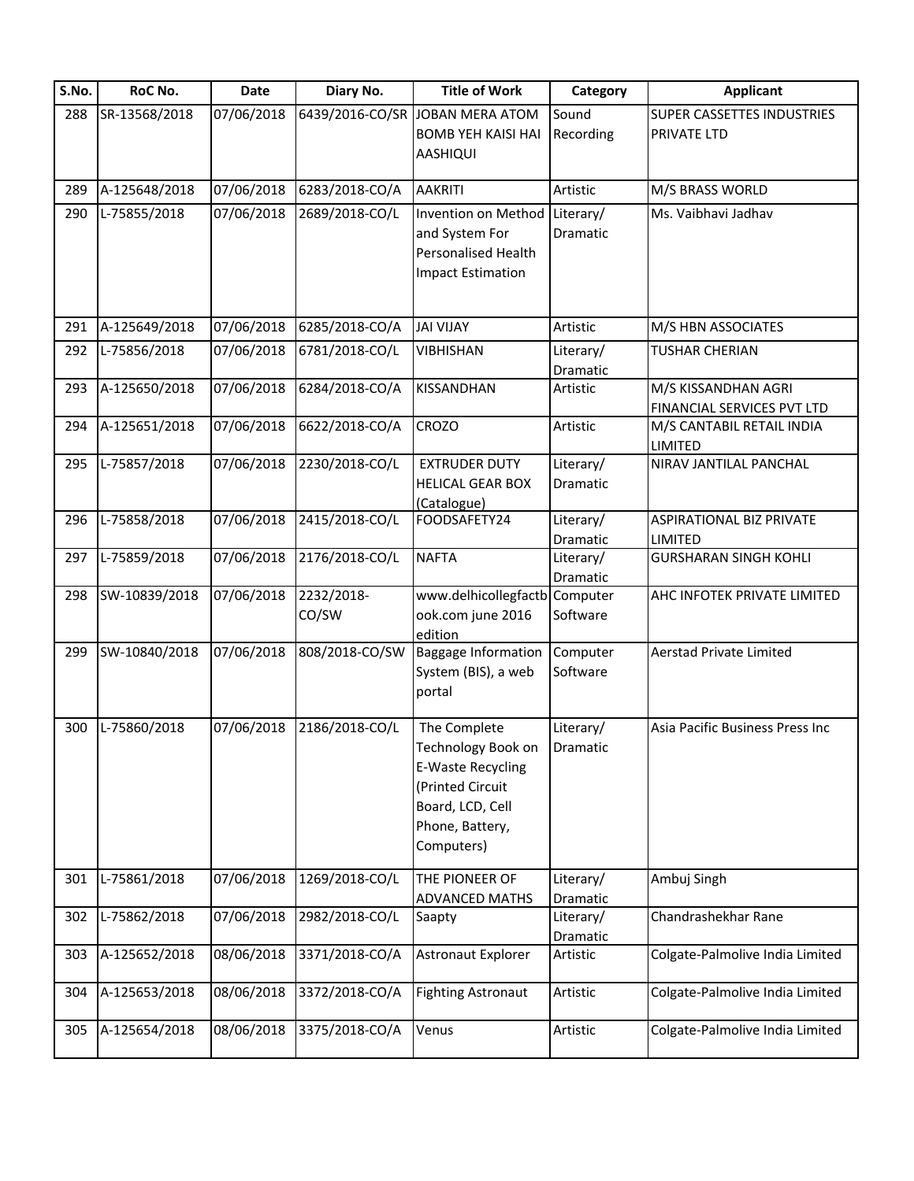| S.No. | RoC No.       | <b>Date</b> | Diary No.       | <b>Title of Work</b>                  | Category  | <b>Applicant</b>                  |
|-------|---------------|-------------|-----------------|---------------------------------------|-----------|-----------------------------------|
| 288   | SR-13568/2018 | 07/06/2018  | 6439/2016-CO/SR | JOBAN MERA ATOM                       | Sound     | <b>SUPER CASSETTES INDUSTRIES</b> |
|       |               |             |                 | <b>BOMB YEH KAISI HAI</b>             | Recording | <b>PRIVATE LTD</b>                |
|       |               |             |                 | <b>AASHIQUI</b>                       |           |                                   |
| 289   | A-125648/2018 | 07/06/2018  | 6283/2018-CO/A  | <b>AAKRITI</b>                        | Artistic  | M/S BRASS WORLD                   |
| 290   | L-75855/2018  | 07/06/2018  | 2689/2018-CO/L  | Invention on Method                   | Literary/ | Ms. Vaibhavi Jadhav               |
|       |               |             |                 | and System For                        | Dramatic  |                                   |
|       |               |             |                 | Personalised Health                   |           |                                   |
|       |               |             |                 | <b>Impact Estimation</b>              |           |                                   |
|       |               |             |                 |                                       |           |                                   |
|       |               |             |                 |                                       |           |                                   |
| 291   | A-125649/2018 | 07/06/2018  | 6285/2018-CO/A  | <b>JAI VIJAY</b>                      | Artistic  | M/S HBN ASSOCIATES                |
| 292   | L-75856/2018  | 07/06/2018  | 6781/2018-CO/L  | <b>VIBHISHAN</b>                      | Literary/ | <b>TUSHAR CHERIAN</b>             |
|       |               |             |                 |                                       | Dramatic  |                                   |
| 293   | A-125650/2018 | 07/06/2018  | 6284/2018-CO/A  | KISSANDHAN                            | Artistic  | M/S KISSANDHAN AGRI               |
|       |               |             |                 |                                       |           | FINANCIAL SERVICES PVT LTD        |
| 294   | A-125651/2018 | 07/06/2018  | 6622/2018-CO/A  | <b>CROZO</b>                          | Artistic  | M/S CANTABIL RETAIL INDIA         |
|       |               |             |                 |                                       |           | LIMITED                           |
| 295   | L-75857/2018  | 07/06/2018  | 2230/2018-CO/L  | <b>EXTRUDER DUTY</b>                  | Literary/ | NIRAV JANTILAL PANCHAL            |
|       |               |             |                 | <b>HELICAL GEAR BOX</b>               | Dramatic  |                                   |
|       |               |             |                 | (Catalogue)                           |           |                                   |
| 296   | L-75858/2018  | 07/06/2018  | 2415/2018-CO/L  | FOODSAFETY24                          | Literary/ | <b>ASPIRATIONAL BIZ PRIVATE</b>   |
|       |               |             |                 |                                       | Dramatic  | LIMITED                           |
| 297   | L-75859/2018  | 07/06/2018  | 2176/2018-CO/L  | <b>NAFTA</b>                          | Literary/ | <b>GURSHARAN SINGH KOHLI</b>      |
|       |               |             |                 |                                       | Dramatic  |                                   |
| 298   | SW-10839/2018 | 07/06/2018  | 2232/2018-      | www.delhicollegfactb Computer         |           | AHC INFOTEK PRIVATE LIMITED       |
|       |               |             | CO/SW           | ook.com june 2016                     | Software  |                                   |
| 299   | SW-10840/2018 | 07/06/2018  | 808/2018-CO/SW  | edition<br><b>Baggage Information</b> | Computer  | <b>Aerstad Private Limited</b>    |
|       |               |             |                 | System (BIS), a web                   | Software  |                                   |
|       |               |             |                 | portal                                |           |                                   |
|       |               |             |                 |                                       |           |                                   |
| 300   | L-75860/2018  | 07/06/2018  | 2186/2018-CO/L  | The Complete                          | Literary/ | Asia Pacific Business Press Inc   |
|       |               |             |                 | Technology Book on Dramatic           |           |                                   |
|       |               |             |                 | E-Waste Recycling                     |           |                                   |
|       |               |             |                 | (Printed Circuit                      |           |                                   |
|       |               |             |                 | Board, LCD, Cell                      |           |                                   |
|       |               |             |                 | Phone, Battery,                       |           |                                   |
|       |               |             |                 | Computers)                            |           |                                   |
|       |               |             |                 |                                       |           |                                   |
| 301   | L-75861/2018  | 07/06/2018  | 1269/2018-CO/L  | THE PIONEER OF                        | Literary/ | Ambuj Singh                       |
|       |               |             |                 | <b>ADVANCED MATHS</b>                 | Dramatic  |                                   |
| 302   | L-75862/2018  | 07/06/2018  | 2982/2018-CO/L  | Saapty                                | Literary/ | Chandrashekhar Rane               |
|       |               |             |                 |                                       | Dramatic  |                                   |
| 303   | A-125652/2018 | 08/06/2018  | 3371/2018-CO/A  | Astronaut Explorer                    | Artistic  | Colgate-Palmolive India Limited   |
| 304   | A-125653/2018 | 08/06/2018  | 3372/2018-CO/A  | <b>Fighting Astronaut</b>             | Artistic  | Colgate-Palmolive India Limited   |
|       |               |             |                 |                                       |           |                                   |
| 305   | A-125654/2018 | 08/06/2018  | 3375/2018-CO/A  | Venus                                 | Artistic  | Colgate-Palmolive India Limited   |
|       |               |             |                 |                                       |           |                                   |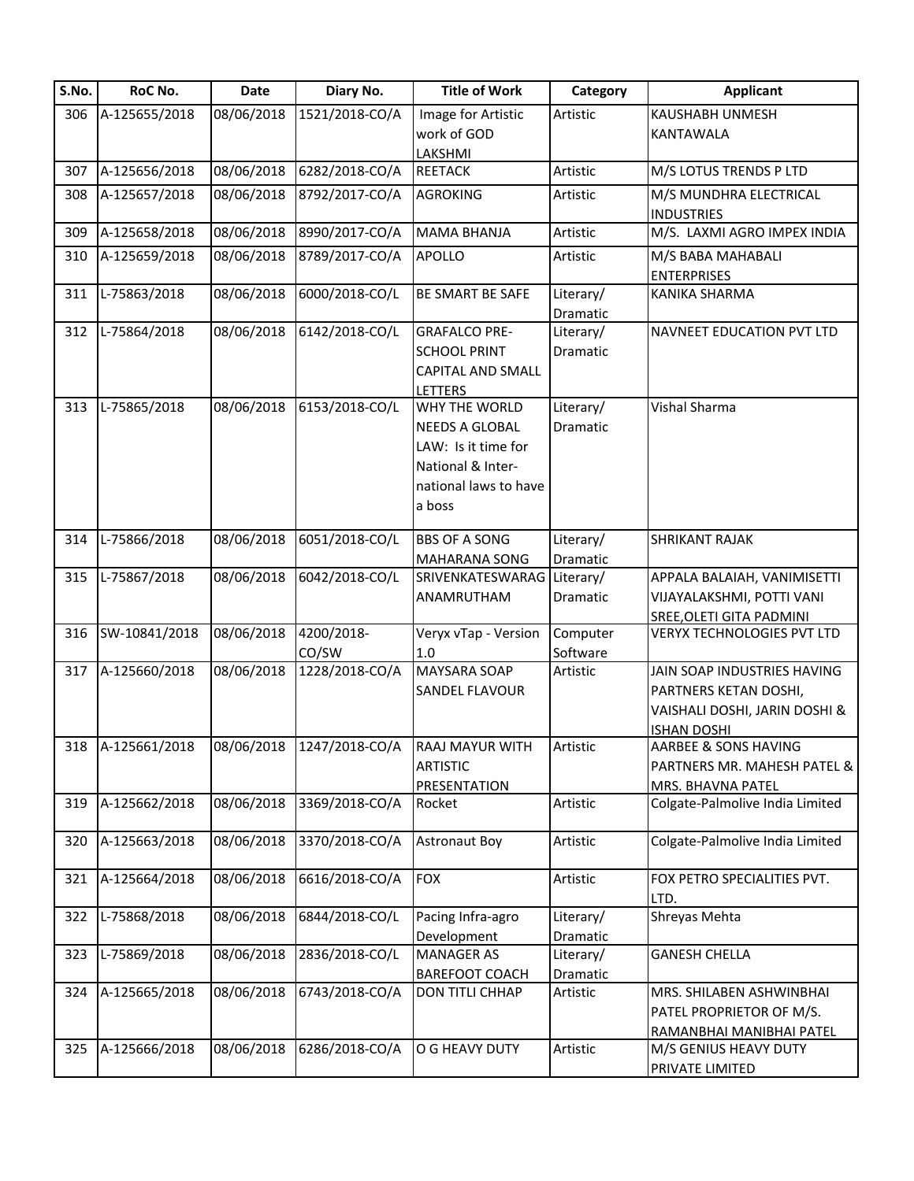| S.No. | RoC No.           | Date       | Diary No.      | <b>Title of Work</b>                      | Category  | <b>Applicant</b>                                    |
|-------|-------------------|------------|----------------|-------------------------------------------|-----------|-----------------------------------------------------|
| 306   | A-125655/2018     | 08/06/2018 | 1521/2018-CO/A | Image for Artistic                        | Artistic  | KAUSHABH UNMESH                                     |
|       |                   |            |                | work of GOD                               |           | KANTAWALA                                           |
|       |                   |            |                | LAKSHMI                                   |           |                                                     |
| 307   | A-125656/2018     | 08/06/2018 | 6282/2018-CO/A | <b>REETACK</b>                            | Artistic  | M/S LOTUS TRENDS P LTD                              |
| 308   | A-125657/2018     | 08/06/2018 | 8792/2017-CO/A | <b>AGROKING</b>                           | Artistic  | M/S MUNDHRA ELECTRICAL                              |
|       |                   |            |                |                                           |           | <b>INDUSTRIES</b>                                   |
| 309   | A-125658/2018     | 08/06/2018 | 8990/2017-CO/A | <b>MAMA BHANJA</b>                        | Artistic  | M/S. LAXMI AGRO IMPEX INDIA                         |
| 310   | A-125659/2018     | 08/06/2018 | 8789/2017-CO/A | <b>APOLLO</b>                             | Artistic  | M/S BABA MAHABALI                                   |
|       |                   |            |                |                                           |           | <b>ENTERPRISES</b>                                  |
| 311   | L-75863/2018      | 08/06/2018 | 6000/2018-CO/L | BE SMART BE SAFE                          | Literary/ | KANIKA SHARMA                                       |
|       |                   |            |                |                                           | Dramatic  |                                                     |
| 312   | L-75864/2018      | 08/06/2018 | 6142/2018-CO/L | <b>GRAFALCO PRE-</b>                      | Literary/ | NAVNEET EDUCATION PVT LTD                           |
|       |                   |            |                | <b>SCHOOL PRINT</b>                       | Dramatic  |                                                     |
|       |                   |            |                | <b>CAPITAL AND SMALL</b>                  |           |                                                     |
| 313   | L-75865/2018      | 08/06/2018 | 6153/2018-CO/L | <b>LETTERS</b><br>WHY THE WORLD           | Literary/ | Vishal Sharma                                       |
|       |                   |            |                | NEEDS A GLOBAL                            | Dramatic  |                                                     |
|       |                   |            |                | LAW: Is it time for                       |           |                                                     |
|       |                   |            |                | National & Inter-                         |           |                                                     |
|       |                   |            |                | national laws to have                     |           |                                                     |
|       |                   |            |                | a boss                                    |           |                                                     |
|       |                   |            |                |                                           |           |                                                     |
| 314   | L-75866/2018      | 08/06/2018 | 6051/2018-CO/L | <b>BBS OF A SONG</b>                      | Literary/ | <b>SHRIKANT RAJAK</b>                               |
|       |                   |            |                | MAHARANA SONG                             | Dramatic  |                                                     |
| 315   | L-75867/2018      | 08/06/2018 | 6042/2018-CO/L | SRIVENKATESWARAG                          | Literary/ | APPALA BALAIAH, VANIMISETTI                         |
|       |                   |            |                | ANAMRUTHAM                                | Dramatic  | VIJAYALAKSHMI, POTTI VANI                           |
|       |                   |            |                |                                           |           | <b>SREE, OLETI GITA PADMINI</b>                     |
| 316   | SW-10841/2018     | 08/06/2018 | 4200/2018-     | Veryx vTap - Version                      | Computer  | VERYX TECHNOLOGIES PVT LTD                          |
|       |                   |            | CO/SW          | 1.0                                       | Software  |                                                     |
| 317   | A-125660/2018     | 08/06/2018 | 1228/2018-CO/A | MAYSARA SOAP                              | Artistic  | JAIN SOAP INDUSTRIES HAVING                         |
|       |                   |            |                | SANDEL FLAVOUR                            |           | PARTNERS KETAN DOSHI,                               |
|       |                   |            |                |                                           |           | VAISHALI DOSHI, JARIN DOSHI &<br><b>ISHAN DOSHI</b> |
|       | 318 A-125661/2018 |            |                | 08/06/2018 1247/2018-CO/A RAAJ MAYUR WITH | Artistic  | AARBEE & SONS HAVING                                |
|       |                   |            |                | <b>ARTISTIC</b>                           |           | PARTNERS MR. MAHESH PATEL &                         |
|       |                   |            |                | PRESENTATION                              |           | <b>MRS. BHAVNA PATEL</b>                            |
| 319   | A-125662/2018     | 08/06/2018 | 3369/2018-CO/A | Rocket                                    | Artistic  | Colgate-Palmolive India Limited                     |
|       | A-125663/2018     | 08/06/2018 | 3370/2018-CO/A | <b>Astronaut Boy</b>                      | Artistic  | Colgate-Palmolive India Limited                     |
| 320   |                   |            |                |                                           |           |                                                     |
| 321   | A-125664/2018     | 08/06/2018 | 6616/2018-CO/A | <b>FOX</b>                                | Artistic  | FOX PETRO SPECIALITIES PVT.                         |
|       |                   |            |                |                                           |           | LTD.                                                |
| 322   | L-75868/2018      | 08/06/2018 | 6844/2018-CO/L | Pacing Infra-agro                         | Literary/ | Shreyas Mehta                                       |
|       |                   |            |                | Development                               | Dramatic  |                                                     |
| 323   | L-75869/2018      | 08/06/2018 | 2836/2018-CO/L | <b>MANAGER AS</b>                         | Literary/ | <b>GANESH CHELLA</b>                                |
|       |                   |            |                | <b>BAREFOOT COACH</b>                     | Dramatic  |                                                     |
| 324   | A-125665/2018     | 08/06/2018 | 6743/2018-CO/A | DON TITLI CHHAP                           | Artistic  | MRS. SHILABEN ASHWINBHAI                            |
|       |                   |            |                |                                           |           | PATEL PROPRIETOR OF M/S.                            |
|       | A-125666/2018     | 08/06/2018 | 6286/2018-CO/A | O G HEAVY DUTY                            | Artistic  | RAMANBHAI MANIBHAI PATEL                            |
| 325   |                   |            |                |                                           |           | M/S GENIUS HEAVY DUTY<br>PRIVATE LIMITED            |
|       |                   |            |                |                                           |           |                                                     |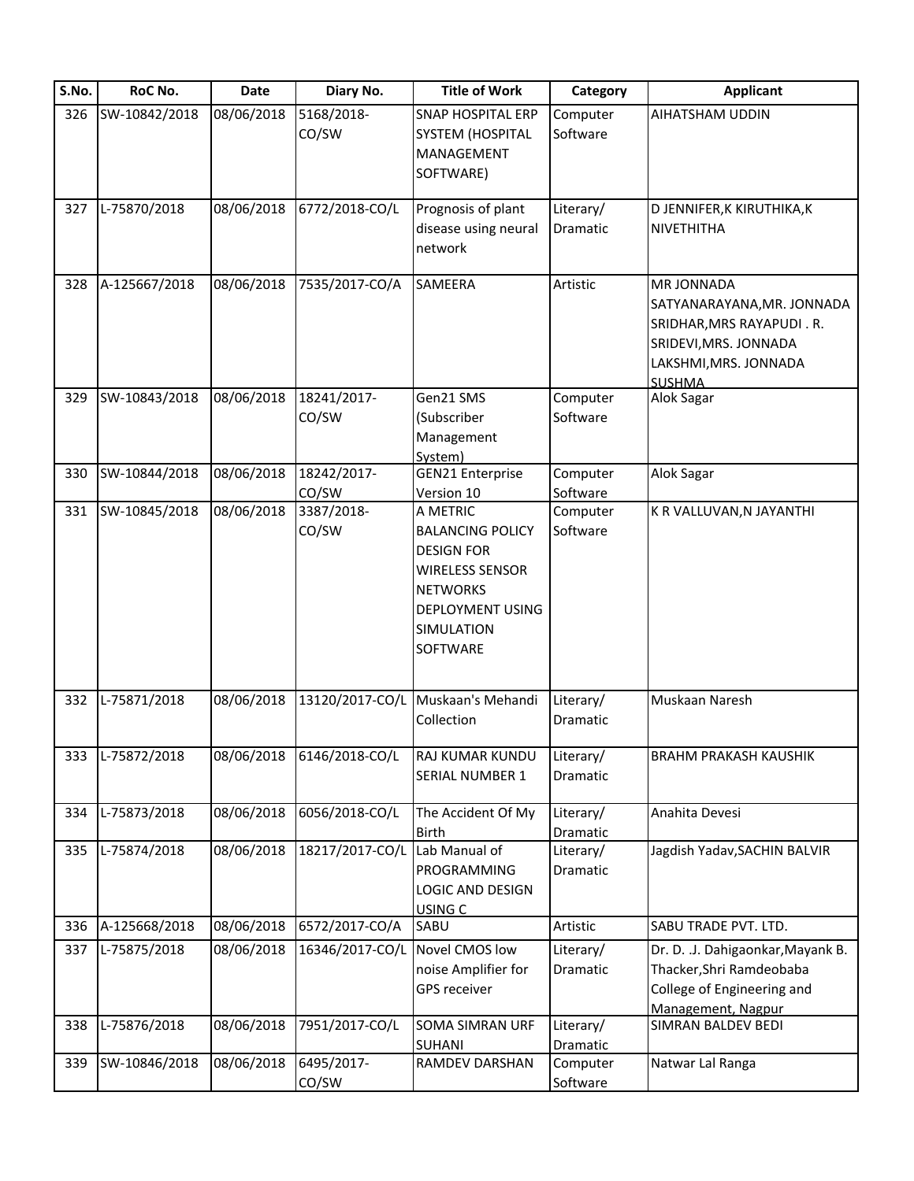| S.No. | RoC No.       | Date       | Diary No.            | <b>Title of Work</b>                                                                                                                    | Category              | <b>Applicant</b>                                                                                                                                |
|-------|---------------|------------|----------------------|-----------------------------------------------------------------------------------------------------------------------------------------|-----------------------|-------------------------------------------------------------------------------------------------------------------------------------------------|
| 326   | SW-10842/2018 | 08/06/2018 | 5168/2018-<br>CO/SW  | <b>SNAP HOSPITAL ERP</b><br>SYSTEM (HOSPITAL<br>MANAGEMENT<br>SOFTWARE)                                                                 | Computer<br>Software  | AIHATSHAM UDDIN                                                                                                                                 |
| 327   | L-75870/2018  | 08/06/2018 | 6772/2018-CO/L       | Prognosis of plant<br>disease using neural<br>network                                                                                   | Literary/<br>Dramatic | D JENNIFER, K KIRUTHIKA, K<br><b>NIVETHITHA</b>                                                                                                 |
| 328   | A-125667/2018 | 08/06/2018 | 7535/2017-CO/A       | <b>SAMEERA</b>                                                                                                                          | Artistic              | <b>MR JONNADA</b><br>SATYANARAYANA, MR. JONNADA<br>SRIDHAR, MRS RAYAPUDI. R.<br>SRIDEVI, MRS. JONNADA<br>LAKSHMI, MRS. JONNADA<br><b>SUSHMA</b> |
| 329   | SW-10843/2018 | 08/06/2018 | 18241/2017-<br>CO/SW | Gen21 SMS<br>(Subscriber<br>Management<br>System)                                                                                       | Computer<br>Software  | Alok Sagar                                                                                                                                      |
| 330   | SW-10844/2018 | 08/06/2018 | 18242/2017-          | <b>GEN21 Enterprise</b>                                                                                                                 | Computer              | Alok Sagar                                                                                                                                      |
| 331   | SW-10845/2018 | 08/06/2018 | CO/SW<br>3387/2018-  | Version 10<br>A METRIC                                                                                                                  | Software<br>Computer  | K R VALLUVAN, N JAYANTHI                                                                                                                        |
|       |               |            | CO/SW                | <b>BALANCING POLICY</b><br><b>DESIGN FOR</b><br><b>WIRELESS SENSOR</b><br><b>NETWORKS</b><br>DEPLOYMENT USING<br>SIMULATION<br>SOFTWARE | Software              |                                                                                                                                                 |
| 332   | L-75871/2018  | 08/06/2018 | 13120/2017-CO/L      | Muskaan's Mehandi<br>Collection                                                                                                         | Literary/<br>Dramatic | Muskaan Naresh                                                                                                                                  |
| 333   | L-75872/2018  | 08/06/2018 | 6146/2018-CO/L       | RAJ KUMAR KUNDU<br>SERIAL NUMBER 1                                                                                                      | Literary/<br>Dramatic | <b>BRAHM PRAKASH KAUSHIK</b>                                                                                                                    |
| 334   | L-75873/2018  | 08/06/2018 | 6056/2018-CO/L       | The Accident Of My<br><b>Birth</b>                                                                                                      | Literary/<br>Dramatic | Anahita Devesi                                                                                                                                  |
| 335   | L-75874/2018  | 08/06/2018 | 18217/2017-CO/L      | Lab Manual of<br>PROGRAMMING<br>LOGIC AND DESIGN<br>USING C                                                                             | Literary/<br>Dramatic | Jagdish Yadav, SACHIN BALVIR                                                                                                                    |
| 336   | A-125668/2018 | 08/06/2018 | 6572/2017-CO/A       | SABU                                                                                                                                    | Artistic              | SABU TRADE PVT. LTD.                                                                                                                            |
| 337   | L-75875/2018  | 08/06/2018 | 16346/2017-CO/L      | Novel CMOS low<br>noise Amplifier for<br>GPS receiver                                                                                   | Literary/<br>Dramatic | Dr. D. .J. Dahigaonkar, Mayank B.<br>Thacker, Shri Ramdeobaba<br>College of Engineering and<br>Management, Nagpur                               |
| 338   | L-75876/2018  | 08/06/2018 | 7951/2017-CO/L       | SOMA SIMRAN URF<br>SUHANI                                                                                                               | Literary/<br>Dramatic | SIMRAN BALDEV BEDI                                                                                                                              |
| 339   | SW-10846/2018 | 08/06/2018 | 6495/2017-<br>CO/SW  | RAMDEV DARSHAN                                                                                                                          | Computer<br>Software  | Natwar Lal Ranga                                                                                                                                |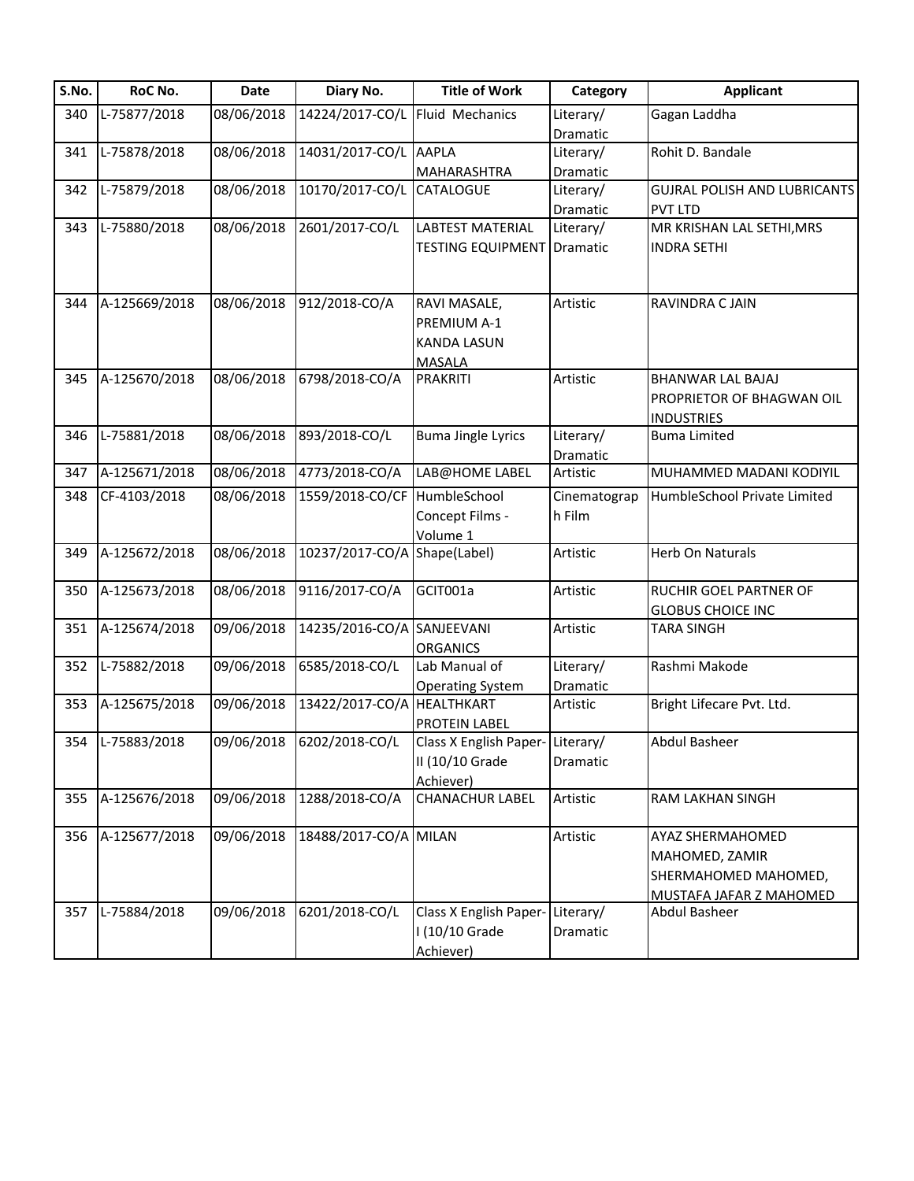| S.No. | RoC No.       | Date       | Diary No.                    | <b>Title of Work</b>                                               | Category               | <b>Applicant</b>                                                                      |
|-------|---------------|------------|------------------------------|--------------------------------------------------------------------|------------------------|---------------------------------------------------------------------------------------|
| 340   | L-75877/2018  | 08/06/2018 | 14224/2017-CO/L              | Fluid Mechanics                                                    | Literary/              | Gagan Laddha                                                                          |
|       |               |            |                              |                                                                    | Dramatic               |                                                                                       |
| 341   | L-75878/2018  | 08/06/2018 | 14031/2017-CO/L AAPLA        |                                                                    | Literary/              | Rohit D. Bandale                                                                      |
|       |               |            |                              | MAHARASHTRA                                                        | Dramatic               |                                                                                       |
| 342   | L-75879/2018  | 08/06/2018 | 10170/2017-CO/L              | <b>CATALOGUE</b>                                                   | Literary/              | <b>GUJRAL POLISH AND LUBRICANTS</b>                                                   |
|       |               |            |                              |                                                                    | Dramatic               | <b>PVT LTD</b>                                                                        |
| 343   | L-75880/2018  | 08/06/2018 | 2601/2017-CO/L               | <b>LABTEST MATERIAL</b>                                            | Literary/              | MR KRISHAN LAL SETHI, MRS                                                             |
|       |               |            |                              | <b>TESTING EQUIPMENT Dramatic</b>                                  |                        | <b>INDRA SETHI</b>                                                                    |
| 344   | A-125669/2018 | 08/06/2018 | 912/2018-CO/A                | RAVI MASALE,<br>PREMIUM A-1<br><b>KANDA LASUN</b><br><b>MASALA</b> | Artistic               | RAVINDRA C JAIN                                                                       |
| 345   | A-125670/2018 | 08/06/2018 | 6798/2018-CO/A               | PRAKRITI                                                           | Artistic               | <b>BHANWAR LAL BAJAJ</b><br>PROPRIETOR OF BHAGWAN OIL<br><b>INDUSTRIES</b>            |
| 346   | L-75881/2018  | 08/06/2018 | 893/2018-CO/L                | <b>Buma Jingle Lyrics</b>                                          | Literary/              | <b>Buma Limited</b>                                                                   |
|       |               |            |                              |                                                                    | Dramatic               |                                                                                       |
| 347   | A-125671/2018 | 08/06/2018 | 4773/2018-CO/A               | LAB@HOME LABEL                                                     | Artistic               | MUHAMMED MADANI KODIYIL                                                               |
| 348   | CF-4103/2018  | 08/06/2018 | 1559/2018-CO/CF HumbleSchool | Concept Films -<br>Volume 1                                        | Cinematograp<br>h Film | HumbleSchool Private Limited                                                          |
| 349   | A-125672/2018 | 08/06/2018 | 10237/2017-CO/A              | Shape(Label)                                                       | Artistic               | Herb On Naturals                                                                      |
| 350   | A-125673/2018 | 08/06/2018 | 9116/2017-CO/A               | GCIT001a                                                           | Artistic               | RUCHIR GOEL PARTNER OF<br><b>GLOBUS CHOICE INC</b>                                    |
| 351   | A-125674/2018 | 09/06/2018 | 14235/2016-CO/A SANJEEVANI   | <b>ORGANICS</b>                                                    | Artistic               | <b>TARA SINGH</b>                                                                     |
| 352   | L-75882/2018  | 09/06/2018 | 6585/2018-CO/L               | Lab Manual of<br><b>Operating System</b>                           | Literary/<br>Dramatic  | Rashmi Makode                                                                         |
| 353   | A-125675/2018 | 09/06/2018 | 13422/2017-CO/A HEALTHKART   | PROTEIN LABEL                                                      | Artistic               | Bright Lifecare Pvt. Ltd.                                                             |
| 354   | L-75883/2018  | 09/06/2018 | 6202/2018-CO/L               | Class X English Paper-Literary/<br>II (10/10 Grade<br>Achiever)    | Dramatic               | Abdul Basheer                                                                         |
| 355   | A-125676/2018 | 09/06/2018 | 1288/2018-CO/A               | <b>CHANACHUR LABEL</b>                                             | Artistic               | RAM LAKHAN SINGH                                                                      |
| 356   | A-125677/2018 | 09/06/2018 | 18488/2017-CO/A MILAN        |                                                                    | Artistic               | AYAZ SHERMAHOMED<br>MAHOMED, ZAMIR<br>SHERMAHOMED MAHOMED,<br>MUSTAFA JAFAR Z MAHOMED |
| 357   | L-75884/2018  | 09/06/2018 | 6201/2018-CO/L               | Class X English Paper-<br>I (10/10 Grade<br>Achiever)              | Literary/<br>Dramatic  | Abdul Basheer                                                                         |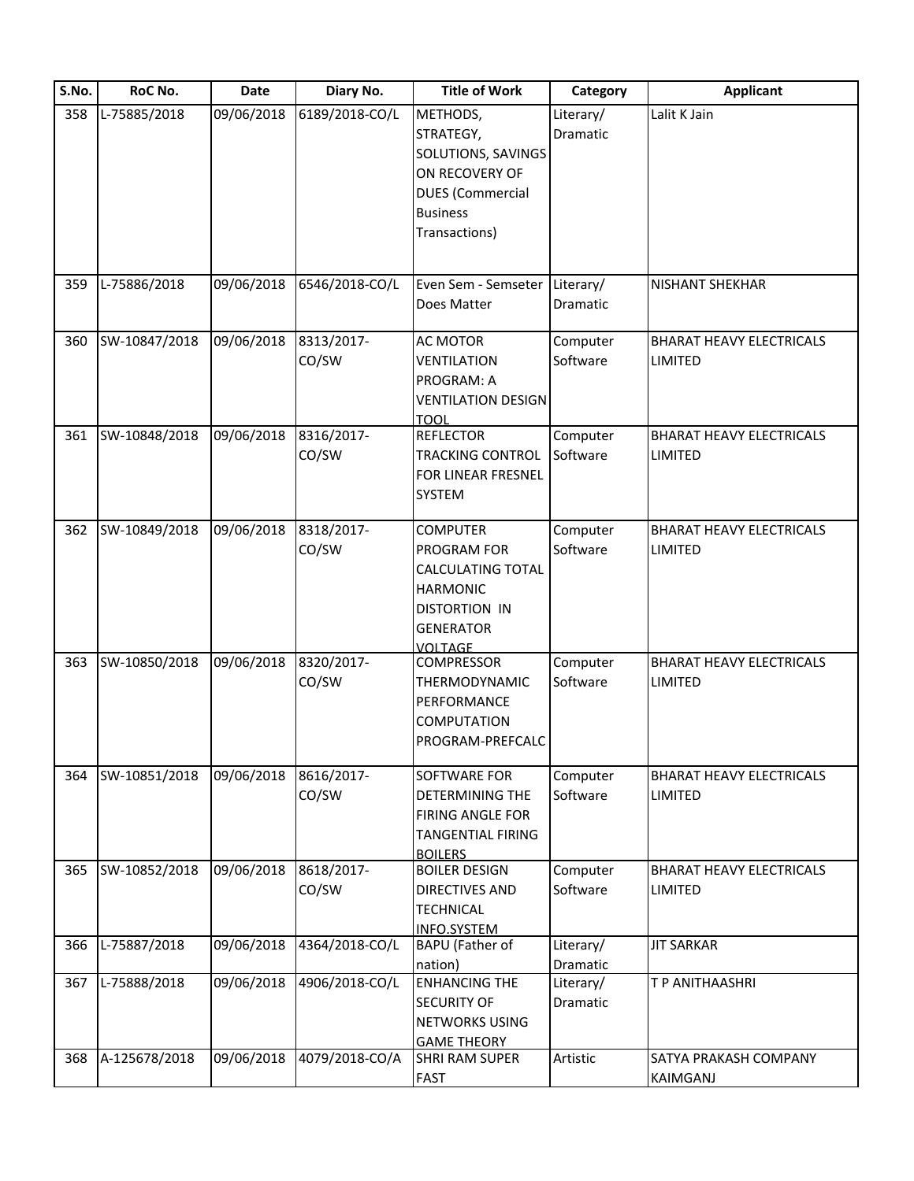| S.No. | RoC No.        | <b>Date</b> | Diary No.      | <b>Title of Work</b>          | Category  | <b>Applicant</b>                |
|-------|----------------|-------------|----------------|-------------------------------|-----------|---------------------------------|
| 358   | L-75885/2018   | 09/06/2018  | 6189/2018-CO/L | METHODS,                      | Literary/ | Lalit K Jain                    |
|       |                |             |                | STRATEGY,                     | Dramatic  |                                 |
|       |                |             |                | SOLUTIONS, SAVINGS            |           |                                 |
|       |                |             |                | ON RECOVERY OF                |           |                                 |
|       |                |             |                | <b>DUES</b> (Commercial       |           |                                 |
|       |                |             |                | <b>Business</b>               |           |                                 |
|       |                |             |                | Transactions)                 |           |                                 |
|       |                |             |                |                               |           |                                 |
|       |                |             |                |                               |           |                                 |
| 359   | $L-75886/2018$ | 09/06/2018  | 6546/2018-CO/L | Even Sem - Semseter Literary/ |           | <b>NISHANT SHEKHAR</b>          |
|       |                |             |                | Does Matter                   | Dramatic  |                                 |
| 360   | SW-10847/2018  | 09/06/2018  | 8313/2017-     | AC MOTOR                      | Computer  | <b>BHARAT HEAVY ELECTRICALS</b> |
|       |                |             | CO/SW          | <b>VENTILATION</b>            | Software  | <b>LIMITED</b>                  |
|       |                |             |                | PROGRAM: A                    |           |                                 |
|       |                |             |                | <b>VENTILATION DESIGN</b>     |           |                                 |
|       |                |             |                | <b>TOOL</b>                   |           |                                 |
| 361   | SW-10848/2018  | 09/06/2018  | 8316/2017-     | <b>REFLECTOR</b>              | Computer  | <b>BHARAT HEAVY ELECTRICALS</b> |
|       |                |             | CO/SW          | <b>TRACKING CONTROL</b>       | Software  | LIMITED                         |
|       |                |             |                | FOR LINEAR FRESNEL            |           |                                 |
|       |                |             |                | <b>SYSTEM</b>                 |           |                                 |
|       |                |             |                |                               |           |                                 |
| 362   | SW-10849/2018  | 09/06/2018  | 8318/2017-     | <b>COMPUTER</b>               | Computer  | <b>BHARAT HEAVY ELECTRICALS</b> |
|       |                |             | CO/SW          | PROGRAM FOR                   | Software  | <b>LIMITED</b>                  |
|       |                |             |                | <b>CALCULATING TOTAL</b>      |           |                                 |
|       |                |             |                | <b>HARMONIC</b>               |           |                                 |
|       |                |             |                | <b>DISTORTION IN</b>          |           |                                 |
|       |                |             |                | <b>GENERATOR</b>              |           |                                 |
|       |                |             |                | <b>VOLTAGE</b>                |           |                                 |
| 363   | SW-10850/2018  | 09/06/2018  | 8320/2017-     | <b>COMPRESSOR</b>             | Computer  | <b>BHARAT HEAVY ELECTRICALS</b> |
|       |                |             | CO/SW          | THERMODYNAMIC                 | Software  | LIMITED                         |
|       |                |             |                | PERFORMANCE                   |           |                                 |
|       |                |             |                | COMPUTATION                   |           |                                 |
|       |                |             |                | PROGRAM-PREFCALC              |           |                                 |
|       |                |             |                |                               |           |                                 |
| 364   | SW-10851/2018  | 09/06/2018  | 8616/2017-     | SOFTWARE FOR                  | Computer  | <b>BHARAT HEAVY ELECTRICALS</b> |
|       |                |             | CO/SW          | DETERMINING THE               | Software  | <b>LIMITED</b>                  |
|       |                |             |                | <b>FIRING ANGLE FOR</b>       |           |                                 |
|       |                |             |                | <b>TANGENTIAL FIRING</b>      |           |                                 |
|       |                |             |                | <b>BOILERS</b>                |           |                                 |
| 365   | SW-10852/2018  | 09/06/2018  | 8618/2017-     | <b>BOILER DESIGN</b>          | Computer  | <b>BHARAT HEAVY ELECTRICALS</b> |
|       |                |             | CO/SW          | DIRECTIVES AND                | Software  | LIMITED                         |
|       |                |             |                | <b>TECHNICAL</b>              |           |                                 |
|       |                |             |                | INFO.SYSTEM                   |           |                                 |
| 366   | L-75887/2018   | 09/06/2018  | 4364/2018-CO/L | BAPU (Father of               | Literary/ | <b>JIT SARKAR</b>               |
|       |                |             |                | nation)                       | Dramatic  |                                 |
| 367   | L-75888/2018   | 09/06/2018  | 4906/2018-CO/L | <b>ENHANCING THE</b>          | Literary/ | T P ANITHAASHRI                 |
|       |                |             |                | <b>SECURITY OF</b>            | Dramatic  |                                 |
|       |                |             |                | <b>NETWORKS USING</b>         |           |                                 |
|       |                |             |                | <b>GAME THEORY</b>            |           |                                 |
| 368   | A-125678/2018  | 09/06/2018  | 4079/2018-CO/A | <b>SHRI RAM SUPER</b>         | Artistic  | SATYA PRAKASH COMPANY           |
|       |                |             |                | <b>FAST</b>                   |           | <b>KAIMGANJ</b>                 |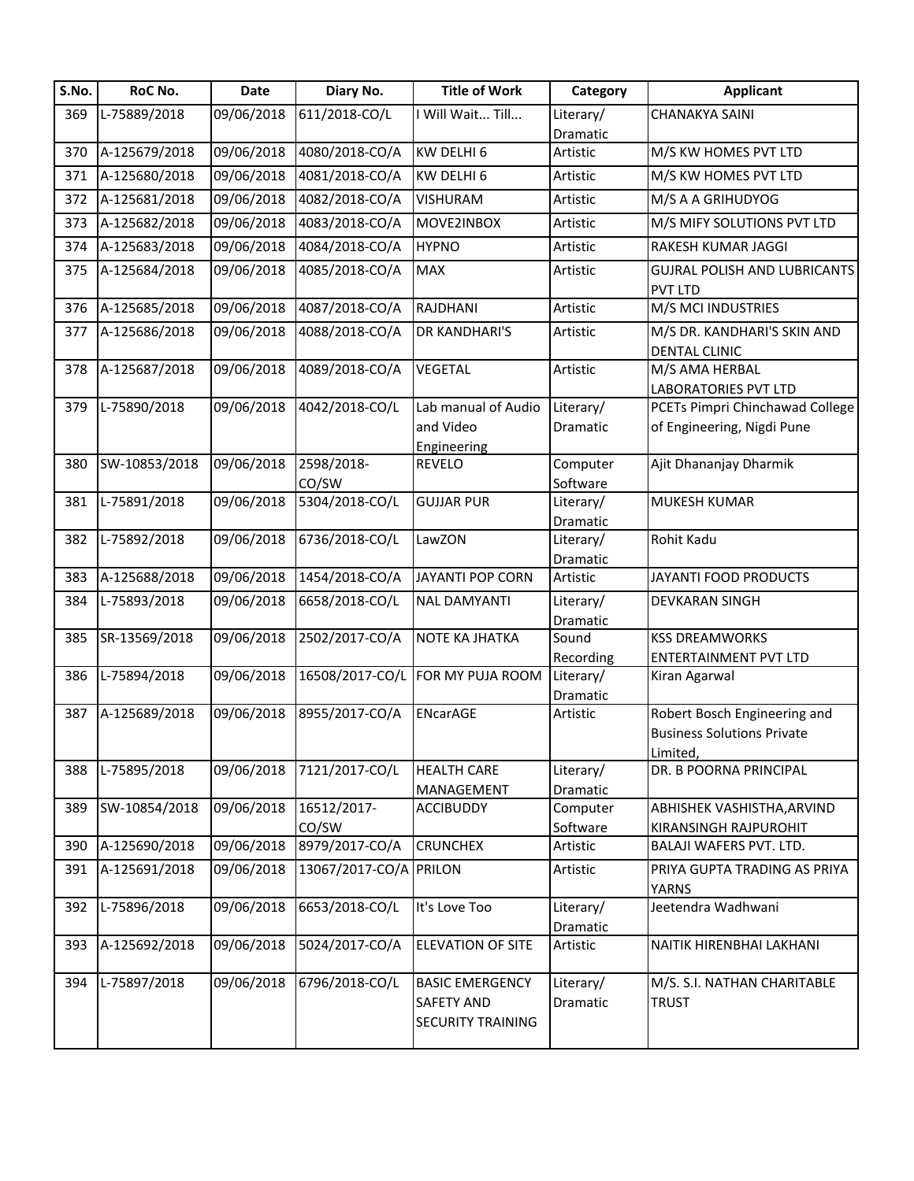| S.No. | RoC No.       | Date       | Diary No.       | <b>Title of Work</b>                          | Category  | <b>Applicant</b>                    |
|-------|---------------|------------|-----------------|-----------------------------------------------|-----------|-------------------------------------|
| 369   | L-75889/2018  | 09/06/2018 | 611/2018-CO/L   | Will Wait Till                                | Literary/ | <b>CHANAKYA SAINI</b>               |
|       |               |            |                 |                                               | Dramatic  |                                     |
| 370   | A-125679/2018 | 09/06/2018 | 4080/2018-CO/A  | KW DELHI 6                                    | Artistic  | M/S KW HOMES PVT LTD                |
| 371   | A-125680/2018 | 09/06/2018 | 4081/2018-CO/A  | KW DELHI 6                                    | Artistic  | M/S KW HOMES PVT LTD                |
| 372   | A-125681/2018 | 09/06/2018 | 4082/2018-CO/A  | <b>VISHURAM</b>                               | Artistic  | M/S A A GRIHUDYOG                   |
| 373   | A-125682/2018 | 09/06/2018 | 4083/2018-CO/A  | MOVE2INBOX                                    | Artistic  | M/S MIFY SOLUTIONS PVT LTD          |
| 374   | A-125683/2018 | 09/06/2018 | 4084/2018-CO/A  | <b>HYPNO</b>                                  | Artistic  | RAKESH KUMAR JAGGI                  |
| 375   | A-125684/2018 | 09/06/2018 | 4085/2018-CO/A  | <b>MAX</b>                                    | Artistic  | <b>GUJRAL POLISH AND LUBRICANTS</b> |
|       |               |            |                 |                                               |           | <b>PVT LTD</b>                      |
| 376   | A-125685/2018 | 09/06/2018 | 4087/2018-CO/A  | RAJDHANI                                      | Artistic  | M/S MCI INDUSTRIES                  |
| 377   | A-125686/2018 | 09/06/2018 | 4088/2018-CO/A  | DR KANDHARI'S                                 | Artistic  | M/S DR. KANDHARI'S SKIN AND         |
|       |               |            |                 |                                               |           | <b>DENTAL CLINIC</b>                |
| 378   | A-125687/2018 | 09/06/2018 | 4089/2018-CO/A  | <b>VEGETAL</b>                                | Artistic  | M/S AMA HERBAL                      |
|       |               |            |                 |                                               |           | <b>LABORATORIES PVT LTD</b>         |
| 379   | L-75890/2018  | 09/06/2018 | 4042/2018-CO/L  | Lab manual of Audio                           | Literary/ | PCETs Pimpri Chinchawad College     |
|       |               |            |                 | and Video                                     | Dramatic  | of Engineering, Nigdi Pune          |
|       |               |            |                 | Engineering                                   |           |                                     |
| 380   | SW-10853/2018 | 09/06/2018 | 2598/2018-      | REVELO                                        | Computer  | Ajit Dhananjay Dharmik              |
|       |               |            | CO/SW           |                                               | Software  |                                     |
| 381   | L-75891/2018  | 09/06/2018 | 5304/2018-CO/L  | <b>GUJJAR PUR</b>                             | Literary/ | MUKESH KUMAR                        |
|       |               |            |                 |                                               | Dramatic  |                                     |
| 382   | L-75892/2018  | 09/06/2018 | 6736/2018-CO/L  | LawZON                                        | Literary/ | Rohit Kadu                          |
|       |               |            |                 |                                               | Dramatic  |                                     |
| 383   | A-125688/2018 | 09/06/2018 | 1454/2018-CO/A  | <b>JAYANTI POP CORN</b>                       | Artistic  | JAYANTI FOOD PRODUCTS               |
| 384   | L-75893/2018  | 09/06/2018 | 6658/2018-CO/L  | <b>NAL DAMYANTI</b>                           | Literary/ | <b>DEVKARAN SINGH</b>               |
|       |               |            |                 |                                               | Dramatic  |                                     |
| 385   | SR-13569/2018 | 09/06/2018 | 2502/2017-CO/A  | NOTE KA JHATKA                                | Sound     | <b>KSS DREAMWORKS</b>               |
|       |               |            |                 |                                               | Recording | <b>ENTERTAINMENT PVT LTD</b>        |
| 386   | L-75894/2018  | 09/06/2018 | 16508/2017-CO/L | FOR MY PUJA ROOM                              | Literary/ | Kiran Agarwal                       |
|       |               |            |                 |                                               | Dramatic  |                                     |
| 387   | A-125689/2018 | 09/06/2018 | 8955/2017-CO/A  | ENcarAGE                                      | Artistic  | Robert Bosch Engineering and        |
|       |               |            |                 |                                               |           | <b>Business Solutions Private</b>   |
|       |               |            |                 |                                               |           | Limited,                            |
| 388   | L-75895/2018  | 09/06/2018 | 7121/2017-CO/L  | <b>HEALTH CARE</b>                            | Literary/ | DR. B POORNA PRINCIPAL              |
|       |               |            |                 | MANAGEMENT                                    | Dramatic  |                                     |
| 389   | SW-10854/2018 | 09/06/2018 | 16512/2017-     | <b>ACCIBUDDY</b>                              | Computer  | ABHISHEK VASHISTHA, ARVIND          |
|       |               |            | CO/SW           |                                               | Software  | <b>KIRANSINGH RAJPUROHIT</b>        |
| 390   | A-125690/2018 | 09/06/2018 | 8979/2017-CO/A  | <b>CRUNCHEX</b>                               | Artistic  | BALAJI WAFERS PVT. LTD.             |
| 391   | A-125691/2018 | 09/06/2018 | 13067/2017-CO/A | <b>PRILON</b>                                 | Artistic  | PRIYA GUPTA TRADING AS PRIYA        |
|       |               |            |                 |                                               |           | <b>YARNS</b>                        |
| 392   | L-75896/2018  | 09/06/2018 | 6653/2018-CO/L  | It's Love Too                                 | Literary/ | Jeetendra Wadhwani                  |
|       |               |            |                 |                                               | Dramatic  |                                     |
| 393   | A-125692/2018 | 09/06/2018 | 5024/2017-CO/A  | <b>ELEVATION OF SITE</b>                      | Artistic  | NAITIK HIRENBHAI LAKHANI            |
|       |               |            |                 |                                               |           |                                     |
|       | L-75897/2018  | 09/06/2018 | 6796/2018-CO/L  | <b>BASIC EMERGENCY</b>                        | Literary/ | M/S. S.I. NATHAN CHARITABLE         |
| 394   |               |            |                 |                                               |           |                                     |
|       |               |            |                 | <b>SAFETY AND</b><br><b>SECURITY TRAINING</b> | Dramatic  | <b>TRUST</b>                        |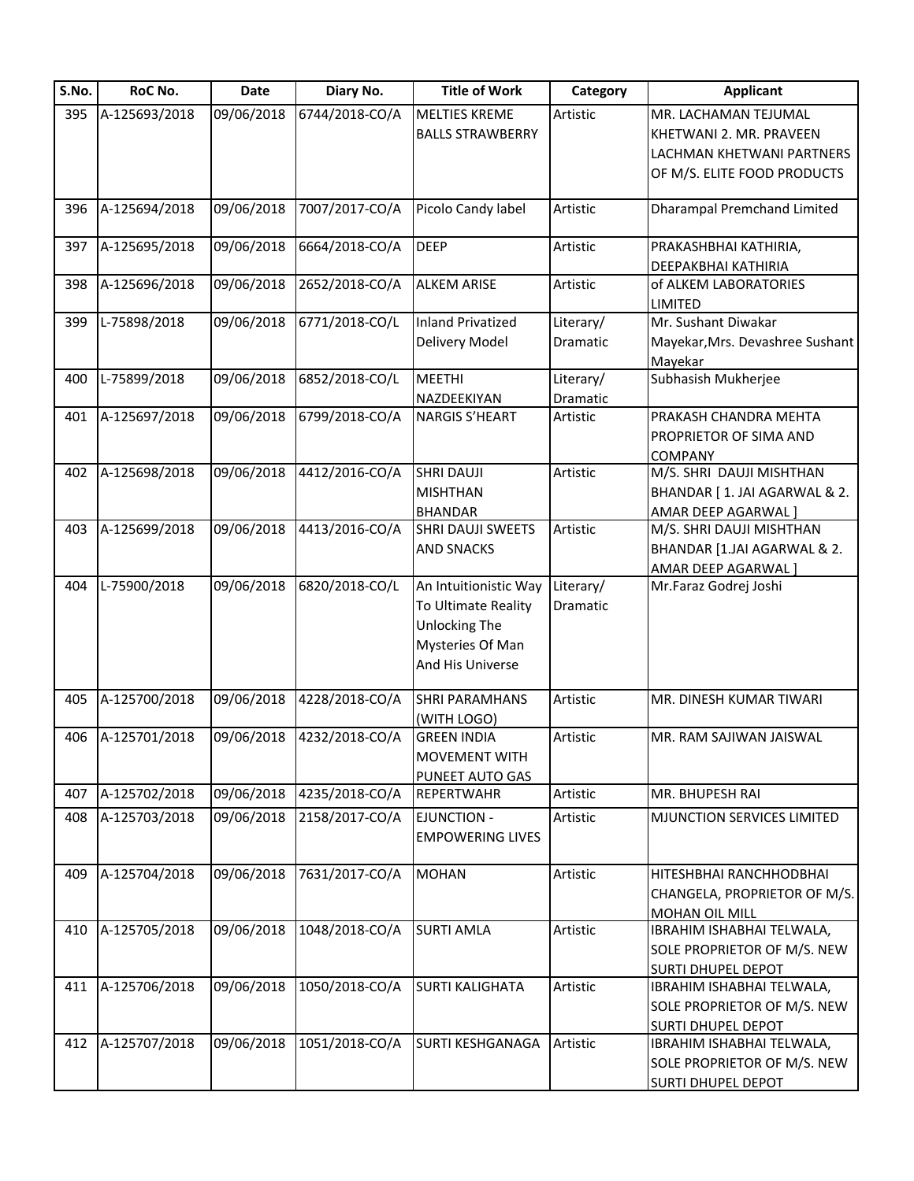| S.No. | RoC No.       | Date       | Diary No.      | <b>Title of Work</b>                                                                                         | Category              | <b>Applicant</b>                                                                                            |
|-------|---------------|------------|----------------|--------------------------------------------------------------------------------------------------------------|-----------------------|-------------------------------------------------------------------------------------------------------------|
| 395   | A-125693/2018 | 09/06/2018 | 6744/2018-CO/A | <b>MELTIES KREME</b><br><b>BALLS STRAWBERRY</b>                                                              | Artistic              | MR. LACHAMAN TEJUMAL<br>KHETWANI 2. MR. PRAVEEN<br>LACHMAN KHETWANI PARTNERS<br>OF M/S. ELITE FOOD PRODUCTS |
| 396   | A-125694/2018 | 09/06/2018 | 7007/2017-CO/A | Picolo Candy label                                                                                           | Artistic              | <b>Dharampal Premchand Limited</b>                                                                          |
|       |               |            |                |                                                                                                              |                       |                                                                                                             |
| 397   | A-125695/2018 | 09/06/2018 | 6664/2018-CO/A | <b>DEEP</b>                                                                                                  | Artistic              | PRAKASHBHAI KATHIRIA,<br>DEEPAKBHAI KATHIRIA                                                                |
| 398   | A-125696/2018 | 09/06/2018 | 2652/2018-CO/A | <b>ALKEM ARISE</b>                                                                                           | Artistic              | of ALKEM LABORATORIES<br><b>LIMITED</b>                                                                     |
| 399   | L-75898/2018  | 09/06/2018 | 6771/2018-CO/L | <b>Inland Privatized</b><br>Delivery Model                                                                   | Literary/<br>Dramatic | Mr. Sushant Diwakar<br>Mayekar, Mrs. Devashree Sushant<br>Mayekar                                           |
| 400   | L-75899/2018  | 09/06/2018 | 6852/2018-CO/L | <b>MEETHI</b><br>NAZDEEKIYAN                                                                                 | Literary/<br>Dramatic | Subhasish Mukherjee                                                                                         |
| 401   | A-125697/2018 | 09/06/2018 | 6799/2018-CO/A | <b>NARGIS S'HEART</b>                                                                                        | Artistic              | PRAKASH CHANDRA MEHTA<br>PROPRIETOR OF SIMA AND<br><b>COMPANY</b>                                           |
| 402   | A-125698/2018 | 09/06/2018 | 4412/2016-CO/A | <b>SHRI DAUJI</b><br><b>MISHTHAN</b><br><b>BHANDAR</b>                                                       | Artistic              | M/S. SHRI DAUJI MISHTHAN<br>BHANDAR [ 1. JAI AGARWAL & 2.<br>AMAR DEEP AGARWAL]                             |
| 403   | A-125699/2018 | 09/06/2018 | 4413/2016-CO/A | SHRI DAUJI SWEETS<br><b>AND SNACKS</b>                                                                       | Artistic              | M/S. SHRI DAUJI MISHTHAN<br>BHANDAR [1.JAI AGARWAL & 2.<br>AMAR DEEP AGARWAL]                               |
| 404   | L-75900/2018  | 09/06/2018 | 6820/2018-CO/L | An Intuitionistic Way<br>To Ultimate Reality<br><b>Unlocking The</b><br>Mysteries Of Man<br>And His Universe | Literary/<br>Dramatic | Mr.Faraz Godrej Joshi                                                                                       |
| 405   | A-125700/2018 | 09/06/2018 | 4228/2018-CO/A | <b>SHRI PARAMHANS</b><br>(WITH LOGO)                                                                         | Artistic              | MR. DINESH KUMAR TIWARI                                                                                     |
| 406   | A-125701/2018 | 09/06/2018 | 4232/2018-CO/A | <b>GREEN INDIA</b><br><b>MOVEMENT WITH</b><br>PUNEET AUTO GAS                                                | Artistic              | MR. RAM SAJIWAN JAISWAL                                                                                     |
| 407   | A-125702/2018 | 09/06/2018 | 4235/2018-CO/A | <b>REPERTWAHR</b>                                                                                            | Artistic              | MR. BHUPESH RAI                                                                                             |
| 408   | A-125703/2018 | 09/06/2018 | 2158/2017-CO/A | <b>EJUNCTION -</b><br><b>EMPOWERING LIVES</b>                                                                | Artistic              | MJUNCTION SERVICES LIMITED                                                                                  |
| 409   | A-125704/2018 | 09/06/2018 | 7631/2017-CO/A | <b>MOHAN</b>                                                                                                 | Artistic              | HITESHBHAI RANCHHODBHAI<br>CHANGELA, PROPRIETOR OF M/S.<br>MOHAN OIL MILL                                   |
| 410   | A-125705/2018 | 09/06/2018 | 1048/2018-CO/A | <b>SURTI AMLA</b>                                                                                            | Artistic              | IBRAHIM ISHABHAI TELWALA,<br>SOLE PROPRIETOR OF M/S. NEW<br><b>SURTI DHUPEL DEPOT</b>                       |
| 411   | A-125706/2018 | 09/06/2018 | 1050/2018-CO/A | <b>SURTI KALIGHATA</b>                                                                                       | Artistic              | IBRAHIM ISHABHAI TELWALA,<br>SOLE PROPRIETOR OF M/S. NEW<br><b>SURTI DHUPEL DEPOT</b>                       |
| 412   | A-125707/2018 | 09/06/2018 | 1051/2018-CO/A | <b>SURTI KESHGANAGA</b>                                                                                      | Artistic              | IBRAHIM ISHABHAI TELWALA,<br>SOLE PROPRIETOR OF M/S. NEW<br><b>SURTI DHUPEL DEPOT</b>                       |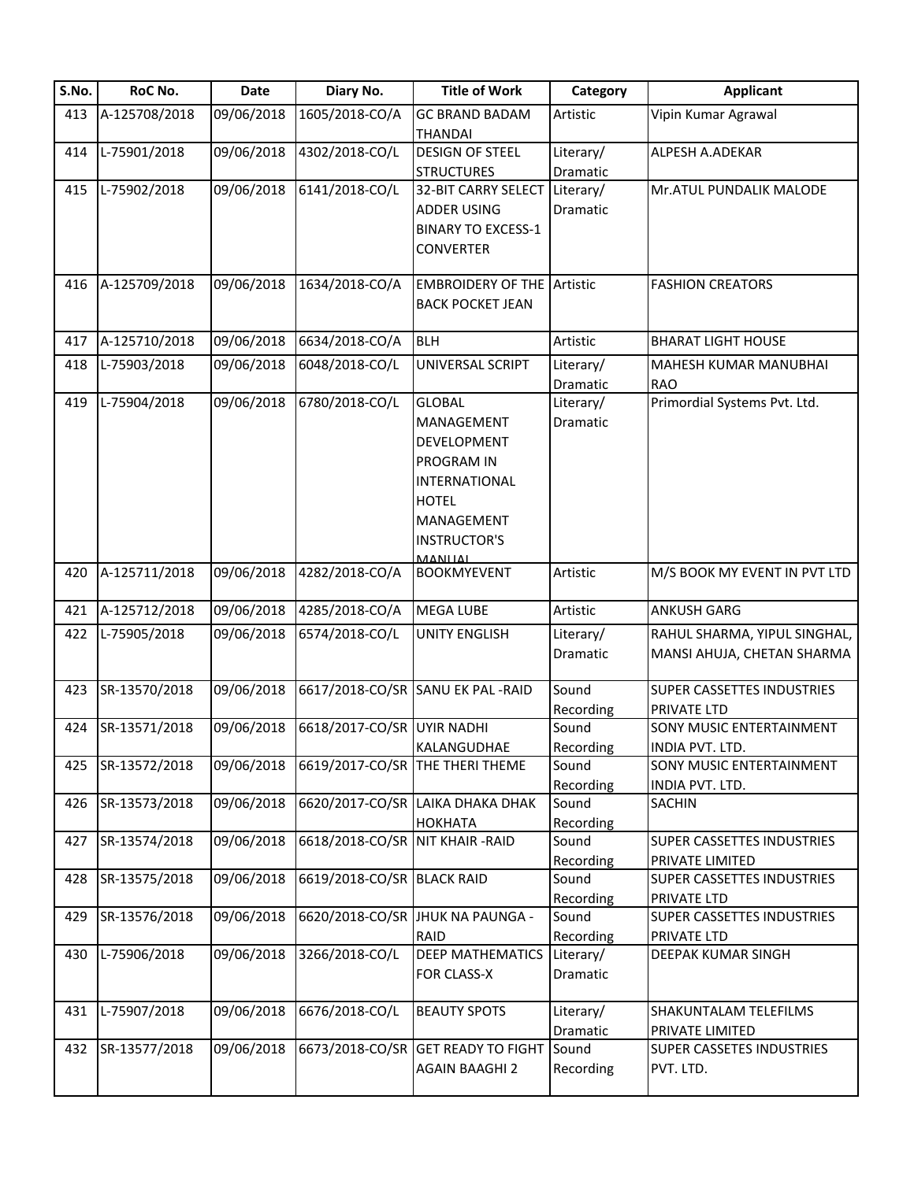| S.No. | RoC No.       | <b>Date</b> | Diary No.       | <b>Title of Work</b>                 | Category          | <b>Applicant</b>                             |
|-------|---------------|-------------|-----------------|--------------------------------------|-------------------|----------------------------------------------|
| 413   | A-125708/2018 | 09/06/2018  | 1605/2018-CO/A  | <b>GC BRAND BADAM</b>                | Artistic          | Vipin Kumar Agrawal                          |
|       |               |             |                 | <b>THANDAI</b>                       |                   |                                              |
| 414   | L-75901/2018  | 09/06/2018  | 4302/2018-CO/L  | <b>DESIGN OF STEEL</b>               | Literary/         | ALPESH A.ADEKAR                              |
|       |               |             |                 | <b>STRUCTURES</b>                    | Dramatic          |                                              |
| 415   | L-75902/2018  | 09/06/2018  | 6141/2018-CO/L  | 32-BIT CARRY SELECT                  | Literary/         | Mr.ATUL PUNDALIK MALODE                      |
|       |               |             |                 | <b>ADDER USING</b>                   | Dramatic          |                                              |
|       |               |             |                 | <b>BINARY TO EXCESS-1</b>            |                   |                                              |
|       |               |             |                 | <b>CONVERTER</b>                     |                   |                                              |
|       |               |             |                 |                                      |                   |                                              |
| 416   | A-125709/2018 | 09/06/2018  | 1634/2018-CO/A  | <b>EMBROIDERY OF THE Artistic</b>    |                   | <b>FASHION CREATORS</b>                      |
|       |               |             |                 | <b>BACK POCKET JEAN</b>              |                   |                                              |
| 417   | A-125710/2018 | 09/06/2018  | 6634/2018-CO/A  | <b>BLH</b>                           | Artistic          | <b>BHARAT LIGHT HOUSE</b>                    |
|       |               |             |                 |                                      |                   |                                              |
| 418   | L-75903/2018  | 09/06/2018  | 6048/2018-CO/L  | UNIVERSAL SCRIPT                     | Literary/         | MAHESH KUMAR MANUBHAI                        |
|       |               |             |                 | <b>GLOBAL</b>                        | Dramatic          | <b>RAO</b>                                   |
| 419   | L-75904/2018  | 09/06/2018  | 6780/2018-CO/L  |                                      | Literary/         | Primordial Systems Pvt. Ltd.                 |
|       |               |             |                 | MANAGEMENT                           | Dramatic          |                                              |
|       |               |             |                 | DEVELOPMENT                          |                   |                                              |
|       |               |             |                 | PROGRAM IN                           |                   |                                              |
|       |               |             |                 | INTERNATIONAL                        |                   |                                              |
|       |               |             |                 | <b>HOTEL</b>                         |                   |                                              |
|       |               |             |                 | MANAGEMENT                           |                   |                                              |
|       |               |             |                 | <b>INSTRUCTOR'S</b>                  |                   |                                              |
| 420   | A-125711/2018 | 09/06/2018  | 4282/2018-CO/A  | <b>MANITAL</b><br><b>BOOKMYEVENT</b> | Artistic          | M/S BOOK MY EVENT IN PVT LTD                 |
|       |               |             |                 |                                      |                   |                                              |
| 421   | A-125712/2018 | 09/06/2018  | 4285/2018-CO/A  | <b>MEGA LUBE</b>                     | Artistic          | <b>ANKUSH GARG</b>                           |
| 422   | L-75905/2018  | 09/06/2018  | 6574/2018-CO/L  | <b>UNITY ENGLISH</b>                 | Literary/         | RAHUL SHARMA, YIPUL SINGHAL,                 |
|       |               |             |                 |                                      | Dramatic          | MANSI AHUJA, CHETAN SHARMA                   |
|       |               |             |                 |                                      |                   |                                              |
| 423   | SR-13570/2018 | 09/06/2018  |                 | 6617/2018-CO/SR SANU EK PAL-RAID     | Sound             | SUPER CASSETTES INDUSTRIES                   |
|       |               |             |                 |                                      | Recording         | PRIVATE LTD                                  |
| 424   | SR-13571/2018 | 09/06/2018  | 6618/2017-CO/SR | <b>UYIR NADHI</b>                    | Sound             | SONY MUSIC ENTERTAINMENT                     |
|       |               |             |                 | KALANGUDHAE                          | Recording         | INDIA PVT. LTD.                              |
| 425   | SR-13572/2018 | 09/06/2018  |                 | 6619/2017-CO/SR THE THERI THEME      | Sound             | SONY MUSIC ENTERTAINMENT                     |
|       |               |             |                 |                                      | Recording         | INDIA PVT. LTD.                              |
| 426   | SR-13573/2018 | 09/06/2018  | 6620/2017-CO/SR | LAIKA DHAKA DHAK                     | Sound             | SACHIN                                       |
|       |               |             |                 | <b>HOKHATA</b>                       | Recording         |                                              |
| 427   | SR-13574/2018 | 09/06/2018  | 6618/2018-CO/SR | <b>NIT KHAIR - RAID</b>              | Sound             | SUPER CASSETTES INDUSTRIES                   |
|       |               |             |                 |                                      | Recording         | PRIVATE LIMITED                              |
| 428   | SR-13575/2018 | 09/06/2018  | 6619/2018-CO/SR | <b>BLACK RAID</b>                    | Sound             | <b>SUPER CASSETTES INDUSTRIES</b>            |
|       |               |             |                 |                                      | Recording         | PRIVATE LTD                                  |
| 429   | SR-13576/2018 | 09/06/2018  | 6620/2018-CO/SR | <b>JHUK NA PAUNGA -</b>              | Sound             | <b>SUPER CASSETTES INDUSTRIES</b>            |
|       |               |             |                 | RAID                                 | Recording         | PRIVATE LTD                                  |
| 430   | L-75906/2018  | 09/06/2018  | 3266/2018-CO/L  | <b>DEEP MATHEMATICS</b>              | Literary/         | DEEPAK KUMAR SINGH                           |
|       |               |             |                 | FOR CLASS-X                          | Dramatic          |                                              |
|       |               |             |                 |                                      |                   |                                              |
| 431   | L-75907/2018  | 09/06/2018  | 6676/2018-CO/L  | <b>BEAUTY SPOTS</b>                  | Literary/         | SHAKUNTALAM TELEFILMS                        |
| 432   | SR-13577/2018 | 09/06/2018  | 6673/2018-CO/SR | <b>GET READY TO FIGHT</b>            | Dramatic<br>Sound | PRIVATE LIMITED<br>SUPER CASSETES INDUSTRIES |
|       |               |             |                 | <b>AGAIN BAAGHI 2</b>                | Recording         | PVT. LTD.                                    |
|       |               |             |                 |                                      |                   |                                              |
|       |               |             |                 |                                      |                   |                                              |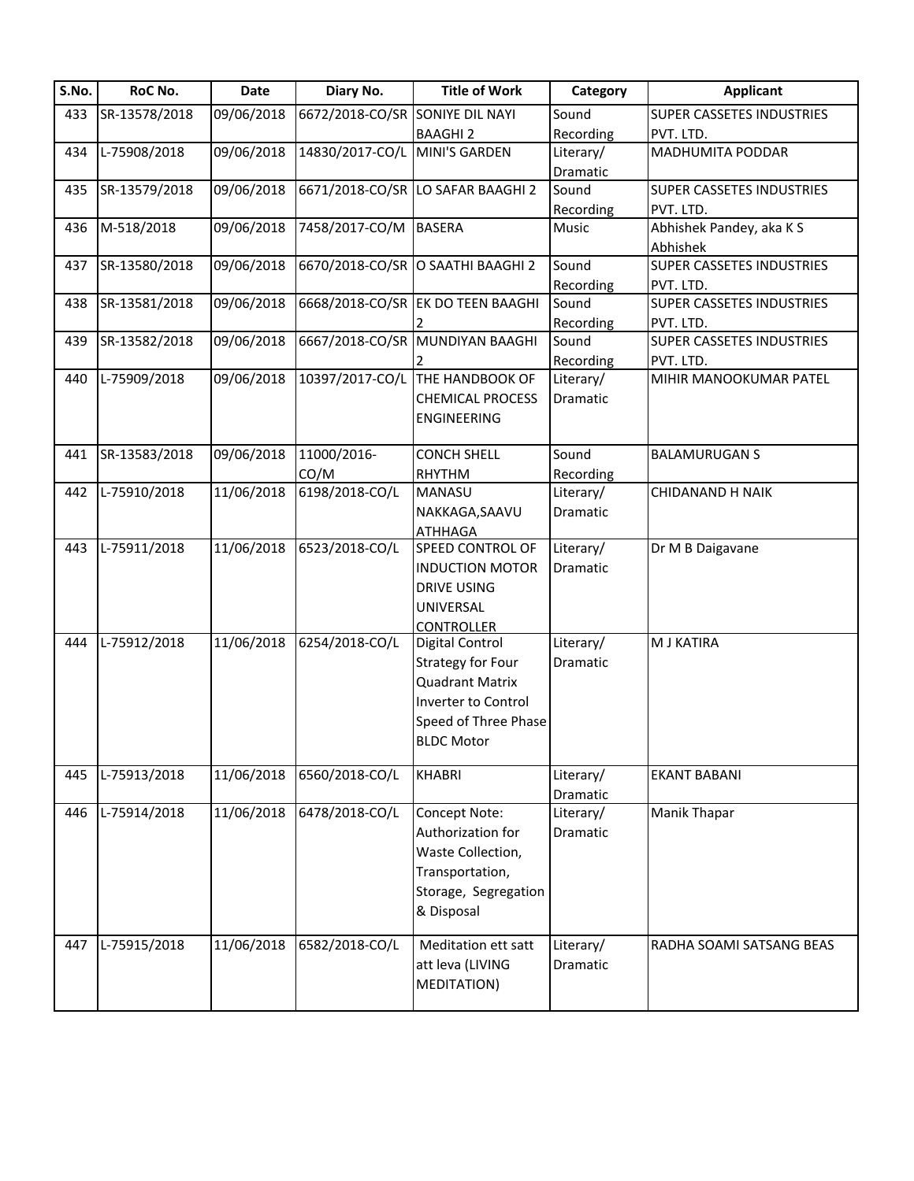| S.No. | RoC No.       | Date       | Diary No.       | <b>Title of Work</b>              | Category               | <b>Applicant</b>                 |
|-------|---------------|------------|-----------------|-----------------------------------|------------------------|----------------------------------|
| 433   | SR-13578/2018 | 09/06/2018 | 6672/2018-CO/SR | <b>SONIYE DIL NAYI</b>            | Sound                  | <b>SUPER CASSETES INDUSTRIES</b> |
|       |               |            |                 | <b>BAAGHI 2</b>                   | Recording              | PVT. LTD.                        |
| 434   | L-75908/2018  | 09/06/2018 | 14830/2017-CO/L | <b>MINI'S GARDEN</b>              | Literary/              | MADHUMITA PODDAR                 |
|       |               |            |                 |                                   | Dramatic               |                                  |
| 435   | SR-13579/2018 | 09/06/2018 | 6671/2018-CO/SR | LO SAFAR BAAGHI 2                 | Sound                  | <b>SUPER CASSETES INDUSTRIES</b> |
|       |               |            |                 |                                   | Recording              | PVT. LTD.                        |
| 436   | M-518/2018    | 09/06/2018 | 7458/2017-CO/M  | <b>BASERA</b>                     | Music                  | Abhishek Pandey, aka K S         |
|       |               |            |                 |                                   |                        | Abhishek                         |
| 437   | SR-13580/2018 | 09/06/2018 | 6670/2018-CO/SR | O SAATHI BAAGHI 2                 | Sound                  | <b>SUPER CASSETES INDUSTRIES</b> |
|       |               |            |                 |                                   | Recording              | PVT. LTD.                        |
| 438   | SR-13581/2018 | 09/06/2018 |                 | 6668/2018-CO/SR EK DO TEEN BAAGHI | Sound                  | SUPER CASSETES INDUSTRIES        |
|       |               |            |                 |                                   | Recording              | PVT. LTD.                        |
| 439   | SR-13582/2018 | 09/06/2018 | 6667/2018-CO/SR | <b>MUNDIYAN BAAGHI</b>            | Sound                  | SUPER CASSETES INDUSTRIES        |
|       |               |            |                 |                                   | Recording              | PVT. LTD.                        |
| 440   | L-75909/2018  | 09/06/2018 | 10397/2017-CO/L | THE HANDBOOK OF                   | Literary/              | MIHIR MANOOKUMAR PATEL           |
|       |               |            |                 | <b>CHEMICAL PROCESS</b>           | Dramatic               |                                  |
|       |               |            |                 | <b>ENGINEERING</b>                |                        |                                  |
| 441   | SR-13583/2018 | 09/06/2018 | 11000/2016-     | <b>CONCH SHELL</b>                | Sound                  | <b>BALAMURUGAN S</b>             |
|       |               |            | CO/M            | RHYTHM                            |                        |                                  |
| 442   | L-75910/2018  | 11/06/2018 | 6198/2018-CO/L  | <b>MANASU</b>                     | Recording<br>Literary/ | CHIDANAND H NAIK                 |
|       |               |            |                 | NAKKAGA, SAAVU                    | Dramatic               |                                  |
|       |               |            |                 | <b>ATHHAGA</b>                    |                        |                                  |
| 443   | L-75911/2018  | 11/06/2018 | 6523/2018-CO/L  | SPEED CONTROL OF                  | Literary/              | Dr M B Daigavane                 |
|       |               |            |                 | <b>INDUCTION MOTOR</b>            | Dramatic               |                                  |
|       |               |            |                 | <b>DRIVE USING</b>                |                        |                                  |
|       |               |            |                 | UNIVERSAL                         |                        |                                  |
|       |               |            |                 | <b>CONTROLLER</b>                 |                        |                                  |
| 444   | L-75912/2018  | 11/06/2018 | 6254/2018-CO/L  | Digital Control                   | Literary/              | M J KATIRA                       |
|       |               |            |                 | <b>Strategy for Four</b>          | Dramatic               |                                  |
|       |               |            |                 | <b>Quadrant Matrix</b>            |                        |                                  |
|       |               |            |                 | Inverter to Control               |                        |                                  |
|       |               |            |                 | Speed of Three Phase              |                        |                                  |
|       |               |            |                 | <b>BLDC Motor</b>                 |                        |                                  |
|       |               |            |                 |                                   |                        |                                  |
| 445   | L-75913/2018  | 11/06/2018 | 6560/2018-CO/L  | <b>KHABRI</b>                     | Literary/              | <b>EKANT BABANI</b>              |
|       |               |            |                 |                                   | Dramatic               |                                  |
| 446   | L-75914/2018  | 11/06/2018 | 6478/2018-CO/L  | Concept Note:                     | Literary/              | Manik Thapar                     |
|       |               |            |                 | Authorization for                 | Dramatic               |                                  |
|       |               |            |                 | Waste Collection,                 |                        |                                  |
|       |               |            |                 | Transportation,                   |                        |                                  |
|       |               |            |                 | Storage, Segregation              |                        |                                  |
|       |               |            |                 | & Disposal                        |                        |                                  |
|       | L-75915/2018  | 11/06/2018 | 6582/2018-CO/L  | Meditation ett satt               |                        |                                  |
| 447   |               |            |                 | att leva (LIVING                  | Literary/<br>Dramatic  | RADHA SOAMI SATSANG BEAS         |
|       |               |            |                 | MEDITATION)                       |                        |                                  |
|       |               |            |                 |                                   |                        |                                  |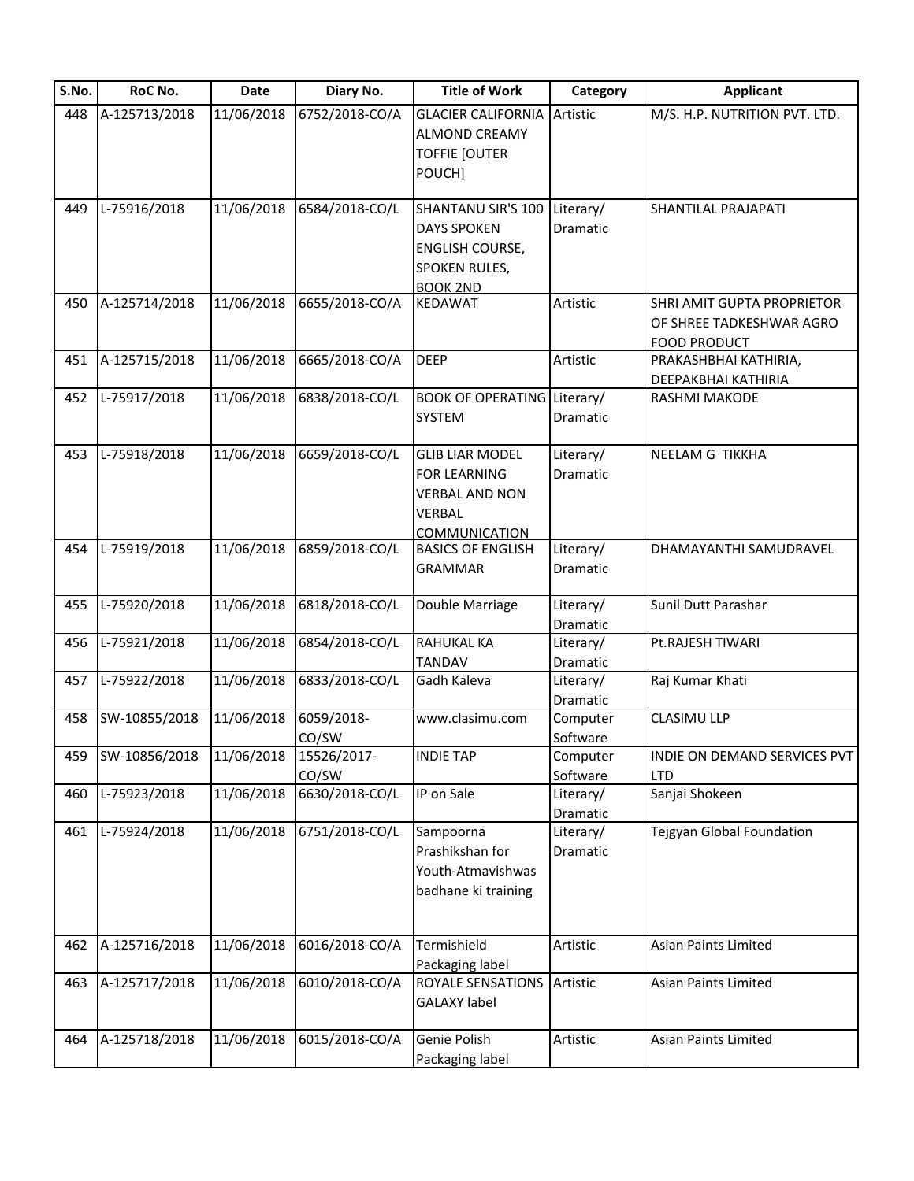| S.No. | RoC No.       | Date       | Diary No.      | <b>Title of Work</b>               | Category              | <b>Applicant</b>              |
|-------|---------------|------------|----------------|------------------------------------|-----------------------|-------------------------------|
| 448   | A-125713/2018 | 11/06/2018 | 6752/2018-CO/A | <b>GLACIER CALIFORNIA Artistic</b> |                       | M/S. H.P. NUTRITION PVT. LTD. |
|       |               |            |                | <b>ALMOND CREAMY</b>               |                       |                               |
|       |               |            |                | <b>TOFFIE [OUTER</b>               |                       |                               |
|       |               |            |                | POUCH]                             |                       |                               |
| 449   | L-75916/2018  | 11/06/2018 | 6584/2018-CO/L | SHANTANU SIR'S 100                 | Literary/             | SHANTILAL PRAJAPATI           |
|       |               |            |                | <b>DAYS SPOKEN</b>                 | Dramatic              |                               |
|       |               |            |                |                                    |                       |                               |
|       |               |            |                | ENGLISH COURSE,                    |                       |                               |
|       |               |            |                | SPOKEN RULES,                      |                       |                               |
| 450   | A-125714/2018 | 11/06/2018 | 6655/2018-CO/A | <b>BOOK 2ND</b><br><b>KEDAWAT</b>  | Artistic              | SHRI AMIT GUPTA PROPRIETOR    |
|       |               |            |                |                                    |                       | OF SHREE TADKESHWAR AGRO      |
|       |               |            |                |                                    |                       | <b>FOOD PRODUCT</b>           |
| 451   | A-125715/2018 | 11/06/2018 | 6665/2018-CO/A | <b>DEEP</b>                        | Artistic              | PRAKASHBHAI KATHIRIA,         |
|       |               |            |                |                                    |                       | <b>DEEPAKBHAI KATHIRIA</b>    |
| 452   | L-75917/2018  | 11/06/2018 | 6838/2018-CO/L | <b>BOOK OF OPERATING Literary/</b> |                       | RASHMI MAKODE                 |
|       |               |            |                | <b>SYSTEM</b>                      | Dramatic              |                               |
|       |               |            |                |                                    |                       |                               |
| 453   | L-75918/2018  | 11/06/2018 | 6659/2018-CO/L | <b>GLIB LIAR MODEL</b>             | Literary/             | NEELAM G TIKKHA               |
|       |               |            |                | <b>FOR LEARNING</b>                | Dramatic              |                               |
|       |               |            |                | <b>VERBAL AND NON</b>              |                       |                               |
|       |               |            |                | <b>VERBAL</b>                      |                       |                               |
|       |               |            |                | <b>COMMUNICATION</b>               |                       |                               |
| 454   | L-75919/2018  | 11/06/2018 | 6859/2018-CO/L | <b>BASICS OF ENGLISH</b>           | Literary/             | DHAMAYANTHI SAMUDRAVEL        |
|       |               |            |                | <b>GRAMMAR</b>                     | Dramatic              |                               |
|       |               |            |                |                                    |                       |                               |
| 455   | L-75920/2018  | 11/06/2018 | 6818/2018-CO/L | Double Marriage                    | Literary/             | Sunil Dutt Parashar           |
|       |               |            |                |                                    | Dramatic              |                               |
| 456   | L-75921/2018  | 11/06/2018 | 6854/2018-CO/L | RAHUKAL KA                         | Literary/             | Pt.RAJESH TIWARI              |
|       | L-75922/2018  | 11/06/2018 | 6833/2018-CO/L | <b>TANDAV</b><br>Gadh Kaleva       | Dramatic<br>Literary/ |                               |
| 457   |               |            |                |                                    | Dramatic              | Raj Kumar Khati               |
| 458   | SW-10855/2018 | 11/06/2018 | 6059/2018-     | www.clasimu.com                    | Computer              | <b>CLASIMU LLP</b>            |
|       |               |            | CO/SW          |                                    | Software              |                               |
| 459   | SW-10856/2018 | 11/06/2018 | 15526/2017-    | <b>INDIE TAP</b>                   | Computer              | INDIE ON DEMAND SERVICES PVT  |
|       |               |            | CO/SW          |                                    | Software              | <b>LTD</b>                    |
| 460   | L-75923/2018  | 11/06/2018 | 6630/2018-CO/L | IP on Sale                         | Literary/             | Sanjai Shokeen                |
|       |               |            |                |                                    | Dramatic              |                               |
| 461   | L-75924/2018  | 11/06/2018 | 6751/2018-CO/L | Sampoorna                          | Literary/             | Tejgyan Global Foundation     |
|       |               |            |                | Prashikshan for                    | Dramatic              |                               |
|       |               |            |                | Youth-Atmavishwas                  |                       |                               |
|       |               |            |                | badhane ki training                |                       |                               |
|       |               |            |                |                                    |                       |                               |
|       |               |            |                |                                    |                       |                               |
| 462   | A-125716/2018 | 11/06/2018 | 6016/2018-CO/A | Termishield                        | Artistic              | <b>Asian Paints Limited</b>   |
|       |               |            |                | Packaging label                    |                       |                               |
| 463   | A-125717/2018 | 11/06/2018 | 6010/2018-CO/A | ROYALE SENSATIONS Artistic         |                       | Asian Paints Limited          |
|       |               |            |                | <b>GALAXY label</b>                |                       |                               |
|       |               |            |                | Genie Polish                       |                       |                               |
| 464   | A-125718/2018 | 11/06/2018 | 6015/2018-CO/A |                                    | Artistic              | Asian Paints Limited          |
|       |               |            |                | Packaging label                    |                       |                               |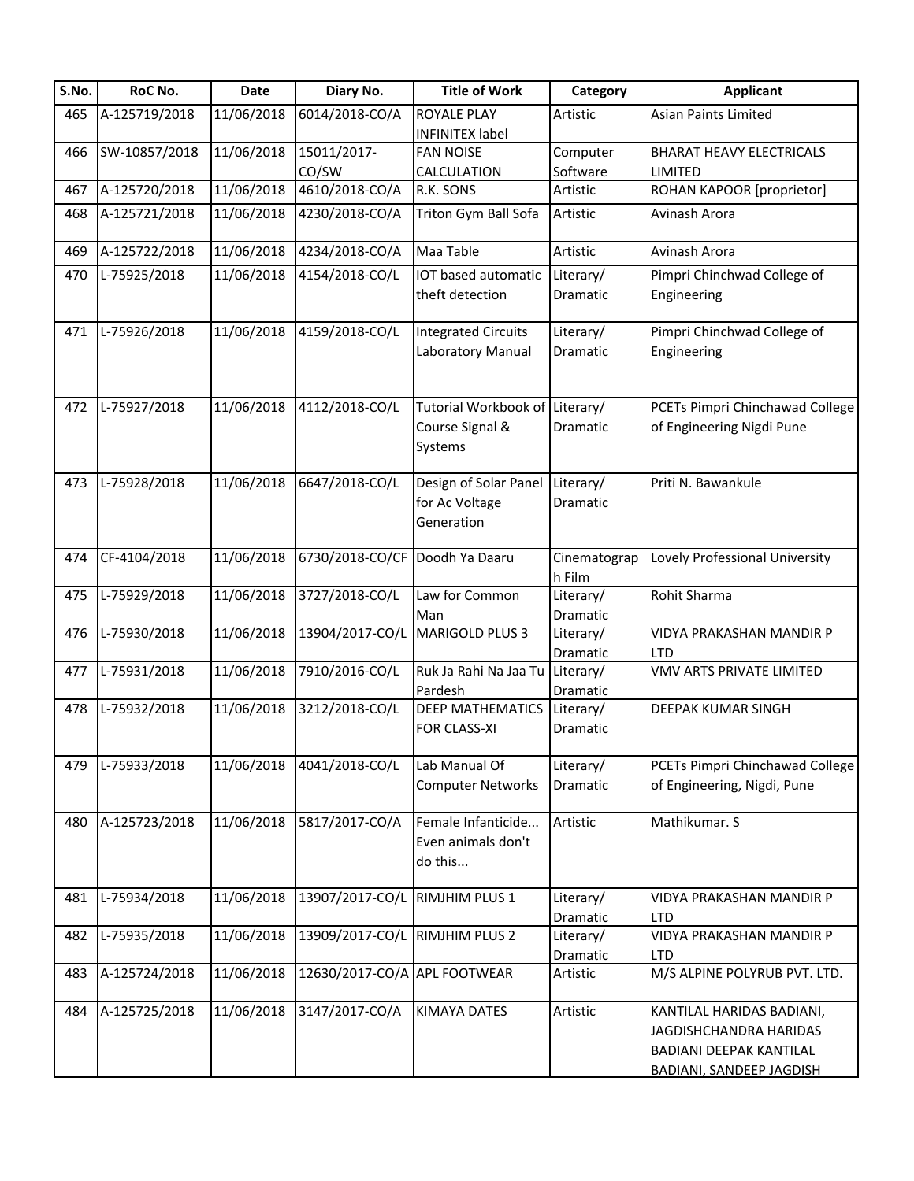| S.No. | RoC No.       | Date       | Diary No.                    | <b>Title of Work</b>           | Category              | <b>Applicant</b>                       |
|-------|---------------|------------|------------------------------|--------------------------------|-----------------------|----------------------------------------|
| 465   | A-125719/2018 | 11/06/2018 | 6014/2018-CO/A               | <b>ROYALE PLAY</b>             | Artistic              | Asian Paints Limited                   |
|       |               |            |                              | <b>INFINITEX label</b>         |                       |                                        |
| 466   | SW-10857/2018 | 11/06/2018 | 15011/2017-                  | <b>FAN NOISE</b>               | Computer              | <b>BHARAT HEAVY ELECTRICALS</b>        |
|       |               |            | CO/SW                        | CALCULATION                    | Software              | LIMITED                                |
| 467   | A-125720/2018 | 11/06/2018 | 4610/2018-CO/A               | R.K. SONS                      | Artistic              | ROHAN KAPOOR [proprietor]              |
| 468   | A-125721/2018 | 11/06/2018 | 4230/2018-CO/A               | Triton Gym Ball Sofa           | Artistic              | Avinash Arora                          |
| 469   | A-125722/2018 | 11/06/2018 | 4234/2018-CO/A               | Maa Table                      | Artistic              | Avinash Arora                          |
| 470   | L-75925/2018  | 11/06/2018 | 4154/2018-CO/L               | IOT based automatic            | Literary/             | Pimpri Chinchwad College of            |
|       |               |            |                              | theft detection                | Dramatic              | Engineering                            |
| 471   | L-75926/2018  | 11/06/2018 | 4159/2018-CO/L               | <b>Integrated Circuits</b>     | Literary/             | Pimpri Chinchwad College of            |
|       |               |            |                              | Laboratory Manual              | Dramatic              | Engineering                            |
|       |               |            |                              |                                |                       |                                        |
| 472   | L-75927/2018  | 11/06/2018 | 4112/2018-CO/L               | Tutorial Workbook of Literary/ |                       | PCETs Pimpri Chinchawad College        |
|       |               |            |                              | Course Signal &                | Dramatic              | of Engineering Nigdi Pune              |
|       |               |            |                              | Systems                        |                       |                                        |
|       |               |            |                              |                                |                       |                                        |
| 473   | L-75928/2018  | 11/06/2018 | 6647/2018-CO/L               | Design of Solar Panel          | Literary/             | Priti N. Bawankule                     |
|       |               |            |                              | for Ac Voltage                 | Dramatic              |                                        |
|       |               |            |                              | Generation                     |                       |                                        |
| 474   | CF-4104/2018  | 11/06/2018 | 6730/2018-CO/CF              | Doodh Ya Daaru                 | Cinematograp          | Lovely Professional University         |
|       |               |            |                              |                                | h Film                |                                        |
| 475   | L-75929/2018  | 11/06/2018 | 3727/2018-CO/L               | Law for Common                 | Literary/             | Rohit Sharma                           |
|       |               |            |                              | Man                            | Dramatic              |                                        |
| 476   | L-75930/2018  | 11/06/2018 | 13904/2017-CO/L              | MARIGOLD PLUS 3                | Literary/             | VIDYA PRAKASHAN MANDIR P               |
|       |               |            |                              |                                | Dramatic              | LTD                                    |
| 477   | L-75931/2018  | 11/06/2018 | 7910/2016-CO/L               | Ruk Ja Rahi Na Jaa Tu          | Literary/             | VMV ARTS PRIVATE LIMITED               |
|       |               |            |                              | Pardesh                        | Dramatic              |                                        |
| 478   | L-75932/2018  | 11/06/2018 | 3212/2018-CO/L               | <b>DEEP MATHEMATICS</b>        | Literary/             | <b>DEEPAK KUMAR SINGH</b>              |
|       |               |            |                              | <b>FOR CLASS-XI</b>            | Dramatic              |                                        |
| 479   | L-75933/2018  | 11/06/2018 | 4041/2018-CO/L               | Lab Manual Of                  | Literary/             | PCETs Pimpri Chinchawad College        |
|       |               |            |                              | <b>Computer Networks</b>       | Dramatic              | of Engineering, Nigdi, Pune            |
|       |               |            |                              |                                |                       |                                        |
| 480   | A-125723/2018 | 11/06/2018 | 5817/2017-CO/A               | Female Infanticide             | Artistic              | Mathikumar. S                          |
|       |               |            |                              | Even animals don't             |                       |                                        |
|       |               |            |                              | do this                        |                       |                                        |
|       |               |            |                              |                                |                       |                                        |
| 481   | L-75934/2018  | 11/06/2018 | 13907/2017-CO/L              | RIMJHIM PLUS 1                 | Literary/<br>Dramatic | VIDYA PRAKASHAN MANDIR P<br><b>LTD</b> |
| 482   | L-75935/2018  | 11/06/2018 | 13909/2017-CO/L              | <b>RIMJHIM PLUS 2</b>          | Literary/             | VIDYA PRAKASHAN MANDIR P               |
|       |               |            |                              |                                | Dramatic              | <b>LTD</b>                             |
| 483   | A-125724/2018 | 11/06/2018 | 12630/2017-CO/A APL FOOTWEAR |                                | Artistic              | M/S ALPINE POLYRUB PVT. LTD.           |
|       |               |            |                              |                                |                       |                                        |
| 484   | A-125725/2018 | 11/06/2018 | 3147/2017-CO/A               | <b>KIMAYA DATES</b>            | Artistic              | KANTILAL HARIDAS BADIANI,              |
|       |               |            |                              |                                |                       | JAGDISHCHANDRA HARIDAS                 |
|       |               |            |                              |                                |                       | BADIANI DEEPAK KANTILAL                |
|       |               |            |                              |                                |                       | <b>BADIANI, SANDEEP JAGDISH</b>        |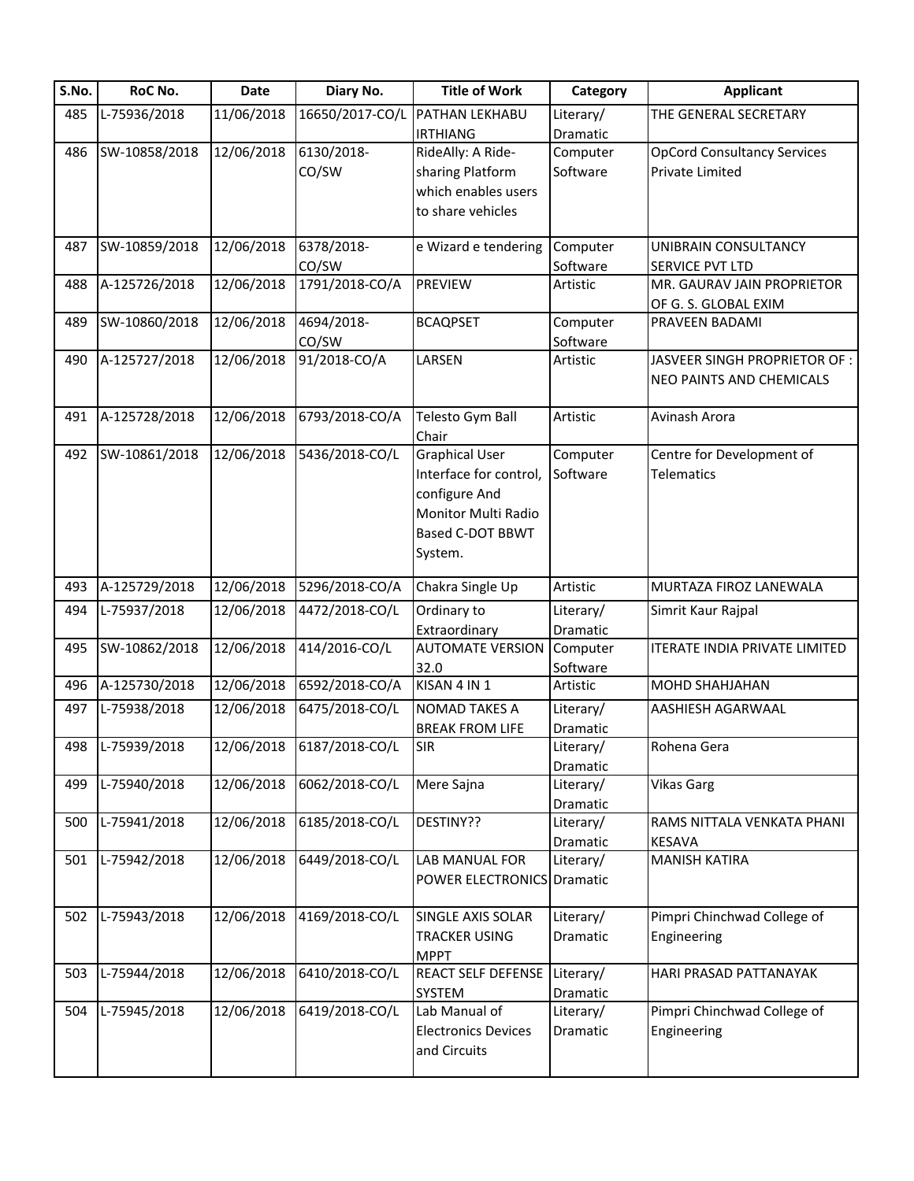| S.No. | RoC No.          | Date                    | Diary No.       | <b>Title of Work</b>              | Category  | <b>Applicant</b>                     |
|-------|------------------|-------------------------|-----------------|-----------------------------------|-----------|--------------------------------------|
| 485   | L-75936/2018     | 11/06/2018              | 16650/2017-CO/L | PATHAN LEKHABU                    | Literary/ | THE GENERAL SECRETARY                |
|       |                  |                         |                 | <b>IRTHIANG</b>                   | Dramatic  |                                      |
| 486   | SW-10858/2018    | 12/06/2018              | 6130/2018-      | RideAlly: A Ride-                 | Computer  | <b>OpCord Consultancy Services</b>   |
|       |                  |                         | CO/SW           | sharing Platform                  | Software  | Private Limited                      |
|       |                  |                         |                 | which enables users               |           |                                      |
|       |                  |                         |                 | to share vehicles                 |           |                                      |
|       |                  |                         |                 |                                   |           |                                      |
| 487   | SW-10859/2018    | 12/06/2018              | 6378/2018-      | e Wizard e tendering              | Computer  | UNIBRAIN CONSULTANCY                 |
|       |                  |                         | CO/SW           |                                   | Software  | SERVICE PVT LTD                      |
| 488   | A-125726/2018    | $\overline{12}/06/2018$ | 1791/2018-CO/A  | PREVIEW                           | Artistic  | MR. GAURAV JAIN PROPRIETOR           |
|       |                  |                         |                 |                                   |           | OF G. S. GLOBAL EXIM                 |
| 489   | SW-10860/2018    | 12/06/2018              | 4694/2018-      | <b>BCAQPSET</b>                   | Computer  | PRAVEEN BADAMI                       |
|       |                  |                         | CO/SW           |                                   | Software  |                                      |
| 490   | A-125727/2018    | 12/06/2018              | 91/2018-CO/A    | LARSEN                            | Artistic  | JASVEER SINGH PROPRIETOR OF :        |
|       |                  |                         |                 |                                   |           | NEO PAINTS AND CHEMICALS             |
|       |                  |                         |                 |                                   |           |                                      |
| 491   | A-125728/2018    | 12/06/2018              | 6793/2018-CO/A  | Telesto Gym Ball                  | Artistic  | Avinash Arora                        |
|       |                  |                         |                 | Chair                             |           |                                      |
| 492   | SW-10861/2018    | 12/06/2018              | 5436/2018-CO/L  | <b>Graphical User</b>             | Computer  | Centre for Development of            |
|       |                  |                         |                 | Interface for control,            | Software  | <b>Telematics</b>                    |
|       |                  |                         |                 | configure And                     |           |                                      |
|       |                  |                         |                 | Monitor Multi Radio               |           |                                      |
|       |                  |                         |                 | <b>Based C-DOT BBWT</b>           |           |                                      |
|       |                  |                         |                 |                                   |           |                                      |
|       |                  |                         |                 | System.                           |           |                                      |
| 493   | A-125729/2018    | 12/06/2018              | 5296/2018-CO/A  | Chakra Single Up                  | Artistic  | MURTAZA FIROZ LANEWALA               |
| 494   | L-75937/2018     | 12/06/2018              | 4472/2018-CO/L  | Ordinary to                       | Literary/ | Simrit Kaur Rajpal                   |
|       |                  |                         |                 | Extraordinary                     | Dramatic  |                                      |
| 495   | SW-10862/2018    | 12/06/2018              | 414/2016-CO/L   | <b>AUTOMATE VERSION</b>           | Computer  | <b>ITERATE INDIA PRIVATE LIMITED</b> |
|       |                  |                         |                 | 32.0                              | Software  |                                      |
| 496   | A-125730/2018    | 12/06/2018              | 6592/2018-CO/A  | KISAN 4 IN 1                      | Artistic  | MOHD SHAHJAHAN                       |
| 497   | L-75938/2018     | 12/06/2018              | 6475/2018-CO/L  | NOMAD TAKES A                     | Literary/ | AASHIESH AGARWAAL                    |
|       |                  |                         |                 | <b>BREAK FROM LIFE</b>            | Dramatic  |                                      |
|       | 498 L-75939/2018 | 12/06/2018              | 6187/2018-CO/L  | <b>SIR</b>                        | Literary/ | Rohena Gera                          |
|       |                  |                         |                 |                                   | Dramatic  |                                      |
| 499   | L-75940/2018     | 12/06/2018              | 6062/2018-CO/L  | Mere Sajna                        | Literary/ | <b>Vikas Garg</b>                    |
|       |                  |                         |                 |                                   | Dramatic  |                                      |
| 500   | L-75941/2018     | 12/06/2018              | 6185/2018-CO/L  | DESTINY??                         | Literary/ | RAMS NITTALA VENKATA PHANI           |
|       |                  |                         |                 |                                   | Dramatic  | KESAVA                               |
| 501   | L-75942/2018     | 12/06/2018              | 6449/2018-CO/L  | LAB MANUAL FOR                    | Literary/ | <b>MANISH KATIRA</b>                 |
|       |                  |                         |                 | <b>POWER ELECTRONICS Dramatic</b> |           |                                      |
|       |                  |                         |                 |                                   |           |                                      |
| 502   | L-75943/2018     | 12/06/2018              | 4169/2018-CO/L  | SINGLE AXIS SOLAR                 | Literary/ | Pimpri Chinchwad College of          |
|       |                  |                         |                 | TRACKER USING                     | Dramatic  | Engineering                          |
|       |                  |                         |                 | <b>MPPT</b>                       |           |                                      |
| 503   | L-75944/2018     | 12/06/2018              | 6410/2018-CO/L  | REACT SELF DEFENSE Literary/      |           | HARI PRASAD PATTANAYAK               |
|       |                  |                         |                 | SYSTEM                            | Dramatic  |                                      |
| 504   | L-75945/2018     | 12/06/2018              | 6419/2018-CO/L  | Lab Manual of                     | Literary/ | Pimpri Chinchwad College of          |
|       |                  |                         |                 | <b>Electronics Devices</b>        | Dramatic  | Engineering                          |
|       |                  |                         |                 |                                   |           |                                      |
|       |                  |                         |                 | and Circuits                      |           |                                      |
|       |                  |                         |                 |                                   |           |                                      |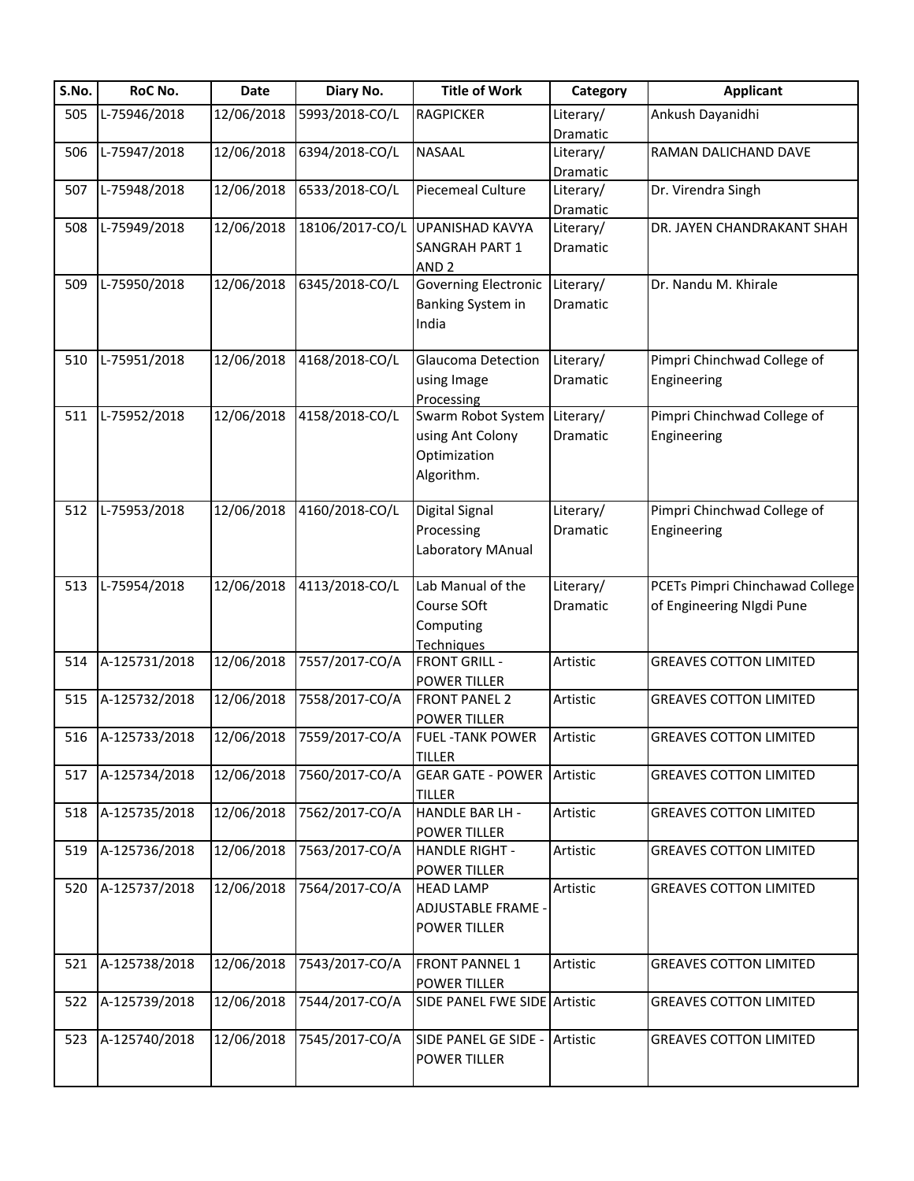| S.No. | RoC No.       | Date       | Diary No.       | <b>Title of Work</b>              | Category  | <b>Applicant</b>                |
|-------|---------------|------------|-----------------|-----------------------------------|-----------|---------------------------------|
| 505   | L-75946/2018  | 12/06/2018 | 5993/2018-CO/L  | <b>RAGPICKER</b>                  | Literary/ | Ankush Dayanidhi                |
|       |               |            |                 |                                   | Dramatic  |                                 |
| 506   | L-75947/2018  | 12/06/2018 | 6394/2018-CO/L  | NASAAL                            | Literary/ | RAMAN DALICHAND DAVE            |
|       |               |            |                 |                                   | Dramatic  |                                 |
| 507   | L-75948/2018  | 12/06/2018 | 6533/2018-CO/L  | <b>Piecemeal Culture</b>          | Literary/ | Dr. Virendra Singh              |
|       |               |            |                 |                                   | Dramatic  |                                 |
| 508   | L-75949/2018  | 12/06/2018 | 18106/2017-CO/L | <b>UPANISHAD KAVYA</b>            | Literary/ | DR. JAYEN CHANDRAKANT SHAH      |
|       |               |            |                 | SANGRAH PART 1                    | Dramatic  |                                 |
|       |               |            |                 | AND <sub>2</sub>                  |           |                                 |
| 509   | L-75950/2018  | 12/06/2018 | 6345/2018-CO/L  | Governing Electronic              | Literary/ | Dr. Nandu M. Khirale            |
|       |               |            |                 | Banking System in                 | Dramatic  |                                 |
|       |               |            |                 | India                             |           |                                 |
|       |               |            |                 |                                   |           |                                 |
| 510   | L-75951/2018  | 12/06/2018 | 4168/2018-CO/L  | Glaucoma Detection                | Literary/ | Pimpri Chinchwad College of     |
|       |               |            |                 | using Image                       | Dramatic  | Engineering                     |
|       |               |            |                 | Processing                        |           |                                 |
| 511   | L-75952/2018  | 12/06/2018 | 4158/2018-CO/L  | Swarm Robot System Literary/      |           | Pimpri Chinchwad College of     |
|       |               |            |                 | using Ant Colony                  | Dramatic  | Engineering                     |
|       |               |            |                 | Optimization                      |           |                                 |
|       |               |            |                 | Algorithm.                        |           |                                 |
|       |               |            |                 |                                   |           |                                 |
| 512   | L-75953/2018  | 12/06/2018 | 4160/2018-CO/L  | Digital Signal                    | Literary/ | Pimpri Chinchwad College of     |
|       |               |            |                 | Processing                        | Dramatic  | Engineering                     |
|       |               |            |                 | Laboratory MAnual                 |           |                                 |
|       |               |            |                 |                                   |           |                                 |
| 513   | L-75954/2018  | 12/06/2018 | 4113/2018-CO/L  | Lab Manual of the                 | Literary/ | PCETs Pimpri Chinchawad College |
|       |               |            |                 | Course SOft                       | Dramatic  | of Engineering NIgdi Pune       |
|       |               |            |                 | Computing                         |           |                                 |
|       |               |            |                 | <b>Techniques</b>                 |           |                                 |
| 514   | A-125731/2018 | 12/06/2018 | 7557/2017-CO/A  | <b>FRONT GRILL -</b>              | Artistic  | <b>GREAVES COTTON LIMITED</b>   |
|       |               |            |                 | <b>POWER TILLER</b>               |           |                                 |
| 515   | A-125732/2018 | 12/06/2018 | 7558/2017-CO/A  | <b>FRONT PANEL 2</b>              | Artistic  | <b>GREAVES COTTON LIMITED</b>   |
|       |               |            |                 | <b>POWER TILLER</b>               |           |                                 |
| 516   | A-125733/2018 | 12/06/2018 | 7559/2017-CO/A  | <b>FUEL -TANK POWER</b>           | Artistic  | <b>GREAVES COTTON LIMITED</b>   |
|       |               |            |                 | <b>TILLER</b>                     |           |                                 |
| 517   | A-125734/2018 | 12/06/2018 | 7560/2017-CO/A  | <b>GEAR GATE - POWER Artistic</b> |           | <b>GREAVES COTTON LIMITED</b>   |
|       |               |            |                 | <b>TILLER</b>                     |           |                                 |
| 518   | A-125735/2018 | 12/06/2018 | 7562/2017-CO/A  | <b>HANDLE BAR LH -</b>            | Artistic  | <b>GREAVES COTTON LIMITED</b>   |
|       |               |            |                 | <b>POWER TILLER</b>               |           |                                 |
| 519   | A-125736/2018 | 12/06/2018 | 7563/2017-CO/A  | <b>HANDLE RIGHT -</b>             | Artistic  | <b>GREAVES COTTON LIMITED</b>   |
|       |               |            |                 | POWER TILLER                      |           |                                 |
| 520   | A-125737/2018 | 12/06/2018 | 7564/2017-CO/A  | <b>HEAD LAMP</b>                  | Artistic  | <b>GREAVES COTTON LIMITED</b>   |
|       |               |            |                 | ADJUSTABLE FRAME -                |           |                                 |
|       |               |            |                 | <b>POWER TILLER</b>               |           |                                 |
|       |               |            |                 |                                   |           |                                 |
| 521   | A-125738/2018 | 12/06/2018 | 7543/2017-CO/A  | <b>FRONT PANNEL 1</b>             | Artistic  | <b>GREAVES COTTON LIMITED</b>   |
|       |               |            |                 | <b>POWER TILLER</b>               |           |                                 |
| 522   | A-125739/2018 | 12/06/2018 | 7544/2017-CO/A  | SIDE PANEL FWE SIDE Artistic      |           | <b>GREAVES COTTON LIMITED</b>   |
|       |               |            |                 |                                   |           |                                 |
| 523   | A-125740/2018 | 12/06/2018 | 7545/2017-CO/A  | SIDE PANEL GE SIDE -              | Artistic  | <b>GREAVES COTTON LIMITED</b>   |
|       |               |            |                 | POWER TILLER                      |           |                                 |
|       |               |            |                 |                                   |           |                                 |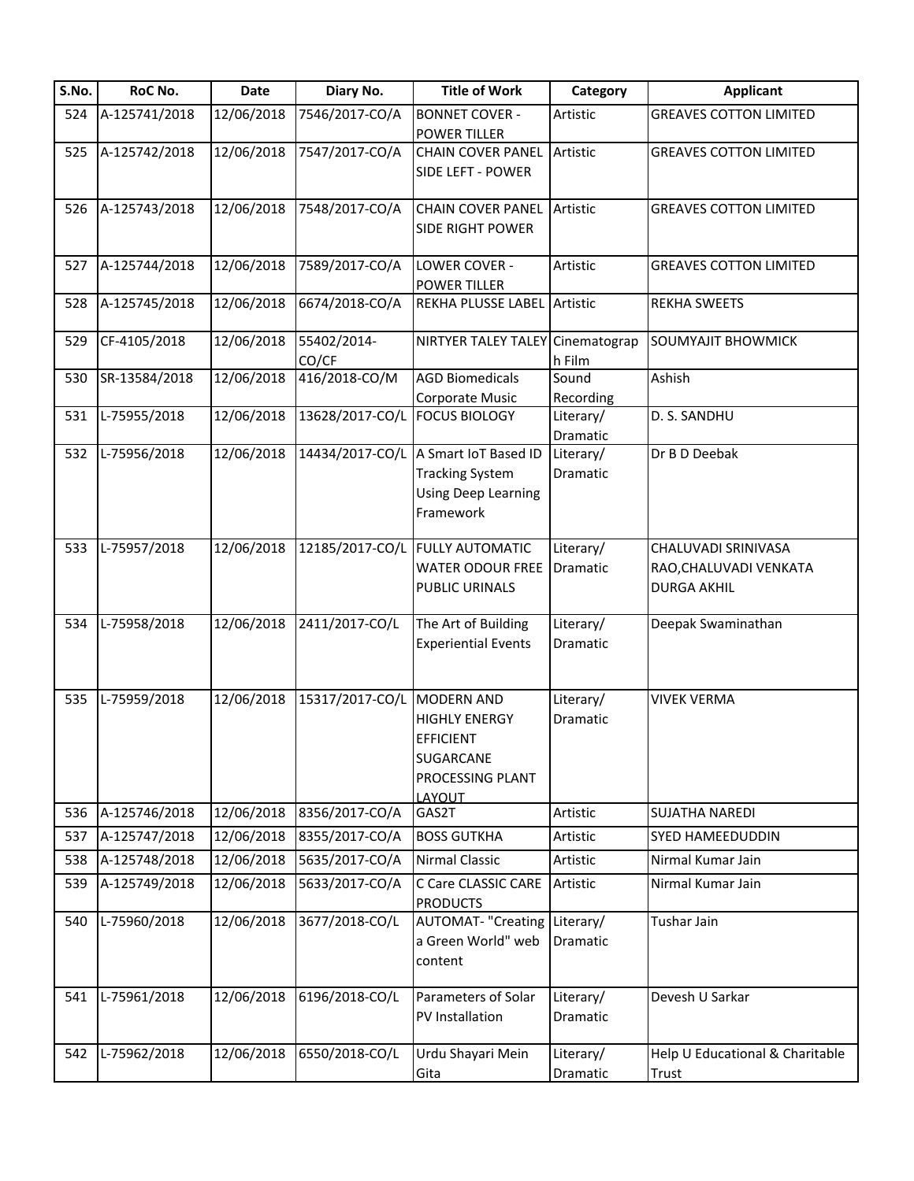| S.No. | RoC No.       | Date       | Diary No.       | <b>Title of Work</b>                 | Category  | <b>Applicant</b>                |
|-------|---------------|------------|-----------------|--------------------------------------|-----------|---------------------------------|
| 524   | A-125741/2018 | 12/06/2018 | 7546/2017-CO/A  | <b>BONNET COVER -</b>                | Artistic  | <b>GREAVES COTTON LIMITED</b>   |
|       |               |            |                 | <b>POWER TILLER</b>                  |           |                                 |
| 525   | A-125742/2018 | 12/06/2018 | 7547/2017-CO/A  | <b>CHAIN COVER PANEL</b>             | Artistic  | <b>GREAVES COTTON LIMITED</b>   |
|       |               |            |                 | SIDE LEFT - POWER                    |           |                                 |
| 526   | A-125743/2018 | 12/06/2018 | 7548/2017-CO/A  | <b>CHAIN COVER PANEL</b>             | Artistic  | <b>GREAVES COTTON LIMITED</b>   |
|       |               |            |                 | SIDE RIGHT POWER                     |           |                                 |
|       |               |            |                 |                                      |           |                                 |
| 527   | A-125744/2018 | 12/06/2018 | 7589/2017-CO/A  | LOWER COVER -                        | Artistic  | <b>GREAVES COTTON LIMITED</b>   |
|       |               |            |                 | <b>POWER TILLER</b>                  |           |                                 |
| 528   | A-125745/2018 | 12/06/2018 | 6674/2018-CO/A  | REKHA PLUSSE LABEL Artistic          |           | <b>REKHA SWEETS</b>             |
| 529   | CF-4105/2018  | 12/06/2018 | 55402/2014-     | NIRTYER TALEY TALEY Cinematograp     |           | <b>SOUMYAJIT BHOWMICK</b>       |
|       |               |            | CO/CF           |                                      | h Film    |                                 |
| 530   | SR-13584/2018 | 12/06/2018 | 416/2018-CO/M   | <b>AGD Biomedicals</b>               | Sound     | Ashish                          |
|       |               |            |                 | <b>Corporate Music</b>               | Recording |                                 |
| 531   | L-75955/2018  | 12/06/2018 | 13628/2017-CO/L | <b>FOCUS BIOLOGY</b>                 | Literary/ | D. S. SANDHU                    |
|       |               |            |                 |                                      | Dramatic  |                                 |
| 532   | L-75956/2018  | 12/06/2018 |                 | 14434/2017-CO/L A Smart IoT Based ID | Literary/ | Dr B D Deebak                   |
|       |               |            |                 | <b>Tracking System</b>               | Dramatic  |                                 |
|       |               |            |                 | <b>Using Deep Learning</b>           |           |                                 |
|       |               |            |                 | Framework                            |           |                                 |
| 533   | L-75957/2018  | 12/06/2018 | 12185/2017-CO/L | <b>FULLY AUTOMATIC</b>               | Literary/ | CHALUVADI SRINIVASA             |
|       |               |            |                 | <b>WATER ODOUR FREE</b>              | Dramatic  | RAO, CHALUVADI VENKATA          |
|       |               |            |                 | PUBLIC URINALS                       |           | <b>DURGA AKHIL</b>              |
|       |               |            |                 |                                      |           |                                 |
| 534   | L-75958/2018  | 12/06/2018 | 2411/2017-CO/L  | The Art of Building                  | Literary/ | Deepak Swaminathan              |
|       |               |            |                 | <b>Experiential Events</b>           | Dramatic  |                                 |
|       |               |            |                 |                                      |           |                                 |
|       |               |            |                 |                                      |           |                                 |
| 535   | L-75959/2018  | 12/06/2018 | 15317/2017-CO/L | <b>MODERN AND</b>                    | Literary/ | <b>VIVEK VERMA</b>              |
|       |               |            |                 | <b>HIGHLY ENERGY</b>                 | Dramatic  |                                 |
|       |               |            |                 | <b>EFFICIENT</b>                     |           |                                 |
|       |               |            |                 | SUGARCANE                            |           |                                 |
|       |               |            |                 | PROCESSING PLANT                     |           |                                 |
| 536   | A-125746/2018 | 12/06/2018 | 8356/2017-CO/A  | LAYOUT<br>GAS2T                      | Artistic  | <b>SUJATHA NAREDI</b>           |
| 537   | A-125747/2018 | 12/06/2018 | 8355/2017-CO/A  | <b>BOSS GUTKHA</b>                   | Artistic  | SYED HAMEEDUDDIN                |
| 538   | A-125748/2018 | 12/06/2018 | 5635/2017-CO/A  | <b>Nirmal Classic</b>                | Artistic  | Nirmal Kumar Jain               |
| 539   | A-125749/2018 | 12/06/2018 | 5633/2017-CO/A  | C Care CLASSIC CARE                  | Artistic  | Nirmal Kumar Jain               |
|       |               |            |                 | <b>PRODUCTS</b>                      |           |                                 |
| 540   | L-75960/2018  | 12/06/2018 | 3677/2018-CO/L  | <b>AUTOMAT- "Creating</b>            | Literary/ | Tushar Jain                     |
|       |               |            |                 | a Green World" web                   | Dramatic  |                                 |
|       |               |            |                 | content                              |           |                                 |
|       |               |            |                 |                                      |           |                                 |
| 541   | L-75961/2018  | 12/06/2018 | 6196/2018-CO/L  | Parameters of Solar                  | Literary/ | Devesh U Sarkar                 |
|       |               |            |                 | PV Installation                      | Dramatic  |                                 |
| 542   | L-75962/2018  | 12/06/2018 | 6550/2018-CO/L  | Urdu Shayari Mein                    | Literary/ | Help U Educational & Charitable |
|       |               |            |                 | Gita                                 | Dramatic  | Trust                           |
|       |               |            |                 |                                      |           |                                 |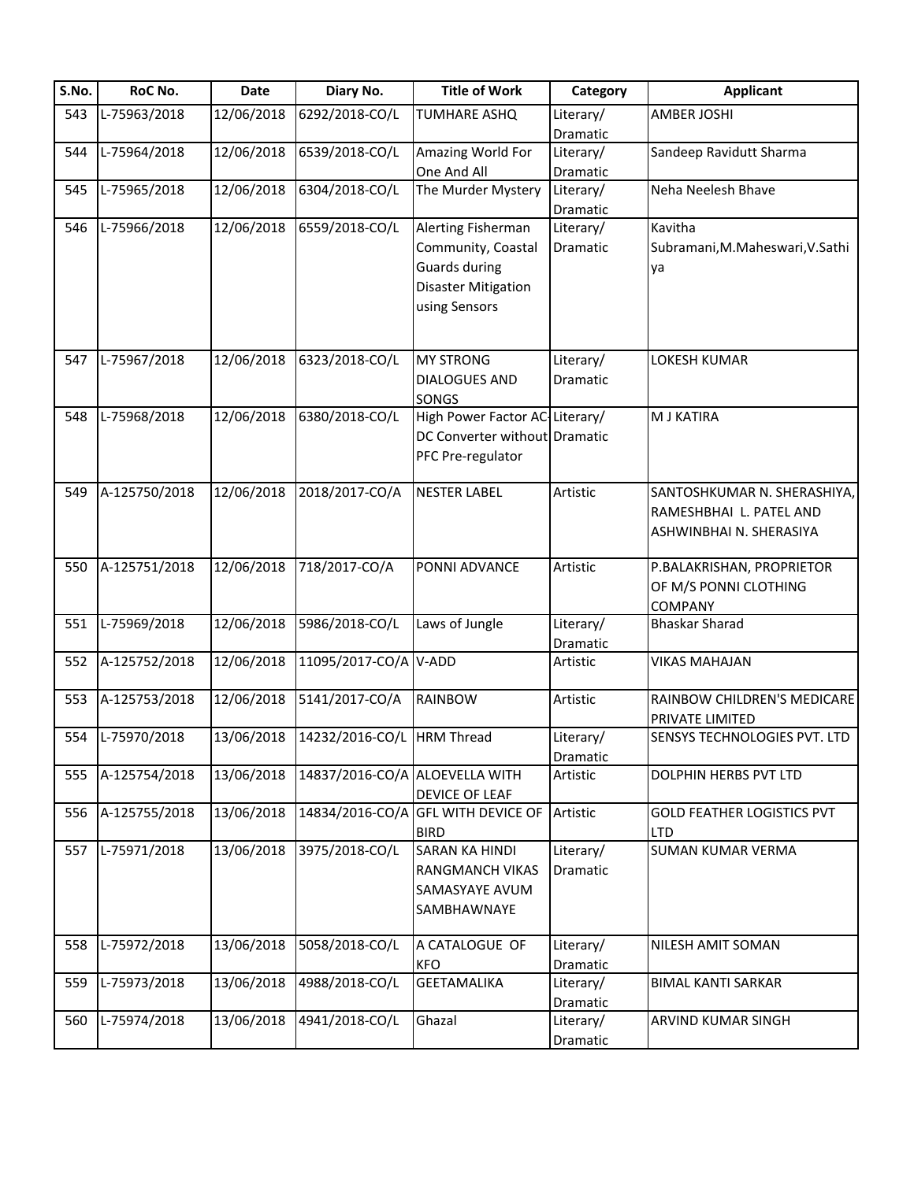| S.No. | RoC No.       | Date       | Diary No.                      | <b>Title of Work</b>                 | Category  | <b>Applicant</b>                        |
|-------|---------------|------------|--------------------------------|--------------------------------------|-----------|-----------------------------------------|
| 543   | L-75963/2018  | 12/06/2018 | 6292/2018-CO/L                 | <b>TUMHARE ASHQ</b>                  | Literary/ | AMBER JOSHI                             |
|       |               |            |                                |                                      | Dramatic  |                                         |
| 544   | L-75964/2018  | 12/06/2018 | 6539/2018-CO/L                 | Amazing World For                    | Literary/ | Sandeep Ravidutt Sharma                 |
|       |               |            |                                | One And All                          | Dramatic  |                                         |
| 545   | L-75965/2018  | 12/06/2018 | 6304/2018-CO/L                 | The Murder Mystery                   | Literary/ | Neha Neelesh Bhave                      |
|       |               |            |                                |                                      | Dramatic  |                                         |
| 546   | L-75966/2018  | 12/06/2018 | 6559/2018-CO/L                 | Alerting Fisherman                   | Literary/ | Kavitha                                 |
|       |               |            |                                | Community, Coastal                   | Dramatic  | Subramani, M. Maheswari, V. Sathi       |
|       |               |            |                                | <b>Guards during</b>                 |           | ya                                      |
|       |               |            |                                | <b>Disaster Mitigation</b>           |           |                                         |
|       |               |            |                                |                                      |           |                                         |
|       |               |            |                                | using Sensors                        |           |                                         |
|       |               |            |                                |                                      |           |                                         |
| 547   | L-75967/2018  | 12/06/2018 | 6323/2018-CO/L                 | <b>MY STRONG</b>                     | Literary/ | LOKESH KUMAR                            |
|       |               |            |                                | <b>DIALOGUES AND</b>                 | Dramatic  |                                         |
|       |               |            |                                | SONGS                                |           |                                         |
| 548   | L-75968/2018  | 12/06/2018 | 6380/2018-CO/L                 | High Power Factor AC-Literary/       |           | <b>M J KATIRA</b>                       |
|       |               |            |                                | DC Converter without Dramatic        |           |                                         |
|       |               |            |                                |                                      |           |                                         |
|       |               |            |                                | PFC Pre-regulator                    |           |                                         |
| 549   | A-125750/2018 | 12/06/2018 | 2018/2017-CO/A                 | <b>NESTER LABEL</b>                  | Artistic  | SANTOSHKUMAR N. SHERASHIYA,             |
|       |               |            |                                |                                      |           |                                         |
|       |               |            |                                |                                      |           | RAMESHBHAI L. PATEL AND                 |
|       |               |            |                                |                                      |           | ASHWINBHAI N. SHERASIYA                 |
| 550   | A-125751/2018 | 12/06/2018 | 718/2017-CO/A                  | PONNI ADVANCE                        | Artistic  | P.BALAKRISHAN, PROPRIETOR               |
|       |               |            |                                |                                      |           |                                         |
|       |               |            |                                |                                      |           | OF M/S PONNI CLOTHING                   |
|       | L-75969/2018  | 12/06/2018 | 5986/2018-CO/L                 | Laws of Jungle                       |           | <b>COMPANY</b><br><b>Bhaskar Sharad</b> |
| 551   |               |            |                                |                                      | Literary/ |                                         |
| 552   | A-125752/2018 | 12/06/2018 | 11095/2017-CO/A V-ADD          |                                      | Dramatic  | <b>VIKAS MAHAJAN</b>                    |
|       |               |            |                                |                                      | Artistic  |                                         |
| 553   | A-125753/2018 | 12/06/2018 | 5141/2017-CO/A                 | RAINBOW                              | Artistic  | RAINBOW CHILDREN'S MEDICARE             |
|       |               |            |                                |                                      |           | <b>PRIVATE LIMITED</b>                  |
| 554   | L-75970/2018  | 13/06/2018 | 14232/2016-CO/L                | <b>HRM Thread</b>                    | Literary/ | SENSYS TECHNOLOGIES PVT. LTD            |
|       |               |            |                                |                                      | Dramatic  |                                         |
| 555   | A-125754/2018 | 13/06/2018 | 14837/2016-CO/A ALOEVELLA WITH |                                      | Artistic  | DOLPHIN HERBS PVT LTD                   |
|       |               |            |                                | DEVICE OF LEAF                       |           |                                         |
| 556   | A-125755/2018 | 13/06/2018 |                                | 14834/2016-CO/A GFL WITH DEVICE OF   | Artistic  | <b>GOLD FEATHER LOGISTICS PVT</b>       |
|       |               |            |                                |                                      |           | <b>LTD</b>                              |
| 557   | L-75971/2018  | 13/06/2018 | 3975/2018-CO/L                 | <b>BIRD</b><br><b>SARAN KA HINDI</b> | Literary/ | <b>SUMAN KUMAR VERMA</b>                |
|       |               |            |                                |                                      |           |                                         |
|       |               |            |                                | <b>RANGMANCH VIKAS</b>               | Dramatic  |                                         |
|       |               |            |                                | SAMASYAYE AVUM                       |           |                                         |
|       |               |            |                                | SAMBHAWNAYE                          |           |                                         |
|       |               |            |                                |                                      |           |                                         |
| 558   | L-75972/2018  | 13/06/2018 | 5058/2018-CO/L                 | A CATALOGUE OF                       | Literary/ | NILESH AMIT SOMAN                       |
|       |               |            |                                | KFO                                  | Dramatic  |                                         |
| 559   | L-75973/2018  | 13/06/2018 | 4988/2018-CO/L                 | <b>GEETAMALIKA</b>                   | Literary/ | <b>BIMAL KANTI SARKAR</b>               |
|       |               |            |                                |                                      | Dramatic  |                                         |
| 560   | L-75974/2018  | 13/06/2018 | 4941/2018-CO/L                 | Ghazal                               | Literary/ | ARVIND KUMAR SINGH                      |
|       |               |            |                                |                                      | Dramatic  |                                         |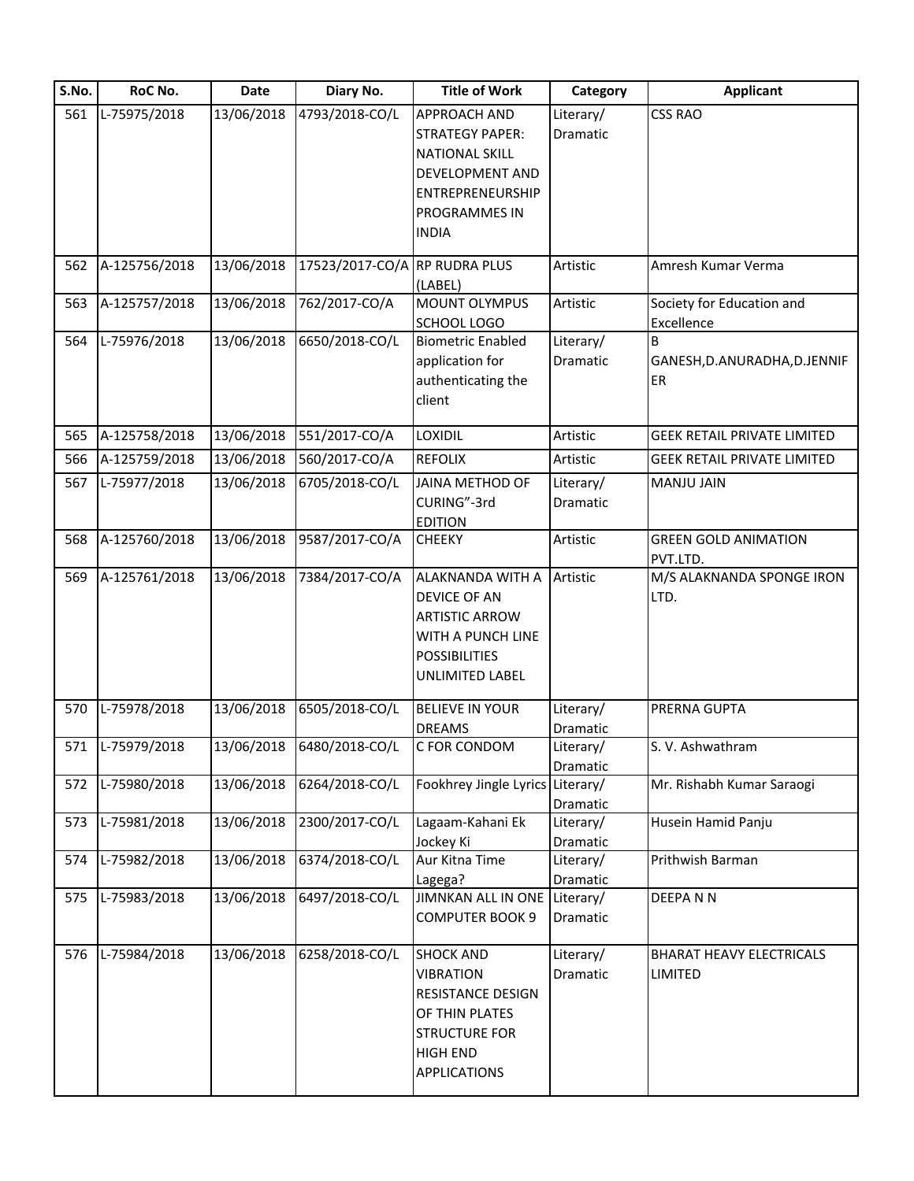| S.No. | RoC No.          | Date       | Diary No.                     | <b>Title of Work</b>             | Category  | <b>Applicant</b>                   |
|-------|------------------|------------|-------------------------------|----------------------------------|-----------|------------------------------------|
| 561   | L-75975/2018     | 13/06/2018 | 4793/2018-CO/L                | APPROACH AND                     | Literary/ | CSS RAO                            |
|       |                  |            |                               | <b>STRATEGY PAPER:</b>           | Dramatic  |                                    |
|       |                  |            |                               | <b>NATIONAL SKILL</b>            |           |                                    |
|       |                  |            |                               | DEVELOPMENT AND                  |           |                                    |
|       |                  |            |                               | ENTREPRENEURSHIP                 |           |                                    |
|       |                  |            |                               | PROGRAMMES IN                    |           |                                    |
|       |                  |            |                               | <b>INDIA</b>                     |           |                                    |
| 562   | A-125756/2018    | 13/06/2018 | 17523/2017-CO/A RP RUDRA PLUS |                                  | Artistic  | Amresh Kumar Verma                 |
|       |                  |            |                               | (LABEL)                          |           |                                    |
| 563   | A-125757/2018    | 13/06/2018 | 762/2017-CO/A                 | <b>MOUNT OLYMPUS</b>             | Artistic  | Society for Education and          |
|       |                  |            |                               | SCHOOL LOGO                      |           | Excellence                         |
| 564   | L-75976/2018     | 13/06/2018 | 6650/2018-CO/L                | <b>Biometric Enabled</b>         | Literary/ | B                                  |
|       |                  |            |                               | application for                  | Dramatic  | GANESH, D.ANURADHA, D.JENNIF       |
|       |                  |            |                               | authenticating the               |           | ER                                 |
|       |                  |            |                               | client                           |           |                                    |
| 565   | A-125758/2018    | 13/06/2018 | 551/2017-CO/A                 | LOXIDIL                          | Artistic  | <b>GEEK RETAIL PRIVATE LIMITED</b> |
| 566   | A-125759/2018    | 13/06/2018 | 560/2017-CO/A                 | <b>REFOLIX</b>                   | Artistic  | <b>GEEK RETAIL PRIVATE LIMITED</b> |
| 567   | L-75977/2018     | 13/06/2018 | 6705/2018-CO/L                | JAINA METHOD OF                  | Literary/ | MANJU JAIN                         |
|       |                  |            |                               | CURING"-3rd                      | Dramatic  |                                    |
|       |                  |            |                               | <b>EDITION</b>                   |           |                                    |
| 568   | A-125760/2018    | 13/06/2018 | 9587/2017-CO/A                | <b>CHEEKY</b>                    | Artistic  | <b>GREEN GOLD ANIMATION</b>        |
|       |                  |            |                               |                                  |           | PVT.LTD.                           |
| 569   | A-125761/2018    | 13/06/2018 | 7384/2017-CO/A                | ALAKNANDA WITH A                 | Artistic  | M/S ALAKNANDA SPONGE IRON          |
|       |                  |            |                               | DEVICE OF AN                     |           | LTD.                               |
|       |                  |            |                               | <b>ARTISTIC ARROW</b>            |           |                                    |
|       |                  |            |                               | WITH A PUNCH LINE                |           |                                    |
|       |                  |            |                               | <b>POSSIBILITIES</b>             |           |                                    |
|       |                  |            |                               | <b>UNLIMITED LABEL</b>           |           |                                    |
| 570   | L-75978/2018     | 13/06/2018 | 6505/2018-CO/L                | <b>BELIEVE IN YOUR</b>           | Literary/ | PRERNA GUPTA                       |
|       |                  |            |                               | <b>DREAMS</b>                    | Dramatic  |                                    |
|       | 571 L-75979/2018 |            | 13/06/2018 6480/2018-CO/L     | C FOR CONDOM                     | Literary/ | S. V. Ashwathram                   |
|       |                  |            |                               |                                  | Dramatic  |                                    |
| 572   | L-75980/2018     | 13/06/2018 | 6264/2018-CO/L                | Fookhrey Jingle Lyrics Literary/ |           | Mr. Rishabh Kumar Saraogi          |
|       |                  |            |                               |                                  | Dramatic  |                                    |
| 573   | L-75981/2018     | 13/06/2018 | 2300/2017-CO/L                | Lagaam-Kahani Ek                 | Literary/ | Husein Hamid Panju                 |
|       |                  |            |                               | Jockey Ki                        | Dramatic  |                                    |
| 574   | L-75982/2018     | 13/06/2018 | 6374/2018-CO/L                | Aur Kitna Time                   | Literary/ | Prithwish Barman                   |
|       |                  |            |                               | Lagega?                          | Dramatic  |                                    |
| 575   | L-75983/2018     | 13/06/2018 | 6497/2018-CO/L                | JIMNKAN ALL IN ONE Literary/     |           | <b>DEEPANN</b>                     |
|       |                  |            |                               | <b>COMPUTER BOOK 9</b>           | Dramatic  |                                    |
| 576   | L-75984/2018     | 13/06/2018 | 6258/2018-CO/L                | <b>SHOCK AND</b>                 | Literary/ | <b>BHARAT HEAVY ELECTRICALS</b>    |
|       |                  |            |                               | <b>VIBRATION</b>                 | Dramatic  | LIMITED                            |
|       |                  |            |                               | RESISTANCE DESIGN                |           |                                    |
|       |                  |            |                               | OF THIN PLATES                   |           |                                    |
|       |                  |            |                               | <b>STRUCTURE FOR</b>             |           |                                    |
|       |                  |            |                               | <b>HIGH END</b>                  |           |                                    |
|       |                  |            |                               | <b>APPLICATIONS</b>              |           |                                    |
|       |                  |            |                               |                                  |           |                                    |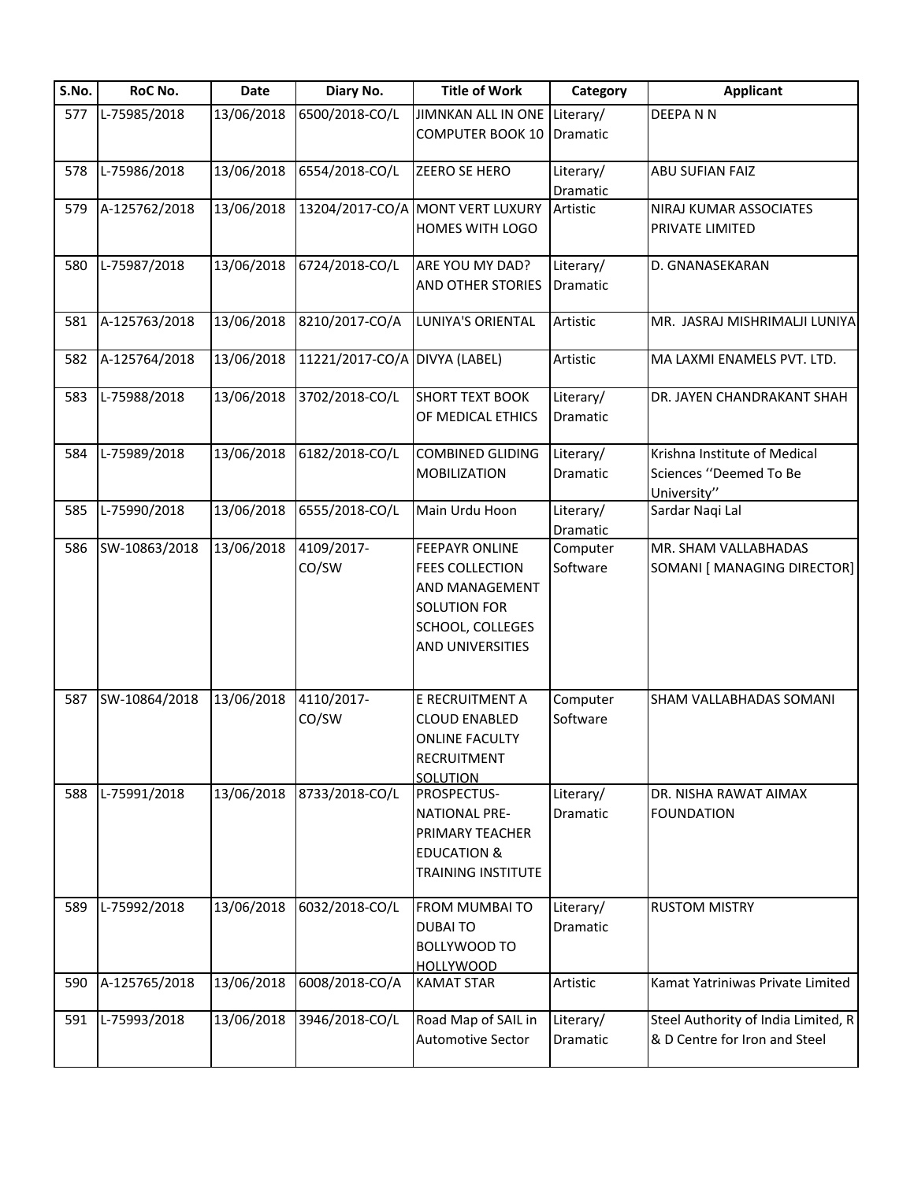| S.No. | RoC No.       | <b>Date</b> | Diary No.                     | <b>Title of Work</b>             | Category              | <b>Applicant</b>                    |
|-------|---------------|-------------|-------------------------------|----------------------------------|-----------------------|-------------------------------------|
| 577   | L-75985/2018  | 13/06/2018  | 6500/2018-CO/L                | JIMNKAN ALL IN ONE Literary/     |                       | DEEPANN                             |
|       |               |             |                               | <b>COMPUTER BOOK 10</b>          | Dramatic              |                                     |
| 578   | L-75986/2018  | 13/06/2018  | 6554/2018-CO/L                | ZEERO SE HERO                    | Literary/             | <b>ABU SUFIAN FAIZ</b>              |
|       |               |             |                               |                                  | Dramatic              |                                     |
| 579   | A-125762/2018 | 13/06/2018  |                               | 13204/2017-CO/A MONT VERT LUXURY | Artistic              | NIRAJ KUMAR ASSOCIATES              |
|       |               |             |                               | HOMES WITH LOGO                  |                       | PRIVATE LIMITED                     |
| 580   | L-75987/2018  | 13/06/2018  | 6724/2018-CO/L                | ARE YOU MY DAD?                  | Literary/             | D. GNANASEKARAN                     |
|       |               |             |                               | AND OTHER STORIES                | Dramatic              |                                     |
| 581   | A-125763/2018 | 13/06/2018  | 8210/2017-CO/A                | LUNIYA'S ORIENTAL                | Artistic              | MR. JASRAJ MISHRIMALJI LUNIYA       |
| 582   | A-125764/2018 | 13/06/2018  | 11221/2017-CO/A DIVYA (LABEL) |                                  | Artistic              | MA LAXMI ENAMELS PVT. LTD.          |
| 583   | L-75988/2018  | 13/06/2018  | 3702/2018-CO/L                | <b>SHORT TEXT BOOK</b>           | Literary/             | DR. JAYEN CHANDRAKANT SHAH          |
|       |               |             |                               | OF MEDICAL ETHICS                | Dramatic              |                                     |
| 584   | L-75989/2018  | 13/06/2018  | 6182/2018-CO/L                | <b>COMBINED GLIDING</b>          | Literary/             | Krishna Institute of Medical        |
|       |               |             |                               | <b>MOBILIZATION</b>              | Dramatic              | Sciences "Deemed To Be              |
|       |               |             |                               |                                  |                       | University"                         |
| 585   | L-75990/2018  | 13/06/2018  | 6555/2018-CO/L                | Main Urdu Hoon                   | Literary/<br>Dramatic | Sardar Naqi Lal                     |
| 586   | SW-10863/2018 | 13/06/2018  | 4109/2017-                    | <b>FEEPAYR ONLINE</b>            | Computer              | MR. SHAM VALLABHADAS                |
|       |               |             | CO/SW                         | <b>FEES COLLECTION</b>           | Software              | SOMANI [ MANAGING DIRECTOR]         |
|       |               |             |                               | <b>AND MANAGEMENT</b>            |                       |                                     |
|       |               |             |                               | <b>SOLUTION FOR</b>              |                       |                                     |
|       |               |             |                               | SCHOOL, COLLEGES                 |                       |                                     |
|       |               |             |                               | AND UNIVERSITIES                 |                       |                                     |
|       |               |             |                               |                                  |                       |                                     |
| 587   | SW-10864/2018 | 13/06/2018  | 4110/2017-                    | E RECRUITMENT A                  | Computer              | SHAM VALLABHADAS SOMANI             |
|       |               |             | CO/SW                         | <b>CLOUD ENABLED</b>             | Software              |                                     |
|       |               |             |                               | <b>ONLINE FACULTY</b>            |                       |                                     |
|       |               |             |                               | <b>RECRUITMENT</b>               |                       |                                     |
| 588   | L-75991/2018  | 13/06/2018  | 8733/2018-CO/L                | <b>SOLUTION</b><br>PROSPECTUS-   | Literary/             | DR. NISHA RAWAT AIMAX               |
|       |               |             |                               | <b>NATIONAL PRE-</b>             | Dramatic              | <b>FOUNDATION</b>                   |
|       |               |             |                               | PRIMARY TEACHER                  |                       |                                     |
|       |               |             |                               | <b>EDUCATION &amp;</b>           |                       |                                     |
|       |               |             |                               | <b>TRAINING INSTITUTE</b>        |                       |                                     |
| 589   | L-75992/2018  | 13/06/2018  | 6032/2018-CO/L                | <b>FROM MUMBAI TO</b>            | Literary/             | <b>RUSTOM MISTRY</b>                |
|       |               |             |                               | <b>DUBAITO</b>                   | Dramatic              |                                     |
|       |               |             |                               | <b>BOLLYWOOD TO</b>              |                       |                                     |
|       |               |             |                               | <b>HOLLYWOOD</b>                 |                       |                                     |
| 590   | A-125765/2018 | 13/06/2018  | 6008/2018-CO/A                | <b>KAMAT STAR</b>                | Artistic              | Kamat Yatriniwas Private Limited    |
| 591   | L-75993/2018  | 13/06/2018  | 3946/2018-CO/L                | Road Map of SAIL in              | Literary/             | Steel Authority of India Limited, R |
|       |               |             |                               | <b>Automotive Sector</b>         | Dramatic              | & D Centre for Iron and Steel       |
|       |               |             |                               |                                  |                       |                                     |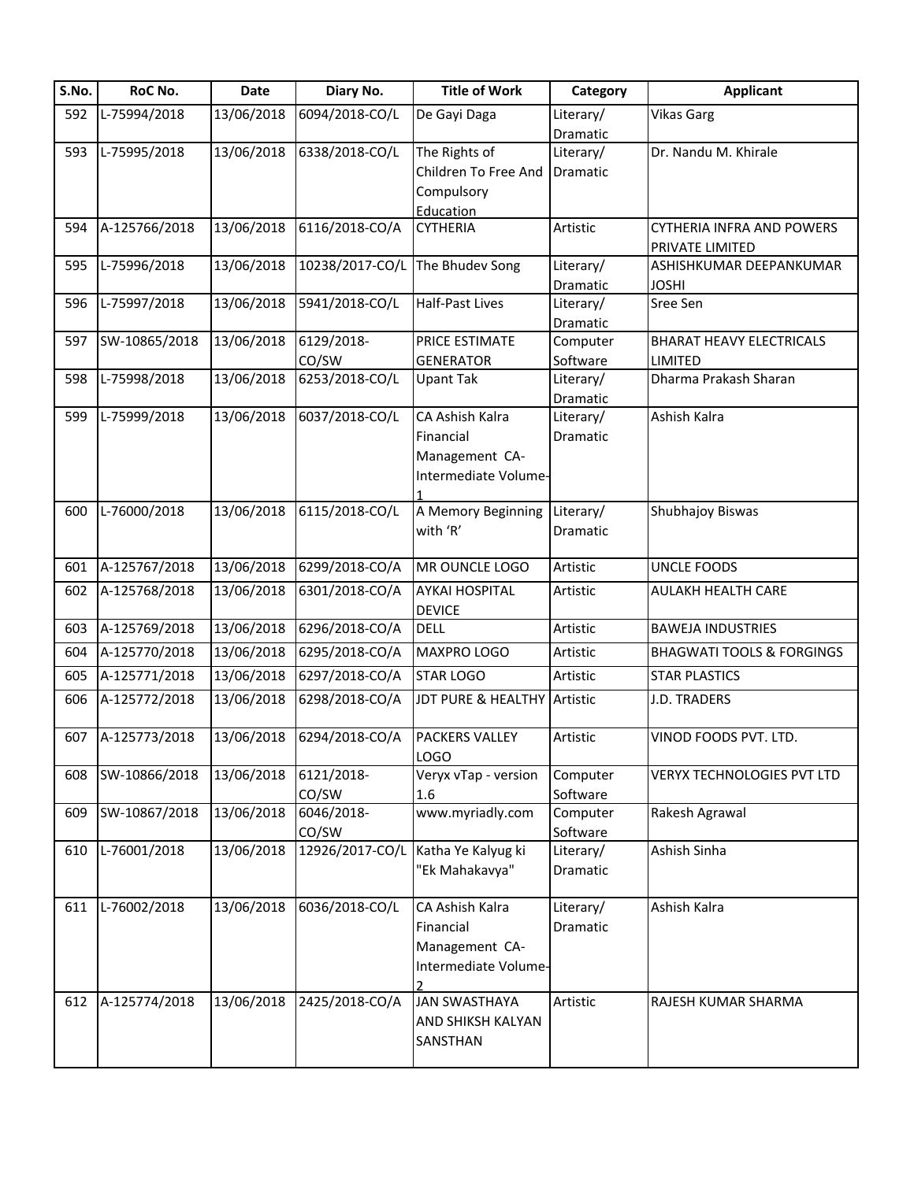| S.No. | RoC No.       | Date       | Diary No.       | <b>Title of Work</b>                   | Category  | <b>Applicant</b>                     |
|-------|---------------|------------|-----------------|----------------------------------------|-----------|--------------------------------------|
| 592   | L-75994/2018  | 13/06/2018 | 6094/2018-CO/L  | De Gayi Daga                           | Literary/ | <b>Vikas Garg</b>                    |
|       |               |            |                 |                                        | Dramatic  |                                      |
| 593   | L-75995/2018  | 13/06/2018 | 6338/2018-CO/L  | The Rights of                          | Literary/ | Dr. Nandu M. Khirale                 |
|       |               |            |                 | Children To Free And                   | Dramatic  |                                      |
|       |               |            |                 | Compulsory                             |           |                                      |
|       |               |            |                 | Education                              |           |                                      |
| 594   | A-125766/2018 | 13/06/2018 | 6116/2018-CO/A  | <b>CYTHERIA</b>                        | Artistic  | <b>CYTHERIA INFRA AND POWERS</b>     |
|       |               |            |                 |                                        |           | PRIVATE LIMITED                      |
| 595   | L-75996/2018  | 13/06/2018 | 10238/2017-CO/L | The Bhudev Song                        | Literary/ | ASHISHKUMAR DEEPANKUMAR              |
|       |               |            |                 |                                        | Dramatic  | JOSHI                                |
| 596   | L-75997/2018  | 13/06/2018 | 5941/2018-CO/L  | Half-Past Lives                        | Literary/ | Sree Sen                             |
|       |               |            |                 |                                        | Dramatic  |                                      |
| 597   | SW-10865/2018 | 13/06/2018 | 6129/2018-      | PRICE ESTIMATE                         | Computer  | <b>BHARAT HEAVY ELECTRICALS</b>      |
|       |               |            | CO/SW           | <b>GENERATOR</b>                       | Software  | LIMITED                              |
| 598   | L-75998/2018  | 13/06/2018 | 6253/2018-CO/L  | <b>Upant Tak</b>                       | Literary/ | Dharma Prakash Sharan                |
|       |               |            |                 |                                        | Dramatic  |                                      |
| 599   | L-75999/2018  | 13/06/2018 | 6037/2018-CO/L  | CA Ashish Kalra                        | Literary/ | Ashish Kalra                         |
|       |               |            |                 | Financial                              | Dramatic  |                                      |
|       |               |            |                 | Management CA-                         |           |                                      |
|       |               |            |                 | Intermediate Volume-                   |           |                                      |
|       |               |            |                 |                                        |           |                                      |
| 600   | L-76000/2018  | 13/06/2018 | 6115/2018-CO/L  | A Memory Beginning                     | Literary/ | Shubhajoy Biswas                     |
|       |               |            |                 | with 'R'                               | Dramatic  |                                      |
|       |               |            |                 |                                        |           |                                      |
| 601   | A-125767/2018 | 13/06/2018 | 6299/2018-CO/A  | MR OUNCLE LOGO                         | Artistic  | <b>UNCLE FOODS</b>                   |
| 602   | A-125768/2018 | 13/06/2018 | 6301/2018-CO/A  | <b>AYKAI HOSPITAL</b><br><b>DEVICE</b> | Artistic  | AULAKH HEALTH CARE                   |
| 603   | A-125769/2018 | 13/06/2018 | 6296/2018-CO/A  | <b>DELL</b>                            | Artistic  | <b>BAWEJA INDUSTRIES</b>             |
| 604   | A-125770/2018 | 13/06/2018 | 6295/2018-CO/A  | MAXPRO LOGO                            | Artistic  | <b>BHAGWATI TOOLS &amp; FORGINGS</b> |
| 605   | A-125771/2018 | 13/06/2018 | 6297/2018-CO/A  | <b>STAR LOGO</b>                       | Artistic  | <b>STAR PLASTICS</b>                 |
| 606   | A-125772/2018 | 13/06/2018 | 6298/2018-CO/A  | JDT PURE & HEALTHY                     | Artistic  | J.D. TRADERS                         |
|       |               |            |                 |                                        |           |                                      |
| 607   | A-125773/2018 | 13/06/2018 | 6294/2018-CO/A  | PACKERS VALLEY                         | Artistic  | VINOD FOODS PVT. LTD.                |
|       |               |            |                 | <b>LOGO</b>                            |           |                                      |
| 608   | SW-10866/2018 | 13/06/2018 | 6121/2018-      | Veryx vTap - version                   | Computer  | <b>VERYX TECHNOLOGIES PVT LTD</b>    |
|       |               |            | CO/SW           | 1.6                                    | Software  |                                      |
| 609   | SW-10867/2018 | 13/06/2018 | 6046/2018-      | www.myriadly.com                       | Computer  | Rakesh Agrawal                       |
|       |               |            | CO/SW           |                                        | Software  |                                      |
| 610   | L-76001/2018  | 13/06/2018 | 12926/2017-CO/L | Katha Ye Kalyug ki                     | Literary/ | Ashish Sinha                         |
|       |               |            |                 | "Ek Mahakavya"                         | Dramatic  |                                      |
|       |               |            |                 |                                        |           |                                      |
| 611   | L-76002/2018  | 13/06/2018 | 6036/2018-CO/L  | CA Ashish Kalra                        | Literary/ | Ashish Kalra                         |
|       |               |            |                 | Financial                              | Dramatic  |                                      |
|       |               |            |                 | Management CA-                         |           |                                      |
|       |               |            |                 | Intermediate Volume-                   |           |                                      |
|       |               |            |                 |                                        |           |                                      |
| 612   | A-125774/2018 | 13/06/2018 | 2425/2018-CO/A  | <b>JAN SWASTHAYA</b>                   | Artistic  | RAJESH KUMAR SHARMA                  |
|       |               |            |                 | AND SHIKSH KALYAN                      |           |                                      |
|       |               |            |                 | SANSTHAN                               |           |                                      |
|       |               |            |                 |                                        |           |                                      |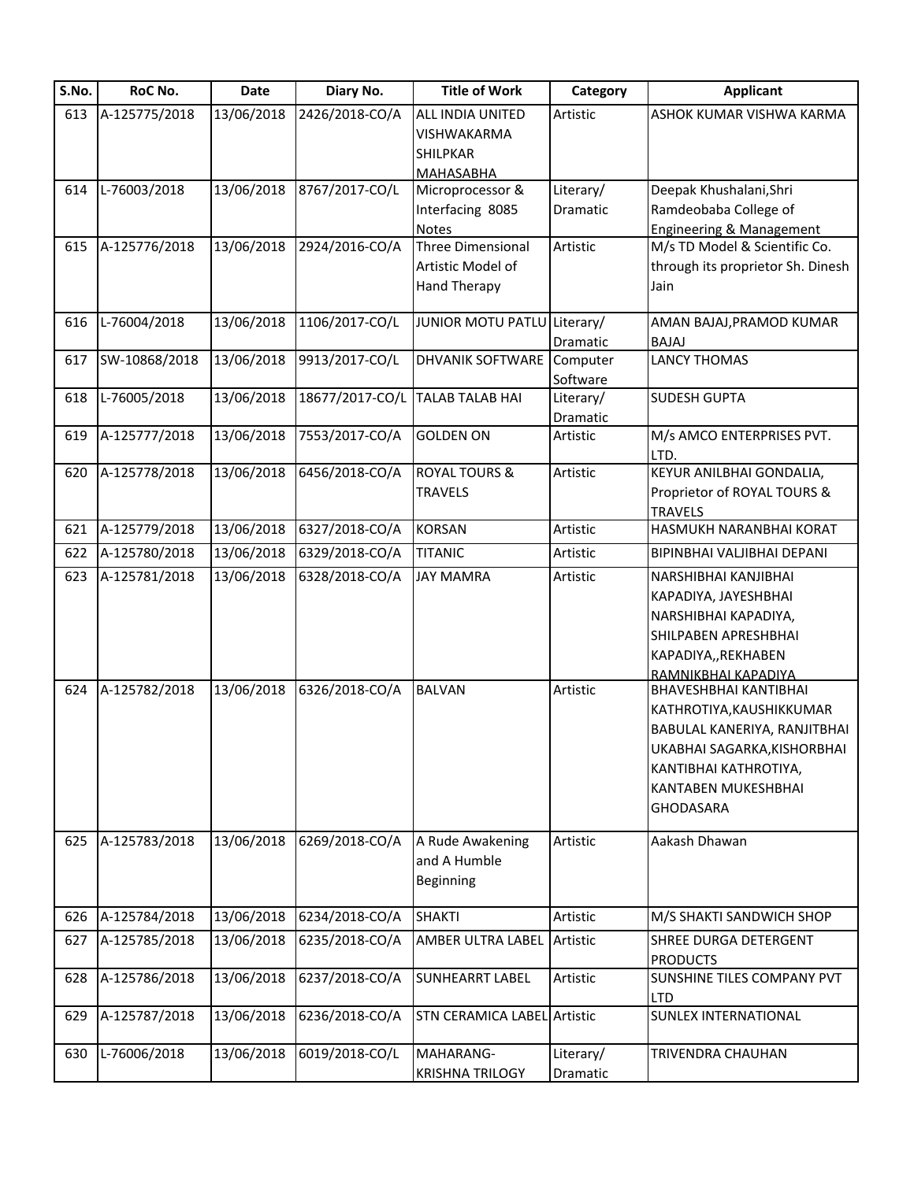| S.No. | RoC No.       | Date       | Diary No.       | <b>Title of Work</b>               | Category  | <b>Applicant</b>                    |
|-------|---------------|------------|-----------------|------------------------------------|-----------|-------------------------------------|
| 613   | A-125775/2018 | 13/06/2018 | 2426/2018-CO/A  | ALL INDIA UNITED                   | Artistic  | ASHOK KUMAR VISHWA KARMA            |
|       |               |            |                 | VISHWAKARMA                        |           |                                     |
|       |               |            |                 | SHILPKAR                           |           |                                     |
|       |               |            |                 | MAHASABHA                          |           |                                     |
| 614   | L-76003/2018  | 13/06/2018 | 8767/2017-CO/L  | Microprocessor &                   | Literary/ | Deepak Khushalani, Shri             |
|       |               |            |                 | Interfacing 8085                   | Dramatic  | Ramdeobaba College of               |
|       |               |            |                 | Notes                              |           | <b>Engineering &amp; Management</b> |
| 615   | A-125776/2018 | 13/06/2018 | 2924/2016-CO/A  | Three Dimensional                  | Artistic  | M/s TD Model & Scientific Co.       |
|       |               |            |                 | Artistic Model of                  |           | through its proprietor Sh. Dinesh   |
|       |               |            |                 | <b>Hand Therapy</b>                |           | Jain                                |
| 616   | L-76004/2018  | 13/06/2018 | 1106/2017-CO/L  | <b>JUNIOR MOTU PATLU</b>           | Literary/ | AMAN BAJAJ, PRAMOD KUMAR            |
|       |               |            |                 |                                    | Dramatic  | BAJAJ                               |
| 617   | SW-10868/2018 | 13/06/2018 | 9913/2017-CO/L  | DHVANIK SOFTWARE                   | Computer  | <b>LANCY THOMAS</b>                 |
|       |               |            |                 |                                    | Software  |                                     |
| 618   | L-76005/2018  | 13/06/2018 | 18677/2017-CO/L | <b>TALAB TALAB HAI</b>             | Literary/ | <b>SUDESH GUPTA</b>                 |
|       |               |            |                 |                                    | Dramatic  |                                     |
| 619   | A-125777/2018 | 13/06/2018 | 7553/2017-CO/A  | <b>GOLDEN ON</b>                   | Artistic  | M/s AMCO ENTERPRISES PVT.           |
|       |               |            |                 |                                    |           | LTD.                                |
| 620   | A-125778/2018 | 13/06/2018 | 6456/2018-CO/A  | <b>ROYAL TOURS &amp;</b>           | Artistic  | KEYUR ANILBHAI GONDALIA,            |
|       |               |            |                 | <b>TRAVELS</b>                     |           | Proprietor of ROYAL TOURS &         |
|       |               |            |                 |                                    |           | <b>TRAVELS</b>                      |
| 621   | A-125779/2018 | 13/06/2018 | 6327/2018-CO/A  | <b>KORSAN</b>                      | Artistic  | HASMUKH NARANBHAI KORAT             |
| 622   | A-125780/2018 | 13/06/2018 | 6329/2018-CO/A  | <b>TITANIC</b>                     | Artistic  | BIPINBHAI VALJIBHAI DEPANI          |
| 623   | A-125781/2018 | 13/06/2018 | 6328/2018-CO/A  | <b>JAY MAMRA</b>                   | Artistic  | NARSHIBHAI KANJIBHAI                |
|       |               |            |                 |                                    |           | KAPADIYA, JAYESHBHAI                |
|       |               |            |                 |                                    |           | NARSHIBHAI KAPADIYA,                |
|       |               |            |                 |                                    |           | SHILPABEN APRESHBHAI                |
|       |               |            |                 |                                    |           | KAPADIYA,, REKHABEN                 |
|       |               |            |                 |                                    |           | RAMNIKBHAI KAPADIYA                 |
| 624   | A-125782/2018 | 13/06/2018 | 6326/2018-CO/A  | <b>BALVAN</b>                      | Artistic  | BHAVESHBHAI KANTIBHAI               |
|       |               |            |                 |                                    |           | KATHROTIYA, KAUSHIKKUMAR            |
|       |               |            |                 |                                    |           | BABULAL KANERIYA, RANJITBHAI        |
|       |               |            |                 |                                    |           | UKABHAI SAGARKA, KISHORBHAI         |
|       |               |            |                 |                                    |           | KANTIBHAI KATHROTIYA,               |
|       |               |            |                 |                                    |           | KANTABEN MUKESHBHAI                 |
|       |               |            |                 |                                    |           | <b>GHODASARA</b>                    |
| 625   | A-125783/2018 | 13/06/2018 | 6269/2018-CO/A  | A Rude Awakening                   | Artistic  | Aakash Dhawan                       |
|       |               |            |                 | and A Humble                       |           |                                     |
|       |               |            |                 | Beginning                          |           |                                     |
|       |               |            |                 |                                    |           |                                     |
| 626   | A-125784/2018 | 13/06/2018 | 6234/2018-CO/A  | <b>SHAKTI</b>                      | Artistic  | M/S SHAKTI SANDWICH SHOP            |
| 627   | A-125785/2018 | 13/06/2018 | 6235/2018-CO/A  | AMBER ULTRA LABEL                  | Artistic  | SHREE DURGA DETERGENT               |
|       |               |            |                 |                                    |           | <b>PRODUCTS</b>                     |
| 628   | A-125786/2018 | 13/06/2018 | 6237/2018-CO/A  | <b>SUNHEARRT LABEL</b>             | Artistic  | SUNSHINE TILES COMPANY PVT          |
|       |               |            |                 |                                    |           | <b>LTD</b>                          |
| 629   | A-125787/2018 | 13/06/2018 | 6236/2018-CO/A  | <b>STN CERAMICA LABEL Artistic</b> |           | <b>SUNLEX INTERNATIONAL</b>         |
| 630   | L-76006/2018  | 13/06/2018 | 6019/2018-CO/L  | MAHARANG-                          | Literary/ | TRIVENDRA CHAUHAN                   |
|       |               |            |                 | <b>KRISHNA TRILOGY</b>             | Dramatic  |                                     |
|       |               |            |                 |                                    |           |                                     |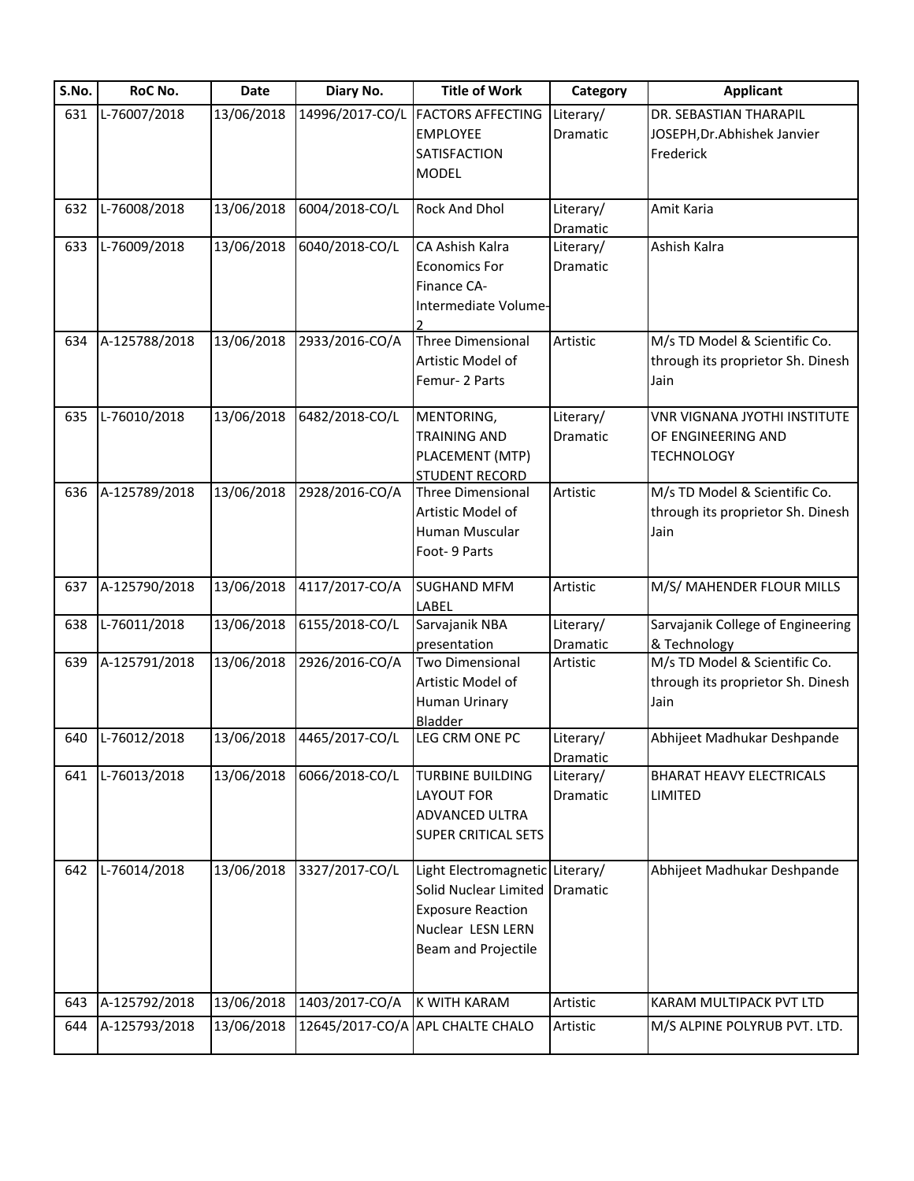| S.No. | RoC No.       | Date       | Diary No.       | <b>Title of Work</b>             | Category  | <b>Applicant</b>                  |
|-------|---------------|------------|-----------------|----------------------------------|-----------|-----------------------------------|
| 631   | L-76007/2018  | 13/06/2018 | 14996/2017-CO/L | <b>FACTORS AFFECTING</b>         | Literary/ | DR. SEBASTIAN THARAPIL            |
|       |               |            |                 | <b>EMPLOYEE</b>                  | Dramatic  | JOSEPH, Dr. Abhishek Janvier      |
|       |               |            |                 | SATISFACTION                     |           | Frederick                         |
|       |               |            |                 | <b>MODEL</b>                     |           |                                   |
| 632   | L-76008/2018  | 13/06/2018 | 6004/2018-CO/L  | Rock And Dhol                    | Literary/ | Amit Karia                        |
|       |               |            |                 |                                  | Dramatic  |                                   |
| 633   | L-76009/2018  | 13/06/2018 | 6040/2018-CO/L  | CA Ashish Kalra                  | Literary/ | Ashish Kalra                      |
|       |               |            |                 | <b>Economics For</b>             | Dramatic  |                                   |
|       |               |            |                 | Finance CA-                      |           |                                   |
|       |               |            |                 | Intermediate Volume-             |           |                                   |
| 634   | A-125788/2018 | 13/06/2018 | 2933/2016-CO/A  | Three Dimensional                | Artistic  | M/s TD Model & Scientific Co.     |
|       |               |            |                 | Artistic Model of                |           | through its proprietor Sh. Dinesh |
|       |               |            |                 | Femur-2 Parts                    |           | Jain                              |
| 635   | L-76010/2018  | 13/06/2018 | 6482/2018-CO/L  | MENTORING,                       | Literary/ | VNR VIGNANA JYOTHI INSTITUTE      |
|       |               |            |                 | <b>TRAINING AND</b>              | Dramatic  | OF ENGINEERING AND                |
|       |               |            |                 | PLACEMENT (MTP)                  |           | <b>TECHNOLOGY</b>                 |
|       |               |            |                 | <b>STUDENT RECORD</b>            |           |                                   |
| 636   | A-125789/2018 | 13/06/2018 | 2928/2016-CO/A  | Three Dimensional                | Artistic  | M/s TD Model & Scientific Co.     |
|       |               |            |                 | Artistic Model of                |           | through its proprietor Sh. Dinesh |
|       |               |            |                 | Human Muscular                   |           | Jain                              |
|       |               |            |                 | Foot- 9 Parts                    |           |                                   |
| 637   | A-125790/2018 | 13/06/2018 | 4117/2017-CO/A  | <b>SUGHAND MFM</b>               | Artistic  | M/S/ MAHENDER FLOUR MILLS         |
|       |               |            |                 | LABEL                            |           |                                   |
| 638   | L-76011/2018  | 13/06/2018 | 6155/2018-CO/L  | Sarvajanik NBA                   | Literary/ | Sarvajanik College of Engineering |
|       |               |            |                 | presentation                     | Dramatic  | & Technology                      |
| 639   | A-125791/2018 | 13/06/2018 | 2926/2016-CO/A  | <b>Two Dimensional</b>           | Artistic  | M/s TD Model & Scientific Co.     |
|       |               |            |                 | Artistic Model of                |           | through its proprietor Sh. Dinesh |
|       |               |            |                 | Human Urinary                    |           | Jain                              |
|       |               |            |                 | Bladder                          |           |                                   |
| 640   | L-76012/2018  | 13/06/2018 | 4465/2017-CO/L  | LEG CRM ONE PC                   | Literary/ | Abhijeet Madhukar Deshpande       |
|       |               |            |                 |                                  | Dramatic  |                                   |
| 641   | L-76013/2018  | 13/06/2018 | 6066/2018-CO/L  | <b>TURBINE BUILDING</b>          | Literary/ | <b>BHARAT HEAVY ELECTRICALS</b>   |
|       |               |            |                 | <b>LAYOUT FOR</b>                | Dramatic  | LIMITED                           |
|       |               |            |                 | ADVANCED ULTRA                   |           |                                   |
|       |               |            |                 | SUPER CRITICAL SETS              |           |                                   |
| 642   | L-76014/2018  | 13/06/2018 | 3327/2017-CO/L  | Light Electromagnetic Literary/  |           | Abhijeet Madhukar Deshpande       |
|       |               |            |                 | Solid Nuclear Limited            | Dramatic  |                                   |
|       |               |            |                 | <b>Exposure Reaction</b>         |           |                                   |
|       |               |            |                 | Nuclear LESN LERN                |           |                                   |
|       |               |            |                 | Beam and Projectile              |           |                                   |
|       |               |            |                 |                                  |           |                                   |
| 643   | A-125792/2018 | 13/06/2018 | 1403/2017-CO/A  | K WITH KARAM                     | Artistic  | KARAM MULTIPACK PVT LTD           |
| 644   | A-125793/2018 | 13/06/2018 |                 | 12645/2017-CO/A APL CHALTE CHALO | Artistic  | M/S ALPINE POLYRUB PVT. LTD.      |
|       |               |            |                 |                                  |           |                                   |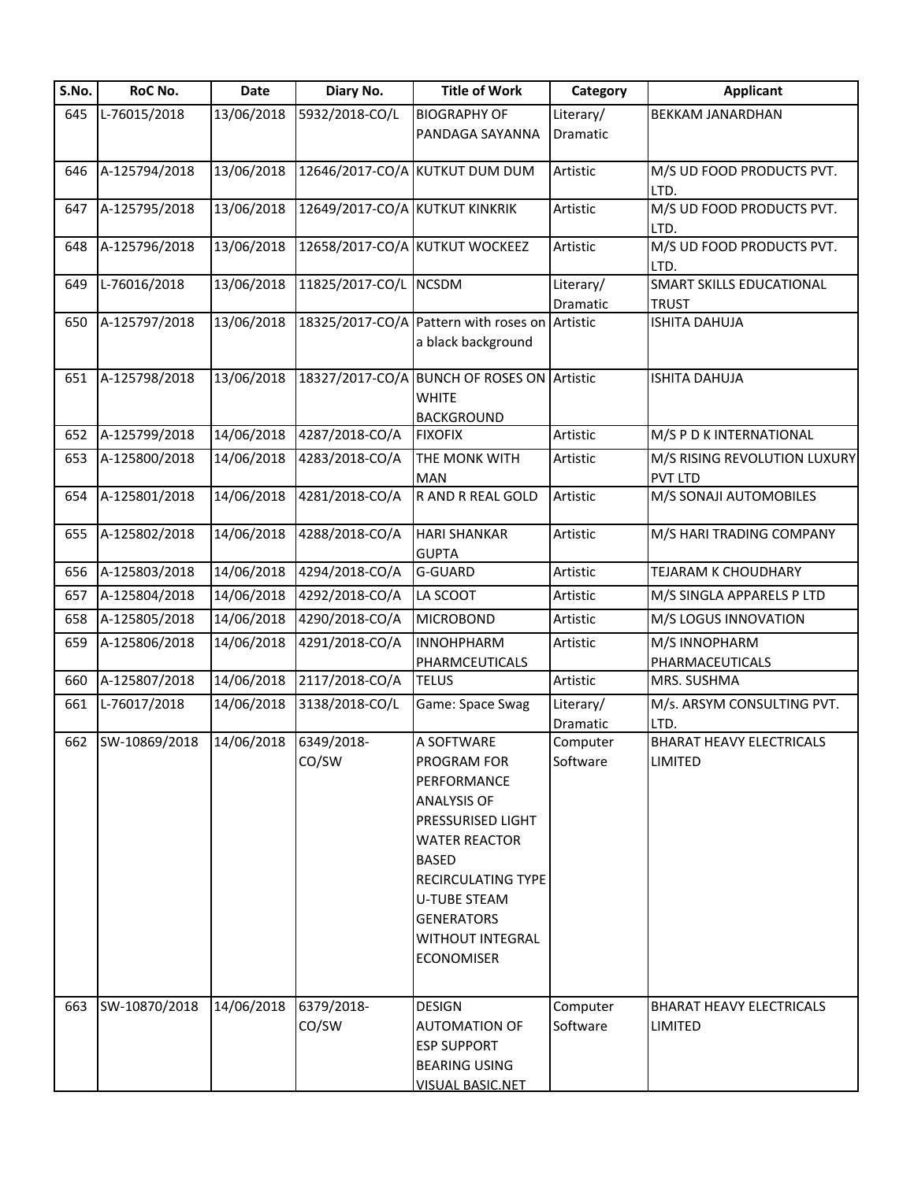| S.No. | RoC No.       | Date       | Diary No.                      | <b>Title of Work</b>                                                                                                                                                                                                                          | Category              | <b>Applicant</b>                                  |
|-------|---------------|------------|--------------------------------|-----------------------------------------------------------------------------------------------------------------------------------------------------------------------------------------------------------------------------------------------|-----------------------|---------------------------------------------------|
| 645   | L-76015/2018  | 13/06/2018 | 5932/2018-CO/L                 | <b>BIOGRAPHY OF</b>                                                                                                                                                                                                                           | Literary/             | <b>BEKKAM JANARDHAN</b>                           |
|       |               |            |                                | PANDAGA SAYANNA                                                                                                                                                                                                                               | Dramatic              |                                                   |
| 646   | A-125794/2018 | 13/06/2018 |                                | 12646/2017-CO/A KUTKUT DUM DUM                                                                                                                                                                                                                | Artistic              | M/S UD FOOD PRODUCTS PVT.<br>LTD.                 |
| 647   | A-125795/2018 | 13/06/2018 | 12649/2017-CO/A KUTKUT KINKRIK |                                                                                                                                                                                                                                               | Artistic              | M/S UD FOOD PRODUCTS PVT.<br>LTD.                 |
| 648   | A-125796/2018 | 13/06/2018 |                                | 12658/2017-CO/A KUTKUT WOCKEEZ                                                                                                                                                                                                                | Artistic              | M/S UD FOOD PRODUCTS PVT.<br>LTD.                 |
| 649   | L-76016/2018  | 13/06/2018 | 11825/2017-CO/L NCSDM          |                                                                                                                                                                                                                                               | Literary/<br>Dramatic | SMART SKILLS EDUCATIONAL<br>TRUST                 |
| 650   | A-125797/2018 | 13/06/2018 |                                | 18325/2017-CO/A Pattern with roses on<br>a black background                                                                                                                                                                                   | Artistic              | <b>ISHITA DAHUJA</b>                              |
| 651   | A-125798/2018 | 13/06/2018 |                                | 18327/2017-CO/A BUNCH OF ROSES ON Artistic<br><b>WHITE</b><br><b>BACKGROUND</b>                                                                                                                                                               |                       | <b>ISHITA DAHUJA</b>                              |
| 652   | A-125799/2018 | 14/06/2018 | 4287/2018-CO/A                 | <b>FIXOFIX</b>                                                                                                                                                                                                                                | Artistic              | M/S P D K INTERNATIONAL                           |
| 653   | A-125800/2018 | 14/06/2018 | 4283/2018-CO/A                 | THE MONK WITH<br><b>MAN</b>                                                                                                                                                                                                                   | Artistic              | M/S RISING REVOLUTION LUXURY<br><b>PVT LTD</b>    |
| 654   | A-125801/2018 | 14/06/2018 | 4281/2018-CO/A                 | R AND R REAL GOLD                                                                                                                                                                                                                             | Artistic              | M/S SONAJI AUTOMOBILES                            |
| 655   | A-125802/2018 | 14/06/2018 | 4288/2018-CO/A                 | <b>HARI SHANKAR</b><br><b>GUPTA</b>                                                                                                                                                                                                           | Artistic              | M/S HARI TRADING COMPANY                          |
| 656   | A-125803/2018 | 14/06/2018 | 4294/2018-CO/A                 | G-GUARD                                                                                                                                                                                                                                       | Artistic              | TEJARAM K CHOUDHARY                               |
| 657   | A-125804/2018 | 14/06/2018 | 4292/2018-CO/A                 | LA SCOOT                                                                                                                                                                                                                                      | Artistic              | M/S SINGLA APPARELS P LTD                         |
| 658   | A-125805/2018 | 14/06/2018 | 4290/2018-CO/A                 | <b>MICROBOND</b>                                                                                                                                                                                                                              | Artistic              | M/S LOGUS INNOVATION                              |
| 659   | A-125806/2018 | 14/06/2018 | 4291/2018-CO/A                 | <b>INNOHPHARM</b><br>PHARMCEUTICALS                                                                                                                                                                                                           | Artistic              | M/S INNOPHARM<br>PHARMACEUTICALS                  |
| 660   | A-125807/2018 | 14/06/2018 | 2117/2018-CO/A                 | <b>TELUS</b>                                                                                                                                                                                                                                  | Artistic              | MRS. SUSHMA                                       |
| 661   | L-76017/2018  | 14/06/2018 | 3138/2018-CO/L                 | Game: Space Swag                                                                                                                                                                                                                              | Literary/<br>Dramatic | M/s. ARSYM CONSULTING PVT.<br>LTD.                |
| 662   | SW-10869/2018 | 14/06/2018 | 6349/2018-<br>CO/SW            | A SOFTWARE<br>PROGRAM FOR<br>PERFORMANCE<br><b>ANALYSIS OF</b><br>PRESSURISED LIGHT<br><b>WATER REACTOR</b><br><b>BASED</b><br><b>RECIRCULATING TYPE</b><br><b>U-TUBE STEAM</b><br><b>GENERATORS</b><br>WITHOUT INTEGRAL<br><b>ECONOMISER</b> | Computer<br>Software  | <b>BHARAT HEAVY ELECTRICALS</b><br><b>LIMITED</b> |
| 663   | SW-10870/2018 | 14/06/2018 | 6379/2018-<br>CO/SW            | <b>DESIGN</b><br>AUTOMATION OF<br><b>ESP SUPPORT</b><br><b>BEARING USING</b><br><b>VISUAL BASIC.NET</b>                                                                                                                                       | Computer<br>Software  | <b>BHARAT HEAVY ELECTRICALS</b><br>LIMITED        |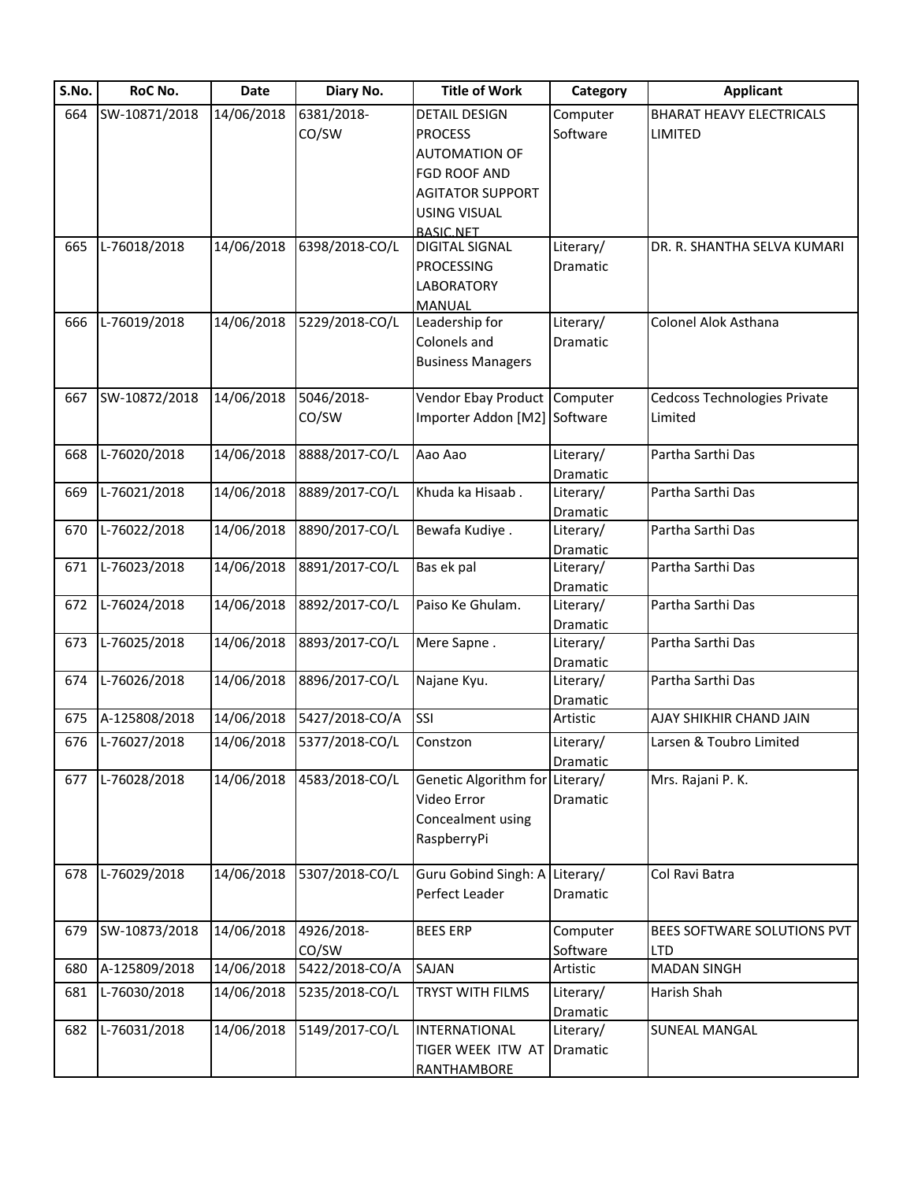| S.No. | RoC No.          | <b>Date</b> | Diary No.      | <b>Title of Work</b>            | Category              | <b>Applicant</b>                    |
|-------|------------------|-------------|----------------|---------------------------------|-----------------------|-------------------------------------|
| 664   | SW-10871/2018    | 14/06/2018  | 6381/2018-     | <b>DETAIL DESIGN</b>            | Computer              | <b>BHARAT HEAVY ELECTRICALS</b>     |
|       |                  |             | CO/SW          | <b>PROCESS</b>                  | Software              | <b>LIMITED</b>                      |
|       |                  |             |                | <b>AUTOMATION OF</b>            |                       |                                     |
|       |                  |             |                | FGD ROOF AND                    |                       |                                     |
|       |                  |             |                | <b>AGITATOR SUPPORT</b>         |                       |                                     |
|       |                  |             |                | <b>USING VISUAL</b>             |                       |                                     |
|       |                  |             |                | <b>BASIC NFT</b>                |                       |                                     |
| 665   | L-76018/2018     | 14/06/2018  | 6398/2018-CO/L | <b>DIGITAL SIGNAL</b>           | Literary/             | DR. R. SHANTHA SELVA KUMARI         |
|       |                  |             |                | <b>PROCESSING</b>               | Dramatic              |                                     |
|       |                  |             |                | <b>LABORATORY</b>               |                       |                                     |
|       |                  |             |                | <b>MANUAL</b>                   |                       |                                     |
| 666   | L-76019/2018     | 14/06/2018  | 5229/2018-CO/L | Leadership for                  | Literary/             | <b>Colonel Alok Asthana</b>         |
|       |                  |             |                | Colonels and                    | Dramatic              |                                     |
|       |                  |             |                | <b>Business Managers</b>        |                       |                                     |
| 667   | SW-10872/2018    | 14/06/2018  | 5046/2018-     | Vendor Ebay Product Computer    |                       | <b>Cedcoss Technologies Private</b> |
|       |                  |             | CO/SW          | Importer Addon [M2] Software    |                       | Limited                             |
|       |                  |             |                |                                 |                       |                                     |
| 668   | L-76020/2018     | 14/06/2018  | 8888/2017-CO/L | Aao Aao                         | Literary/             | Partha Sarthi Das                   |
|       |                  |             |                |                                 | Dramatic              |                                     |
| 669   | L-76021/2018     | 14/06/2018  | 8889/2017-CO/L | Khuda ka Hisaab.                | Literary/             | Partha Sarthi Das                   |
|       |                  |             |                |                                 | Dramatic              |                                     |
| 670   | L-76022/2018     | 14/06/2018  | 8890/2017-CO/L | Bewafa Kudiye.                  | Literary/             | Partha Sarthi Das                   |
|       |                  |             |                |                                 | Dramatic              |                                     |
| 671   | L-76023/2018     | 14/06/2018  | 8891/2017-CO/L | Bas ek pal                      | Literary/             | Partha Sarthi Das                   |
|       |                  |             |                |                                 | Dramatic              |                                     |
| 672   | L-76024/2018     | 14/06/2018  | 8892/2017-CO/L | Paiso Ke Ghulam.                | Literary/             | Partha Sarthi Das                   |
|       |                  |             |                |                                 | Dramatic              |                                     |
| 673   | L-76025/2018     | 14/06/2018  | 8893/2017-CO/L | Mere Sapne.                     | Literary/             | Partha Sarthi Das                   |
| 674   | L-76026/2018     | 14/06/2018  | 8896/2017-CO/L | Najane Kyu.                     | Dramatic<br>Literary/ | Partha Sarthi Das                   |
|       |                  |             |                |                                 | Dramatic              |                                     |
| 675   | A-125808/2018    | 14/06/2018  | 5427/2018-CO/A | SSI                             | Artistic              | AJAY SHIKHIR CHAND JAIN             |
|       | 676 L-76027/2018 | 14/06/2018  | 5377/2018-CO/L | Constzon                        | Literary/             | Larsen & Toubro Limited             |
|       |                  |             |                |                                 | Dramatic              |                                     |
| 677   | L-76028/2018     | 14/06/2018  | 4583/2018-CO/L | Genetic Algorithm for Literary/ |                       | Mrs. Rajani P. K.                   |
|       |                  |             |                | Video Error                     | Dramatic              |                                     |
|       |                  |             |                | Concealment using               |                       |                                     |
|       |                  |             |                | RaspberryPi                     |                       |                                     |
|       |                  |             |                |                                 |                       |                                     |
| 678   | $L-76029/2018$   | 14/06/2018  | 5307/2018-CO/L | Guru Gobind Singh: A Literary/  |                       | Col Ravi Batra                      |
|       |                  |             |                | Perfect Leader                  | Dramatic              |                                     |
| 679   | SW-10873/2018    | 14/06/2018  | 4926/2018-     | <b>BEES ERP</b>                 | Computer              | BEES SOFTWARE SOLUTIONS PVT         |
|       |                  |             | CO/SW          |                                 | Software              | <b>LTD</b>                          |
| 680   | A-125809/2018    | 14/06/2018  | 5422/2018-CO/A | <b>SAJAN</b>                    | Artistic              | <b>MADAN SINGH</b>                  |
| 681   | L-76030/2018     | 14/06/2018  | 5235/2018-CO/L | TRYST WITH FILMS                | Literary/             | Harish Shah                         |
|       |                  |             |                |                                 | Dramatic              |                                     |
| 682   | L-76031/2018     | 14/06/2018  | 5149/2017-CO/L | INTERNATIONAL                   | Literary/             | <b>SUNEAL MANGAL</b>                |
|       |                  |             |                | TIGER WEEK ITW AT               | Dramatic              |                                     |
|       |                  |             |                | RANTHAMBORE                     |                       |                                     |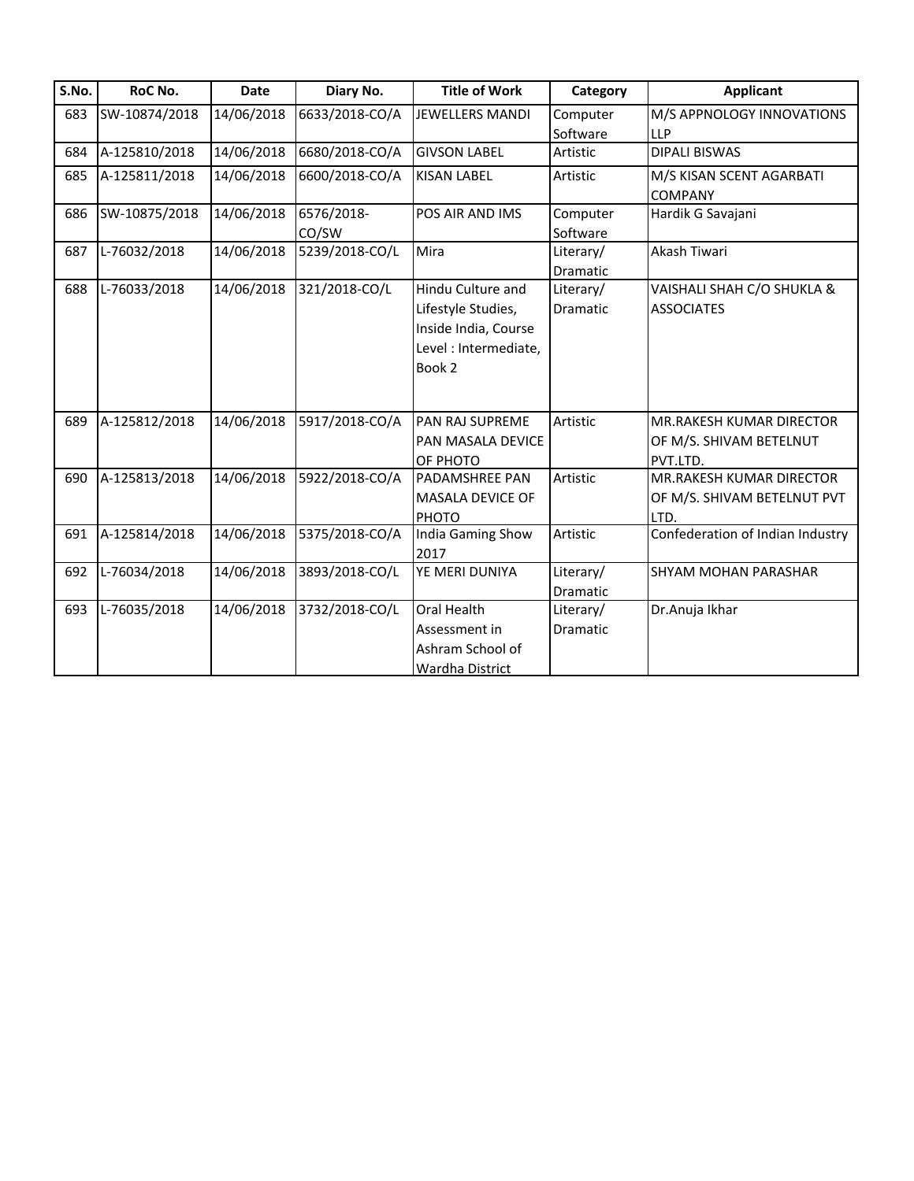| S.No. | RoC No.       | <b>Date</b> | Diary No.      | <b>Title of Work</b>   | Category  | <b>Applicant</b>                 |
|-------|---------------|-------------|----------------|------------------------|-----------|----------------------------------|
| 683   | SW-10874/2018 | 14/06/2018  | 6633/2018-CO/A | <b>JEWELLERS MANDI</b> | Computer  | M/S APPNOLOGY INNOVATIONS        |
|       |               |             |                |                        | Software  | <b>LLP</b>                       |
| 684   | A-125810/2018 | 14/06/2018  | 6680/2018-CO/A | <b>GIVSON LABEL</b>    | Artistic  | <b>DIPALI BISWAS</b>             |
| 685   | A-125811/2018 | 14/06/2018  | 6600/2018-CO/A | <b>KISAN LABEL</b>     | Artistic  | M/S KISAN SCENT AGARBATI         |
|       |               |             |                |                        |           | <b>COMPANY</b>                   |
| 686   | SW-10875/2018 | 14/06/2018  | 6576/2018-     | POS AIR AND IMS        | Computer  | Hardik G Savajani                |
|       |               |             | CO/SW          |                        | Software  |                                  |
| 687   | L-76032/2018  | 14/06/2018  | 5239/2018-CO/L | Mira                   | Literary/ | Akash Tiwari                     |
|       |               |             |                |                        | Dramatic  |                                  |
| 688   | L-76033/2018  | 14/06/2018  | 321/2018-CO/L  | Hindu Culture and      | Literary/ | VAISHALI SHAH C/O SHUKLA &       |
|       |               |             |                | Lifestyle Studies,     | Dramatic  | <b>ASSOCIATES</b>                |
|       |               |             |                | Inside India, Course   |           |                                  |
|       |               |             |                | Level : Intermediate,  |           |                                  |
|       |               |             |                | Book 2                 |           |                                  |
|       |               |             |                |                        |           |                                  |
|       |               |             |                |                        |           |                                  |
| 689   | A-125812/2018 | 14/06/2018  | 5917/2018-CO/A | <b>PAN RAJ SUPREME</b> | Artistic  | MR.RAKESH KUMAR DIRECTOR         |
|       |               |             |                | PAN MASALA DEVICE      |           | OF M/S. SHIVAM BETELNUT          |
|       |               |             |                | OF PHOTO               |           | PVT.LTD.                         |
| 690   | A-125813/2018 | 14/06/2018  | 5922/2018-CO/A | <b>PADAMSHREE PAN</b>  | Artistic  | MR.RAKESH KUMAR DIRECTOR         |
|       |               |             |                | MASALA DEVICE OF       |           | OF M/S. SHIVAM BETELNUT PVT      |
|       |               |             |                | PHOTO                  |           | LTD.                             |
| 691   | A-125814/2018 | 14/06/2018  | 5375/2018-CO/A | India Gaming Show      | Artistic  | Confederation of Indian Industry |
|       |               |             |                | 2017                   |           |                                  |
| 692   | L-76034/2018  | 14/06/2018  | 3893/2018-CO/L | YE MERI DUNIYA         | Literary/ | <b>SHYAM MOHAN PARASHAR</b>      |
|       |               |             |                |                        | Dramatic  |                                  |
| 693   | L-76035/2018  | 14/06/2018  | 3732/2018-CO/L | Oral Health            | Literary/ | Dr.Anuja Ikhar                   |
|       |               |             |                | Assessment in          | Dramatic  |                                  |
|       |               |             |                | Ashram School of       |           |                                  |
|       |               |             |                | <b>Wardha District</b> |           |                                  |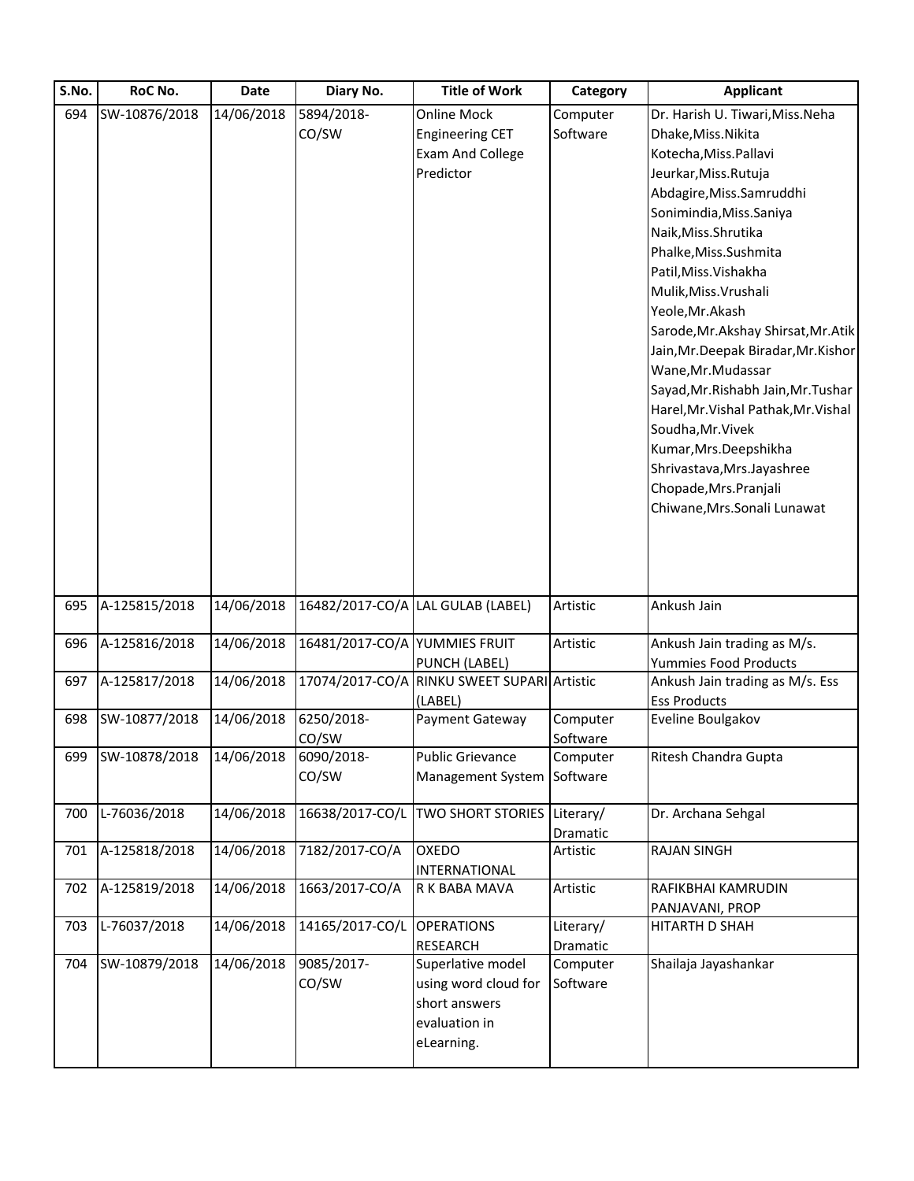| S.No. | RoC No.       | Date       | Diary No.                     | <b>Title of Work</b>              | Category  | <b>Applicant</b>                     |
|-------|---------------|------------|-------------------------------|-----------------------------------|-----------|--------------------------------------|
| 694   | SW-10876/2018 | 14/06/2018 | 5894/2018-                    | <b>Online Mock</b>                | Computer  | Dr. Harish U. Tiwari, Miss. Neha     |
|       |               |            | CO/SW                         | <b>Engineering CET</b>            | Software  | Dhake, Miss. Nikita                  |
|       |               |            |                               | <b>Exam And College</b>           |           | Kotecha, Miss. Pallavi               |
|       |               |            |                               | Predictor                         |           | Jeurkar, Miss. Rutuja                |
|       |               |            |                               |                                   |           | Abdagire, Miss. Samruddhi            |
|       |               |            |                               |                                   |           | Sonimindia, Miss. Saniya             |
|       |               |            |                               |                                   |           | Naik, Miss. Shrutika                 |
|       |               |            |                               |                                   |           | Phalke, Miss. Sushmita               |
|       |               |            |                               |                                   |           | Patil, Miss. Vishakha                |
|       |               |            |                               |                                   |           | Mulik, Miss. Vrushali                |
|       |               |            |                               |                                   |           | Yeole, Mr. Akash                     |
|       |               |            |                               |                                   |           | Sarode, Mr. Akshay Shirsat, Mr. Atik |
|       |               |            |                               |                                   |           | Jain, Mr. Deepak Biradar, Mr. Kishor |
|       |               |            |                               |                                   |           | Wane, Mr. Mudassar                   |
|       |               |            |                               |                                   |           | Sayad, Mr. Rishabh Jain, Mr. Tushar  |
|       |               |            |                               |                                   |           | Harel, Mr. Vishal Pathak, Mr. Vishal |
|       |               |            |                               |                                   |           | Soudha, Mr. Vivek                    |
|       |               |            |                               |                                   |           | Kumar, Mrs. Deepshikha               |
|       |               |            |                               |                                   |           | Shrivastava, Mrs. Jayashree          |
|       |               |            |                               |                                   |           | Chopade, Mrs. Pranjali               |
|       |               |            |                               |                                   |           | Chiwane, Mrs. Sonali Lunawat         |
|       |               |            |                               |                                   |           |                                      |
|       |               |            |                               |                                   |           |                                      |
| 695   | A-125815/2018 | 14/06/2018 |                               | 16482/2017-CO/A LAL GULAB (LABEL) | Artistic  | Ankush Jain                          |
| 696   | A-125816/2018 | 14/06/2018 | 16481/2017-CO/A YUMMIES FRUIT |                                   | Artistic  | Ankush Jain trading as M/s.          |
|       |               |            |                               | PUNCH (LABEL)                     |           | Yummies Food Products                |
| 697   | A-125817/2018 | 14/06/2018 | 17074/2017-CO/A               | RINKU SWEET SUPARI Artistic       |           | Ankush Jain trading as M/s. Ess      |
|       |               |            |                               | (LABEL)                           |           | <b>Ess Products</b>                  |
| 698   | SW-10877/2018 | 14/06/2018 | 6250/2018-                    | Payment Gateway                   | Computer  | Eveline Boulgakov                    |
|       |               |            | CO/SW                         |                                   | Software  |                                      |
| 699   | SW-10878/2018 | 14/06/2018 | 6090/2018-                    | <b>Public Grievance</b>           | Computer  | Ritesh Chandra Gupta                 |
|       |               |            | CO/SW                         | Management System                 | Software  |                                      |
| 700   | L-76036/2018  | 14/06/2018 | 16638/2017-CO/L               | <b>TWO SHORT STORIES</b>          | Literary/ | Dr. Archana Sehgal                   |
|       |               |            |                               |                                   | Dramatic  |                                      |
| 701   | A-125818/2018 | 14/06/2018 | 7182/2017-CO/A                | <b>OXEDO</b>                      | Artistic  | <b>RAJAN SINGH</b>                   |
|       |               |            |                               | INTERNATIONAL                     |           |                                      |
| 702   | A-125819/2018 | 14/06/2018 | 1663/2017-CO/A                | R K BABA MAVA                     | Artistic  | RAFIKBHAI KAMRUDIN                   |
|       |               |            |                               |                                   |           | PANJAVANI, PROP                      |
| 703   | L-76037/2018  | 14/06/2018 | 14165/2017-CO/L               | <b>OPERATIONS</b>                 | Literary/ | HITARTH D SHAH                       |
|       |               |            |                               | <b>RESEARCH</b>                   | Dramatic  |                                      |
| 704   | SW-10879/2018 | 14/06/2018 | 9085/2017-                    | Superlative model                 | Computer  | Shailaja Jayashankar                 |
|       |               |            | CO/SW                         | using word cloud for              | Software  |                                      |
|       |               |            |                               | short answers                     |           |                                      |
|       |               |            |                               |                                   |           |                                      |
|       |               |            |                               | evaluation in<br>eLearning.       |           |                                      |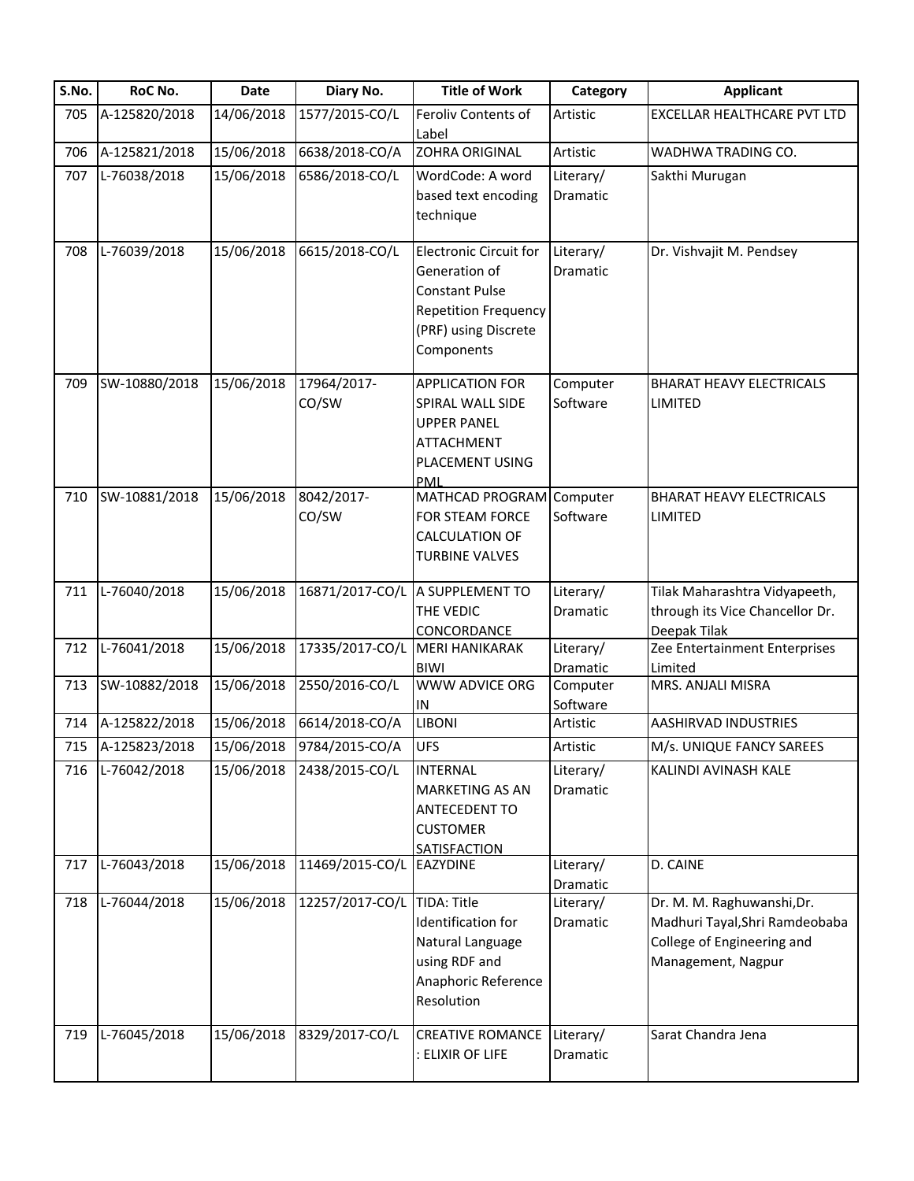| S.No. | RoC No.           | <b>Date</b> | Diary No.                   | <b>Title of Work</b>                                                                                                                         | Category              | <b>Applicant</b>                                                                                                 |
|-------|-------------------|-------------|-----------------------------|----------------------------------------------------------------------------------------------------------------------------------------------|-----------------------|------------------------------------------------------------------------------------------------------------------|
| 705   | A-125820/2018     | 14/06/2018  | 1577/2015-CO/L              | Feroliv Contents of<br>Label                                                                                                                 | Artistic              | EXCELLAR HEALTHCARE PVT LTD                                                                                      |
| 706   | A-125821/2018     | 15/06/2018  | 6638/2018-CO/A              | <b>ZOHRA ORIGINAL</b>                                                                                                                        | Artistic              | WADHWA TRADING CO.                                                                                               |
| 707   | L-76038/2018      | 15/06/2018  | 6586/2018-CO/L              | WordCode: A word<br>based text encoding<br>technique                                                                                         | Literary/<br>Dramatic | Sakthi Murugan                                                                                                   |
| 708   | L-76039/2018      | 15/06/2018  | 6615/2018-CO/L              | <b>Electronic Circuit for</b><br>Generation of<br><b>Constant Pulse</b><br><b>Repetition Frequency</b><br>(PRF) using Discrete<br>Components | Literary/<br>Dramatic | Dr. Vishvajit M. Pendsey                                                                                         |
| 709   | SW-10880/2018     | 15/06/2018  | 17964/2017-<br>CO/SW        | <b>APPLICATION FOR</b><br>SPIRAL WALL SIDE<br><b>UPPER PANEL</b><br><b>ATTACHMENT</b><br>PLACEMENT USING<br>PML                              | Computer<br>Software  | <b>BHARAT HEAVY ELECTRICALS</b><br>LIMITED                                                                       |
| 710   | SW-10881/2018     | 15/06/2018  | 8042/2017-<br>CO/SW         | MATHCAD PROGRAM Computer<br>FOR STEAM FORCE<br><b>CALCULATION OF</b><br><b>TURBINE VALVES</b>                                                | Software              | <b>BHARAT HEAVY ELECTRICALS</b><br>LIMITED                                                                       |
| 711   | L-76040/2018      | 15/06/2018  |                             | 16871/2017-CO/L A SUPPLEMENT TO<br>THE VEDIC<br>CONCORDANCE                                                                                  | Literary/<br>Dramatic | Tilak Maharashtra Vidyapeeth,<br>through its Vice Chancellor Dr.<br>Deepak Tilak                                 |
| 712   | L-76041/2018      | 15/06/2018  | 17335/2017-CO/L             | <b>MERI HANIKARAK</b><br><b>BIWI</b>                                                                                                         | Literary/<br>Dramatic | Zee Entertainment Enterprises<br>Limited                                                                         |
| 713   | SW-10882/2018     | 15/06/2018  | 2550/2016-CO/L              | <b>WWW ADVICE ORG</b><br>${\sf IN}$                                                                                                          | Computer<br>Software  | MRS. ANJALI MISRA                                                                                                |
| 714   | A-125822/2018     | 15/06/2018  | 6614/2018-CO/A              | <b>LIBONI</b>                                                                                                                                | Artistic              | AASHIRVAD INDUSTRIES                                                                                             |
|       | 715 A-125823/2018 | 15/06/2018  | 9784/2015-CO/A              | <b>UFS</b>                                                                                                                                   | Artistic              | M/s. UNIQUE FANCY SAREES                                                                                         |
| 716   | L-76042/2018      | 15/06/2018  | 2438/2015-CO/L              | <b>INTERNAL</b><br><b>MARKETING AS AN</b><br><b>ANTECEDENT TO</b><br><b>CUSTOMER</b><br>SATISFACTION                                         | Literary/<br>Dramatic | KALINDI AVINASH KALE                                                                                             |
| 717   | L-76043/2018      | 15/06/2018  | 11469/2015-CO/L EAZYDINE    |                                                                                                                                              | Literary/<br>Dramatic | D. CAINE                                                                                                         |
| 718   | L-76044/2018      | 15/06/2018  | 12257/2017-CO/L TIDA: Title | Identification for<br>Natural Language<br>using RDF and<br>Anaphoric Reference<br>Resolution                                                 | Literary/<br>Dramatic | Dr. M. M. Raghuwanshi, Dr.<br>Madhuri Tayal, Shri Ramdeobaba<br>College of Engineering and<br>Management, Nagpur |
| 719   | L-76045/2018      | 15/06/2018  | 8329/2017-CO/L              | <b>CREATIVE ROMANCE</b><br>: ELIXIR OF LIFE                                                                                                  | Literary/<br>Dramatic | Sarat Chandra Jena                                                                                               |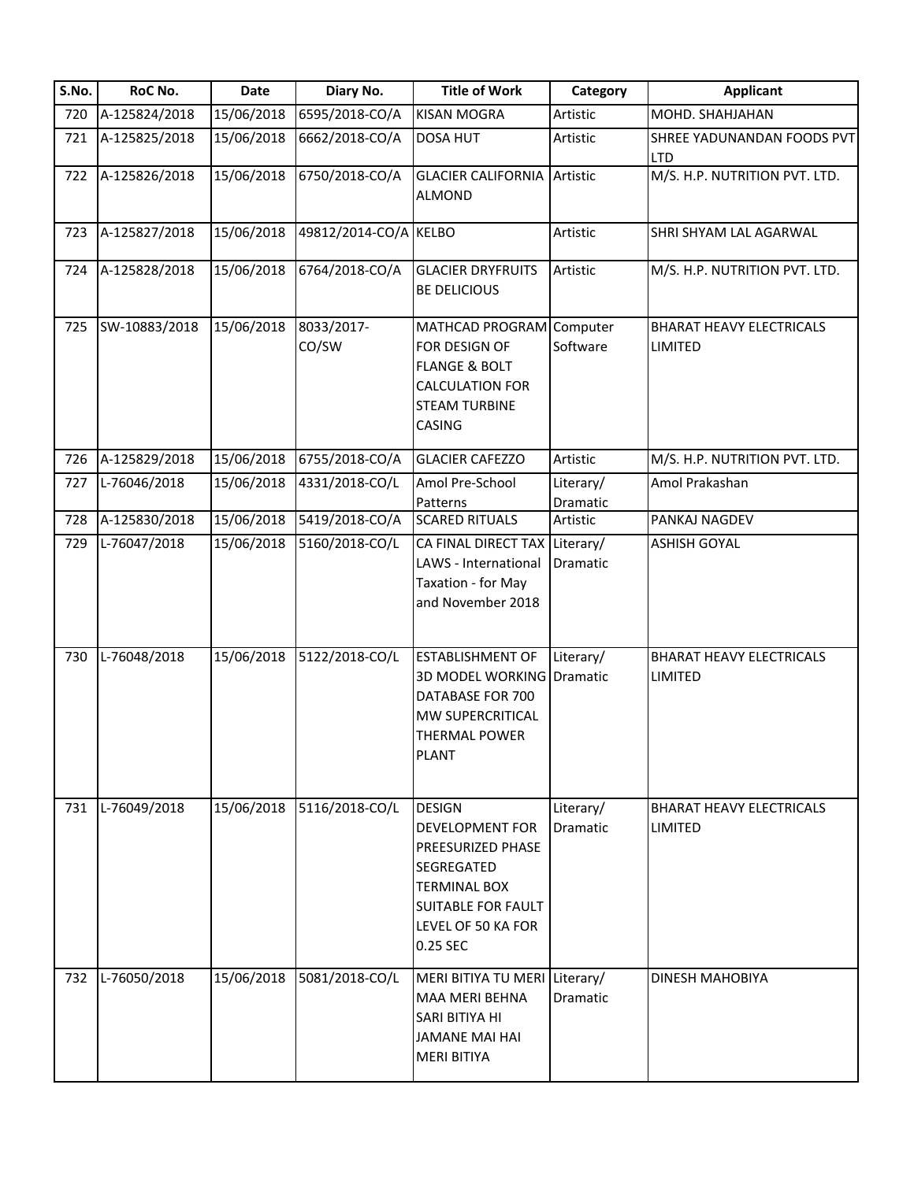| S.No. | RoC No.       | Date       | Diary No.             | <b>Title of Work</b>                                                                                                                                             | Category              | <b>Applicant</b>                           |
|-------|---------------|------------|-----------------------|------------------------------------------------------------------------------------------------------------------------------------------------------------------|-----------------------|--------------------------------------------|
| 720   | A-125824/2018 | 15/06/2018 | 6595/2018-CO/A        | <b>KISAN MOGRA</b>                                                                                                                                               | Artistic              | MOHD. SHAHJAHAN                            |
| 721   | A-125825/2018 | 15/06/2018 | 6662/2018-CO/A        | <b>DOSA HUT</b>                                                                                                                                                  | Artistic              | SHREE YADUNANDAN FOODS PVT<br><b>LTD</b>   |
| 722   | A-125826/2018 | 15/06/2018 | 6750/2018-CO/A        | <b>GLACIER CALIFORNIA</b><br><b>ALMOND</b>                                                                                                                       | Artistic              | M/S. H.P. NUTRITION PVT. LTD.              |
| 723   | A-125827/2018 | 15/06/2018 | 49812/2014-CO/A KELBO |                                                                                                                                                                  | Artistic              | SHRI SHYAM LAL AGARWAL                     |
| 724   | A-125828/2018 | 15/06/2018 | 6764/2018-CO/A        | <b>GLACIER DRYFRUITS</b><br><b>BE DELICIOUS</b>                                                                                                                  | Artistic              | M/S. H.P. NUTRITION PVT. LTD.              |
| 725   | SW-10883/2018 | 15/06/2018 | 8033/2017-<br>CO/SW   | MATHCAD PROGRAM<br>FOR DESIGN OF<br><b>FLANGE &amp; BOLT</b><br><b>CALCULATION FOR</b><br><b>STEAM TURBINE</b><br><b>CASING</b>                                  | Computer<br>Software  | <b>BHARAT HEAVY ELECTRICALS</b><br>LIMITED |
| 726   | A-125829/2018 | 15/06/2018 | 6755/2018-CO/A        | <b>GLACIER CAFEZZO</b>                                                                                                                                           | Artistic              | M/S. H.P. NUTRITION PVT. LTD.              |
| 727   | L-76046/2018  | 15/06/2018 | 4331/2018-CO/L        | Amol Pre-School<br>Patterns                                                                                                                                      | Literary/<br>Dramatic | Amol Prakashan                             |
| 728   | A-125830/2018 | 15/06/2018 | 5419/2018-CO/A        | <b>SCARED RITUALS</b>                                                                                                                                            | Artistic              | PANKAJ NAGDEV                              |
| 729   | L-76047/2018  | 15/06/2018 | 5160/2018-CO/L        | CA FINAL DIRECT TAX<br>LAWS - International<br>Taxation - for May<br>and November 2018                                                                           | Literary/<br>Dramatic | <b>ASHISH GOYAL</b>                        |
| 730   | L-76048/2018  | 15/06/2018 | 5122/2018-CO/L        | <b>ESTABLISHMENT OF</b><br><b>3D MODEL WORKING</b><br>DATABASE FOR 700<br>MW SUPERCRITICAL<br><b>THERMAL POWER</b><br><b>PLANT</b>                               | Literary/<br>Dramatic | <b>BHARAT HEAVY ELECTRICALS</b><br>LIMITED |
| 731   | L-76049/2018  | 15/06/2018 | 5116/2018-CO/L        | <b>DESIGN</b><br><b>DEVELOPMENT FOR</b><br>PREESURIZED PHASE<br>SEGREGATED<br><b>TERMINAL BOX</b><br><b>SUITABLE FOR FAULT</b><br>LEVEL OF 50 KA FOR<br>0.25 SEC | Literary/<br>Dramatic | <b>BHARAT HEAVY ELECTRICALS</b><br>LIMITED |
| 732   | L-76050/2018  | 15/06/2018 | 5081/2018-CO/L        | MERI BITIYA TU MERI Literary/<br>MAA MERI BEHNA<br>SARI BITIYA HI<br><b>JAMANE MAI HAI</b><br><b>MERI BITIYA</b>                                                 | Dramatic              | DINESH MAHOBIYA                            |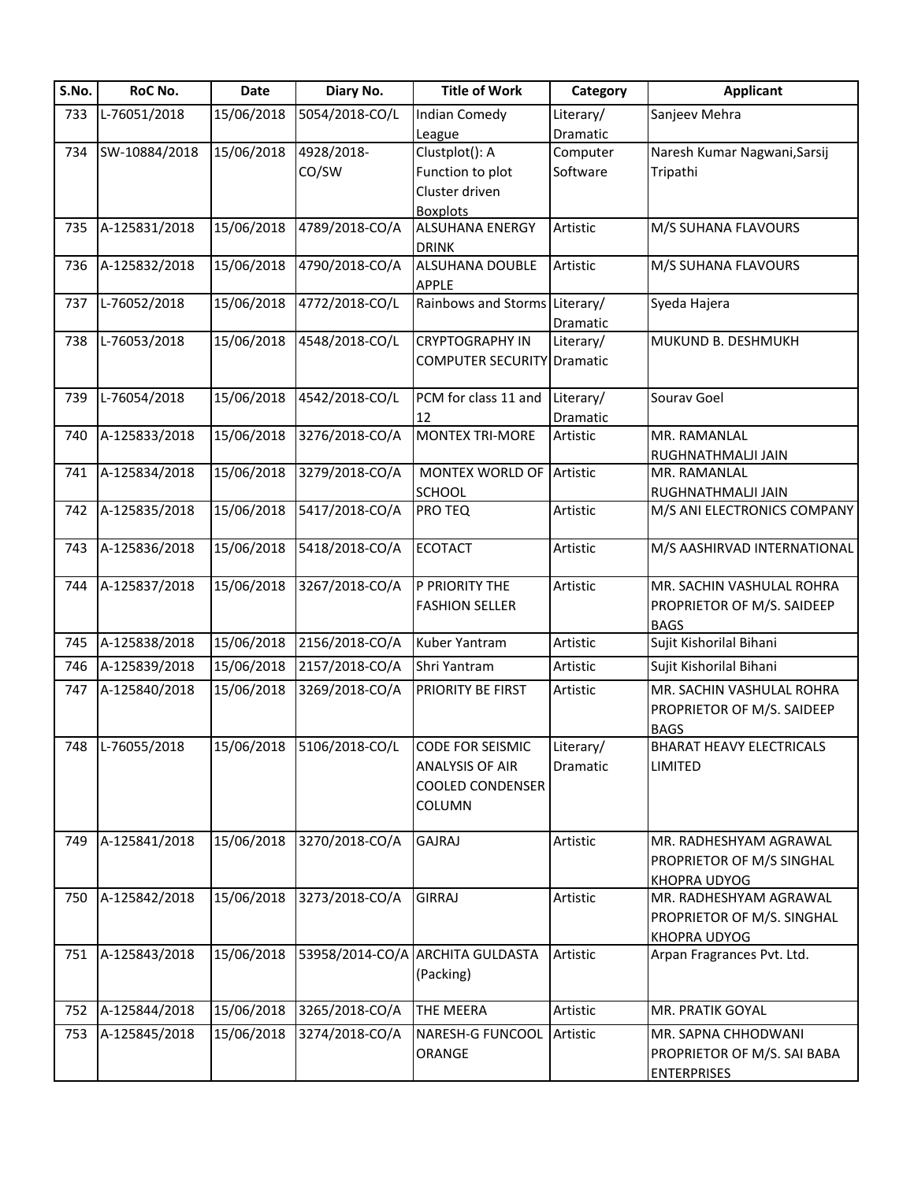| S.No. | RoC No.          | Date       | Diary No.                 | <b>Title of Work</b>              | Category  | <b>Applicant</b>                       |
|-------|------------------|------------|---------------------------|-----------------------------------|-----------|----------------------------------------|
| 733   | L-76051/2018     | 15/06/2018 | 5054/2018-CO/L            | <b>Indian Comedy</b>              | Literary/ | Sanjeev Mehra                          |
|       |                  |            |                           | League                            | Dramatic  |                                        |
| 734   | SW-10884/2018    | 15/06/2018 | 4928/2018-                | Clustplot(): A                    | Computer  | Naresh Kumar Nagwani, Sarsij           |
|       |                  |            | CO/SW                     | Function to plot                  | Software  | Tripathi                               |
|       |                  |            |                           | Cluster driven                    |           |                                        |
|       |                  |            |                           | <b>Boxplots</b>                   |           |                                        |
| 735   | A-125831/2018    | 15/06/2018 | 4789/2018-CO/A            | ALSUHANA ENERGY                   | Artistic  | M/S SUHANA FLAVOURS                    |
|       |                  |            |                           | <b>DRINK</b>                      |           |                                        |
| 736   | A-125832/2018    | 15/06/2018 | 4790/2018-CO/A            | ALSUHANA DOUBLE                   | Artistic  | M/S SUHANA FLAVOURS                    |
|       |                  |            |                           | <b>APPLE</b>                      |           |                                        |
| 737   | L-76052/2018     | 15/06/2018 | 4772/2018-CO/L            | Rainbows and Storms Literary/     |           | Syeda Hajera                           |
|       |                  |            |                           |                                   | Dramatic  |                                        |
| 738   | L-76053/2018     | 15/06/2018 | 4548/2018-CO/L            | <b>CRYPTOGRAPHY IN</b>            | Literary/ | MUKUND B. DESHMUKH                     |
|       |                  |            |                           |                                   |           |                                        |
|       |                  |            |                           | <b>COMPUTER SECURITY Dramatic</b> |           |                                        |
|       |                  |            |                           |                                   |           |                                        |
| 739   | L-76054/2018     | 15/06/2018 | 4542/2018-CO/L            | PCM for class 11 and              | Literary/ | Sourav Goel                            |
|       |                  |            |                           | 12                                | Dramatic  |                                        |
| 740   | A-125833/2018    | 15/06/2018 | 3276/2018-CO/A            | <b>MONTEX TRI-MORE</b>            | Artistic  | MR. RAMANLAL                           |
|       |                  |            |                           |                                   |           | RUGHNATHMALJI JAIN                     |
| 741   | A-125834/2018    | 15/06/2018 | 3279/2018-CO/A            | MONTEX WORLD OF                   | Artistic  | MR. RAMANLAL                           |
|       |                  |            |                           | SCHOOL                            |           | RUGHNATHMALJI JAIN                     |
| 742   | A-125835/2018    | 15/06/2018 | 5417/2018-CO/A            | PRO TEQ                           | Artistic  | M/S ANI ELECTRONICS COMPANY            |
| 743   | A-125836/2018    | 15/06/2018 | 5418/2018-CO/A            | <b>ECOTACT</b>                    | Artistic  | M/S AASHIRVAD INTERNATIONAL            |
|       |                  |            |                           |                                   |           |                                        |
| 744   | A-125837/2018    | 15/06/2018 | 3267/2018-CO/A            | P PRIORITY THE                    | Artistic  | MR. SACHIN VASHULAL ROHRA              |
|       |                  |            |                           | <b>FASHION SELLER</b>             |           | PROPRIETOR OF M/S. SAIDEEP             |
|       |                  |            |                           |                                   |           |                                        |
| 745   | A-125838/2018    | 15/06/2018 | 2156/2018-CO/A            | Kuber Yantram                     | Artistic  | <b>BAGS</b><br>Sujit Kishorilal Bihani |
|       |                  |            |                           |                                   |           |                                        |
| 746   | A-125839/2018    | 15/06/2018 | 2157/2018-CO/A            | Shri Yantram                      | Artistic  | Sujit Kishorilal Bihani                |
| 747   | A-125840/2018    | 15/06/2018 | 3269/2018-CO/A            | PRIORITY BE FIRST                 | Artistic  | MR. SACHIN VASHULAL ROHRA              |
|       |                  |            |                           |                                   |           | PROPRIETOR OF M/S. SAIDEEP             |
|       |                  |            |                           |                                   |           | <b>BAGS</b>                            |
|       | 748 L-76055/2018 |            | 15/06/2018 5106/2018-CO/L | <b>CODE FOR SEISMIC</b>           | Literary/ | <b>BHARAT HEAVY ELECTRICALS</b>        |
|       |                  |            |                           | <b>ANALYSIS OF AIR</b>            | Dramatic  | <b>LIMITED</b>                         |
|       |                  |            |                           | <b>COOLED CONDENSER</b>           |           |                                        |
|       |                  |            |                           | <b>COLUMN</b>                     |           |                                        |
|       |                  |            |                           |                                   |           |                                        |
| 749   | A-125841/2018    | 15/06/2018 | 3270/2018-CO/A            | <b>GAJRAJ</b>                     | Artistic  | MR. RADHESHYAM AGRAWAL                 |
|       |                  |            |                           |                                   |           | PROPRIETOR OF M/S SINGHAL              |
|       |                  |            |                           |                                   |           |                                        |
|       | A-125842/2018    |            |                           |                                   |           | <b>KHOPRA UDYOG</b>                    |
| 750   |                  | 15/06/2018 | 3273/2018-CO/A            | <b>GIRRAJ</b>                     | Artistic  | MR. RADHESHYAM AGRAWAL                 |
|       |                  |            |                           |                                   |           | PROPRIETOR OF M/S. SINGHAL             |
|       |                  |            |                           |                                   |           | <b>KHOPRA UDYOG</b>                    |
| 751   | A-125843/2018    | 15/06/2018 |                           | 53958/2014-CO/A ARCHITA GULDASTA  | Artistic  | Arpan Fragrances Pvt. Ltd.             |
|       |                  |            |                           | (Packing)                         |           |                                        |
|       |                  |            |                           |                                   |           |                                        |
| 752   | A-125844/2018    | 15/06/2018 | 3265/2018-CO/A            | THE MEERA                         | Artistic  | MR. PRATIK GOYAL                       |
| 753   | A-125845/2018    | 15/06/2018 | 3274/2018-CO/A            | <b>NARESH-G FUNCOOL</b>           | Artistic  | MR. SAPNA CHHODWANI                    |
|       |                  |            |                           | ORANGE                            |           | PROPRIETOR OF M/S. SAI BABA            |
|       |                  |            |                           |                                   |           | <b>ENTERPRISES</b>                     |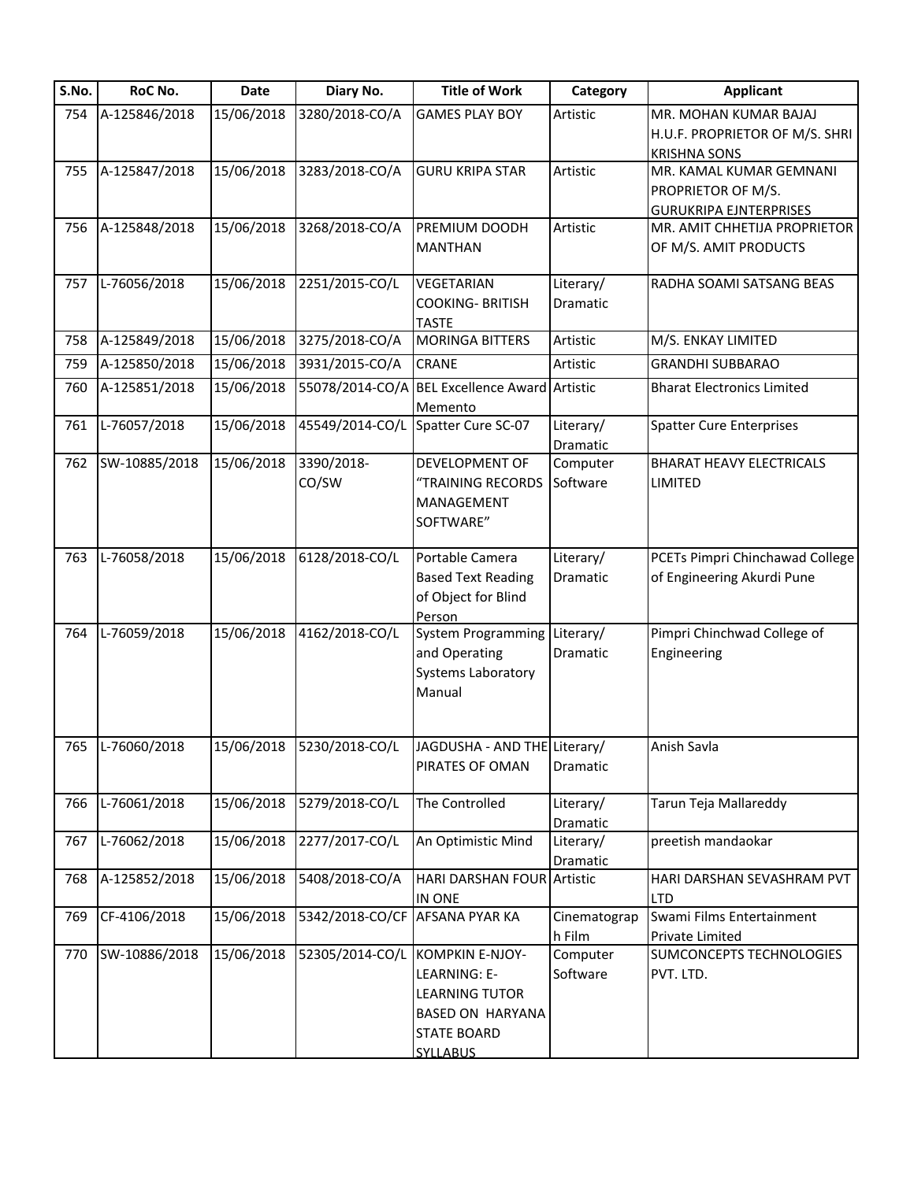| S.No. | RoC No.          | Date       | Diary No.                      | <b>Title of Work</b>                 | Category             | <b>Applicant</b>                                      |
|-------|------------------|------------|--------------------------------|--------------------------------------|----------------------|-------------------------------------------------------|
| 754   | A-125846/2018    | 15/06/2018 | 3280/2018-CO/A                 | <b>GAMES PLAY BOY</b>                | Artistic             | MR. MOHAN KUMAR BAJAJ                                 |
|       |                  |            |                                |                                      |                      | H.U.F. PROPRIETOR OF M/S. SHRI                        |
|       |                  |            |                                |                                      |                      | <b>KRISHNA SONS</b>                                   |
| 755   | A-125847/2018    | 15/06/2018 | 3283/2018-CO/A                 | <b>GURU KRIPA STAR</b>               | Artistic             | MR. KAMAL KUMAR GEMNANI                               |
|       |                  |            |                                |                                      |                      | PROPRIETOR OF M/S.                                    |
|       |                  |            |                                |                                      |                      | <b>GURUKRIPA EJNTERPRISES</b>                         |
| 756   | A-125848/2018    | 15/06/2018 | 3268/2018-CO/A                 | PREMIUM DOODH<br><b>MANTHAN</b>      | Artistic             | MR. AMIT CHHETIJA PROPRIETOR<br>OF M/S. AMIT PRODUCTS |
|       |                  |            |                                |                                      |                      |                                                       |
| 757   | L-76056/2018     | 15/06/2018 | 2251/2015-CO/L                 | <b>VEGETARIAN</b>                    | Literary/            | RADHA SOAMI SATSANG BEAS                              |
|       |                  |            |                                | <b>COOKING- BRITISH</b>              | Dramatic             |                                                       |
|       |                  |            |                                | <b>TASTE</b>                         |                      |                                                       |
| 758   | A-125849/2018    | 15/06/2018 | 3275/2018-CO/A                 | <b>MORINGA BITTERS</b>               | Artistic             | M/S. ENKAY LIMITED                                    |
| 759   | A-125850/2018    | 15/06/2018 | 3931/2015-CO/A                 | CRANE                                | Artistic             | <b>GRANDHI SUBBARAO</b>                               |
| 760   | A-125851/2018    | 15/06/2018 | 55078/2014-CO/A                | <b>BEL Excellence Award Artistic</b> |                      | <b>Bharat Electronics Limited</b>                     |
|       |                  |            |                                | Memento                              |                      |                                                       |
| 761   | L-76057/2018     | 15/06/2018 | 45549/2014-CO/L                | Spatter Cure SC-07                   | Literary/            | <b>Spatter Cure Enterprises</b>                       |
| 762   | SW-10885/2018    | 15/06/2018 | 3390/2018-                     | DEVELOPMENT OF                       | Dramatic<br>Computer | <b>BHARAT HEAVY ELECTRICALS</b>                       |
|       |                  |            | CO/SW                          | "TRAINING RECORDS                    | Software             | LIMITED                                               |
|       |                  |            |                                | MANAGEMENT                           |                      |                                                       |
|       |                  |            |                                | SOFTWARE"                            |                      |                                                       |
|       |                  |            |                                |                                      |                      |                                                       |
| 763   | L-76058/2018     | 15/06/2018 | 6128/2018-CO/L                 | Portable Camera                      | Literary/            | PCETs Pimpri Chinchawad College                       |
|       |                  |            |                                | <b>Based Text Reading</b>            | Dramatic             | of Engineering Akurdi Pune                            |
|       |                  |            |                                | of Object for Blind                  |                      |                                                       |
|       |                  |            |                                | Person                               |                      |                                                       |
| 764   | L-76059/2018     | 15/06/2018 | 4162/2018-CO/L                 | System Programming                   | Literary/            | Pimpri Chinchwad College of                           |
|       |                  |            |                                | and Operating                        | Dramatic             | Engineering                                           |
|       |                  |            |                                | <b>Systems Laboratory</b>            |                      |                                                       |
|       |                  |            |                                | Manual                               |                      |                                                       |
|       |                  |            |                                |                                      |                      |                                                       |
|       | 765 L-76060/2018 |            | 15/06/2018 5230/2018-CO/L      | JAGDUSHA - AND THE Literary/         |                      | Anish Savla                                           |
|       |                  |            |                                | PIRATES OF OMAN                      | Dramatic             |                                                       |
| 766   | L-76061/2018     | 15/06/2018 | 5279/2018-CO/L                 | The Controlled                       | Literary/            | Tarun Teja Mallareddy                                 |
|       |                  |            |                                |                                      | Dramatic             |                                                       |
| 767   | L-76062/2018     | 15/06/2018 | 2277/2017-CO/L                 | An Optimistic Mind                   | Literary/            | preetish mandaokar                                    |
|       |                  |            |                                |                                      | Dramatic             |                                                       |
| 768   | A-125852/2018    | 15/06/2018 | 5408/2018-CO/A                 | HARI DARSHAN FOUR Artistic           |                      | HARI DARSHAN SEVASHRAM PVT                            |
|       |                  |            |                                | IN ONE                               |                      | <b>LTD</b>                                            |
| 769   | CF-4106/2018     | 15/06/2018 | 5342/2018-CO/CF AFSANA PYAR KA |                                      | Cinematograp         | Swami Films Entertainment                             |
|       |                  |            |                                |                                      | h Film               | Private Limited                                       |
| 770   | SW-10886/2018    | 15/06/2018 | 52305/2014-CO/L                | KOMPKIN E-NJOY-                      | Computer             | SUMCONCEPTS TECHNOLOGIES                              |
|       |                  |            |                                | LEARNING: E-                         | Software             | PVT. LTD.                                             |
|       |                  |            |                                | <b>LEARNING TUTOR</b>                |                      |                                                       |
|       |                  |            |                                | BASED ON HARYANA                     |                      |                                                       |
|       |                  |            |                                | <b>STATE BOARD</b>                   |                      |                                                       |
|       |                  |            |                                | <b>SYLLABUS</b>                      |                      |                                                       |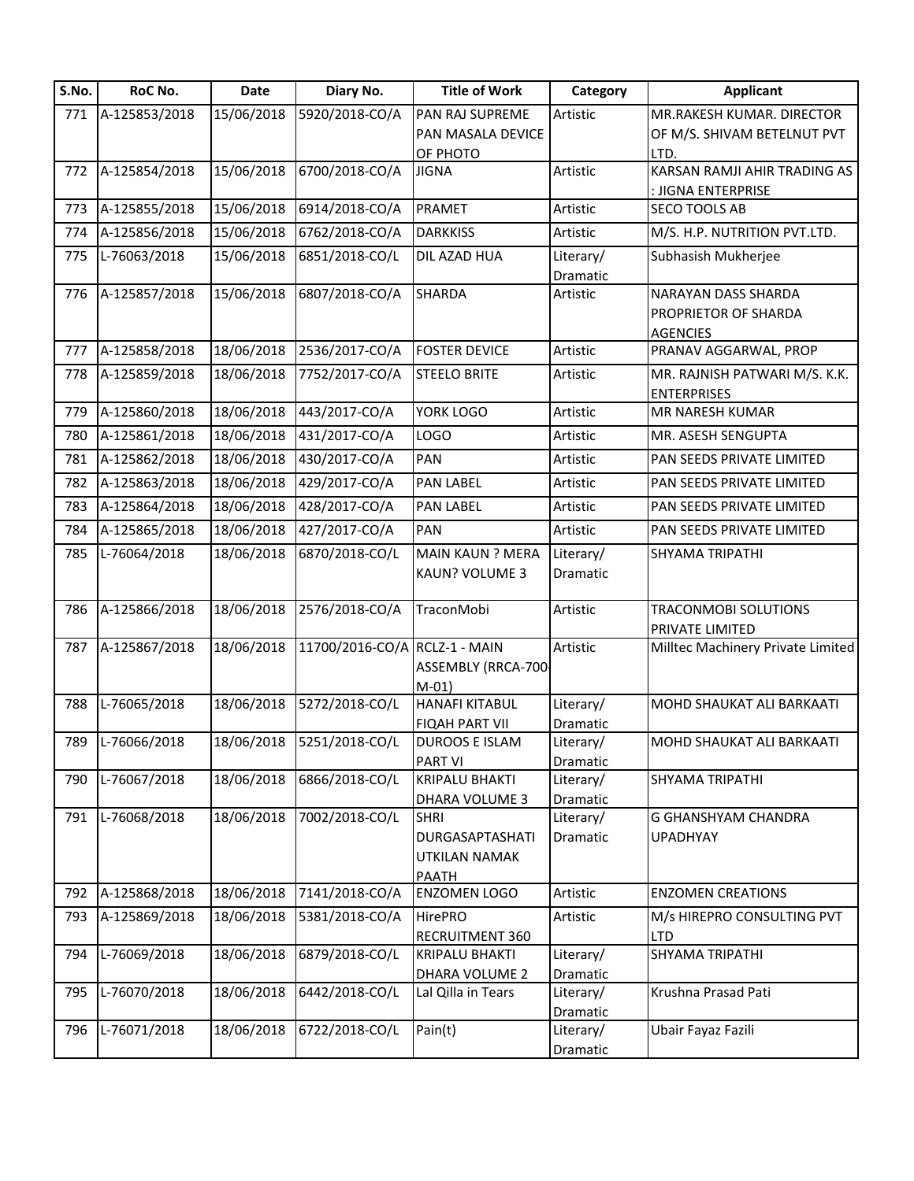| S.No. | RoC No.       | <b>Date</b> | Diary No.                     | <b>Title of Work</b>                      | Category              | <b>Applicant</b>                                               |
|-------|---------------|-------------|-------------------------------|-------------------------------------------|-----------------------|----------------------------------------------------------------|
| 771   | A-125853/2018 | 15/06/2018  | 5920/2018-CO/A                | PAN RAJ SUPREME                           | Artistic              | MR.RAKESH KUMAR. DIRECTOR                                      |
|       |               |             |                               | PAN MASALA DEVICE                         |                       | OF M/S. SHIVAM BETELNUT PVT                                    |
|       |               |             |                               | OF PHOTO                                  |                       | LTD.                                                           |
| 772   | A-125854/2018 | 15/06/2018  | 6700/2018-CO/A                | <b>JIGNA</b>                              | Artistic              | KARSAN RAMJI AHIR TRADING AS                                   |
|       |               |             |                               |                                           |                       | : JIGNA ENTERPRISE                                             |
| 773   | A-125855/2018 | 15/06/2018  | 6914/2018-CO/A                | PRAMET                                    | Artistic              | <b>SECO TOOLS AB</b>                                           |
| 774   | A-125856/2018 | 15/06/2018  | 6762/2018-CO/A                | <b>DARKKISS</b>                           | Artistic              | M/S. H.P. NUTRITION PVT.LTD.                                   |
| 775   | L-76063/2018  | 15/06/2018  | 6851/2018-CO/L                | DIL AZAD HUA                              | Literary/<br>Dramatic | Subhasish Mukherjee                                            |
| 776   | A-125857/2018 | 15/06/2018  | 6807/2018-CO/A                | <b>SHARDA</b>                             | Artistic              | NARAYAN DASS SHARDA<br>PROPRIETOR OF SHARDA<br><b>AGENCIES</b> |
| 777   | A-125858/2018 | 18/06/2018  | 2536/2017-CO/A                | <b>FOSTER DEVICE</b>                      | Artistic              | PRANAV AGGARWAL, PROP                                          |
| 778   | A-125859/2018 | 18/06/2018  | 7752/2017-CO/A                | <b>STEELO BRITE</b>                       | Artistic              | MR. RAJNISH PATWARI M/S. K.K.                                  |
|       |               |             |                               |                                           |                       | <b>ENTERPRISES</b>                                             |
| 779   | A-125860/2018 | 18/06/2018  | 443/2017-CO/A                 | YORK LOGO                                 | Artistic              | MR NARESH KUMAR                                                |
| 780   | A-125861/2018 | 18/06/2018  | 431/2017-CO/A                 | <b>LOGO</b>                               | Artistic              | MR. ASESH SENGUPTA                                             |
| 781   | A-125862/2018 | 18/06/2018  | 430/2017-CO/A                 | PAN                                       | Artistic              | PAN SEEDS PRIVATE LIMITED                                      |
| 782   | A-125863/2018 | 18/06/2018  | 429/2017-CO/A                 | <b>PAN LABEL</b>                          | Artistic              | PAN SEEDS PRIVATE LIMITED                                      |
| 783   | A-125864/2018 | 18/06/2018  | 428/2017-CO/A                 | <b>PAN LABEL</b>                          | Artistic              | PAN SEEDS PRIVATE LIMITED                                      |
| 784   | A-125865/2018 | 18/06/2018  | 427/2017-CO/A                 | PAN                                       | Artistic              | PAN SEEDS PRIVATE LIMITED                                      |
| 785   | L-76064/2018  | 18/06/2018  | 6870/2018-CO/L                | <b>MAIN KAUN ? MERA</b>                   | Literary/             | <b>SHYAMA TRIPATHI</b>                                         |
|       |               |             |                               | KAUN? VOLUME 3                            | Dramatic              |                                                                |
| 786   | A-125866/2018 | 18/06/2018  | 2576/2018-CO/A                | TraconMobi                                | Artistic              | <b>TRACONMOBI SOLUTIONS</b><br><b>PRIVATE LIMITED</b>          |
| 787   | A-125867/2018 | 18/06/2018  | 11700/2016-CO/A RCLZ-1 - MAIN | ASSEMBLY (RRCA-700-<br>$M-01)$            | Artistic              | Milltec Machinery Private Limited                              |
| 788   | L-76065/2018  | 18/06/2018  | 5272/2018-CO/L                | <b>HANAFI KITABUL</b>                     | Literary/             | MOHD SHAUKAT ALI BARKAATI                                      |
|       |               |             |                               | <b>FIQAH PART VII</b>                     | Dramatic              |                                                                |
| 789   | L-76066/2018  |             | 18/06/2018 5251/2018-CO/L     | <b>DUROOS E ISLAM</b>                     | Literary/             | MOHD SHAUKAT ALI BARKAATI                                      |
|       |               |             |                               | <b>PART VI</b>                            | Dramatic              |                                                                |
| 790   | L-76067/2018  | 18/06/2018  | 6866/2018-CO/L                | <b>KRIPALU BHAKTI</b>                     | Literary/             | SHYAMA TRIPATHI                                                |
| 791   | L-76068/2018  | 18/06/2018  | 7002/2018-CO/L                | <b>DHARA VOLUME 3</b><br><b>SHRI</b>      | Dramatic<br>Literary/ | <b>G GHANSHYAM CHANDRA</b>                                     |
|       |               |             |                               | DURGASAPTASHATI<br>UTKILAN NAMAK<br>PAATH | Dramatic              | <b>UPADHYAY</b>                                                |
| 792   | A-125868/2018 | 18/06/2018  | 7141/2018-CO/A                | <b>ENZOMEN LOGO</b>                       | Artistic              | <b>ENZOMEN CREATIONS</b>                                       |
| 793   | A-125869/2018 | 18/06/2018  | 5381/2018-CO/A                | <b>HirePRO</b><br>RECRUITMENT 360         | Artistic              | M/s HIREPRO CONSULTING PVT<br><b>LTD</b>                       |
| 794   | L-76069/2018  | 18/06/2018  | 6879/2018-CO/L                | <b>KRIPALU BHAKTI</b>                     | Literary/             | SHYAMA TRIPATHI                                                |
|       |               |             |                               | DHARA VOLUME 2                            | Dramatic              |                                                                |
| 795   | L-76070/2018  | 18/06/2018  | 6442/2018-CO/L                | Lal Qilla in Tears                        | Literary/             | Krushna Prasad Pati                                            |
| 796   | L-76071/2018  | 18/06/2018  | 6722/2018-CO/L                | Pain(t)                                   | Dramatic<br>Literary/ | Ubair Fayaz Fazili                                             |
|       |               |             |                               |                                           |                       |                                                                |
|       |               |             |                               |                                           | Dramatic              |                                                                |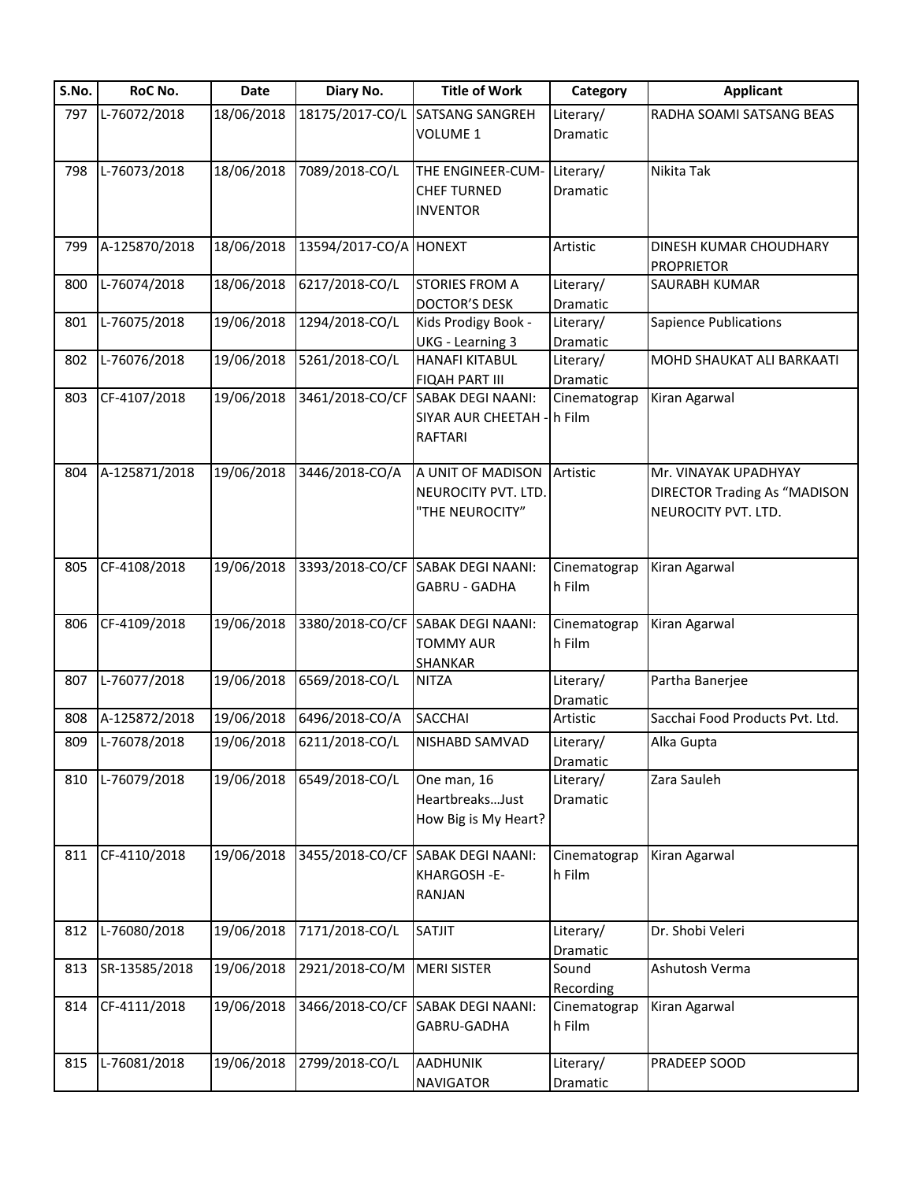| S.No. | RoC No.       | <b>Date</b> | Diary No.              | <b>Title of Work</b>              | Category     | <b>Applicant</b>                    |
|-------|---------------|-------------|------------------------|-----------------------------------|--------------|-------------------------------------|
| 797   | L-76072/2018  | 18/06/2018  | 18175/2017-CO/L        | <b>SATSANG SANGREH</b>            | Literary/    | RADHA SOAMI SATSANG BEAS            |
|       |               |             |                        | VOLUME 1                          | Dramatic     |                                     |
| 798   | L-76073/2018  | 18/06/2018  | 7089/2018-CO/L         | THE ENGINEER-CUM-                 | Literary/    | Nikita Tak                          |
|       |               |             |                        | <b>CHEF TURNED</b>                | Dramatic     |                                     |
|       |               |             |                        | <b>INVENTOR</b>                   |              |                                     |
| 799   | A-125870/2018 | 18/06/2018  | 13594/2017-CO/A HONEXT |                                   | Artistic     | DINESH KUMAR CHOUDHARY              |
|       |               |             |                        |                                   |              | <b>PROPRIETOR</b>                   |
| 800   | L-76074/2018  | 18/06/2018  | 6217/2018-CO/L         | <b>STORIES FROM A</b>             | Literary/    | SAURABH KUMAR                       |
|       |               |             |                        | <b>DOCTOR'S DESK</b>              | Dramatic     |                                     |
| 801   | L-76075/2018  | 19/06/2018  | 1294/2018-CO/L         | Kids Prodigy Book -               | Literary/    | <b>Sapience Publications</b>        |
|       |               |             |                        | <b>UKG</b> - Learning 3           | Dramatic     |                                     |
| 802   | L-76076/2018  | 19/06/2018  | 5261/2018-CO/L         | <b>HANAFI KITABUL</b>             | Literary/    | MOHD SHAUKAT ALI BARKAATI           |
|       |               |             |                        | <b>FIQAH PART III</b>             | Dramatic     |                                     |
| 803   | CF-4107/2018  | 19/06/2018  |                        | 3461/2018-CO/CF SABAK DEGI NAANI: | Cinematograp | Kiran Agarwal                       |
|       |               |             |                        | SIYAR AUR CHEETAH - h Film        |              |                                     |
|       |               |             |                        | <b>RAFTARI</b>                    |              |                                     |
| 804   | A-125871/2018 | 19/06/2018  | 3446/2018-CO/A         | A UNIT OF MADISON                 | Artistic     | Mr. VINAYAK UPADHYAY                |
|       |               |             |                        | NEUROCITY PVT. LTD.               |              | <b>DIRECTOR Trading As "MADISON</b> |
|       |               |             |                        | "THE NEUROCITY"                   |              | NEUROCITY PVT. LTD.                 |
|       |               |             |                        |                                   |              |                                     |
| 805   | CF-4108/2018  | 19/06/2018  | 3393/2018-CO/CF        | <b>SABAK DEGI NAANI:</b>          | Cinematograp | Kiran Agarwal                       |
|       |               |             |                        | GABRU - GADHA                     | h Film       |                                     |
|       |               |             |                        |                                   |              |                                     |
| 806   | CF-4109/2018  | 19/06/2018  |                        | 3380/2018-CO/CF SABAK DEGI NAANI: | Cinematograp | Kiran Agarwal                       |
|       |               |             |                        | <b>TOMMY AUR</b>                  | h Film       |                                     |
|       |               |             |                        | <b>SHANKAR</b>                    |              |                                     |
| 807   | L-76077/2018  | 19/06/2018  | 6569/2018-CO/L         | <b>NITZA</b>                      | Literary/    | Partha Banerjee                     |
|       |               |             |                        |                                   | Dramatic     |                                     |
| 808   | A-125872/2018 | 19/06/2018  | 6496/2018-CO/A         | <b>SACCHAI</b>                    | Artistic     | Sacchai Food Products Pvt. Ltd.     |
| 809   | L-76078/2018  | 19/06/2018  | 6211/2018-CO/L         | NISHABD SAMVAD                    | Literary/    | Alka Gupta                          |
|       |               |             |                        |                                   | Dramatic     |                                     |
| 810   | L-76079/2018  | 19/06/2018  | 6549/2018-CO/L         | One man, 16                       | Literary/    | Zara Sauleh                         |
|       |               |             |                        | HeartbreaksJust                   | Dramatic     |                                     |
|       |               |             |                        | How Big is My Heart?              |              |                                     |
| 811   | CF-4110/2018  | 19/06/2018  |                        | 3455/2018-CO/CF SABAK DEGI NAANI: | Cinematograp | Kiran Agarwal                       |
|       |               |             |                        | KHARGOSH - E-                     | h Film       |                                     |
|       |               |             |                        | RANJAN                            |              |                                     |
| 812   | L-76080/2018  | 19/06/2018  | 7171/2018-CO/L         | SATJIT                            | Literary/    | Dr. Shobi Veleri                    |
|       |               |             |                        |                                   | Dramatic     |                                     |
| 813   | SR-13585/2018 | 19/06/2018  | 2921/2018-CO/M         | <b>MERI SISTER</b>                | Sound        | Ashutosh Verma                      |
|       |               |             |                        |                                   | Recording    |                                     |
| 814   | CF-4111/2018  | 19/06/2018  | 3466/2018-CO/CF        | SABAK DEGI NAANI:                 | Cinematograp | Kiran Agarwal                       |
|       |               |             |                        | GABRU-GADHA                       | h Film       |                                     |
| 815   | L-76081/2018  | 19/06/2018  | 2799/2018-CO/L         | <b>AADHUNIK</b>                   | Literary/    | PRADEEP SOOD                        |
|       |               |             |                        | <b>NAVIGATOR</b>                  | Dramatic     |                                     |
|       |               |             |                        |                                   |              |                                     |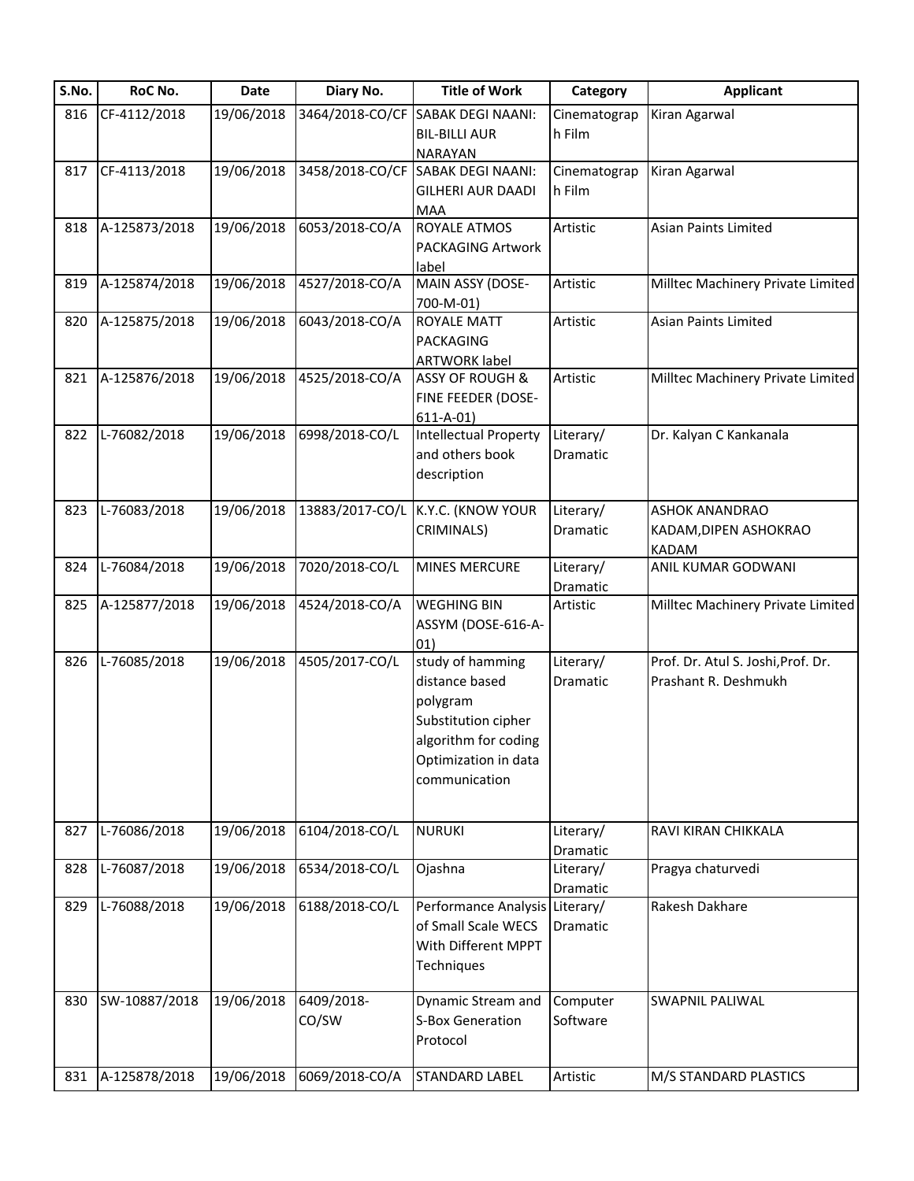| S.No. | RoC No.       | Date       | Diary No.       | <b>Title of Work</b>                               | Category     | <b>Applicant</b>                   |
|-------|---------------|------------|-----------------|----------------------------------------------------|--------------|------------------------------------|
| 816   | CF-4112/2018  | 19/06/2018 | 3464/2018-CO/CF | <b>SABAK DEGI NAANI:</b>                           | Cinematograp | Kiran Agarwal                      |
|       |               |            |                 | <b>BIL-BILLI AUR</b>                               | h Film       |                                    |
|       |               |            |                 | <b>NARAYAN</b>                                     |              |                                    |
| 817   | CF-4113/2018  | 19/06/2018 |                 | 3458/2018-CO/CF SABAK DEGI NAANI:                  | Cinematograp | Kiran Agarwal                      |
|       |               |            |                 | <b>GILHERI AUR DAADI</b>                           | h Film       |                                    |
|       |               |            |                 | <b>MAA</b>                                         |              |                                    |
| 818   | A-125873/2018 | 19/06/2018 | 6053/2018-CO/A  | <b>ROYALE ATMOS</b>                                | Artistic     | <b>Asian Paints Limited</b>        |
|       |               |            |                 | <b>PACKAGING Artwork</b>                           |              |                                    |
|       |               |            |                 | label                                              |              |                                    |
| 819   | A-125874/2018 | 19/06/2018 | 4527/2018-CO/A  | MAIN ASSY (DOSE-                                   | Artistic     | Milltec Machinery Private Limited  |
| 820   | A-125875/2018 | 19/06/2018 | 6043/2018-CO/A  | 700-M-01)<br><b>ROYALE MATT</b>                    | Artistic     | Asian Paints Limited               |
|       |               |            |                 | PACKAGING                                          |              |                                    |
|       |               |            |                 |                                                    |              |                                    |
| 821   | A-125876/2018 | 19/06/2018 | 4525/2018-CO/A  | <b>ARTWORK label</b><br><b>ASSY OF ROUGH &amp;</b> | Artistic     | Milltec Machinery Private Limited  |
|       |               |            |                 | FINE FEEDER (DOSE-                                 |              |                                    |
|       |               |            |                 | $611 - A - 01$                                     |              |                                    |
| 822   | L-76082/2018  | 19/06/2018 | 6998/2018-CO/L  | <b>Intellectual Property</b>                       | Literary/    | Dr. Kalyan C Kankanala             |
|       |               |            |                 | and others book                                    | Dramatic     |                                    |
|       |               |            |                 | description                                        |              |                                    |
|       |               |            |                 |                                                    |              |                                    |
| 823   | L-76083/2018  | 19/06/2018 | 13883/2017-CO/L | K.Y.C. (KNOW YOUR                                  | Literary/    | <b>ASHOK ANANDRAO</b>              |
|       |               |            |                 | CRIMINALS)                                         | Dramatic     | KADAM, DIPEN ASHOKRAO              |
|       |               |            |                 |                                                    |              | <b>KADAM</b>                       |
| 824   | L-76084/2018  | 19/06/2018 | 7020/2018-CO/L  | <b>MINES MERCURE</b>                               | Literary/    | ANIL KUMAR GODWANI                 |
|       |               |            |                 |                                                    | Dramatic     |                                    |
| 825   | A-125877/2018 | 19/06/2018 | 4524/2018-CO/A  | <b>WEGHING BIN</b>                                 | Artistic     | Milltec Machinery Private Limited  |
|       |               |            |                 | ASSYM (DOSE-616-A-                                 |              |                                    |
|       |               |            |                 | 01)                                                |              |                                    |
| 826   | L-76085/2018  | 19/06/2018 | 4505/2017-CO/L  | study of hamming                                   | Literary/    | Prof. Dr. Atul S. Joshi, Prof. Dr. |
|       |               |            |                 | distance based                                     | Dramatic     | Prashant R. Deshmukh               |
|       |               |            |                 | polygram                                           |              |                                    |
|       |               |            |                 | Substitution cipher                                |              |                                    |
|       |               |            |                 | algorithm for coding                               |              |                                    |
|       |               |            |                 | Optimization in data                               |              |                                    |
|       |               |            |                 | communication                                      |              |                                    |
|       |               |            |                 |                                                    |              |                                    |
|       |               |            |                 |                                                    |              |                                    |
| 827   | L-76086/2018  | 19/06/2018 | 6104/2018-CO/L  | <b>NURUKI</b>                                      | Literary/    | RAVI KIRAN CHIKKALA                |
|       |               |            |                 |                                                    | Dramatic     |                                    |
| 828   | L-76087/2018  | 19/06/2018 | 6534/2018-CO/L  | Ojashna                                            | Literary/    | Pragya chaturvedi                  |
| 829   | L-76088/2018  | 19/06/2018 | 6188/2018-CO/L  | Performance Analysis Literary/                     | Dramatic     | Rakesh Dakhare                     |
|       |               |            |                 | of Small Scale WECS                                | Dramatic     |                                    |
|       |               |            |                 | With Different MPPT                                |              |                                    |
|       |               |            |                 |                                                    |              |                                    |
|       |               |            |                 | Techniques                                         |              |                                    |
| 830   | SW-10887/2018 | 19/06/2018 | 6409/2018-      | Dynamic Stream and                                 | Computer     | <b>SWAPNIL PALIWAL</b>             |
|       |               |            | CO/SW           | S-Box Generation                                   | Software     |                                    |
|       |               |            |                 | Protocol                                           |              |                                    |
|       |               |            |                 |                                                    |              |                                    |
| 831   | A-125878/2018 | 19/06/2018 | 6069/2018-CO/A  | <b>STANDARD LABEL</b>                              | Artistic     | M/S STANDARD PLASTICS              |
|       |               |            |                 |                                                    |              |                                    |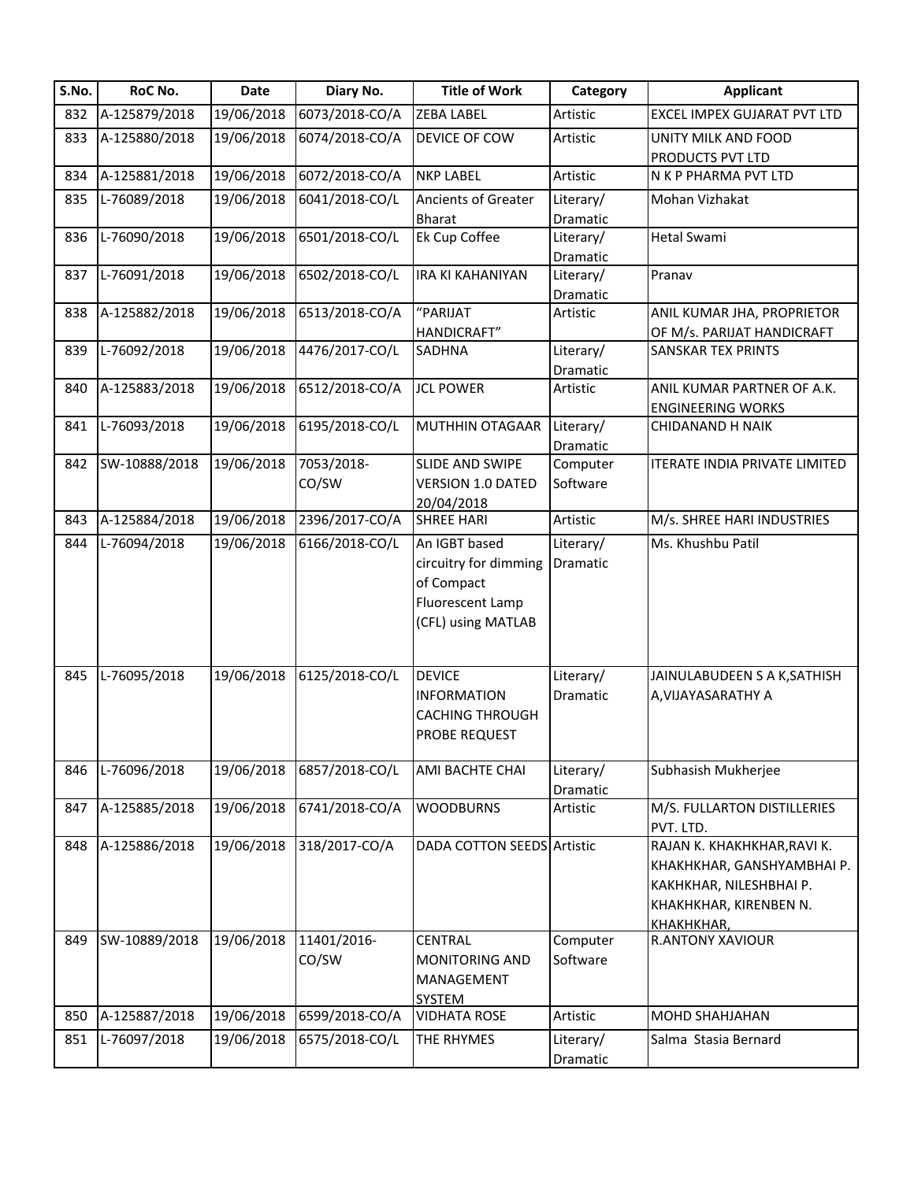| S.No. | RoC No.       | <b>Date</b> | Diary No.            | <b>Title of Work</b>                                                                           | Category              | <b>Applicant</b>                                                                                                             |
|-------|---------------|-------------|----------------------|------------------------------------------------------------------------------------------------|-----------------------|------------------------------------------------------------------------------------------------------------------------------|
| 832   | A-125879/2018 | 19/06/2018  | 6073/2018-CO/A       | <b>ZEBA LABEL</b>                                                                              | Artistic              | EXCEL IMPEX GUJARAT PVT LTD                                                                                                  |
| 833   | A-125880/2018 | 19/06/2018  | 6074/2018-CO/A       | DEVICE OF COW                                                                                  | Artistic              | UNITY MILK AND FOOD<br>PRODUCTS PVT LTD                                                                                      |
| 834   | A-125881/2018 | 19/06/2018  | 6072/2018-CO/A       | <b>NKP LABEL</b>                                                                               | Artistic              | N K P PHARMA PVT LTD                                                                                                         |
| 835   | L-76089/2018  | 19/06/2018  | 6041/2018-CO/L       | <b>Ancients of Greater</b>                                                                     | Literary/             | Mohan Vizhakat                                                                                                               |
|       |               |             |                      | <b>Bharat</b>                                                                                  | Dramatic              |                                                                                                                              |
| 836   | L-76090/2018  | 19/06/2018  | 6501/2018-CO/L       | Ek Cup Coffee                                                                                  | Literary/             | Hetal Swami                                                                                                                  |
|       |               |             |                      |                                                                                                | Dramatic              |                                                                                                                              |
| 837   | L-76091/2018  | 19/06/2018  | 6502/2018-CO/L       | <b>IRA KI KAHANIYAN</b>                                                                        | Literary/             | Pranav                                                                                                                       |
|       |               |             |                      |                                                                                                | Dramatic              |                                                                                                                              |
| 838   | A-125882/2018 | 19/06/2018  | 6513/2018-CO/A       | "PARIJAT<br>HANDICRAFT"                                                                        | Artistic              | ANIL KUMAR JHA, PROPRIETOR                                                                                                   |
| 839   | L-76092/2018  | 19/06/2018  | 4476/2017-CO/L       | <b>SADHNA</b>                                                                                  | Literary/             | OF M/s. PARIJAT HANDICRAFT<br><b>SANSKAR TEX PRINTS</b>                                                                      |
|       |               |             |                      |                                                                                                | Dramatic              |                                                                                                                              |
| 840   | A-125883/2018 | 19/06/2018  | 6512/2018-CO/A       | <b>JCL POWER</b>                                                                               | Artistic              | ANIL KUMAR PARTNER OF A.K.                                                                                                   |
|       |               |             |                      |                                                                                                |                       | <b>ENGINEERING WORKS</b>                                                                                                     |
| 841   | L-76093/2018  | 19/06/2018  | 6195/2018-CO/L       | MUTHHIN OTAGAAR                                                                                | Literary/             | <b>CHIDANAND H NAIK</b>                                                                                                      |
|       |               |             |                      |                                                                                                | Dramatic              |                                                                                                                              |
| 842   | SW-10888/2018 | 19/06/2018  | 7053/2018-           | SLIDE AND SWIPE                                                                                | Computer              | <b>ITERATE INDIA PRIVATE LIMITED</b>                                                                                         |
|       |               |             | CO/SW                | <b>VERSION 1.0 DATED</b>                                                                       | Software              |                                                                                                                              |
|       |               |             |                      | 20/04/2018                                                                                     |                       |                                                                                                                              |
| 843   | A-125884/2018 | 19/06/2018  | 2396/2017-CO/A       | <b>SHREE HARI</b>                                                                              | Artistic              | M/s. SHREE HARI INDUSTRIES                                                                                                   |
| 844   | L-76094/2018  | 19/06/2018  | 6166/2018-CO/L       | An IGBT based<br>circuitry for dimming<br>of Compact<br>Fluorescent Lamp<br>(CFL) using MATLAB | Literary/<br>Dramatic | Ms. Khushbu Patil                                                                                                            |
| 845   | L-76095/2018  | 19/06/2018  | 6125/2018-CO/L       | <b>DEVICE</b><br><b>INFORMATION</b><br><b>CACHING THROUGH</b><br>PROBE REQUEST                 | Literary/<br>Dramatic | JAINULABUDEEN S A K, SATHISH<br>A, VIJAYASARATHY A                                                                           |
| 846   | L-76096/2018  | 19/06/2018  | 6857/2018-CO/L       | <b>AMI BACHTE CHAI</b>                                                                         | Literary/<br>Dramatic | Subhasish Mukherjee                                                                                                          |
| 847   | A-125885/2018 | 19/06/2018  | 6741/2018-CO/A       | <b>WOODBURNS</b>                                                                               | Artistic              | M/S. FULLARTON DISTILLERIES<br>PVT. LTD.                                                                                     |
| 848   | A-125886/2018 | 19/06/2018  | 318/2017-CO/A        | <b>DADA COTTON SEEDS Artistic</b>                                                              |                       | RAJAN K. KHAKHKHAR, RAVI K.<br>KHAKHKHAR, GANSHYAMBHAI P.<br>KAKHKHAR, NILESHBHAI P.<br>KHAKHKHAR, KIRENBEN N.<br>КНАКНКНАВ. |
| 849   | SW-10889/2018 | 19/06/2018  | 11401/2016-<br>CO/SW | <b>CENTRAL</b><br><b>MONITORING AND</b><br>MANAGEMENT<br><b>SYSTEM</b>                         | Computer<br>Software  | <b>R.ANTONY XAVIOUR</b>                                                                                                      |
| 850   | A-125887/2018 | 19/06/2018  | 6599/2018-CO/A       | <b>VIDHATA ROSE</b>                                                                            | Artistic              | <b>MOHD SHAHJAHAN</b>                                                                                                        |
| 851   | L-76097/2018  | 19/06/2018  | 6575/2018-CO/L       | THE RHYMES                                                                                     | Literary/             | Salma Stasia Bernard                                                                                                         |
|       |               |             |                      |                                                                                                | Dramatic              |                                                                                                                              |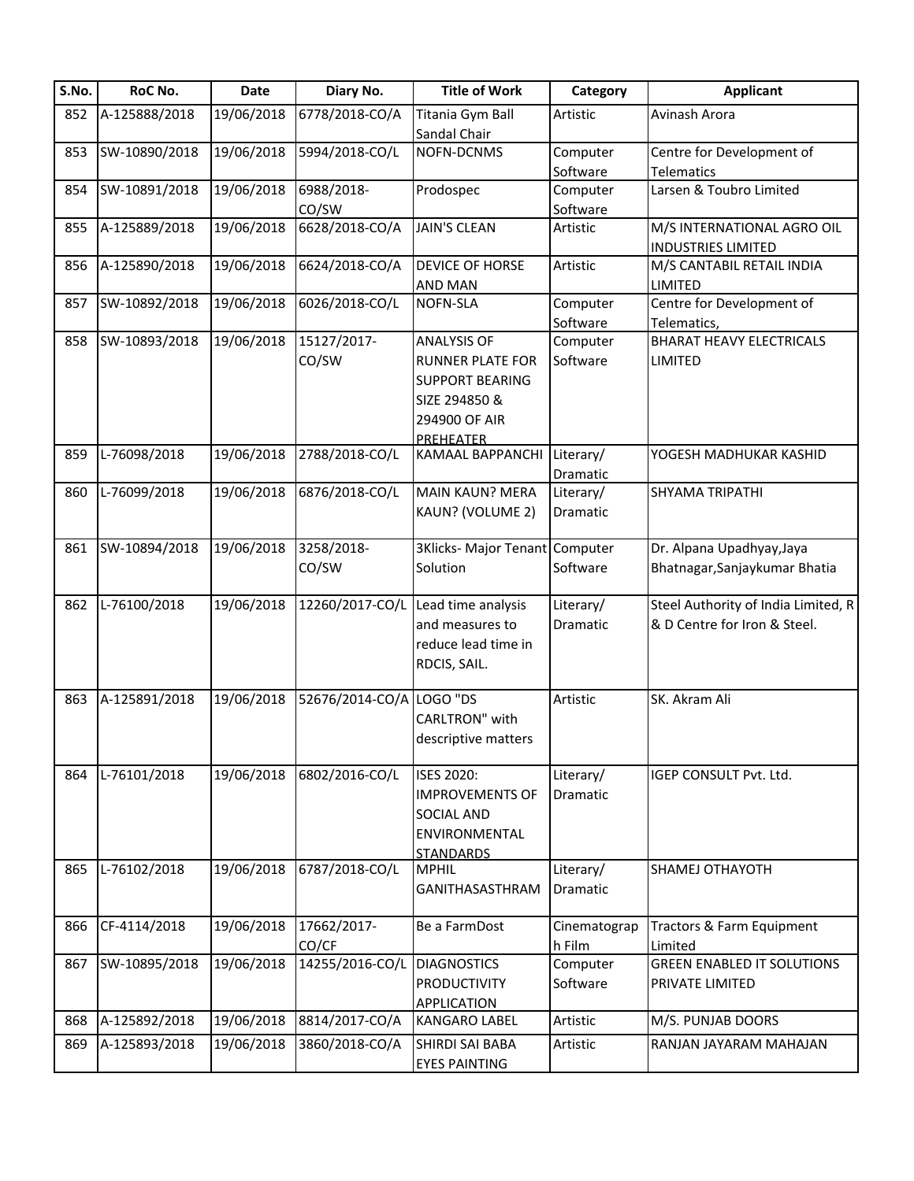| S.No. | RoC No.       | Date       | Diary No.       | <b>Title of Work</b>           | Category     | <b>Applicant</b>                    |
|-------|---------------|------------|-----------------|--------------------------------|--------------|-------------------------------------|
| 852   | A-125888/2018 | 19/06/2018 | 6778/2018-CO/A  | Titania Gym Ball               | Artistic     | Avinash Arora                       |
|       |               |            |                 | Sandal Chair                   |              |                                     |
| 853   | SW-10890/2018 | 19/06/2018 | 5994/2018-CO/L  | NOFN-DCNMS                     | Computer     | Centre for Development of           |
|       |               |            |                 |                                | Software     | <b>Telematics</b>                   |
| 854   | SW-10891/2018 | 19/06/2018 | 6988/2018-      | Prodospec                      | Computer     | Larsen & Toubro Limited             |
|       |               |            | CO/SW           |                                | Software     |                                     |
| 855   | A-125889/2018 | 19/06/2018 | 6628/2018-CO/A  | <b>JAIN'S CLEAN</b>            | Artistic     | M/S INTERNATIONAL AGRO OIL          |
|       |               |            |                 |                                |              | <b>INDUSTRIES LIMITED</b>           |
| 856   | A-125890/2018 | 19/06/2018 | 6624/2018-CO/A  | <b>DEVICE OF HORSE</b>         | Artistic     | M/S CANTABIL RETAIL INDIA           |
|       |               |            |                 | <b>AND MAN</b>                 |              | <b>LIMITED</b>                      |
| 857   | SW-10892/2018 | 19/06/2018 | 6026/2018-CO/L  | NOFN-SLA                       | Computer     | Centre for Development of           |
|       |               |            |                 |                                | Software     | Telematics,                         |
| 858   | SW-10893/2018 | 19/06/2018 | 15127/2017-     | <b>ANALYSIS OF</b>             | Computer     | <b>BHARAT HEAVY ELECTRICALS</b>     |
|       |               |            | CO/SW           | <b>RUNNER PLATE FOR</b>        | Software     | LIMITED                             |
|       |               |            |                 | <b>SUPPORT BEARING</b>         |              |                                     |
|       |               |            |                 | SIZE 294850 &                  |              |                                     |
|       |               |            |                 | 294900 OF AIR                  |              |                                     |
|       |               |            |                 |                                |              |                                     |
| 859   | L-76098/2018  | 19/06/2018 | 2788/2018-CO/L  | PREHEATER<br>KAMAAL BAPPANCHI  | Literary/    | YOGESH MADHUKAR KASHID              |
|       |               |            |                 |                                | Dramatic     |                                     |
|       | L-76099/2018  | 19/06/2018 | 6876/2018-CO/L  | <b>MAIN KAUN? MERA</b>         | Literary/    | SHYAMA TRIPATHI                     |
| 860   |               |            |                 |                                |              |                                     |
|       |               |            |                 | KAUN? (VOLUME 2)               | Dramatic     |                                     |
| 861   | SW-10894/2018 | 19/06/2018 | 3258/2018-      | 3Klicks- Major Tenant Computer |              | Dr. Alpana Upadhyay, Jaya           |
|       |               |            | CO/SW           | Solution                       | Software     | Bhatnagar, Sanjaykumar Bhatia       |
|       |               |            |                 |                                |              |                                     |
| 862   | L-76100/2018  | 19/06/2018 | 12260/2017-CO/L | Lead time analysis             | Literary/    | Steel Authority of India Limited, R |
|       |               |            |                 | and measures to                | Dramatic     | & D Centre for Iron & Steel.        |
|       |               |            |                 | reduce lead time in            |              |                                     |
|       |               |            |                 |                                |              |                                     |
|       |               |            |                 | RDCIS, SAIL.                   |              |                                     |
| 863   | A-125891/2018 | 19/06/2018 | 52676/2014-CO/A | LOGO "DS                       | Artistic     | SK. Akram Ali                       |
|       |               |            |                 | CARLTRON" with                 |              |                                     |
|       |               |            |                 |                                |              |                                     |
|       |               |            |                 | descriptive matters            |              |                                     |
| 864   | L-76101/2018  | 19/06/2018 | 6802/2016-CO/L  | <b>ISES 2020:</b>              | Literary/    | IGEP CONSULT Pvt. Ltd.              |
|       |               |            |                 |                                |              |                                     |
|       |               |            |                 | <b>IMPROVEMENTS OF</b>         | Dramatic     |                                     |
|       |               |            |                 | <b>SOCIAL AND</b>              |              |                                     |
|       |               |            |                 | ENVIRONMENTAL                  |              |                                     |
|       |               |            |                 | <b>STANDARDS</b>               |              |                                     |
| 865   | L-76102/2018  | 19/06/2018 | 6787/2018-CO/L  | <b>MPHIL</b>                   | Literary/    | SHAMEJ OTHAYOTH                     |
|       |               |            |                 | GANITHASASTHRAM                | Dramatic     |                                     |
| 866   | CF-4114/2018  | 19/06/2018 | 17662/2017-     | Be a FarmDost                  |              | Tractors & Farm Equipment           |
|       |               |            |                 |                                | Cinematograp |                                     |
|       |               |            | CO/CF           |                                | h Film       | Limited                             |
| 867   | SW-10895/2018 | 19/06/2018 | 14255/2016-CO/L | <b>DIAGNOSTICS</b>             | Computer     | <b>GREEN ENABLED IT SOLUTIONS</b>   |
|       |               |            |                 | <b>PRODUCTIVITY</b>            | Software     | PRIVATE LIMITED                     |
|       |               |            |                 | APPLICATION                    |              |                                     |
| 868   | A-125892/2018 | 19/06/2018 | 8814/2017-CO/A  | <b>KANGARO LABEL</b>           | Artistic     | M/S. PUNJAB DOORS                   |
| 869   | A-125893/2018 | 19/06/2018 | 3860/2018-CO/A  | SHIRDI SAI BABA                | Artistic     | RANJAN JAYARAM MAHAJAN              |
|       |               |            |                 | <b>EYES PAINTING</b>           |              |                                     |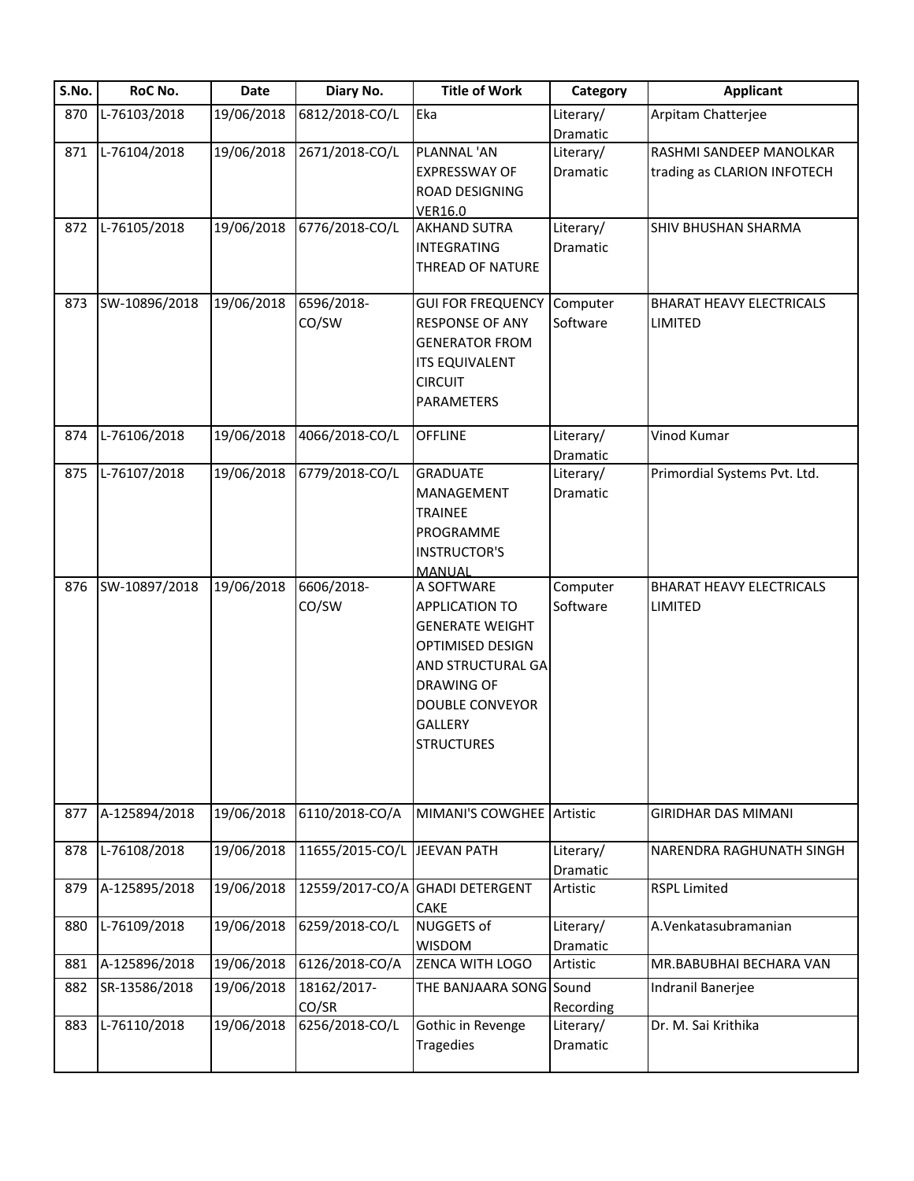| S.No. | RoC No.       | Date       | Diary No.                   | <b>Title of Work</b>      | Category  | <b>Applicant</b>                |
|-------|---------------|------------|-----------------------------|---------------------------|-----------|---------------------------------|
| 870   | L-76103/2018  | 19/06/2018 | 6812/2018-CO/L              | Eka                       | Literary/ | Arpitam Chatterjee              |
|       |               |            |                             |                           | Dramatic  |                                 |
| 871   | L-76104/2018  | 19/06/2018 | 2671/2018-CO/L              | PLANNAL 'AN               | Literary/ | RASHMI SANDEEP MANOLKAR         |
|       |               |            |                             | <b>EXPRESSWAY OF</b>      | Dramatic  | trading as CLARION INFOTECH     |
|       |               |            |                             | ROAD DESIGNING            |           |                                 |
|       |               |            |                             | <b>VER16.0</b>            |           |                                 |
| 872   | L-76105/2018  | 19/06/2018 | 6776/2018-CO/L              | <b>AKHAND SUTRA</b>       | Literary/ | SHIV BHUSHAN SHARMA             |
|       |               |            |                             | <b>INTEGRATING</b>        | Dramatic  |                                 |
|       |               |            |                             | THREAD OF NATURE          |           |                                 |
|       |               |            |                             |                           |           |                                 |
| 873   | SW-10896/2018 | 19/06/2018 | 6596/2018-                  | <b>GUI FOR FREQUENCY</b>  | Computer  | <b>BHARAT HEAVY ELECTRICALS</b> |
|       |               |            | CO/SW                       | <b>RESPONSE OF ANY</b>    | Software  | LIMITED                         |
|       |               |            |                             | <b>GENERATOR FROM</b>     |           |                                 |
|       |               |            |                             | <b>ITS EQUIVALENT</b>     |           |                                 |
|       |               |            |                             |                           |           |                                 |
|       |               |            |                             | <b>CIRCUIT</b>            |           |                                 |
|       |               |            |                             | PARAMETERS                |           |                                 |
| 874   | L-76106/2018  | 19/06/2018 | 4066/2018-CO/L              | <b>OFFLINE</b>            | Literary/ | Vinod Kumar                     |
|       |               |            |                             |                           | Dramatic  |                                 |
| 875   | L-76107/2018  | 19/06/2018 | 6779/2018-CO/L              | <b>GRADUATE</b>           | Literary/ | Primordial Systems Pvt. Ltd.    |
|       |               |            |                             | MANAGEMENT                | Dramatic  |                                 |
|       |               |            |                             | <b>TRAINEE</b>            |           |                                 |
|       |               |            |                             |                           |           |                                 |
|       |               |            |                             | PROGRAMME                 |           |                                 |
|       |               |            |                             | <b>INSTRUCTOR'S</b>       |           |                                 |
|       |               |            |                             | <b>MANUAL</b>             |           |                                 |
| 876   | SW-10897/2018 | 19/06/2018 | 6606/2018-                  | A SOFTWARE                | Computer  | <b>BHARAT HEAVY ELECTRICALS</b> |
|       |               |            | CO/SW                       | <b>APPLICATION TO</b>     | Software  | <b>LIMITED</b>                  |
|       |               |            |                             | <b>GENERATE WEIGHT</b>    |           |                                 |
|       |               |            |                             | OPTIMISED DESIGN          |           |                                 |
|       |               |            |                             | AND STRUCTURAL GA         |           |                                 |
|       |               |            |                             | <b>DRAWING OF</b>         |           |                                 |
|       |               |            |                             | <b>DOUBLE CONVEYOR</b>    |           |                                 |
|       |               |            |                             | GALLERY                   |           |                                 |
|       |               |            |                             | <b>STRUCTURES</b>         |           |                                 |
|       |               |            |                             |                           |           |                                 |
|       |               |            |                             |                           |           |                                 |
|       |               |            |                             |                           |           |                                 |
| 877   | A-125894/2018 | 19/06/2018 | 6110/2018-CO/A              | MIMANI'S COWGHEE Artistic |           | <b>GIRIDHAR DAS MIMANI</b>      |
|       |               |            |                             |                           |           |                                 |
| 878   | L-76108/2018  | 19/06/2018 | 11655/2015-CO/L JEEVAN PATH |                           | Literary/ | NARENDRA RAGHUNATH SINGH        |
|       |               |            |                             |                           | Dramatic  |                                 |
| 879   | A-125895/2018 | 19/06/2018 | 12559/2017-CO/A             | <b>GHADI DETERGENT</b>    | Artistic  | <b>RSPL Limited</b>             |
|       |               |            |                             | <b>CAKE</b>               |           |                                 |
| 880   | L-76109/2018  | 19/06/2018 | 6259/2018-CO/L              | <b>NUGGETS of</b>         | Literary/ | A.Venkatasubramanian            |
|       |               |            |                             | WISDOM                    | Dramatic  |                                 |
| 881   | A-125896/2018 | 19/06/2018 | 6126/2018-CO/A              | ZENCA WITH LOGO           | Artistic  | MR.BABUBHAI BECHARA VAN         |
| 882   | SR-13586/2018 | 19/06/2018 | 18162/2017-                 | THE BANJAARA SONG Sound   |           | Indranil Banerjee               |
|       |               |            | CO/SR                       |                           | Recording |                                 |
| 883   | L-76110/2018  | 19/06/2018 | 6256/2018-CO/L              | Gothic in Revenge         | Literary/ | Dr. M. Sai Krithika             |
|       |               |            |                             | <b>Tragedies</b>          | Dramatic  |                                 |
|       |               |            |                             |                           |           |                                 |
|       |               |            |                             |                           |           |                                 |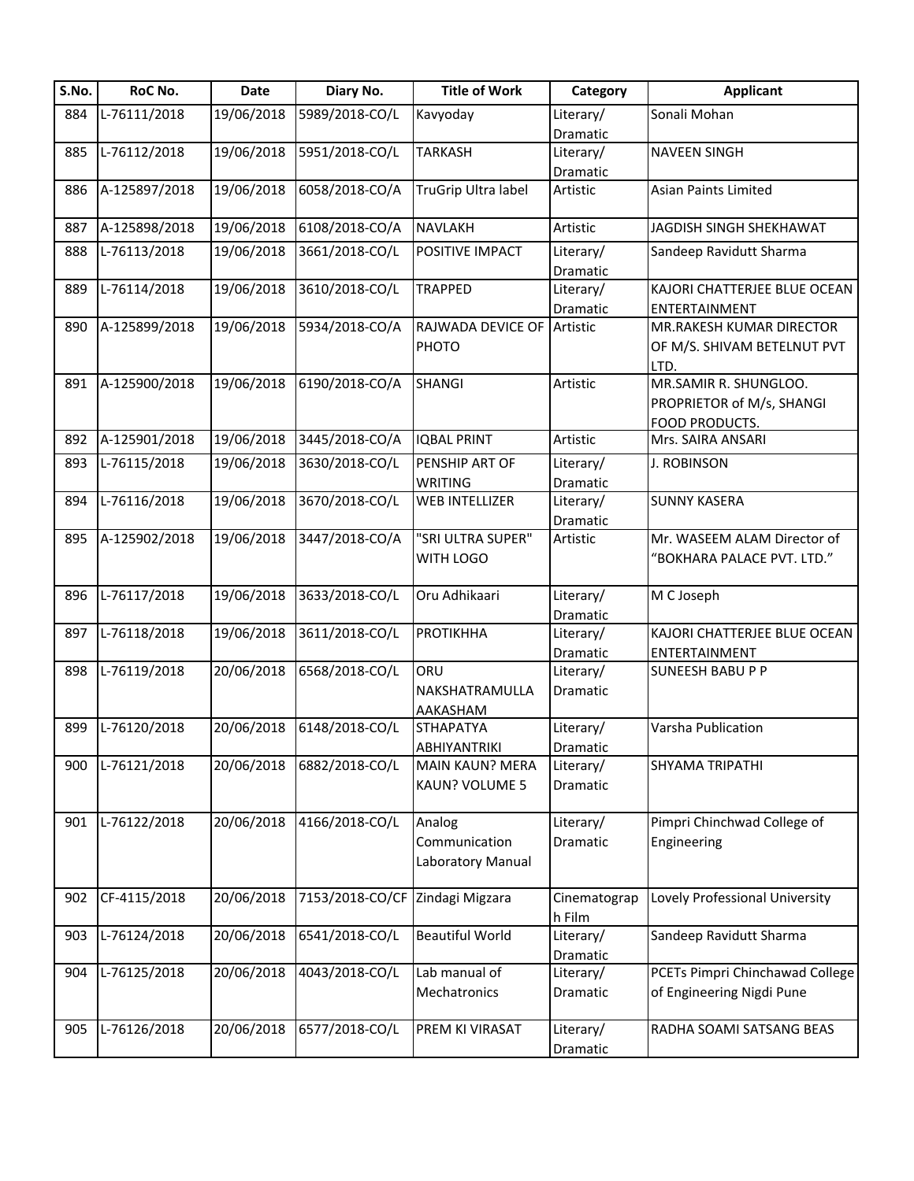| S.No. | RoC No.       | Date       | Diary No.       | <b>Title of Work</b>                         | Category               | <b>Applicant</b>                                                     |
|-------|---------------|------------|-----------------|----------------------------------------------|------------------------|----------------------------------------------------------------------|
| 884   | L-76111/2018  | 19/06/2018 | 5989/2018-CO/L  | Kavyoday                                     | Literary/              | Sonali Mohan                                                         |
|       |               |            |                 |                                              | Dramatic               |                                                                      |
| 885   | L-76112/2018  | 19/06/2018 | 5951/2018-CO/L  | <b>TARKASH</b>                               | Literary/              | <b>NAVEEN SINGH</b>                                                  |
|       |               |            |                 |                                              | Dramatic               |                                                                      |
| 886   | A-125897/2018 | 19/06/2018 | 6058/2018-CO/A  | TruGrip Ultra label                          | Artistic               | <b>Asian Paints Limited</b>                                          |
| 887   | A-125898/2018 | 19/06/2018 | 6108/2018-CO/A  | <b>NAVLAKH</b>                               | Artistic               | JAGDISH SINGH SHEKHAWAT                                              |
| 888   | L-76113/2018  | 19/06/2018 | 3661/2018-CO/L  | POSITIVE IMPACT                              | Literary/<br>Dramatic  | Sandeep Ravidutt Sharma                                              |
| 889   | L-76114/2018  | 19/06/2018 | 3610/2018-CO/L  | <b>TRAPPED</b>                               | Literary/<br>Dramatic  | KAJORI CHATTERJEE BLUE OCEAN<br>ENTERTAINMENT                        |
| 890   | A-125899/2018 | 19/06/2018 | 5934/2018-CO/A  | RAJWADA DEVICE OF<br>PHOTO                   | Artistic               | MR.RAKESH KUMAR DIRECTOR<br>OF M/S. SHIVAM BETELNUT PVT<br>LTD.      |
| 891   | A-125900/2018 | 19/06/2018 | 6190/2018-CO/A  | <b>SHANGI</b>                                | Artistic               | MR.SAMIR R. SHUNGLOO.<br>PROPRIETOR of M/s, SHANGI<br>FOOD PRODUCTS. |
| 892   | A-125901/2018 | 19/06/2018 | 3445/2018-CO/A  | <b>IQBAL PRINT</b>                           | Artistic               | Mrs. SAIRA ANSARI                                                    |
| 893   | L-76115/2018  | 19/06/2018 | 3630/2018-CO/L  | PENSHIP ART OF<br><b>WRITING</b>             | Literary/<br>Dramatic  | <b>J. ROBINSON</b>                                                   |
| 894   | L-76116/2018  | 19/06/2018 | 3670/2018-CO/L  | <b>WEB INTELLIZER</b>                        | Literary/<br>Dramatic  | <b>SUNNY KASERA</b>                                                  |
| 895   | A-125902/2018 | 19/06/2018 | 3447/2018-CO/A  | "SRI ULTRA SUPER"<br>WITH LOGO               | Artistic               | Mr. WASEEM ALAM Director of<br>"BOKHARA PALACE PVT. LTD."            |
| 896   | L-76117/2018  | 19/06/2018 | 3633/2018-CO/L  | Oru Adhikaari                                | Literary/<br>Dramatic  | M C Joseph                                                           |
| 897   | L-76118/2018  | 19/06/2018 | 3611/2018-CO/L  | <b>PROTIKHHA</b>                             | Literary/<br>Dramatic  | KAJORI CHATTERJEE BLUE OCEAN<br>ENTERTAINMENT                        |
| 898   | L-76119/2018  | 20/06/2018 | 6568/2018-CO/L  | ORU<br>NAKSHATRAMULLA<br>AAKASHAM            | Literary/<br>Dramatic  | <b>SUNEESH BABU P P</b>                                              |
| 899   | L-76120/2018  | 20/06/2018 | 6148/2018-CO/L  | <b>STHAPATYA</b><br><b>ABHIYANTRIKI</b>      | Literary/<br>Dramatic  | Varsha Publication                                                   |
| 900   | L-76121/2018  | 20/06/2018 | 6882/2018-CO/L  | <b>MAIN KAUN? MERA</b><br>KAUN? VOLUME 5     | Literary/<br>Dramatic  | SHYAMA TRIPATHI                                                      |
| 901   | L-76122/2018  | 20/06/2018 | 4166/2018-CO/L  | Analog<br>Communication<br>Laboratory Manual | Literary/<br>Dramatic  | Pimpri Chinchwad College of<br>Engineering                           |
| 902   | CF-4115/2018  | 20/06/2018 | 7153/2018-CO/CF | Zindagi Migzara                              | Cinematograp<br>h Film | Lovely Professional University                                       |
| 903   | L-76124/2018  | 20/06/2018 | 6541/2018-CO/L  | <b>Beautiful World</b>                       | Literary/<br>Dramatic  | Sandeep Ravidutt Sharma                                              |
| 904   | L-76125/2018  | 20/06/2018 | 4043/2018-CO/L  | Lab manual of<br>Mechatronics                | Literary/<br>Dramatic  | PCETs Pimpri Chinchawad College<br>of Engineering Nigdi Pune         |
| 905   | L-76126/2018  | 20/06/2018 | 6577/2018-CO/L  | PREM KI VIRASAT                              | Literary/<br>Dramatic  | RADHA SOAMI SATSANG BEAS                                             |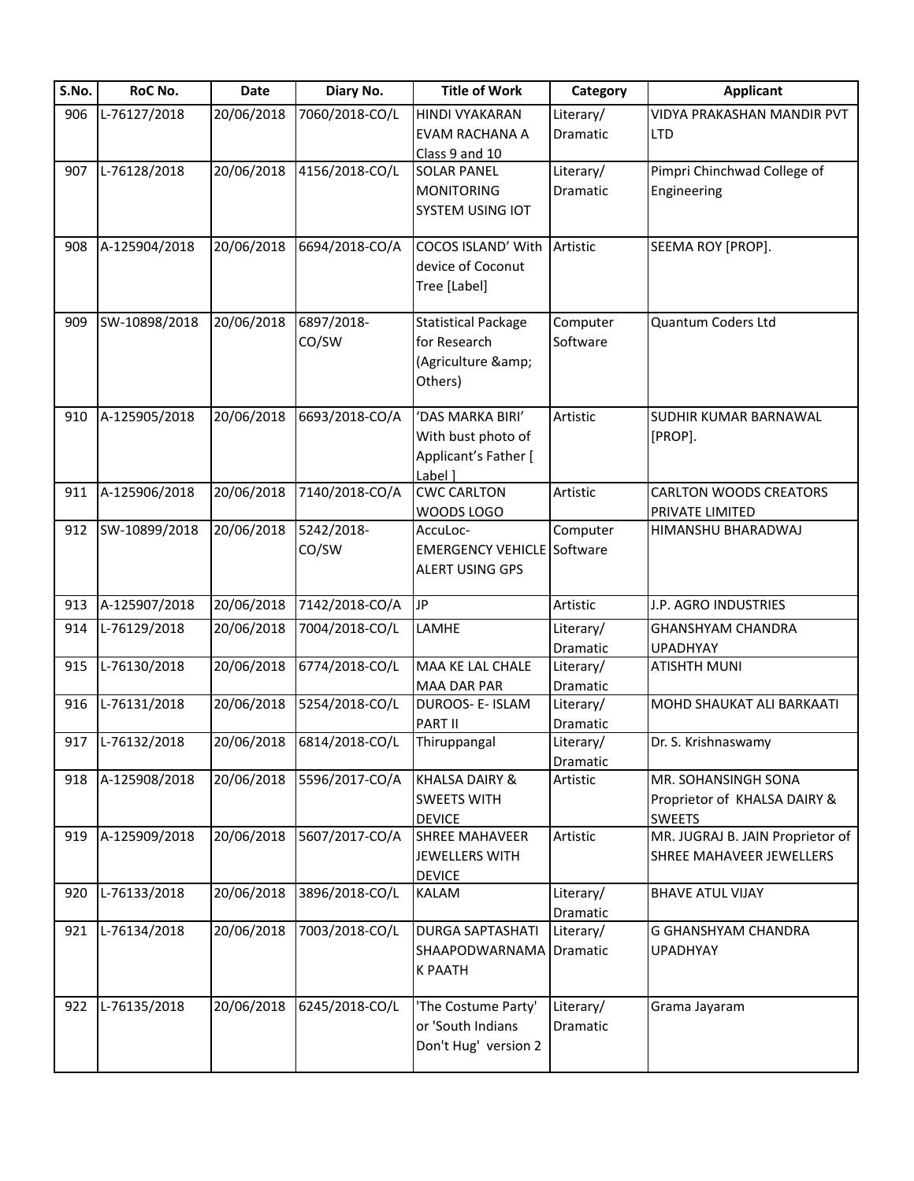| S.No. | RoC No.          | Date       | Diary No.      | <b>Title of Work</b>                   | Category  | <b>Applicant</b>                                  |
|-------|------------------|------------|----------------|----------------------------------------|-----------|---------------------------------------------------|
| 906   | L-76127/2018     | 20/06/2018 | 7060/2018-CO/L | HINDI VYAKARAN                         | Literary/ | VIDYA PRAKASHAN MANDIR PVT                        |
|       |                  |            |                | EVAM RACHANA A                         | Dramatic  | <b>LTD</b>                                        |
|       |                  |            |                | Class 9 and 10                         |           |                                                   |
| 907   | L-76128/2018     | 20/06/2018 | 4156/2018-CO/L | <b>SOLAR PANEL</b>                     | Literary/ | Pimpri Chinchwad College of                       |
|       |                  |            |                | <b>MONITORING</b>                      | Dramatic  | Engineering                                       |
|       |                  |            |                | <b>SYSTEM USING IOT</b>                |           |                                                   |
| 908   | A-125904/2018    | 20/06/2018 | 6694/2018-CO/A | COCOS ISLAND' With                     | Artistic  | SEEMA ROY [PROP].                                 |
|       |                  |            |                | device of Coconut                      |           |                                                   |
|       |                  |            |                | Tree [Label]                           |           |                                                   |
| 909   | SW-10898/2018    | 20/06/2018 | 6897/2018-     | <b>Statistical Package</b>             | Computer  | Quantum Coders Ltd                                |
|       |                  |            | CO/SW          | for Research                           | Software  |                                                   |
|       |                  |            |                | (Agriculture &                         |           |                                                   |
|       |                  |            |                | Others)                                |           |                                                   |
|       | A-125905/2018    | 20/06/2018 | 6693/2018-CO/A | 'DAS MARKA BIRI'                       | Artistic  | SUDHIR KUMAR BARNAWAL                             |
| 910   |                  |            |                | With bust photo of                     |           | [PROP].                                           |
|       |                  |            |                | Applicant's Father [                   |           |                                                   |
|       |                  |            |                | Label 1                                |           |                                                   |
| 911   | A-125906/2018    | 20/06/2018 | 7140/2018-CO/A | <b>CWC CARLTON</b>                     | Artistic  | <b>CARLTON WOODS CREATORS</b>                     |
|       |                  |            |                | WOODS LOGO                             |           | PRIVATE LIMITED                                   |
| 912   | SW-10899/2018    | 20/06/2018 | 5242/2018-     | AccuLoc-                               | Computer  | HIMANSHU BHARADWAJ                                |
|       |                  |            | CO/SW          | <b>EMERGENCY VEHICLE Software</b>      |           |                                                   |
|       |                  |            |                | ALERT USING GPS                        |           |                                                   |
| 913   | A-125907/2018    | 20/06/2018 | 7142/2018-CO/A | JP                                     | Artistic  | J.P. AGRO INDUSTRIES                              |
| 914   | L-76129/2018     | 20/06/2018 | 7004/2018-CO/L | LAMHE                                  | Literary/ | <b>GHANSHYAM CHANDRA</b>                          |
|       |                  |            |                |                                        | Dramatic  | <b>UPADHYAY</b>                                   |
| 915   | L-76130/2018     | 20/06/2018 | 6774/2018-CO/L | MAA KE LAL CHALE                       | Literary/ | <b>ATISHTH MUNI</b>                               |
|       |                  |            |                | MAA DAR PAR                            | Dramatic  |                                                   |
| 916   | L-76131/2018     | 20/06/2018 | 5254/2018-CO/L | DUROOS- E- ISLAM                       | Literary/ | MOHD SHAUKAT ALI BARKAATI                         |
|       |                  |            |                | PART II                                | Dramatic  |                                                   |
|       | 917 L-76132/2018 | 20/06/2018 | 6814/2018-CO/L | Thiruppangal                           | Literary/ | Dr. S. Krishnaswamy                               |
|       |                  |            |                |                                        | Dramatic  |                                                   |
| 918   | A-125908/2018    | 20/06/2018 | 5596/2017-CO/A | <b>KHALSA DAIRY &amp;</b>              | Artistic  | MR. SOHANSINGH SONA                               |
|       |                  |            |                | <b>SWEETS WITH</b>                     |           | Proprietor of KHALSA DAIRY &                      |
| 919   | A-125909/2018    | 20/06/2018 | 5607/2017-CO/A | <b>DEVICE</b><br><b>SHREE MAHAVEER</b> | Artistic  | <b>SWEETS</b><br>MR. JUGRAJ B. JAIN Proprietor of |
|       |                  |            |                | <b>JEWELLERS WITH</b>                  |           | SHREE MAHAVEER JEWELLERS                          |
|       |                  |            |                | <b>DEVICE</b>                          |           |                                                   |
| 920   | L-76133/2018     | 20/06/2018 | 3896/2018-CO/L | KALAM                                  | Literary/ | <b>BHAVE ATUL VIJAY</b>                           |
|       |                  |            |                |                                        | Dramatic  |                                                   |
| 921   | L-76134/2018     | 20/06/2018 | 7003/2018-CO/L | <b>DURGA SAPTASHATI</b>                | Literary/ | G GHANSHYAM CHANDRA                               |
|       |                  |            |                | SHAAPODWARNAMA                         | Dramatic  | <b>UPADHYAY</b>                                   |
|       |                  |            |                | <b>K PAATH</b>                         |           |                                                   |
| 922   | L-76135/2018     | 20/06/2018 | 6245/2018-CO/L | 'The Costume Party'                    | Literary/ | Grama Jayaram                                     |
|       |                  |            |                | or 'South Indians                      | Dramatic  |                                                   |
|       |                  |            |                | Don't Hug' version 2                   |           |                                                   |
|       |                  |            |                |                                        |           |                                                   |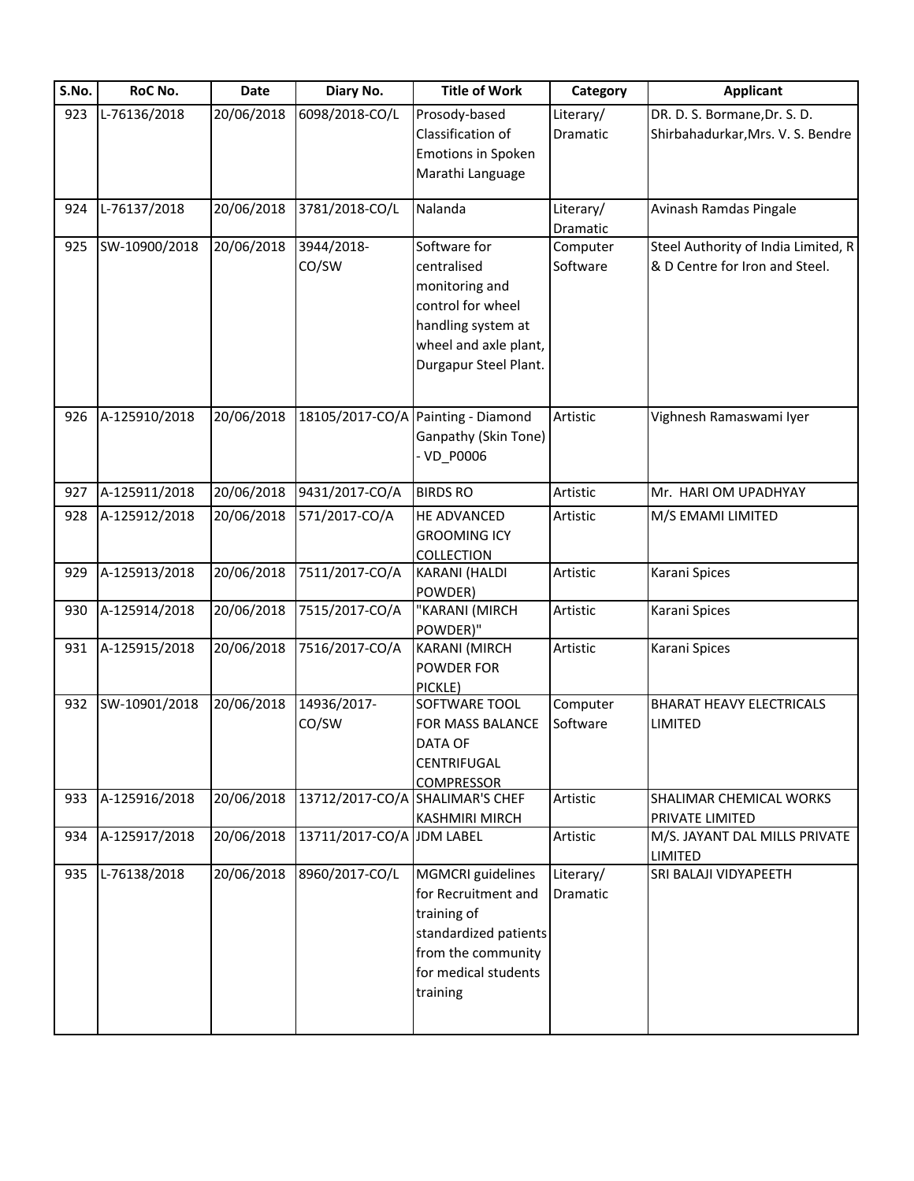| S.No. | RoC No.       | <b>Date</b> | Diary No.                       | <b>Title of Work</b>               | Category  | <b>Applicant</b>                           |
|-------|---------------|-------------|---------------------------------|------------------------------------|-----------|--------------------------------------------|
| 923   | L-76136/2018  | 20/06/2018  | 6098/2018-CO/L                  | Prosody-based                      | Literary/ | DR. D. S. Bormane, Dr. S. D.               |
|       |               |             |                                 | Classification of                  | Dramatic  | Shirbahadurkar, Mrs. V. S. Bendre          |
|       |               |             |                                 | <b>Emotions in Spoken</b>          |           |                                            |
|       |               |             |                                 | Marathi Language                   |           |                                            |
| 924   | L-76137/2018  | 20/06/2018  | 3781/2018-CO/L                  | Nalanda                            | Literary/ | Avinash Ramdas Pingale                     |
|       |               |             |                                 |                                    | Dramatic  |                                            |
| 925   | SW-10900/2018 | 20/06/2018  | 3944/2018-                      | Software for                       | Computer  | Steel Authority of India Limited, R        |
|       |               |             | CO/SW                           | centralised                        | Software  | & D Centre for Iron and Steel.             |
|       |               |             |                                 | monitoring and                     |           |                                            |
|       |               |             |                                 | control for wheel                  |           |                                            |
|       |               |             |                                 | handling system at                 |           |                                            |
|       |               |             |                                 | wheel and axle plant,              |           |                                            |
|       |               |             |                                 | Durgapur Steel Plant.              |           |                                            |
|       |               |             |                                 |                                    |           |                                            |
| 926   | A-125910/2018 | 20/06/2018  |                                 | 18105/2017-CO/A Painting - Diamond | Artistic  | Vighnesh Ramaswami Iyer                    |
|       |               |             |                                 | Ganpathy (Skin Tone)               |           |                                            |
|       |               |             |                                 | - VD_P0006                         |           |                                            |
| 927   | A-125911/2018 | 20/06/2018  | 9431/2017-CO/A                  | <b>BIRDS RO</b>                    | Artistic  | Mr. HARI OM UPADHYAY                       |
|       |               |             |                                 |                                    |           |                                            |
| 928   | A-125912/2018 | 20/06/2018  | 571/2017-CO/A                   | HE ADVANCED                        | Artistic  | M/S EMAMI LIMITED                          |
|       |               |             |                                 | <b>GROOMING ICY</b>                |           |                                            |
| 929   | A-125913/2018 | 20/06/2018  | 7511/2017-CO/A                  | <b>COLLECTION</b><br>KARANI (HALDI | Artistic  | Karani Spices                              |
|       |               |             |                                 | POWDER)                            |           |                                            |
| 930   | A-125914/2018 | 20/06/2018  | 7515/2017-CO/A                  | "KARANI (MIRCH                     | Artistic  | Karani Spices                              |
|       |               |             |                                 | POWDER)"                           |           |                                            |
| 931   | A-125915/2018 | 20/06/2018  | 7516/2017-CO/A                  | <b>KARANI (MIRCH</b>               | Artistic  | Karani Spices                              |
|       |               |             |                                 | POWDER FOR                         |           |                                            |
|       |               |             |                                 | PICKLE)                            |           |                                            |
| 932   | SW-10901/2018 | 20/06/2018  | 14936/2017-                     | SOFTWARE TOOL                      | Computer  | <b>BHARAT HEAVY ELECTRICALS</b>            |
|       |               |             | CO/SW                           | FOR MASS BALANCE                   | Software  | LIMITED                                    |
|       |               |             |                                 | <b>DATA OF</b>                     |           |                                            |
|       |               |             |                                 | CENTRIFUGAL                        |           |                                            |
|       |               |             |                                 | <b>COMPRESSOR</b>                  |           |                                            |
| 933   | A-125916/2018 | 20/06/2018  | 13712/2017-CO/A SHALIMAR'S CHEF | <b>KASHMIRI MIRCH</b>              | Artistic  | SHALIMAR CHEMICAL WORKS<br>PRIVATE LIMITED |
| 934   | A-125917/2018 | 20/06/2018  | 13711/2017-CO/A JDM LABEL       |                                    | Artistic  | M/S. JAYANT DAL MILLS PRIVATE              |
|       |               |             |                                 |                                    |           | LIMITED                                    |
| 935   | L-76138/2018  | 20/06/2018  | 8960/2017-CO/L                  | <b>MGMCRI</b> guidelines           | Literary/ | SRI BALAJI VIDYAPEETH                      |
|       |               |             |                                 | for Recruitment and                | Dramatic  |                                            |
|       |               |             |                                 | training of                        |           |                                            |
|       |               |             |                                 | standardized patients              |           |                                            |
|       |               |             |                                 | from the community                 |           |                                            |
|       |               |             |                                 | for medical students               |           |                                            |
|       |               |             |                                 | training                           |           |                                            |
|       |               |             |                                 |                                    |           |                                            |
|       |               |             |                                 |                                    |           |                                            |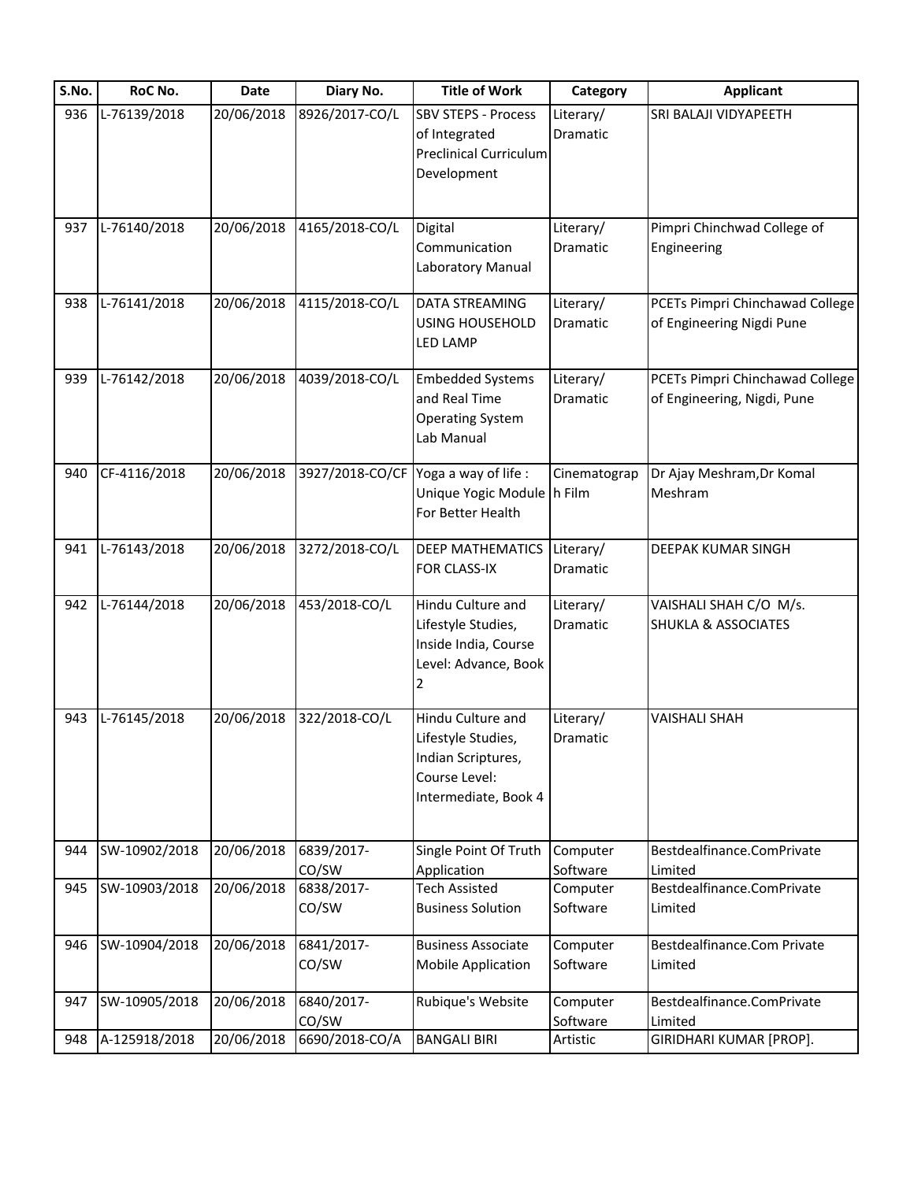| S.No. | RoC No.       | Date       | Diary No.           | <b>Title of Work</b>                                                                                   | Category                     | <b>Applicant</b>                                               |
|-------|---------------|------------|---------------------|--------------------------------------------------------------------------------------------------------|------------------------------|----------------------------------------------------------------|
| 936   | L-76139/2018  | 20/06/2018 | 8926/2017-CO/L      | <b>SBV STEPS - Process</b><br>of Integrated<br><b>Preclinical Curriculum</b><br>Development            | Literary/<br>Dramatic        | SRI BALAJI VIDYAPEETH                                          |
| 937   | L-76140/2018  | 20/06/2018 | 4165/2018-CO/L      | Digital<br>Communication<br>Laboratory Manual                                                          | Literary/<br>Dramatic        | Pimpri Chinchwad College of<br>Engineering                     |
| 938   | L-76141/2018  | 20/06/2018 | 4115/2018-CO/L      | DATA STREAMING<br><b>USING HOUSEHOLD</b><br><b>LED LAMP</b>                                            | Literary/<br>Dramatic        | PCETs Pimpri Chinchawad College<br>of Engineering Nigdi Pune   |
| 939   | L-76142/2018  | 20/06/2018 | 4039/2018-CO/L      | <b>Embedded Systems</b><br>and Real Time<br><b>Operating System</b><br>Lab Manual                      | Literary/<br><b>Dramatic</b> | PCETs Pimpri Chinchawad College<br>of Engineering, Nigdi, Pune |
| 940   | CF-4116/2018  | 20/06/2018 | 3927/2018-CO/CF     | Yoga a way of life :<br>Unique Yogic Module h Film<br>For Better Health                                | Cinematograp                 | Dr Ajay Meshram, Dr Komal<br>Meshram                           |
| 941   | L-76143/2018  | 20/06/2018 | 3272/2018-CO/L      | <b>DEEP MATHEMATICS</b><br>FOR CLASS-IX                                                                | Literary/<br>Dramatic        | DEEPAK KUMAR SINGH                                             |
| 942   | L-76144/2018  | 20/06/2018 | 453/2018-CO/L       | Hindu Culture and<br>Lifestyle Studies,<br>Inside India, Course<br>Level: Advance, Book<br>2           | Literary/<br>Dramatic        | VAISHALI SHAH C/O M/s.<br><b>SHUKLA &amp; ASSOCIATES</b>       |
| 943   | L-76145/2018  | 20/06/2018 | 322/2018-CO/L       | Hindu Culture and<br>Lifestyle Studies,<br>Indian Scriptures,<br>Course Level:<br>Intermediate, Book 4 | Literary/<br>Dramatic        | <b>VAISHALI SHAH</b>                                           |
| 944   | SW-10902/2018 | 20/06/2018 | 6839/2017-<br>CO/SW | Single Point Of Truth<br>Application                                                                   | Computer<br>Software         | Bestdealfinance.ComPrivate<br>Limited                          |
| 945   | SW-10903/2018 | 20/06/2018 | 6838/2017-<br>CO/SW | <b>Tech Assisted</b><br><b>Business Solution</b>                                                       | Computer<br>Software         | Bestdealfinance.ComPrivate<br>Limited                          |
| 946   | SW-10904/2018 | 20/06/2018 | 6841/2017-<br>CO/SW | <b>Business Associate</b><br><b>Mobile Application</b>                                                 | Computer<br>Software         | Bestdealfinance.Com Private<br>Limited                         |
| 947   | SW-10905/2018 | 20/06/2018 | 6840/2017-<br>CO/SW | Rubique's Website                                                                                      | Computer<br>Software         | Bestdealfinance.ComPrivate<br>Limited                          |
| 948   | A-125918/2018 | 20/06/2018 | 6690/2018-CO/A      | <b>BANGALI BIRI</b>                                                                                    | Artistic                     | GIRIDHARI KUMAR [PROP].                                        |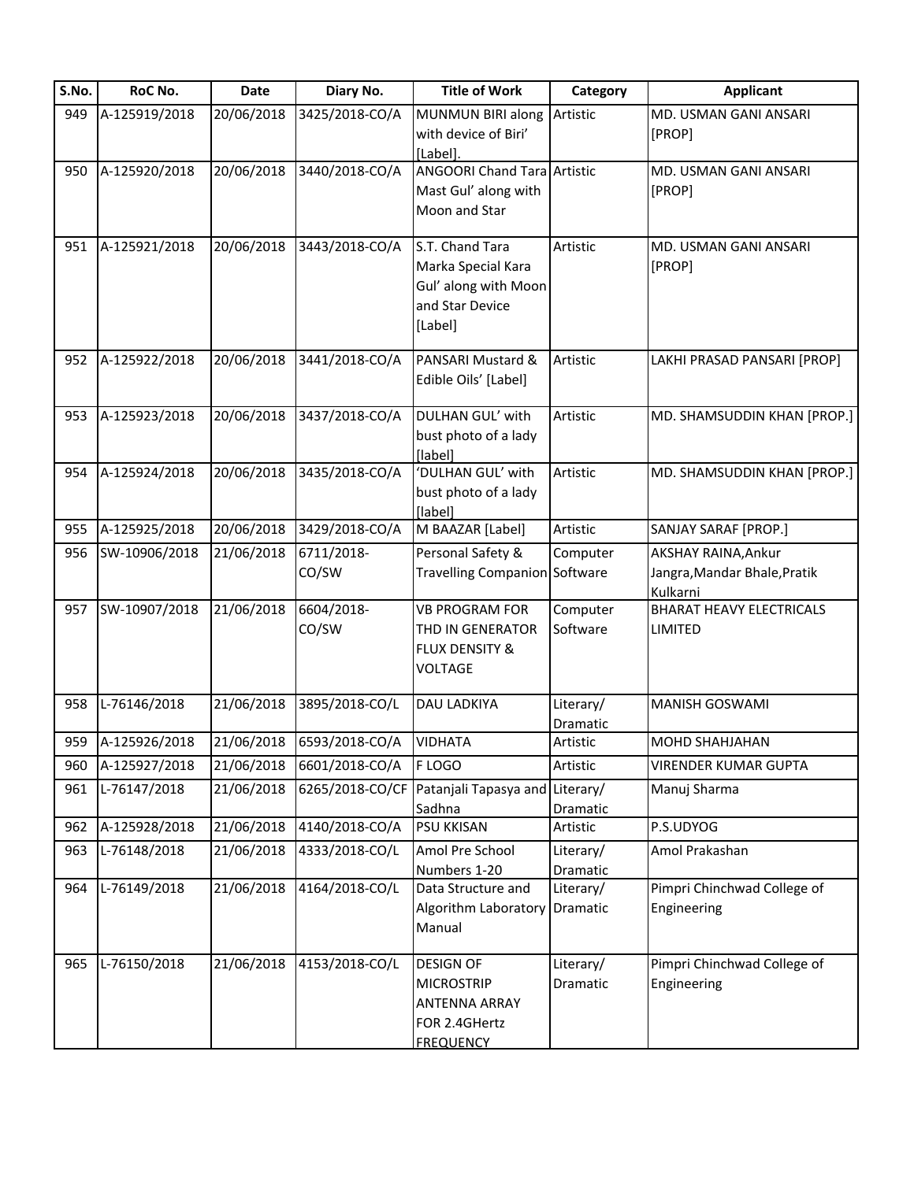| S.No. | RoC No.       | Date       | Diary No.                 | <b>Title of Work</b>               | Category             | <b>Applicant</b>                |
|-------|---------------|------------|---------------------------|------------------------------------|----------------------|---------------------------------|
| 949   | A-125919/2018 | 20/06/2018 | 3425/2018-CO/A            | MUNMUN BIRI along                  | Artistic             | MD. USMAN GANI ANSARI           |
|       |               |            |                           | with device of Biri'               |                      | [PROP]                          |
|       |               |            |                           | [Label].                           |                      |                                 |
| 950   | A-125920/2018 | 20/06/2018 | 3440/2018-CO/A            | <b>ANGOORI Chand Tara Artistic</b> |                      | MD. USMAN GANI ANSARI           |
|       |               |            |                           | Mast Gul' along with               |                      | [PROP]                          |
|       |               |            |                           | Moon and Star                      |                      |                                 |
| 951   | A-125921/2018 | 20/06/2018 | 3443/2018-CO/A            | S.T. Chand Tara                    | Artistic             | MD. USMAN GANI ANSARI           |
|       |               |            |                           | Marka Special Kara                 |                      | [PROP]                          |
|       |               |            |                           | Gul' along with Moon               |                      |                                 |
|       |               |            |                           | and Star Device                    |                      |                                 |
|       |               |            |                           | [Label]                            |                      |                                 |
| 952   | A-125922/2018 | 20/06/2018 | 3441/2018-CO/A            | PANSARI Mustard &                  | Artistic             | LAKHI PRASAD PANSARI [PROP]     |
|       |               |            |                           | Edible Oils' [Label]               |                      |                                 |
|       |               |            |                           |                                    |                      |                                 |
| 953   | A-125923/2018 | 20/06/2018 | 3437/2018-CO/A            | DULHAN GUL' with                   | Artistic             | MD. SHAMSUDDIN KHAN [PROP.]     |
|       |               |            |                           | bust photo of a lady               |                      |                                 |
|       |               |            |                           | [label]                            |                      |                                 |
| 954   | A-125924/2018 | 20/06/2018 | 3435/2018-CO/A            | 'DULHAN GUL' with                  | Artistic             | MD. SHAMSUDDIN KHAN [PROP.]     |
|       |               |            |                           | bust photo of a lady               |                      |                                 |
| 955   | A-125925/2018 | 20/06/2018 | 3429/2018-CO/A            | [label]<br>M BAAZAR [Label]        | Artistic             | SANJAY SARAF [PROP.]            |
| 956   | SW-10906/2018 | 21/06/2018 | 6711/2018-                | Personal Safety &                  | Computer             | AKSHAY RAINA, Ankur             |
|       |               |            | CO/SW                     | Travelling Companion Software      |                      | Jangra, Mandar Bhale, Pratik    |
|       |               |            |                           |                                    |                      | Kulkarni                        |
| 957   | SW-10907/2018 | 21/06/2018 | 6604/2018-                | <b>VB PROGRAM FOR</b>              | Computer             | <b>BHARAT HEAVY ELECTRICALS</b> |
|       |               |            | CO/SW                     | THD IN GENERATOR                   | Software             | LIMITED                         |
|       |               |            |                           | <b>FLUX DENSITY &amp;</b>          |                      |                                 |
|       |               |            |                           | <b>VOLTAGE</b>                     |                      |                                 |
| 958   | L-76146/2018  | 21/06/2018 | 3895/2018-CO/L            | <b>DAU LADKIYA</b>                 | Literary/            | <b>MANISH GOSWAMI</b>           |
|       |               |            |                           |                                    | Dramatic             |                                 |
| 959   | A-125926/2018 |            | 21/06/2018 6593/2018-CO/A | <b>VIDHATA</b>                     | Artistic             | <b>MOHD SHAHJAHAN</b>           |
| 960   | A-125927/2018 | 21/06/2018 | 6601/2018-CO/A            | F LOGO                             | Artistic             | <b>VIRENDER KUMAR GUPTA</b>     |
| 961   | L-76147/2018  | 21/06/2018 | 6265/2018-CO/CF           | Patanjali Tapasya and              | Literary/            | Manuj Sharma                    |
| 962   | A-125928/2018 | 21/06/2018 | 4140/2018-CO/A            | Sadhna<br>PSU KKISAN               | Dramatic<br>Artistic | P.S.UDYOG                       |
| 963   | L-76148/2018  | 21/06/2018 | 4333/2018-CO/L            | Amol Pre School                    | Literary/            | Amol Prakashan                  |
|       |               |            |                           | Numbers 1-20                       | Dramatic             |                                 |
| 964   | L-76149/2018  | 21/06/2018 | 4164/2018-CO/L            | Data Structure and                 | Literary/            | Pimpri Chinchwad College of     |
|       |               |            |                           | Algorithm Laboratory               | Dramatic             | Engineering                     |
|       |               |            |                           | Manual                             |                      |                                 |
| 965   | L-76150/2018  | 21/06/2018 | 4153/2018-CO/L            | <b>DESIGN OF</b>                   | Literary/            | Pimpri Chinchwad College of     |
|       |               |            |                           | <b>MICROSTRIP</b>                  | Dramatic             | Engineering                     |
|       |               |            |                           | ANTENNA ARRAY                      |                      |                                 |
|       |               |            |                           | FOR 2.4GHertz                      |                      |                                 |
|       |               |            |                           | <b>FREQUENCY</b>                   |                      |                                 |
|       |               |            |                           |                                    |                      |                                 |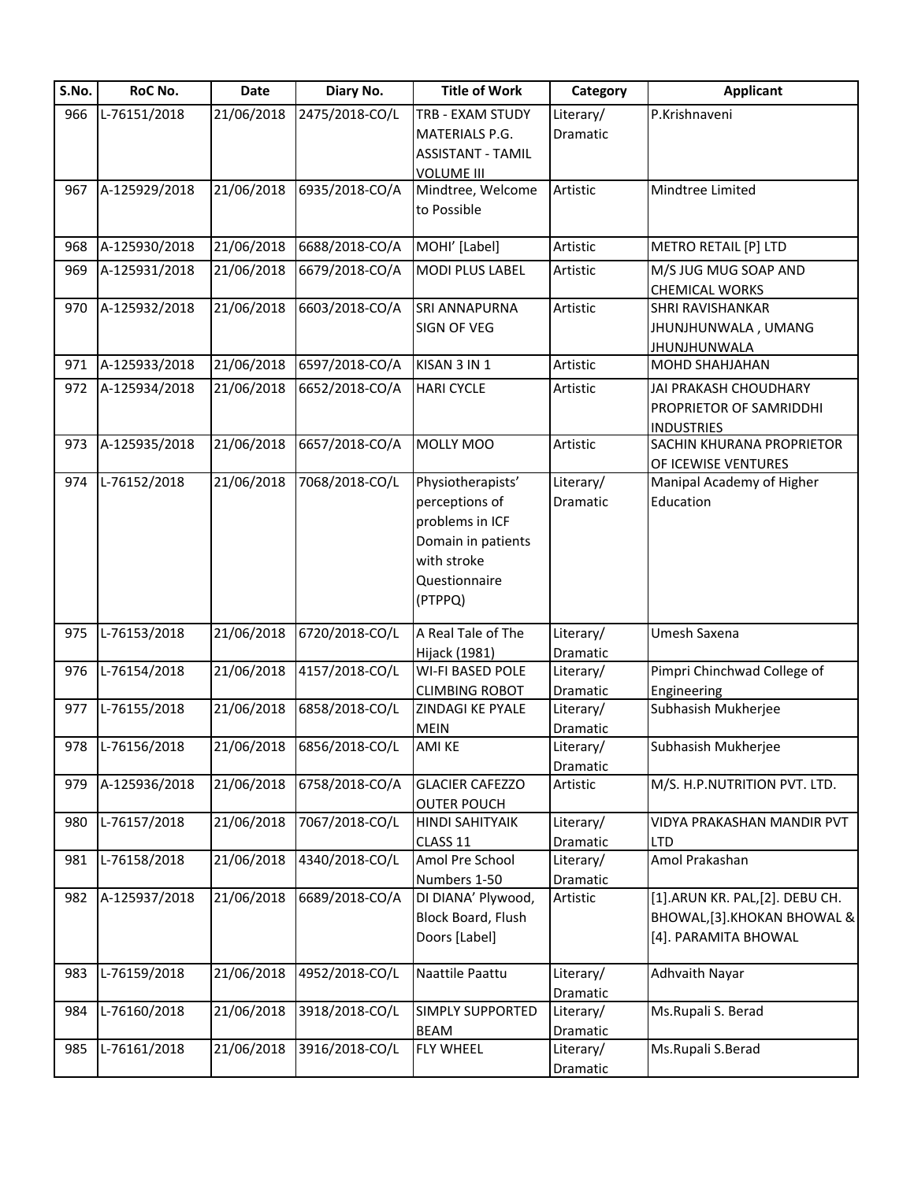| S.No. | RoC No.          | <b>Date</b> | Diary No.      | <b>Title of Work</b>     | Category        | <b>Applicant</b>                |
|-------|------------------|-------------|----------------|--------------------------|-----------------|---------------------------------|
| 966   | L-76151/2018     | 21/06/2018  | 2475/2018-CO/L | TRB - EXAM STUDY         | Literary/       | P.Krishnaveni                   |
|       |                  |             |                | MATERIALS P.G.           | Dramatic        |                                 |
|       |                  |             |                | <b>ASSISTANT - TAMIL</b> |                 |                                 |
|       |                  |             |                | <b>VOLUME III</b>        |                 |                                 |
| 967   | A-125929/2018    | 21/06/2018  | 6935/2018-CO/A | Mindtree, Welcome        | Artistic        | Mindtree Limited                |
|       |                  |             |                | to Possible              |                 |                                 |
|       |                  |             |                |                          |                 |                                 |
| 968   | A-125930/2018    | 21/06/2018  | 6688/2018-CO/A | MOHI' [Label]            | Artistic        | METRO RETAIL [P] LTD            |
| 969   | A-125931/2018    | 21/06/2018  | 6679/2018-CO/A | <b>MODI PLUS LABEL</b>   | Artistic        | M/S JUG MUG SOAP AND            |
|       |                  |             |                |                          |                 | <b>CHEMICAL WORKS</b>           |
| 970   | A-125932/2018    | 21/06/2018  | 6603/2018-CO/A | SRI ANNAPURNA            | Artistic        | <b>SHRI RAVISHANKAR</b>         |
|       |                  |             |                | SIGN OF VEG              |                 | JHUNJHUNWALA, UMANG             |
|       |                  |             |                |                          |                 | <b>JHUNJHUNWALA</b>             |
| 971   | A-125933/2018    | 21/06/2018  | 6597/2018-CO/A | KISAN 3 IN 1             | Artistic        | <b>MOHD SHAHJAHAN</b>           |
| 972   | A-125934/2018    | 21/06/2018  | 6652/2018-CO/A | <b>HARI CYCLE</b>        | Artistic        | JAI PRAKASH CHOUDHARY           |
|       |                  |             |                |                          |                 | PROPRIETOR OF SAMRIDDHI         |
|       |                  |             |                |                          |                 | <b>INDUSTRIES</b>               |
| 973   | A-125935/2018    | 21/06/2018  | 6657/2018-CO/A | MOLLY MOO                | Artistic        | SACHIN KHURANA PROPRIETOR       |
|       |                  |             |                |                          |                 | OF ICEWISE VENTURES             |
| 974   | L-76152/2018     | 21/06/2018  | 7068/2018-CO/L | Physiotherapists'        | Literary/       | Manipal Academy of Higher       |
|       |                  |             |                | perceptions of           | Dramatic        | Education                       |
|       |                  |             |                | problems in ICF          |                 |                                 |
|       |                  |             |                |                          |                 |                                 |
|       |                  |             |                | Domain in patients       |                 |                                 |
|       |                  |             |                | with stroke              |                 |                                 |
|       |                  |             |                | Questionnaire            |                 |                                 |
|       |                  |             |                | (PTPPQ)                  |                 |                                 |
| 975   | L-76153/2018     | 21/06/2018  | 6720/2018-CO/L | A Real Tale of The       | Literary/       | Umesh Saxena                    |
|       |                  |             |                | Hijack (1981)            | Dramatic        |                                 |
| 976   | L-76154/2018     | 21/06/2018  | 4157/2018-CO/L | <b>WI-FI BASED POLE</b>  | Literary/       | Pimpri Chinchwad College of     |
|       |                  |             |                | <b>CLIMBING ROBOT</b>    | Dramatic        | Engineering                     |
| 977   | L-76155/2018     | 21/06/2018  | 6858/2018-CO/L | ZINDAGI KE PYALE         | Literary/       | Subhasish Mukherjee             |
|       |                  |             |                | <b>MEIN</b>              | Dramatic        |                                 |
|       | 978 L-76156/2018 | 21/06/2018  | 6856/2018-CO/L | <b>AMI KE</b>            | Literary/       | Subhasish Mukherjee             |
|       |                  |             |                |                          | Dramatic        |                                 |
| 979   | A-125936/2018    | 21/06/2018  | 6758/2018-CO/A | <b>GLACIER CAFEZZO</b>   | Artistic        | M/S. H.P.NUTRITION PVT. LTD.    |
|       |                  |             |                | <b>OUTER POUCH</b>       |                 |                                 |
| 980   | L-76157/2018     | 21/06/2018  | 7067/2018-CO/L | <b>HINDI SAHITYAIK</b>   | Literary/       | VIDYA PRAKASHAN MANDIR PVT      |
|       |                  |             |                | CLASS 11                 | <b>Dramatic</b> | <b>LTD</b>                      |
| 981   | L-76158/2018     | 21/06/2018  | 4340/2018-CO/L | Amol Pre School          | Literary/       | Amol Prakashan                  |
|       |                  |             |                | Numbers 1-50             | Dramatic        |                                 |
| 982   | A-125937/2018    | 21/06/2018  | 6689/2018-CO/A | DI DIANA' Plywood,       | Artistic        | [1].ARUN KR. PAL, [2]. DEBU CH. |
|       |                  |             |                | Block Board, Flush       |                 | BHOWAL, [3]. KHOKAN BHOWAL &    |
|       |                  |             |                | Doors [Label]            |                 | [4]. PARAMITA BHOWAL            |
|       |                  |             |                |                          |                 |                                 |
| 983   | L-76159/2018     | 21/06/2018  | 4952/2018-CO/L | Naattile Paattu          | Literary/       | <b>Adhvaith Nayar</b>           |
|       |                  |             |                |                          | Dramatic        |                                 |
| 984   | L-76160/2018     | 21/06/2018  | 3918/2018-CO/L | SIMPLY SUPPORTED         | Literary/       | Ms.Rupali S. Berad              |
|       |                  |             |                | <b>BEAM</b>              | Dramatic        |                                 |
| 985   | L-76161/2018     | 21/06/2018  | 3916/2018-CO/L | <b>FLY WHEEL</b>         | Literary/       | Ms.Rupali S.Berad               |
|       |                  |             |                |                          | Dramatic        |                                 |
|       |                  |             |                |                          |                 |                                 |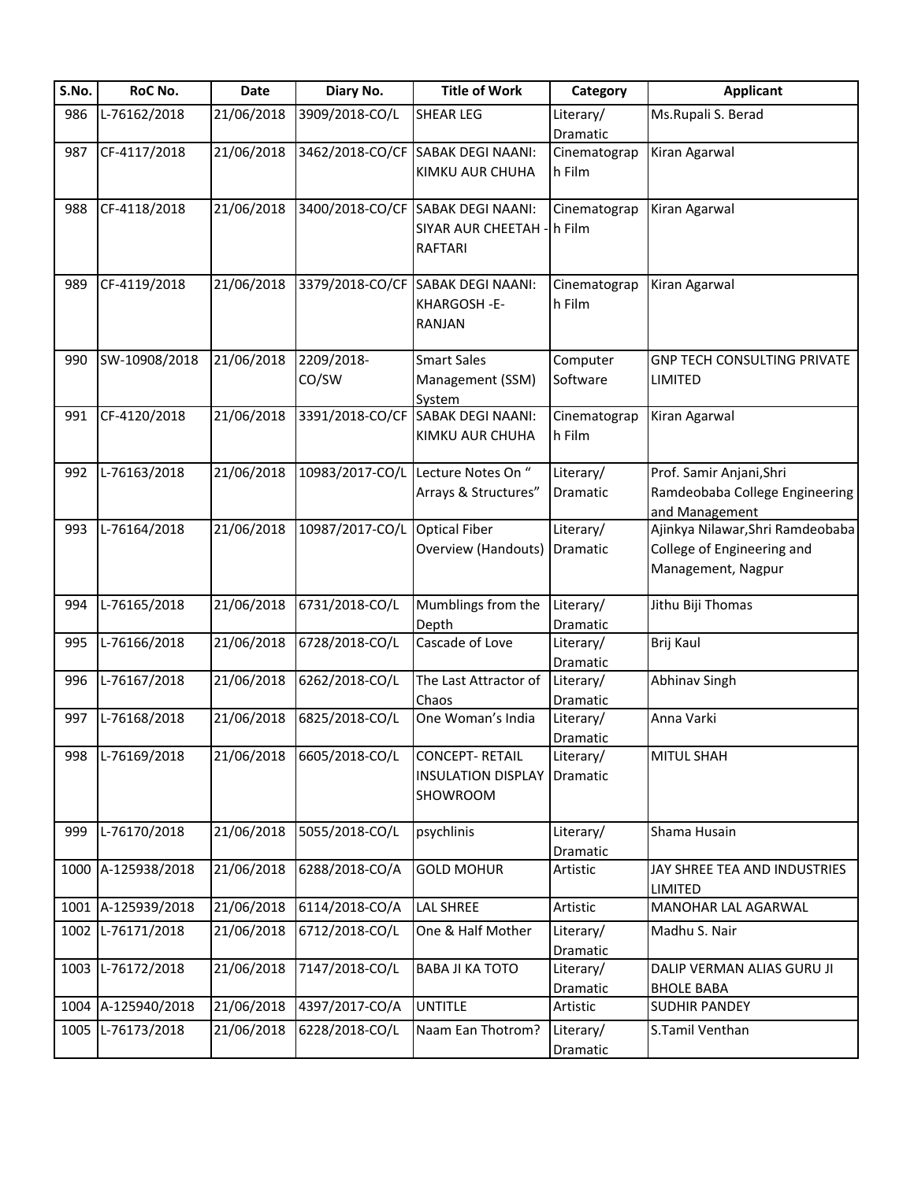| S.No. | RoC No.            | Date       | Diary No.       | <b>Title of Work</b>               | Category              | <b>Applicant</b>                   |
|-------|--------------------|------------|-----------------|------------------------------------|-----------------------|------------------------------------|
| 986   | L-76162/2018       | 21/06/2018 | 3909/2018-CO/L  | <b>SHEAR LEG</b>                   | Literary/             | Ms.Rupali S. Berad                 |
|       |                    |            |                 |                                    | Dramatic              |                                    |
| 987   | CF-4117/2018       | 21/06/2018 |                 | 3462/2018-CO/CF SABAK DEGI NAANI:  | Cinematograp          | Kiran Agarwal                      |
|       |                    |            |                 | KIMKU AUR CHUHA                    | h Film                |                                    |
|       |                    |            |                 |                                    |                       |                                    |
| 988   | CF-4118/2018       | 21/06/2018 |                 | 3400/2018-CO/CF SABAK DEGI NAANI:  | Cinematograp          | Kiran Agarwal                      |
|       |                    |            |                 | SIYAR AUR CHEETAH - h Film         |                       |                                    |
|       |                    |            |                 | <b>RAFTARI</b>                     |                       |                                    |
| 989   | CF-4119/2018       | 21/06/2018 |                 | 3379/2018-CO/CF SABAK DEGI NAANI:  | Cinematograp          | Kiran Agarwal                      |
|       |                    |            |                 | KHARGOSH-E-                        | h Film                |                                    |
|       |                    |            |                 | <b>RANJAN</b>                      |                       |                                    |
|       |                    |            |                 | <b>Smart Sales</b>                 |                       |                                    |
| 990   | SW-10908/2018      | 21/06/2018 | 2209/2018-      |                                    | Computer              | <b>GNP TECH CONSULTING PRIVATE</b> |
|       |                    |            | CO/SW           | Management (SSM)<br>System         | Software              | LIMITED                            |
| 991   | CF-4120/2018       | 21/06/2018 | 3391/2018-CO/CF | <b>SABAK DEGI NAANI:</b>           | Cinematograp          | Kiran Agarwal                      |
|       |                    |            |                 | KIMKU AUR CHUHA                    | h Film                |                                    |
|       |                    |            |                 |                                    |                       |                                    |
| 992   | L-76163/2018       | 21/06/2018 |                 | 10983/2017-CO/L Lecture Notes On " | Literary/             | Prof. Samir Anjani, Shri           |
|       |                    |            |                 | Arrays & Structures"               | Dramatic              | Ramdeobaba College Engineering     |
|       |                    |            |                 |                                    |                       | and Management                     |
| 993   | L-76164/2018       | 21/06/2018 | 10987/2017-CO/L | <b>Optical Fiber</b>               | Literary/             | Ajinkya Nilawar, Shri Ramdeobaba   |
|       |                    |            |                 | Overview (Handouts)                | Dramatic              | College of Engineering and         |
|       |                    |            |                 |                                    |                       | Management, Nagpur                 |
| 994   | L-76165/2018       | 21/06/2018 | 6731/2018-CO/L  | Mumblings from the                 | Literary/             | Jithu Biji Thomas                  |
|       |                    |            |                 | Depth                              | Dramatic              |                                    |
| 995   | L-76166/2018       | 21/06/2018 | 6728/2018-CO/L  | Cascade of Love                    | Literary/             | Brij Kaul                          |
|       |                    |            |                 |                                    | Dramatic              |                                    |
| 996   | L-76167/2018       | 21/06/2018 | 6262/2018-CO/L  | The Last Attractor of              | Literary/             | Abhinav Singh                      |
|       |                    |            |                 | Chaos                              | Dramatic              |                                    |
| 997   | L-76168/2018       | 21/06/2018 | 6825/2018-CO/L  | One Woman's India                  | Literary/             | Anna Varki                         |
|       |                    |            |                 |                                    | Dramatic              |                                    |
| 998   | L-76169/2018       | 21/06/2018 | 6605/2018-CO/L  | <b>CONCEPT-RETAIL</b>              | Literary/             | <b>MITUL SHAH</b>                  |
|       |                    |            |                 | <b>INSULATION DISPLAY</b>          | Dramatic              |                                    |
|       |                    |            |                 | SHOWROOM                           |                       |                                    |
|       |                    |            |                 |                                    |                       |                                    |
| 999   | L-76170/2018       | 21/06/2018 | 5055/2018-CO/L  | psychlinis                         | Literary/             | Shama Husain                       |
|       |                    |            |                 |                                    | Dramatic              |                                    |
|       | 1000 A-125938/2018 | 21/06/2018 | 6288/2018-CO/A  | <b>GOLD MOHUR</b>                  | Artistic              | JAY SHREE TEA AND INDUSTRIES       |
|       | 1001 A-125939/2018 | 21/06/2018 | 6114/2018-CO/A  | LAL SHREE                          | Artistic              | LIMITED<br>MANOHAR LAL AGARWAL     |
|       | 1002 L-76171/2018  | 21/06/2018 | 6712/2018-CO/L  |                                    | Literary/             |                                    |
|       |                    |            |                 | One & Half Mother                  |                       | Madhu S. Nair                      |
|       | 1003 L-76172/2018  | 21/06/2018 | 7147/2018-CO/L  | <b>BABA JI KA TOTO</b>             | Dramatic<br>Literary/ | DALIP VERMAN ALIAS GURU JI         |
|       |                    |            |                 |                                    | Dramatic              | <b>BHOLE BABA</b>                  |
|       | 1004 A-125940/2018 | 21/06/2018 | 4397/2017-CO/A  | <b>UNTITLE</b>                     | Artistic              | <b>SUDHIR PANDEY</b>               |
|       | 1005 L-76173/2018  | 21/06/2018 | 6228/2018-CO/L  | Naam Ean Thotrom?                  |                       | S.Tamil Venthan                    |
|       |                    |            |                 |                                    | Literary/             |                                    |
|       |                    |            |                 |                                    | Dramatic              |                                    |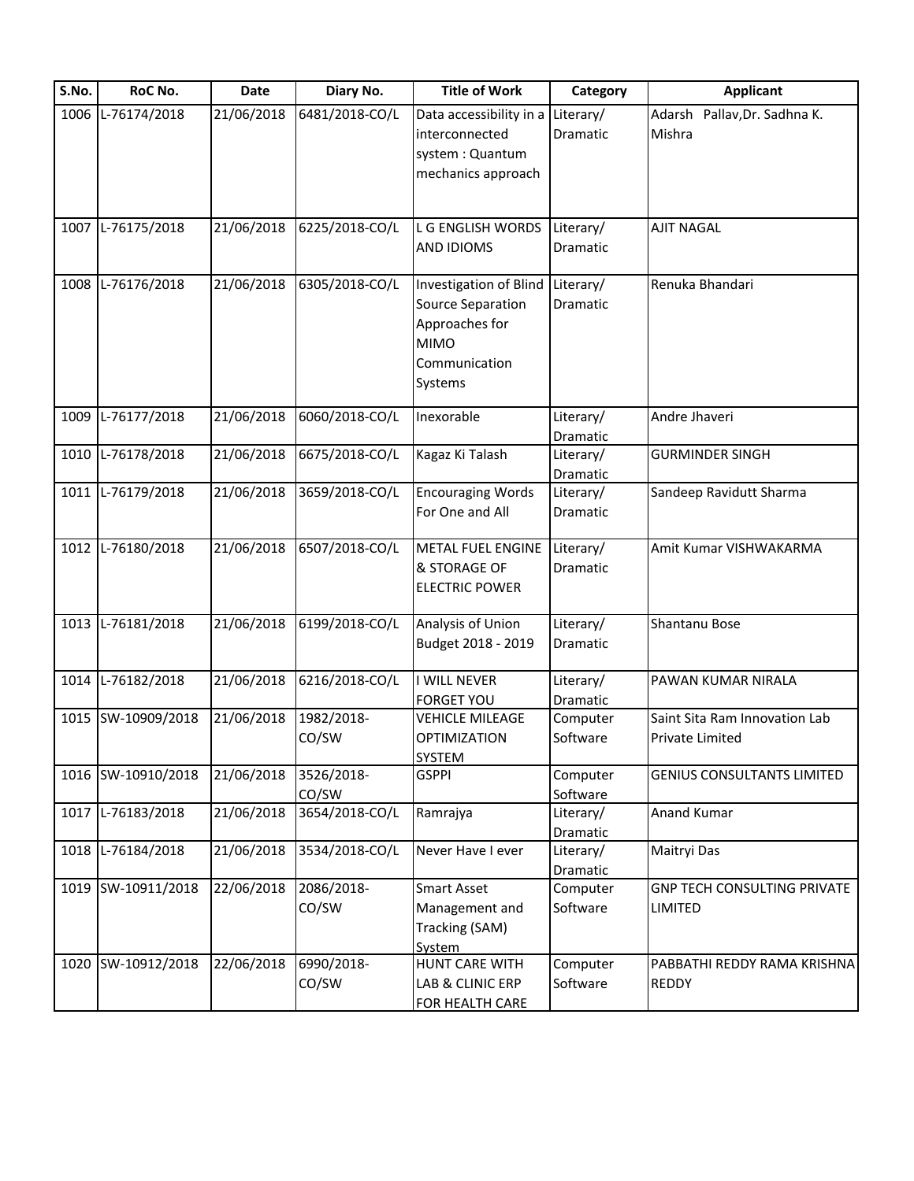| S.No. | RoC No.            | Date       | Diary No.      | <b>Title of Work</b>                        | Category              | <b>Applicant</b>                       |
|-------|--------------------|------------|----------------|---------------------------------------------|-----------------------|----------------------------------------|
|       | 1006 L-76174/2018  | 21/06/2018 | 6481/2018-CO/L | Data accessibility in a<br>interconnected   | Literary/<br>Dramatic | Adarsh Pallav, Dr. Sadhna K.<br>Mishra |
|       |                    |            |                | system: Quantum                             |                       |                                        |
|       |                    |            |                | mechanics approach                          |                       |                                        |
|       |                    |            |                |                                             |                       |                                        |
|       | 1007 L-76175/2018  | 21/06/2018 | 6225/2018-CO/L | L G ENGLISH WORDS                           | Literary/             | <b>AJIT NAGAL</b>                      |
|       |                    |            |                | <b>AND IDIOMS</b>                           | Dramatic              |                                        |
|       |                    |            |                |                                             |                       |                                        |
|       | 1008 L-76176/2018  | 21/06/2018 | 6305/2018-CO/L | Investigation of Blind                      | Literary/             | Renuka Bhandari                        |
|       |                    |            |                | Source Separation                           | Dramatic              |                                        |
|       |                    |            |                | Approaches for                              |                       |                                        |
|       |                    |            |                | <b>MIMO</b>                                 |                       |                                        |
|       |                    |            |                | Communication                               |                       |                                        |
|       |                    |            |                | Systems                                     |                       |                                        |
|       | 1009 L-76177/2018  | 21/06/2018 | 6060/2018-CO/L | Inexorable                                  |                       |                                        |
|       |                    |            |                |                                             | Literary/             | Andre Jhaveri                          |
|       | 1010 L-76178/2018  | 21/06/2018 | 6675/2018-CO/L | Kagaz Ki Talash                             | Dramatic<br>Literary/ | <b>GURMINDER SINGH</b>                 |
|       |                    |            |                |                                             |                       |                                        |
|       | 1011 L-76179/2018  | 21/06/2018 |                |                                             | Dramatic              | Sandeep Ravidutt Sharma                |
|       |                    |            | 3659/2018-CO/L | <b>Encouraging Words</b>                    | Literary/             |                                        |
|       |                    |            |                | For One and All                             | Dramatic              |                                        |
| 1012  | L-76180/2018       | 21/06/2018 | 6507/2018-CO/L | <b>METAL FUEL ENGINE</b>                    | Literary/             | Amit Kumar VISHWAKARMA                 |
|       |                    |            |                | & STORAGE OF                                | Dramatic              |                                        |
|       |                    |            |                | <b>ELECTRIC POWER</b>                       |                       |                                        |
|       |                    |            |                |                                             |                       |                                        |
|       | 1013 L-76181/2018  | 21/06/2018 | 6199/2018-CO/L | Analysis of Union                           | Literary/             | Shantanu Bose                          |
|       |                    |            |                | Budget 2018 - 2019                          | Dramatic              |                                        |
|       |                    |            |                |                                             |                       |                                        |
|       | 1014 L-76182/2018  | 21/06/2018 | 6216/2018-CO/L | I WILL NEVER                                | Literary/             | PAWAN KUMAR NIRALA                     |
|       | 1015 SW-10909/2018 | 21/06/2018 | 1982/2018-     | <b>FORGET YOU</b><br><b>VEHICLE MILEAGE</b> | Dramatic<br>Computer  | Saint Sita Ram Innovation Lab          |
|       |                    |            | CO/SW          | <b>OPTIMIZATION</b>                         | Software              |                                        |
|       |                    |            |                | <b>SYSTEM</b>                               |                       | <b>Private Limited</b>                 |
|       | 1016 SW-10910/2018 | 21/06/2018 | 3526/2018-     | <b>GSPPI</b>                                | Computer              | <b>GENIUS CONSULTANTS LIMITED</b>      |
|       |                    |            | CO/SW          |                                             | Software              |                                        |
| 1017  | L-76183/2018       | 21/06/2018 | 3654/2018-CO/L | Ramrajya                                    | Literary/             | <b>Anand Kumar</b>                     |
|       |                    |            |                |                                             | Dramatic              |                                        |
|       | 1018 L-76184/2018  | 21/06/2018 | 3534/2018-CO/L | Never Have I ever                           | Literary/             | Maitryi Das                            |
|       |                    |            |                |                                             | Dramatic              |                                        |
|       | 1019 SW-10911/2018 | 22/06/2018 | 2086/2018-     | <b>Smart Asset</b>                          | Computer              | <b>GNP TECH CONSULTING PRIVATE</b>     |
|       |                    |            | CO/SW          | Management and                              | Software              | LIMITED                                |
|       |                    |            |                | Tracking (SAM)                              |                       |                                        |
|       |                    |            |                | System                                      |                       |                                        |
|       | 1020 SW-10912/2018 | 22/06/2018 | 6990/2018-     | HUNT CARE WITH                              | Computer              | PABBATHI REDDY RAMA KRISHNA            |
|       |                    |            | CO/SW          | LAB & CLINIC ERP                            | Software              | <b>REDDY</b>                           |
|       |                    |            |                | FOR HEALTH CARE                             |                       |                                        |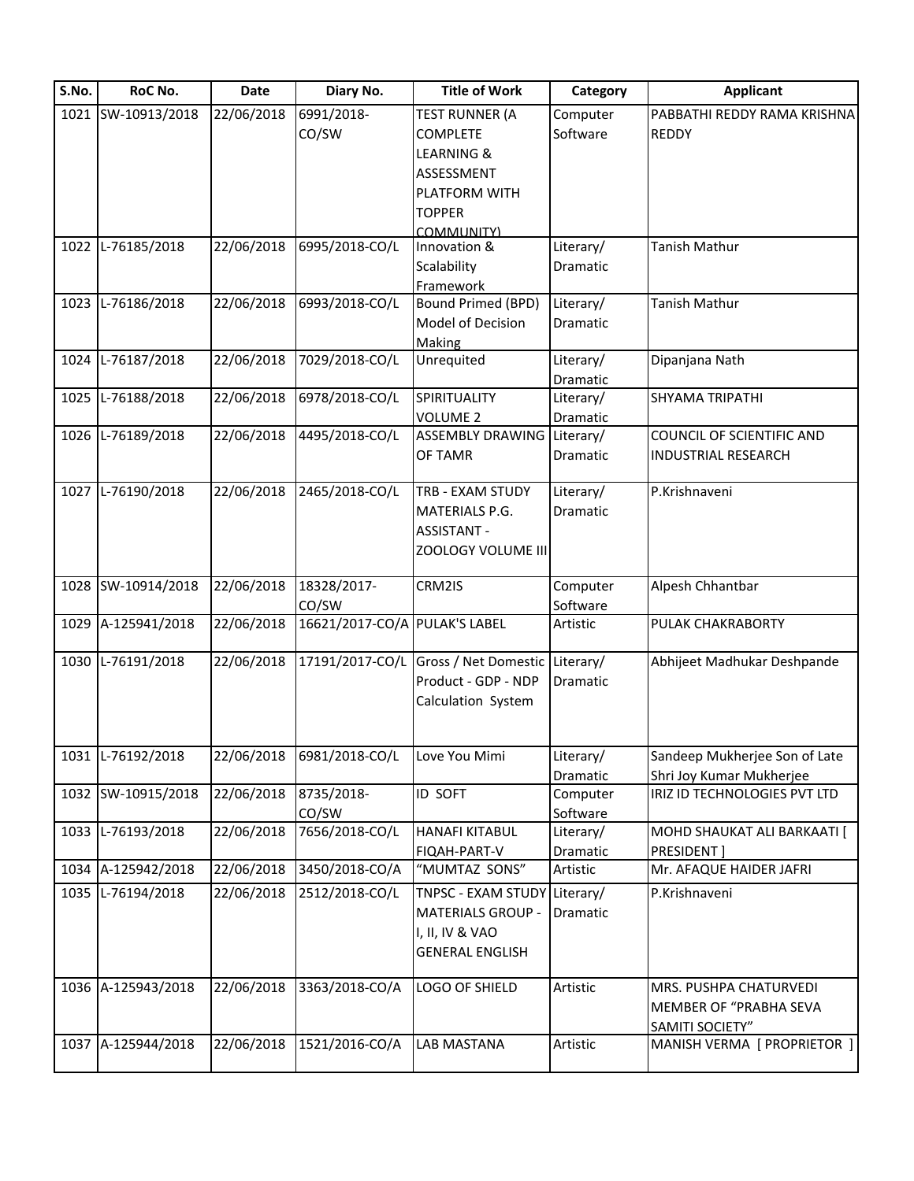| S.No. | RoC No.            | <b>Date</b> | Diary No.                     | <b>Title of Work</b>              | Category  | <b>Applicant</b>                 |
|-------|--------------------|-------------|-------------------------------|-----------------------------------|-----------|----------------------------------|
|       | 1021 SW-10913/2018 | 22/06/2018  | 6991/2018-                    | <b>TEST RUNNER (A</b>             | Computer  | PABBATHI REDDY RAMA KRISHNA      |
|       |                    |             | CO/SW                         | <b>COMPLETE</b>                   | Software  | <b>REDDY</b>                     |
|       |                    |             |                               | LEARNING &                        |           |                                  |
|       |                    |             |                               | ASSESSMENT                        |           |                                  |
|       |                    |             |                               | PLATFORM WITH                     |           |                                  |
|       |                    |             |                               | <b>TOPPER</b>                     |           |                                  |
|       |                    |             |                               | COMMUNITY)                        |           |                                  |
|       | 1022 L-76185/2018  | 22/06/2018  | 6995/2018-CO/L                | Innovation &                      | Literary/ | Tanish Mathur                    |
|       |                    |             |                               | Scalability                       | Dramatic  |                                  |
|       |                    |             |                               | Framework                         |           |                                  |
|       | 1023 L-76186/2018  | 22/06/2018  | 6993/2018-CO/L                | <b>Bound Primed (BPD)</b>         | Literary/ | Tanish Mathur                    |
|       |                    |             |                               | Model of Decision                 | Dramatic  |                                  |
|       |                    |             |                               | Making                            |           |                                  |
|       | 1024 L-76187/2018  | 22/06/2018  | 7029/2018-CO/L                | Unrequited                        | Literary/ | Dipanjana Nath                   |
|       |                    |             |                               |                                   | Dramatic  |                                  |
|       | 1025 L-76188/2018  | 22/06/2018  | 6978/2018-CO/L                | SPIRITUALITY                      | Literary/ | SHYAMA TRIPATHI                  |
|       |                    |             |                               | <b>VOLUME 2</b>                   | Dramatic  |                                  |
|       | 1026 L-76189/2018  | 22/06/2018  | 4495/2018-CO/L                | <b>ASSEMBLY DRAWING Literary/</b> |           | <b>COUNCIL OF SCIENTIFIC AND</b> |
|       |                    |             |                               | OF TAMR                           | Dramatic  | <b>INDUSTRIAL RESEARCH</b>       |
|       |                    |             |                               |                                   |           |                                  |
|       | 1027 L-76190/2018  | 22/06/2018  | 2465/2018-CO/L                | TRB - EXAM STUDY                  | Literary/ | P.Krishnaveni                    |
|       |                    |             |                               | MATERIALS P.G.                    | Dramatic  |                                  |
|       |                    |             |                               | <b>ASSISTANT -</b>                |           |                                  |
|       |                    |             |                               | ZOOLOGY VOLUME III                |           |                                  |
|       |                    |             |                               |                                   |           |                                  |
|       | 1028 SW-10914/2018 | 22/06/2018  | 18328/2017-                   | CRM2IS                            | Computer  | Alpesh Chhantbar                 |
|       |                    |             | CO/SW                         |                                   | Software  |                                  |
|       | 1029 A-125941/2018 | 22/06/2018  | 16621/2017-CO/A PULAK'S LABEL |                                   | Artistic  | PULAK CHAKRABORTY                |
|       | 1030 L-76191/2018  | 22/06/2018  | 17191/2017-CO/L               |                                   |           | Abhijeet Madhukar Deshpande      |
|       |                    |             |                               | Gross / Net Domestic Literary/    |           |                                  |
|       |                    |             |                               | Product - GDP - NDP               | Dramatic  |                                  |
|       |                    |             |                               | Calculation System                |           |                                  |
|       |                    |             |                               |                                   |           |                                  |
|       | 1031 L-76192/2018  | 22/06/2018  | 6981/2018-CO/L                | Love You Mimi                     | Literary/ | Sandeep Mukherjee Son of Late    |
|       |                    |             |                               |                                   | Dramatic  | Shri Joy Kumar Mukherjee         |
|       | 1032 SW-10915/2018 | 22/06/2018  | 8735/2018-                    | ID SOFT                           | Computer  | IRIZ ID TECHNOLOGIES PVT LTD     |
|       |                    |             | CO/SW                         |                                   | Software  |                                  |
|       | 1033 L-76193/2018  | 22/06/2018  | 7656/2018-CO/L                | <b>HANAFI KITABUL</b>             | Literary/ | MOHD SHAUKAT ALI BARKAATI [      |
|       |                    |             |                               | FIQAH-PART-V                      | Dramatic  | <b>PRESIDENT</b>                 |
|       | 1034 A-125942/2018 | 22/06/2018  | 3450/2018-CO/A                | "MUMTAZ SONS"                     | Artistic  | Mr. AFAQUE HAIDER JAFRI          |
|       | 1035 L-76194/2018  | 22/06/2018  | 2512/2018-CO/L                | TNPSC - EXAM STUDY Literary/      |           | P.Krishnaveni                    |
|       |                    |             |                               | <b>MATERIALS GROUP -</b>          | Dramatic  |                                  |
|       |                    |             |                               |                                   |           |                                  |
|       |                    |             |                               | I, II, IV & VAO                   |           |                                  |
|       |                    |             |                               | <b>GENERAL ENGLISH</b>            |           |                                  |
|       | 1036 A-125943/2018 | 22/06/2018  | 3363/2018-CO/A                | LOGO OF SHIELD                    | Artistic  | MRS. PUSHPA CHATURVEDI           |
|       |                    |             |                               |                                   |           |                                  |
|       |                    |             |                               |                                   |           | MEMBER OF "PRABHA SEVA           |
|       |                    |             |                               |                                   |           | SAMITI SOCIETY"                  |
|       | 1037 A-125944/2018 | 22/06/2018  | 1521/2016-CO/A                | LAB MASTANA                       | Artistic  | MANISH VERMA [ PROPRIETOR ]      |
|       |                    |             |                               |                                   |           |                                  |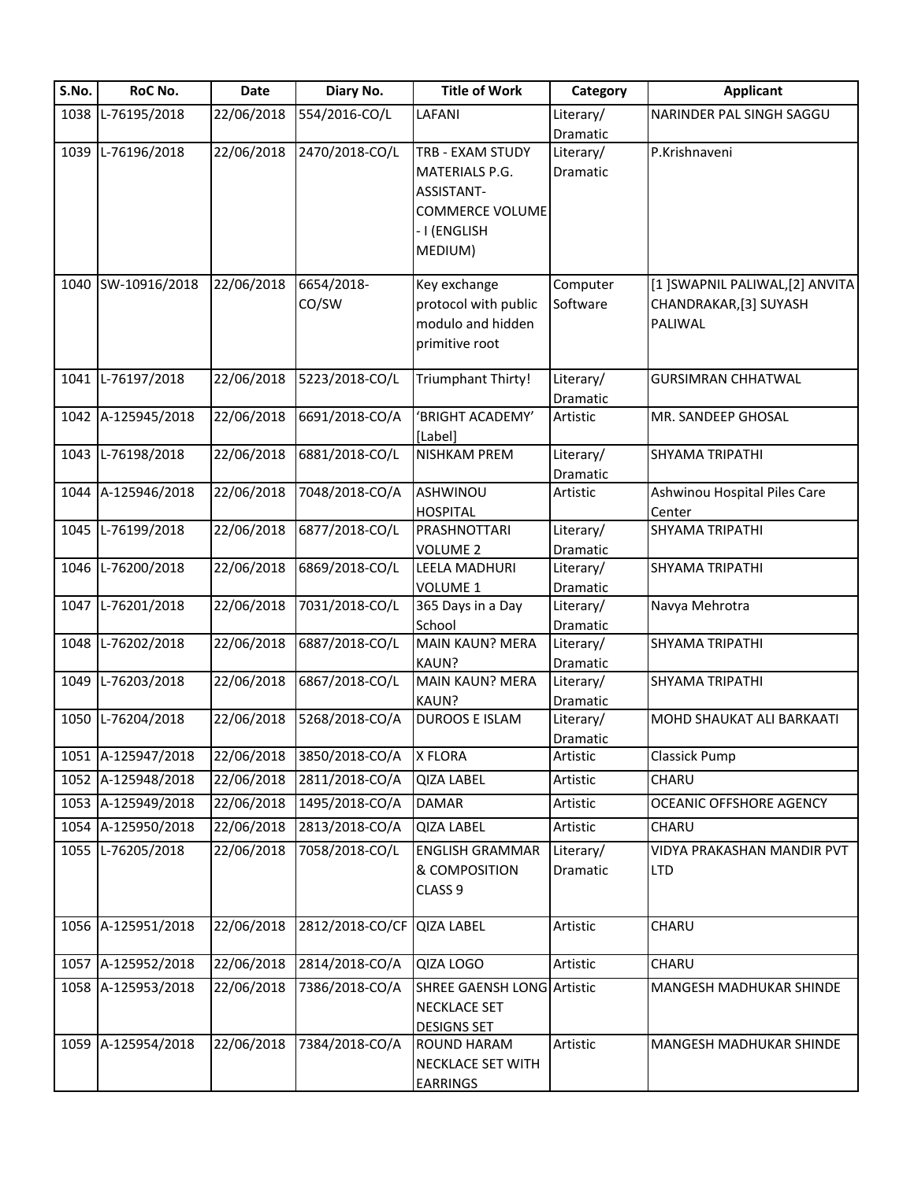| S.No. | RoC No.            | Date       | Diary No.       | <b>Title of Work</b>              | Category             | <b>Applicant</b>                |
|-------|--------------------|------------|-----------------|-----------------------------------|----------------------|---------------------------------|
| 1038  | L-76195/2018       | 22/06/2018 | 554/2016-CO/L   | LAFANI                            | Literary/            | NARINDER PAL SINGH SAGGU        |
|       |                    |            |                 |                                   | Dramatic             |                                 |
| 1039  | L-76196/2018       | 22/06/2018 | 2470/2018-CO/L  | TRB - EXAM STUDY                  | Literary/            | P.Krishnaveni                   |
|       |                    |            |                 | MATERIALS P.G.                    | <b>Dramatic</b>      |                                 |
|       |                    |            |                 | ASSISTANT-                        |                      |                                 |
|       |                    |            |                 | <b>COMMERCE VOLUME</b>            |                      |                                 |
|       |                    |            |                 | - I (ENGLISH                      |                      |                                 |
|       |                    |            |                 | MEDIUM)                           |                      |                                 |
| 1040  | SW-10916/2018      | 22/06/2018 | 6654/2018-      | Key exchange                      | Computer             | [1] SWAPNIL PALIWAL, [2] ANVITA |
|       |                    |            | CO/SW           | protocol with public              | Software             | CHANDRAKAR, [3] SUYASH          |
|       |                    |            |                 | modulo and hidden                 |                      | PALIWAL                         |
|       |                    |            |                 | primitive root                    |                      |                                 |
|       |                    |            |                 |                                   |                      |                                 |
| 1041  | L-76197/2018       | 22/06/2018 | 5223/2018-CO/L  | Triumphant Thirty!                | Literary/            | <b>GURSIMRAN CHHATWAL</b>       |
|       |                    |            |                 |                                   | Dramatic             |                                 |
| 1042  | A-125945/2018      | 22/06/2018 | 6691/2018-CO/A  | 'BRIGHT ACADEMY'                  | Artistic             | MR. SANDEEP GHOSAL              |
|       |                    |            |                 | [Label]                           |                      |                                 |
| 1043  | L-76198/2018       | 22/06/2018 | 6881/2018-CO/L  | <b>NISHKAM PREM</b>               | Literary/            | SHYAMA TRIPATHI                 |
| 1044  | A-125946/2018      | 22/06/2018 | 7048/2018-CO/A  | ASHWINOU                          | Dramatic<br>Artistic | Ashwinou Hospital Piles Care    |
|       |                    |            |                 | <b>HOSPITAL</b>                   |                      | Center                          |
| 1045  | L-76199/2018       | 22/06/2018 | 6877/2018-CO/L  | PRASHNOTTARI                      | Literary/            | SHYAMA TRIPATHI                 |
|       |                    |            |                 | <b>VOLUME 2</b>                   | Dramatic             |                                 |
| 1046  | L-76200/2018       | 22/06/2018 | 6869/2018-CO/L  | LEELA MADHURI                     | Literary/            | SHYAMA TRIPATHI                 |
|       |                    |            |                 | VOLUME 1                          | Dramatic             |                                 |
| 1047  | L-76201/2018       | 22/06/2018 | 7031/2018-CO/L  | 365 Days in a Day                 | Literary/            | Navya Mehrotra                  |
|       |                    |            |                 | School                            | Dramatic             |                                 |
| 1048  | L-76202/2018       | 22/06/2018 | 6887/2018-CO/L  | <b>MAIN KAUN? MERA</b>            | Literary/            | SHYAMA TRIPATHI                 |
|       |                    |            |                 | KAUN?                             | Dramatic             |                                 |
| 1049  | L-76203/2018       | 22/06/2018 | 6867/2018-CO/L  | <b>MAIN KAUN? MERA</b>            | Literary/            | SHYAMA TRIPATHI                 |
|       |                    |            |                 | KAUN?                             | <b>Dramatic</b>      |                                 |
| 1050  | L-76204/2018       | 22/06/2018 | 5268/2018-CO/A  | <b>DUROOS E ISLAM</b>             | Literary/            | MOHD SHAUKAT ALI BARKAATI       |
|       |                    |            |                 |                                   | Dramatic             |                                 |
|       | 1051 A-125947/2018 | 22/06/2018 | 3850/2018-CO/A  | X FLORA                           | Artistic             | <b>Classick Pump</b>            |
|       | 1052 A-125948/2018 | 22/06/2018 | 2811/2018-CO/A  | <b>QIZA LABEL</b>                 | Artistic             | CHARU                           |
|       | 1053 A-125949/2018 | 22/06/2018 | 1495/2018-CO/A  | <b>DAMAR</b>                      | Artistic             | <b>OCEANIC OFFSHORE AGENCY</b>  |
|       | 1054 A-125950/2018 | 22/06/2018 | 2813/2018-CO/A  | <b>QIZA LABEL</b>                 | Artistic             | CHARU                           |
| 1055  | L-76205/2018       | 22/06/2018 | 7058/2018-CO/L  | <b>ENGLISH GRAMMAR</b>            | Literary/            | VIDYA PRAKASHAN MANDIR PVT      |
|       |                    |            |                 | & COMPOSITION                     | Dramatic             | <b>LTD</b>                      |
|       |                    |            |                 | CLASS <sub>9</sub>                |                      |                                 |
|       | 1056 A-125951/2018 | 22/06/2018 | 2812/2018-CO/CF | <b>QIZA LABEL</b>                 | Artistic             | CHARU                           |
|       |                    |            |                 |                                   |                      |                                 |
| 1057  | A-125952/2018      | 22/06/2018 | 2814/2018-CO/A  | QIZA LOGO                         | Artistic             | CHARU                           |
|       | 1058 A-125953/2018 | 22/06/2018 | 7386/2018-CO/A  | <b>SHREE GAENSH LONG Artistic</b> |                      | MANGESH MADHUKAR SHINDE         |
|       |                    |            |                 | NECKLACE SET                      |                      |                                 |
|       |                    |            |                 | <b>DESIGNS SET</b>                |                      |                                 |
|       | 1059 A-125954/2018 | 22/06/2018 | 7384/2018-CO/A  | <b>ROUND HARAM</b>                | Artistic             | MANGESH MADHUKAR SHINDE         |
|       |                    |            |                 | NECKLACE SET WITH                 |                      |                                 |
|       |                    |            |                 | <b>EARRINGS</b>                   |                      |                                 |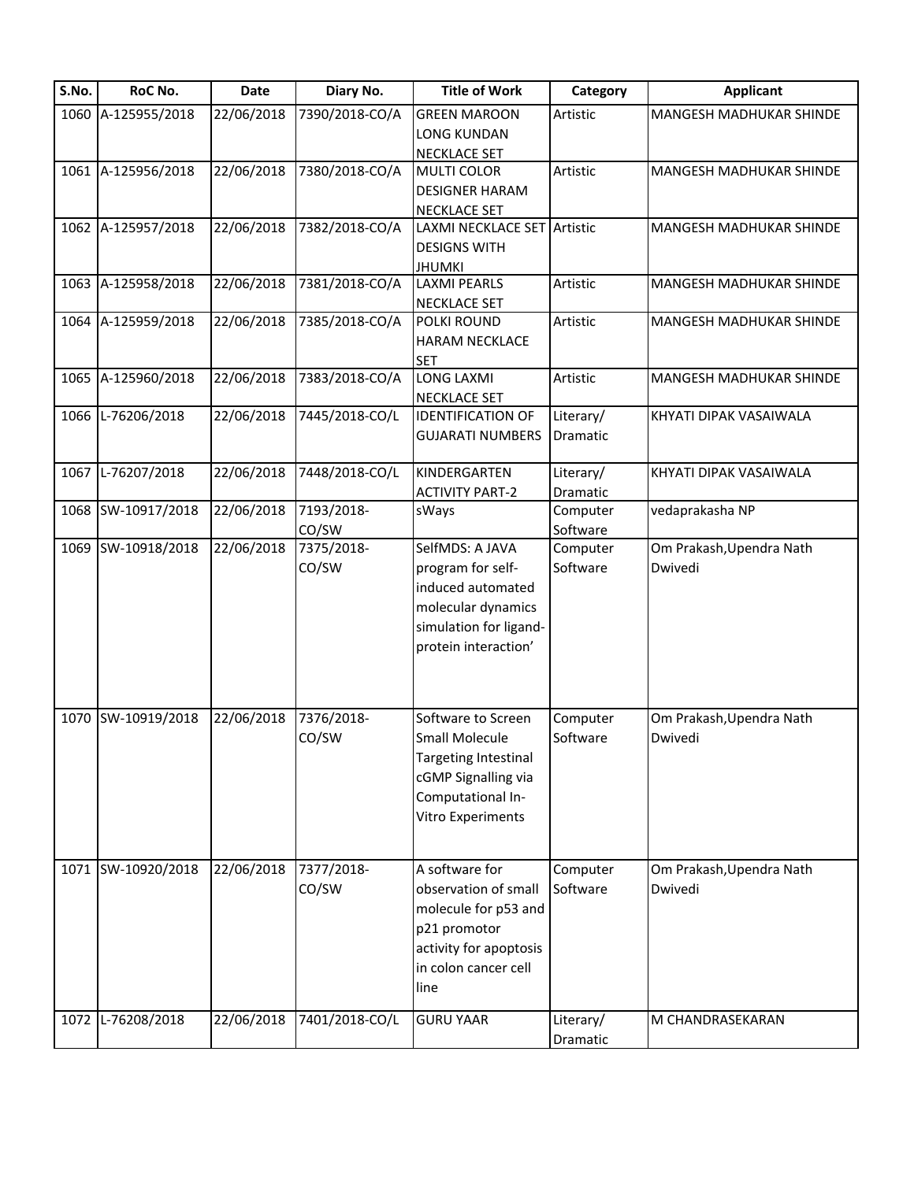| 22/06/2018<br>1060 A-125955/2018<br>7390/2018-CO/A<br><b>GREEN MAROON</b><br>Artistic<br>MANGESH MADHUKAR SHINDE<br><b>LONG KUNDAN</b><br>NECKLACE SET<br>1061 A-125956/2018<br>22/06/2018<br>7380/2018-CO/A<br>Artistic<br><b>MULTI COLOR</b><br><b>MANGESH MADHUKAR SHINDE</b><br><b>DESIGNER HARAM</b><br><b>NECKLACE SET</b><br>22/06/2018<br>7382/2018-CO/A<br>1062 A-125957/2018<br>LAXMI NECKLACE SET Artistic<br>MANGESH MADHUKAR SHINDE<br><b>DESIGNS WITH</b><br><b>JHUMKI</b><br>22/06/2018<br>7381/2018-CO/A<br>1063 A-125958/2018<br><b>LAXMI PEARLS</b><br>Artistic<br>MANGESH MADHUKAR SHINDE<br>NECKLACE SET<br>22/06/2018<br>7385/2018-CO/A<br>1064 A-125959/2018<br>Artistic<br>MANGESH MADHUKAR SHINDE<br>POLKI ROUND<br><b>HARAM NECKLACE</b><br><b>SET</b><br>22/06/2018<br>7383/2018-CO/A<br><b>LONG LAXMI</b><br>1065 A-125960/2018<br>Artistic<br><b>MANGESH MADHUKAR SHINDE</b><br><b>NECKLACE SET</b><br>1066 L-76206/2018<br>22/06/2018<br>7445/2018-CO/L<br>Literary/<br><b>IDENTIFICATION OF</b><br>KHYATI DIPAK VASAIWALA<br><b>GUJARATI NUMBERS</b><br>Dramatic<br>22/06/2018<br>1067 L-76207/2018<br>7448/2018-CO/L<br>KINDERGARTEN<br>Literary/<br>KHYATI DIPAK VASAIWALA<br><b>ACTIVITY PART-2</b><br>Dramatic<br>1068 SW-10917/2018<br>7193/2018-<br>22/06/2018<br>Computer<br>vedaprakasha NP<br>sWays<br>CO/SW<br>Software<br>22/06/2018<br>SelfMDS: A JAVA<br>1069 SW-10918/2018<br>7375/2018-<br>Om Prakash, Upendra Nath<br>Computer<br>CO/SW<br>Software<br>Dwivedi<br>program for self-<br>induced automated<br>molecular dynamics<br>simulation for ligand-<br>protein interaction'<br>7376/2018-<br>1070 SW-10919/2018<br>22/06/2018<br>Software to Screen<br>Computer<br>Om Prakash, Upendra Nath<br>CO/SW<br><b>Small Molecule</b><br>Software<br>Dwivedi<br>Targeting Intestinal<br>cGMP Signalling via<br>Computational In-<br>Vitro Experiments<br>1071 SW-10920/2018<br>22/06/2018<br>A software for<br>7377/2018-<br>Computer<br>Om Prakash, Upendra Nath<br>CO/SW<br>Software<br>observation of small<br>Dwivedi<br>molecule for p53 and<br>p21 promotor<br>activity for apoptosis<br>in colon cancer cell<br>line<br>22/06/2018<br>7401/2018-CO/L<br><b>GURU YAAR</b><br>1072 L-76208/2018<br>Literary/<br>M CHANDRASEKARAN | S.No. | RoC No. | <b>Date</b> | Diary No. | <b>Title of Work</b> | Category | <b>Applicant</b> |
|----------------------------------------------------------------------------------------------------------------------------------------------------------------------------------------------------------------------------------------------------------------------------------------------------------------------------------------------------------------------------------------------------------------------------------------------------------------------------------------------------------------------------------------------------------------------------------------------------------------------------------------------------------------------------------------------------------------------------------------------------------------------------------------------------------------------------------------------------------------------------------------------------------------------------------------------------------------------------------------------------------------------------------------------------------------------------------------------------------------------------------------------------------------------------------------------------------------------------------------------------------------------------------------------------------------------------------------------------------------------------------------------------------------------------------------------------------------------------------------------------------------------------------------------------------------------------------------------------------------------------------------------------------------------------------------------------------------------------------------------------------------------------------------------------------------------------------------------------------------------------------------------------------------------------------------------------------------------------------------------------------------------------------------------------------------------------------------------------------------------------------------------------------------------------------------------------------------------------------------------------------------------------------|-------|---------|-------------|-----------|----------------------|----------|------------------|
|                                                                                                                                                                                                                                                                                                                                                                                                                                                                                                                                                                                                                                                                                                                                                                                                                                                                                                                                                                                                                                                                                                                                                                                                                                                                                                                                                                                                                                                                                                                                                                                                                                                                                                                                                                                                                                                                                                                                                                                                                                                                                                                                                                                                                                                                                  |       |         |             |           |                      |          |                  |
|                                                                                                                                                                                                                                                                                                                                                                                                                                                                                                                                                                                                                                                                                                                                                                                                                                                                                                                                                                                                                                                                                                                                                                                                                                                                                                                                                                                                                                                                                                                                                                                                                                                                                                                                                                                                                                                                                                                                                                                                                                                                                                                                                                                                                                                                                  |       |         |             |           |                      |          |                  |
|                                                                                                                                                                                                                                                                                                                                                                                                                                                                                                                                                                                                                                                                                                                                                                                                                                                                                                                                                                                                                                                                                                                                                                                                                                                                                                                                                                                                                                                                                                                                                                                                                                                                                                                                                                                                                                                                                                                                                                                                                                                                                                                                                                                                                                                                                  |       |         |             |           |                      |          |                  |
|                                                                                                                                                                                                                                                                                                                                                                                                                                                                                                                                                                                                                                                                                                                                                                                                                                                                                                                                                                                                                                                                                                                                                                                                                                                                                                                                                                                                                                                                                                                                                                                                                                                                                                                                                                                                                                                                                                                                                                                                                                                                                                                                                                                                                                                                                  |       |         |             |           |                      |          |                  |
|                                                                                                                                                                                                                                                                                                                                                                                                                                                                                                                                                                                                                                                                                                                                                                                                                                                                                                                                                                                                                                                                                                                                                                                                                                                                                                                                                                                                                                                                                                                                                                                                                                                                                                                                                                                                                                                                                                                                                                                                                                                                                                                                                                                                                                                                                  |       |         |             |           |                      |          |                  |
|                                                                                                                                                                                                                                                                                                                                                                                                                                                                                                                                                                                                                                                                                                                                                                                                                                                                                                                                                                                                                                                                                                                                                                                                                                                                                                                                                                                                                                                                                                                                                                                                                                                                                                                                                                                                                                                                                                                                                                                                                                                                                                                                                                                                                                                                                  |       |         |             |           |                      |          |                  |
|                                                                                                                                                                                                                                                                                                                                                                                                                                                                                                                                                                                                                                                                                                                                                                                                                                                                                                                                                                                                                                                                                                                                                                                                                                                                                                                                                                                                                                                                                                                                                                                                                                                                                                                                                                                                                                                                                                                                                                                                                                                                                                                                                                                                                                                                                  |       |         |             |           |                      |          |                  |
|                                                                                                                                                                                                                                                                                                                                                                                                                                                                                                                                                                                                                                                                                                                                                                                                                                                                                                                                                                                                                                                                                                                                                                                                                                                                                                                                                                                                                                                                                                                                                                                                                                                                                                                                                                                                                                                                                                                                                                                                                                                                                                                                                                                                                                                                                  |       |         |             |           |                      |          |                  |
|                                                                                                                                                                                                                                                                                                                                                                                                                                                                                                                                                                                                                                                                                                                                                                                                                                                                                                                                                                                                                                                                                                                                                                                                                                                                                                                                                                                                                                                                                                                                                                                                                                                                                                                                                                                                                                                                                                                                                                                                                                                                                                                                                                                                                                                                                  |       |         |             |           |                      |          |                  |
|                                                                                                                                                                                                                                                                                                                                                                                                                                                                                                                                                                                                                                                                                                                                                                                                                                                                                                                                                                                                                                                                                                                                                                                                                                                                                                                                                                                                                                                                                                                                                                                                                                                                                                                                                                                                                                                                                                                                                                                                                                                                                                                                                                                                                                                                                  |       |         |             |           |                      |          |                  |
|                                                                                                                                                                                                                                                                                                                                                                                                                                                                                                                                                                                                                                                                                                                                                                                                                                                                                                                                                                                                                                                                                                                                                                                                                                                                                                                                                                                                                                                                                                                                                                                                                                                                                                                                                                                                                                                                                                                                                                                                                                                                                                                                                                                                                                                                                  |       |         |             |           |                      |          |                  |
|                                                                                                                                                                                                                                                                                                                                                                                                                                                                                                                                                                                                                                                                                                                                                                                                                                                                                                                                                                                                                                                                                                                                                                                                                                                                                                                                                                                                                                                                                                                                                                                                                                                                                                                                                                                                                                                                                                                                                                                                                                                                                                                                                                                                                                                                                  |       |         |             |           |                      |          |                  |
|                                                                                                                                                                                                                                                                                                                                                                                                                                                                                                                                                                                                                                                                                                                                                                                                                                                                                                                                                                                                                                                                                                                                                                                                                                                                                                                                                                                                                                                                                                                                                                                                                                                                                                                                                                                                                                                                                                                                                                                                                                                                                                                                                                                                                                                                                  |       |         |             |           |                      |          |                  |
|                                                                                                                                                                                                                                                                                                                                                                                                                                                                                                                                                                                                                                                                                                                                                                                                                                                                                                                                                                                                                                                                                                                                                                                                                                                                                                                                                                                                                                                                                                                                                                                                                                                                                                                                                                                                                                                                                                                                                                                                                                                                                                                                                                                                                                                                                  |       |         |             |           |                      |          |                  |
|                                                                                                                                                                                                                                                                                                                                                                                                                                                                                                                                                                                                                                                                                                                                                                                                                                                                                                                                                                                                                                                                                                                                                                                                                                                                                                                                                                                                                                                                                                                                                                                                                                                                                                                                                                                                                                                                                                                                                                                                                                                                                                                                                                                                                                                                                  |       |         |             |           |                      |          |                  |
|                                                                                                                                                                                                                                                                                                                                                                                                                                                                                                                                                                                                                                                                                                                                                                                                                                                                                                                                                                                                                                                                                                                                                                                                                                                                                                                                                                                                                                                                                                                                                                                                                                                                                                                                                                                                                                                                                                                                                                                                                                                                                                                                                                                                                                                                                  |       |         |             |           |                      |          |                  |
|                                                                                                                                                                                                                                                                                                                                                                                                                                                                                                                                                                                                                                                                                                                                                                                                                                                                                                                                                                                                                                                                                                                                                                                                                                                                                                                                                                                                                                                                                                                                                                                                                                                                                                                                                                                                                                                                                                                                                                                                                                                                                                                                                                                                                                                                                  |       |         |             |           |                      |          |                  |
|                                                                                                                                                                                                                                                                                                                                                                                                                                                                                                                                                                                                                                                                                                                                                                                                                                                                                                                                                                                                                                                                                                                                                                                                                                                                                                                                                                                                                                                                                                                                                                                                                                                                                                                                                                                                                                                                                                                                                                                                                                                                                                                                                                                                                                                                                  |       |         |             |           |                      |          |                  |
|                                                                                                                                                                                                                                                                                                                                                                                                                                                                                                                                                                                                                                                                                                                                                                                                                                                                                                                                                                                                                                                                                                                                                                                                                                                                                                                                                                                                                                                                                                                                                                                                                                                                                                                                                                                                                                                                                                                                                                                                                                                                                                                                                                                                                                                                                  |       |         |             |           |                      |          |                  |
|                                                                                                                                                                                                                                                                                                                                                                                                                                                                                                                                                                                                                                                                                                                                                                                                                                                                                                                                                                                                                                                                                                                                                                                                                                                                                                                                                                                                                                                                                                                                                                                                                                                                                                                                                                                                                                                                                                                                                                                                                                                                                                                                                                                                                                                                                  |       |         |             |           |                      |          |                  |
|                                                                                                                                                                                                                                                                                                                                                                                                                                                                                                                                                                                                                                                                                                                                                                                                                                                                                                                                                                                                                                                                                                                                                                                                                                                                                                                                                                                                                                                                                                                                                                                                                                                                                                                                                                                                                                                                                                                                                                                                                                                                                                                                                                                                                                                                                  |       |         |             |           |                      |          |                  |
|                                                                                                                                                                                                                                                                                                                                                                                                                                                                                                                                                                                                                                                                                                                                                                                                                                                                                                                                                                                                                                                                                                                                                                                                                                                                                                                                                                                                                                                                                                                                                                                                                                                                                                                                                                                                                                                                                                                                                                                                                                                                                                                                                                                                                                                                                  |       |         |             |           |                      |          |                  |
|                                                                                                                                                                                                                                                                                                                                                                                                                                                                                                                                                                                                                                                                                                                                                                                                                                                                                                                                                                                                                                                                                                                                                                                                                                                                                                                                                                                                                                                                                                                                                                                                                                                                                                                                                                                                                                                                                                                                                                                                                                                                                                                                                                                                                                                                                  |       |         |             |           |                      |          |                  |
|                                                                                                                                                                                                                                                                                                                                                                                                                                                                                                                                                                                                                                                                                                                                                                                                                                                                                                                                                                                                                                                                                                                                                                                                                                                                                                                                                                                                                                                                                                                                                                                                                                                                                                                                                                                                                                                                                                                                                                                                                                                                                                                                                                                                                                                                                  |       |         |             |           |                      |          |                  |
|                                                                                                                                                                                                                                                                                                                                                                                                                                                                                                                                                                                                                                                                                                                                                                                                                                                                                                                                                                                                                                                                                                                                                                                                                                                                                                                                                                                                                                                                                                                                                                                                                                                                                                                                                                                                                                                                                                                                                                                                                                                                                                                                                                                                                                                                                  |       |         |             |           |                      |          |                  |
|                                                                                                                                                                                                                                                                                                                                                                                                                                                                                                                                                                                                                                                                                                                                                                                                                                                                                                                                                                                                                                                                                                                                                                                                                                                                                                                                                                                                                                                                                                                                                                                                                                                                                                                                                                                                                                                                                                                                                                                                                                                                                                                                                                                                                                                                                  |       |         |             |           |                      |          |                  |
|                                                                                                                                                                                                                                                                                                                                                                                                                                                                                                                                                                                                                                                                                                                                                                                                                                                                                                                                                                                                                                                                                                                                                                                                                                                                                                                                                                                                                                                                                                                                                                                                                                                                                                                                                                                                                                                                                                                                                                                                                                                                                                                                                                                                                                                                                  |       |         |             |           |                      |          |                  |
|                                                                                                                                                                                                                                                                                                                                                                                                                                                                                                                                                                                                                                                                                                                                                                                                                                                                                                                                                                                                                                                                                                                                                                                                                                                                                                                                                                                                                                                                                                                                                                                                                                                                                                                                                                                                                                                                                                                                                                                                                                                                                                                                                                                                                                                                                  |       |         |             |           |                      |          |                  |
|                                                                                                                                                                                                                                                                                                                                                                                                                                                                                                                                                                                                                                                                                                                                                                                                                                                                                                                                                                                                                                                                                                                                                                                                                                                                                                                                                                                                                                                                                                                                                                                                                                                                                                                                                                                                                                                                                                                                                                                                                                                                                                                                                                                                                                                                                  |       |         |             |           |                      |          |                  |
|                                                                                                                                                                                                                                                                                                                                                                                                                                                                                                                                                                                                                                                                                                                                                                                                                                                                                                                                                                                                                                                                                                                                                                                                                                                                                                                                                                                                                                                                                                                                                                                                                                                                                                                                                                                                                                                                                                                                                                                                                                                                                                                                                                                                                                                                                  |       |         |             |           |                      |          |                  |
|                                                                                                                                                                                                                                                                                                                                                                                                                                                                                                                                                                                                                                                                                                                                                                                                                                                                                                                                                                                                                                                                                                                                                                                                                                                                                                                                                                                                                                                                                                                                                                                                                                                                                                                                                                                                                                                                                                                                                                                                                                                                                                                                                                                                                                                                                  |       |         |             |           |                      |          |                  |
|                                                                                                                                                                                                                                                                                                                                                                                                                                                                                                                                                                                                                                                                                                                                                                                                                                                                                                                                                                                                                                                                                                                                                                                                                                                                                                                                                                                                                                                                                                                                                                                                                                                                                                                                                                                                                                                                                                                                                                                                                                                                                                                                                                                                                                                                                  |       |         |             |           |                      |          |                  |
|                                                                                                                                                                                                                                                                                                                                                                                                                                                                                                                                                                                                                                                                                                                                                                                                                                                                                                                                                                                                                                                                                                                                                                                                                                                                                                                                                                                                                                                                                                                                                                                                                                                                                                                                                                                                                                                                                                                                                                                                                                                                                                                                                                                                                                                                                  |       |         |             |           |                      |          |                  |
|                                                                                                                                                                                                                                                                                                                                                                                                                                                                                                                                                                                                                                                                                                                                                                                                                                                                                                                                                                                                                                                                                                                                                                                                                                                                                                                                                                                                                                                                                                                                                                                                                                                                                                                                                                                                                                                                                                                                                                                                                                                                                                                                                                                                                                                                                  |       |         |             |           |                      |          |                  |
|                                                                                                                                                                                                                                                                                                                                                                                                                                                                                                                                                                                                                                                                                                                                                                                                                                                                                                                                                                                                                                                                                                                                                                                                                                                                                                                                                                                                                                                                                                                                                                                                                                                                                                                                                                                                                                                                                                                                                                                                                                                                                                                                                                                                                                                                                  |       |         |             |           |                      |          |                  |
|                                                                                                                                                                                                                                                                                                                                                                                                                                                                                                                                                                                                                                                                                                                                                                                                                                                                                                                                                                                                                                                                                                                                                                                                                                                                                                                                                                                                                                                                                                                                                                                                                                                                                                                                                                                                                                                                                                                                                                                                                                                                                                                                                                                                                                                                                  |       |         |             |           |                      |          |                  |
|                                                                                                                                                                                                                                                                                                                                                                                                                                                                                                                                                                                                                                                                                                                                                                                                                                                                                                                                                                                                                                                                                                                                                                                                                                                                                                                                                                                                                                                                                                                                                                                                                                                                                                                                                                                                                                                                                                                                                                                                                                                                                                                                                                                                                                                                                  |       |         |             |           |                      |          |                  |
|                                                                                                                                                                                                                                                                                                                                                                                                                                                                                                                                                                                                                                                                                                                                                                                                                                                                                                                                                                                                                                                                                                                                                                                                                                                                                                                                                                                                                                                                                                                                                                                                                                                                                                                                                                                                                                                                                                                                                                                                                                                                                                                                                                                                                                                                                  |       |         |             |           |                      |          |                  |
|                                                                                                                                                                                                                                                                                                                                                                                                                                                                                                                                                                                                                                                                                                                                                                                                                                                                                                                                                                                                                                                                                                                                                                                                                                                                                                                                                                                                                                                                                                                                                                                                                                                                                                                                                                                                                                                                                                                                                                                                                                                                                                                                                                                                                                                                                  |       |         |             |           |                      |          |                  |
|                                                                                                                                                                                                                                                                                                                                                                                                                                                                                                                                                                                                                                                                                                                                                                                                                                                                                                                                                                                                                                                                                                                                                                                                                                                                                                                                                                                                                                                                                                                                                                                                                                                                                                                                                                                                                                                                                                                                                                                                                                                                                                                                                                                                                                                                                  |       |         |             |           |                      |          |                  |
|                                                                                                                                                                                                                                                                                                                                                                                                                                                                                                                                                                                                                                                                                                                                                                                                                                                                                                                                                                                                                                                                                                                                                                                                                                                                                                                                                                                                                                                                                                                                                                                                                                                                                                                                                                                                                                                                                                                                                                                                                                                                                                                                                                                                                                                                                  |       |         |             |           |                      |          |                  |
|                                                                                                                                                                                                                                                                                                                                                                                                                                                                                                                                                                                                                                                                                                                                                                                                                                                                                                                                                                                                                                                                                                                                                                                                                                                                                                                                                                                                                                                                                                                                                                                                                                                                                                                                                                                                                                                                                                                                                                                                                                                                                                                                                                                                                                                                                  |       |         |             |           |                      |          |                  |
|                                                                                                                                                                                                                                                                                                                                                                                                                                                                                                                                                                                                                                                                                                                                                                                                                                                                                                                                                                                                                                                                                                                                                                                                                                                                                                                                                                                                                                                                                                                                                                                                                                                                                                                                                                                                                                                                                                                                                                                                                                                                                                                                                                                                                                                                                  |       |         |             |           |                      |          |                  |
|                                                                                                                                                                                                                                                                                                                                                                                                                                                                                                                                                                                                                                                                                                                                                                                                                                                                                                                                                                                                                                                                                                                                                                                                                                                                                                                                                                                                                                                                                                                                                                                                                                                                                                                                                                                                                                                                                                                                                                                                                                                                                                                                                                                                                                                                                  |       |         |             |           |                      |          |                  |
|                                                                                                                                                                                                                                                                                                                                                                                                                                                                                                                                                                                                                                                                                                                                                                                                                                                                                                                                                                                                                                                                                                                                                                                                                                                                                                                                                                                                                                                                                                                                                                                                                                                                                                                                                                                                                                                                                                                                                                                                                                                                                                                                                                                                                                                                                  |       |         |             |           |                      |          |                  |
|                                                                                                                                                                                                                                                                                                                                                                                                                                                                                                                                                                                                                                                                                                                                                                                                                                                                                                                                                                                                                                                                                                                                                                                                                                                                                                                                                                                                                                                                                                                                                                                                                                                                                                                                                                                                                                                                                                                                                                                                                                                                                                                                                                                                                                                                                  |       |         |             |           |                      |          |                  |
|                                                                                                                                                                                                                                                                                                                                                                                                                                                                                                                                                                                                                                                                                                                                                                                                                                                                                                                                                                                                                                                                                                                                                                                                                                                                                                                                                                                                                                                                                                                                                                                                                                                                                                                                                                                                                                                                                                                                                                                                                                                                                                                                                                                                                                                                                  |       |         |             |           |                      |          |                  |
|                                                                                                                                                                                                                                                                                                                                                                                                                                                                                                                                                                                                                                                                                                                                                                                                                                                                                                                                                                                                                                                                                                                                                                                                                                                                                                                                                                                                                                                                                                                                                                                                                                                                                                                                                                                                                                                                                                                                                                                                                                                                                                                                                                                                                                                                                  |       |         |             |           |                      |          |                  |
|                                                                                                                                                                                                                                                                                                                                                                                                                                                                                                                                                                                                                                                                                                                                                                                                                                                                                                                                                                                                                                                                                                                                                                                                                                                                                                                                                                                                                                                                                                                                                                                                                                                                                                                                                                                                                                                                                                                                                                                                                                                                                                                                                                                                                                                                                  |       |         |             |           |                      |          |                  |
|                                                                                                                                                                                                                                                                                                                                                                                                                                                                                                                                                                                                                                                                                                                                                                                                                                                                                                                                                                                                                                                                                                                                                                                                                                                                                                                                                                                                                                                                                                                                                                                                                                                                                                                                                                                                                                                                                                                                                                                                                                                                                                                                                                                                                                                                                  |       |         |             |           |                      | Dramatic |                  |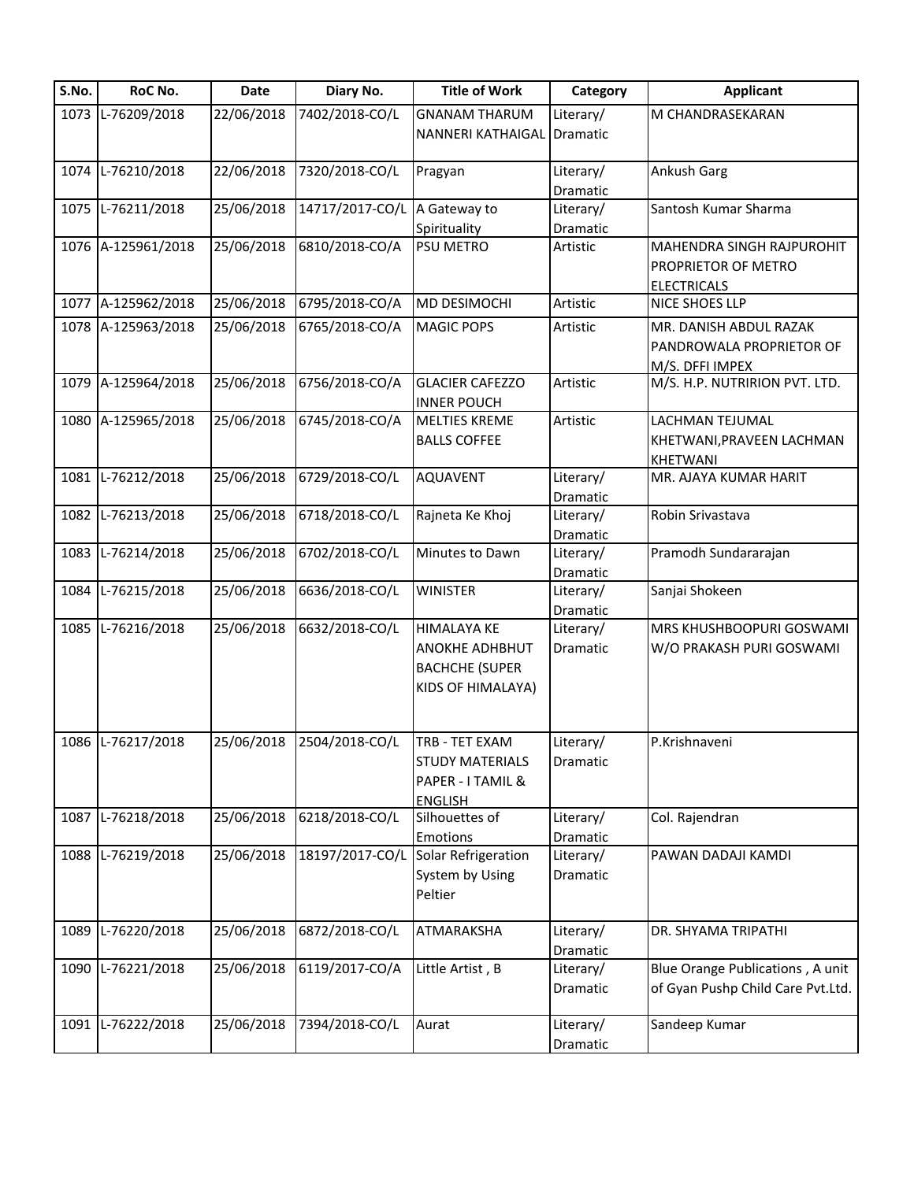| 1073 L-76209/2018<br>22/06/2018<br>7402/2018-CO/L<br><b>GNANAM THARUM</b><br>M CHANDRASEKARAN<br>Literary/<br>NANNERI KATHAIGAL<br>Dramatic<br>L-76210/2018<br>22/06/2018<br>7320/2018-CO/L<br>Ankush Garg<br>Literary/<br>1074<br>Pragyan<br>Dramatic<br>1075 L-76211/2018<br>25/06/2018<br>14717/2017-CO/L<br>Santosh Kumar Sharma<br>A Gateway to<br>Literary/<br>Dramatic<br>Spirituality<br>1076 A-125961/2018<br>25/06/2018<br>6810/2018-CO/A<br>PSU METRO<br>MAHENDRA SINGH RAJPUROHIT<br>Artistic<br>PROPRIETOR OF METRO<br><b>ELECTRICALS</b><br>A-125962/2018<br>25/06/2018<br>6795/2018-CO/A<br>MD DESIMOCHI<br>Artistic<br>NICE SHOES LLP<br>1077<br>25/06/2018<br>1078 A-125963/2018<br>6765/2018-CO/A<br><b>MAGIC POPS</b><br>MR. DANISH ABDUL RAZAK<br>Artistic<br>PANDROWALA PROPRIETOR OF<br>M/S. DFFI IMPEX<br>25/06/2018<br>6756/2018-CO/A<br>1079 A-125964/2018<br><b>GLACIER CAFEZZO</b><br>M/S. H.P. NUTRIRION PVT. LTD.<br>Artistic<br><b>INNER POUCH</b><br>A-125965/2018<br>25/06/2018<br>6745/2018-CO/A<br><b>MELTIES KREME</b><br>Artistic<br>LACHMAN TEJUMAL<br>1080<br><b>BALLS COFFEE</b><br>KHETWANI, PRAVEEN LACHMAN<br>KHETWANI<br>25/06/2018<br>6729/2018-CO/L<br>MR. AJAYA KUMAR HARIT<br>1081<br>L-76212/2018<br><b>AQUAVENT</b><br>Literary/<br>Dramatic |
|-----------------------------------------------------------------------------------------------------------------------------------------------------------------------------------------------------------------------------------------------------------------------------------------------------------------------------------------------------------------------------------------------------------------------------------------------------------------------------------------------------------------------------------------------------------------------------------------------------------------------------------------------------------------------------------------------------------------------------------------------------------------------------------------------------------------------------------------------------------------------------------------------------------------------------------------------------------------------------------------------------------------------------------------------------------------------------------------------------------------------------------------------------------------------------------------------------------------------------------------------------------------------------------------------|
|                                                                                                                                                                                                                                                                                                                                                                                                                                                                                                                                                                                                                                                                                                                                                                                                                                                                                                                                                                                                                                                                                                                                                                                                                                                                                               |
|                                                                                                                                                                                                                                                                                                                                                                                                                                                                                                                                                                                                                                                                                                                                                                                                                                                                                                                                                                                                                                                                                                                                                                                                                                                                                               |
|                                                                                                                                                                                                                                                                                                                                                                                                                                                                                                                                                                                                                                                                                                                                                                                                                                                                                                                                                                                                                                                                                                                                                                                                                                                                                               |
|                                                                                                                                                                                                                                                                                                                                                                                                                                                                                                                                                                                                                                                                                                                                                                                                                                                                                                                                                                                                                                                                                                                                                                                                                                                                                               |
|                                                                                                                                                                                                                                                                                                                                                                                                                                                                                                                                                                                                                                                                                                                                                                                                                                                                                                                                                                                                                                                                                                                                                                                                                                                                                               |
|                                                                                                                                                                                                                                                                                                                                                                                                                                                                                                                                                                                                                                                                                                                                                                                                                                                                                                                                                                                                                                                                                                                                                                                                                                                                                               |
|                                                                                                                                                                                                                                                                                                                                                                                                                                                                                                                                                                                                                                                                                                                                                                                                                                                                                                                                                                                                                                                                                                                                                                                                                                                                                               |
|                                                                                                                                                                                                                                                                                                                                                                                                                                                                                                                                                                                                                                                                                                                                                                                                                                                                                                                                                                                                                                                                                                                                                                                                                                                                                               |
|                                                                                                                                                                                                                                                                                                                                                                                                                                                                                                                                                                                                                                                                                                                                                                                                                                                                                                                                                                                                                                                                                                                                                                                                                                                                                               |
|                                                                                                                                                                                                                                                                                                                                                                                                                                                                                                                                                                                                                                                                                                                                                                                                                                                                                                                                                                                                                                                                                                                                                                                                                                                                                               |
|                                                                                                                                                                                                                                                                                                                                                                                                                                                                                                                                                                                                                                                                                                                                                                                                                                                                                                                                                                                                                                                                                                                                                                                                                                                                                               |
|                                                                                                                                                                                                                                                                                                                                                                                                                                                                                                                                                                                                                                                                                                                                                                                                                                                                                                                                                                                                                                                                                                                                                                                                                                                                                               |
|                                                                                                                                                                                                                                                                                                                                                                                                                                                                                                                                                                                                                                                                                                                                                                                                                                                                                                                                                                                                                                                                                                                                                                                                                                                                                               |
|                                                                                                                                                                                                                                                                                                                                                                                                                                                                                                                                                                                                                                                                                                                                                                                                                                                                                                                                                                                                                                                                                                                                                                                                                                                                                               |
| L-76213/2018<br>6718/2018-CO/L<br>25/06/2018<br>Rajneta Ke Khoj<br>Robin Srivastava<br>1082<br>Literary/                                                                                                                                                                                                                                                                                                                                                                                                                                                                                                                                                                                                                                                                                                                                                                                                                                                                                                                                                                                                                                                                                                                                                                                      |
| Dramatic                                                                                                                                                                                                                                                                                                                                                                                                                                                                                                                                                                                                                                                                                                                                                                                                                                                                                                                                                                                                                                                                                                                                                                                                                                                                                      |
| L-76214/2018<br>6702/2018-CO/L<br>25/06/2018<br>Minutes to Dawn<br>Pramodh Sundararajan<br>1083<br>Literary/                                                                                                                                                                                                                                                                                                                                                                                                                                                                                                                                                                                                                                                                                                                                                                                                                                                                                                                                                                                                                                                                                                                                                                                  |
| Dramatic                                                                                                                                                                                                                                                                                                                                                                                                                                                                                                                                                                                                                                                                                                                                                                                                                                                                                                                                                                                                                                                                                                                                                                                                                                                                                      |
| L-76215/2018<br>25/06/2018<br>6636/2018-CO/L<br><b>WINISTER</b><br>Sanjai Shokeen<br>1084<br>Literary/                                                                                                                                                                                                                                                                                                                                                                                                                                                                                                                                                                                                                                                                                                                                                                                                                                                                                                                                                                                                                                                                                                                                                                                        |
| Dramatic                                                                                                                                                                                                                                                                                                                                                                                                                                                                                                                                                                                                                                                                                                                                                                                                                                                                                                                                                                                                                                                                                                                                                                                                                                                                                      |
| 6632/2018-CO/L<br>1085 L-76216/2018<br>25/06/2018<br><b>HIMALAYA KE</b><br>Literary/<br>MRS KHUSHBOOPURI GOSWAMI                                                                                                                                                                                                                                                                                                                                                                                                                                                                                                                                                                                                                                                                                                                                                                                                                                                                                                                                                                                                                                                                                                                                                                              |
| <b>ANOKHE ADHBHUT</b><br>Dramatic<br>W/O PRAKASH PURI GOSWAMI                                                                                                                                                                                                                                                                                                                                                                                                                                                                                                                                                                                                                                                                                                                                                                                                                                                                                                                                                                                                                                                                                                                                                                                                                                 |
| <b>BACHCHE (SUPER</b><br>KIDS OF HIMALAYA)                                                                                                                                                                                                                                                                                                                                                                                                                                                                                                                                                                                                                                                                                                                                                                                                                                                                                                                                                                                                                                                                                                                                                                                                                                                    |
| 1086 L-76217/2018<br>25/06/2018<br>2504/2018-CO/L<br>TRB - TET EXAM<br>P.Krishnaveni<br>Literary/                                                                                                                                                                                                                                                                                                                                                                                                                                                                                                                                                                                                                                                                                                                                                                                                                                                                                                                                                                                                                                                                                                                                                                                             |
| <b>STUDY MATERIALS</b><br>Dramatic                                                                                                                                                                                                                                                                                                                                                                                                                                                                                                                                                                                                                                                                                                                                                                                                                                                                                                                                                                                                                                                                                                                                                                                                                                                            |
| PAPER - I TAMIL &                                                                                                                                                                                                                                                                                                                                                                                                                                                                                                                                                                                                                                                                                                                                                                                                                                                                                                                                                                                                                                                                                                                                                                                                                                                                             |
| <b>ENGLISH</b>                                                                                                                                                                                                                                                                                                                                                                                                                                                                                                                                                                                                                                                                                                                                                                                                                                                                                                                                                                                                                                                                                                                                                                                                                                                                                |
| L-76218/2018<br>25/06/2018<br>6218/2018-CO/L<br>Silhouettes of<br>Literary/<br>Col. Rajendran<br>1087                                                                                                                                                                                                                                                                                                                                                                                                                                                                                                                                                                                                                                                                                                                                                                                                                                                                                                                                                                                                                                                                                                                                                                                         |
| Emotions<br>Dramatic                                                                                                                                                                                                                                                                                                                                                                                                                                                                                                                                                                                                                                                                                                                                                                                                                                                                                                                                                                                                                                                                                                                                                                                                                                                                          |
| L-76219/2018<br>25/06/2018<br>18197/2017-CO/L<br>Solar Refrigeration<br>1088<br>Literary/<br>PAWAN DADAJI KAMDI                                                                                                                                                                                                                                                                                                                                                                                                                                                                                                                                                                                                                                                                                                                                                                                                                                                                                                                                                                                                                                                                                                                                                                               |
| System by Using<br>Dramatic<br>Peltier                                                                                                                                                                                                                                                                                                                                                                                                                                                                                                                                                                                                                                                                                                                                                                                                                                                                                                                                                                                                                                                                                                                                                                                                                                                        |
|                                                                                                                                                                                                                                                                                                                                                                                                                                                                                                                                                                                                                                                                                                                                                                                                                                                                                                                                                                                                                                                                                                                                                                                                                                                                                               |
| L-76220/2018<br>25/06/2018<br>6872/2018-CO/L<br>ATMARAKSHA<br>Literary/<br>DR. SHYAMA TRIPATHI<br>1089                                                                                                                                                                                                                                                                                                                                                                                                                                                                                                                                                                                                                                                                                                                                                                                                                                                                                                                                                                                                                                                                                                                                                                                        |
| Dramatic                                                                                                                                                                                                                                                                                                                                                                                                                                                                                                                                                                                                                                                                                                                                                                                                                                                                                                                                                                                                                                                                                                                                                                                                                                                                                      |
| 6119/2017-CO/A<br>Little Artist, B<br>Blue Orange Publications, A unit<br>L-76221/2018<br>25/06/2018<br>Literary/<br>1090<br>of Gyan Pushp Child Care Pvt.Ltd.<br>Dramatic                                                                                                                                                                                                                                                                                                                                                                                                                                                                                                                                                                                                                                                                                                                                                                                                                                                                                                                                                                                                                                                                                                                    |
| L-76222/2018<br>25/06/2018<br>7394/2018-CO/L<br>Aurat<br>Sandeep Kumar<br>1091<br>Literary/                                                                                                                                                                                                                                                                                                                                                                                                                                                                                                                                                                                                                                                                                                                                                                                                                                                                                                                                                                                                                                                                                                                                                                                                   |
| Dramatic                                                                                                                                                                                                                                                                                                                                                                                                                                                                                                                                                                                                                                                                                                                                                                                                                                                                                                                                                                                                                                                                                                                                                                                                                                                                                      |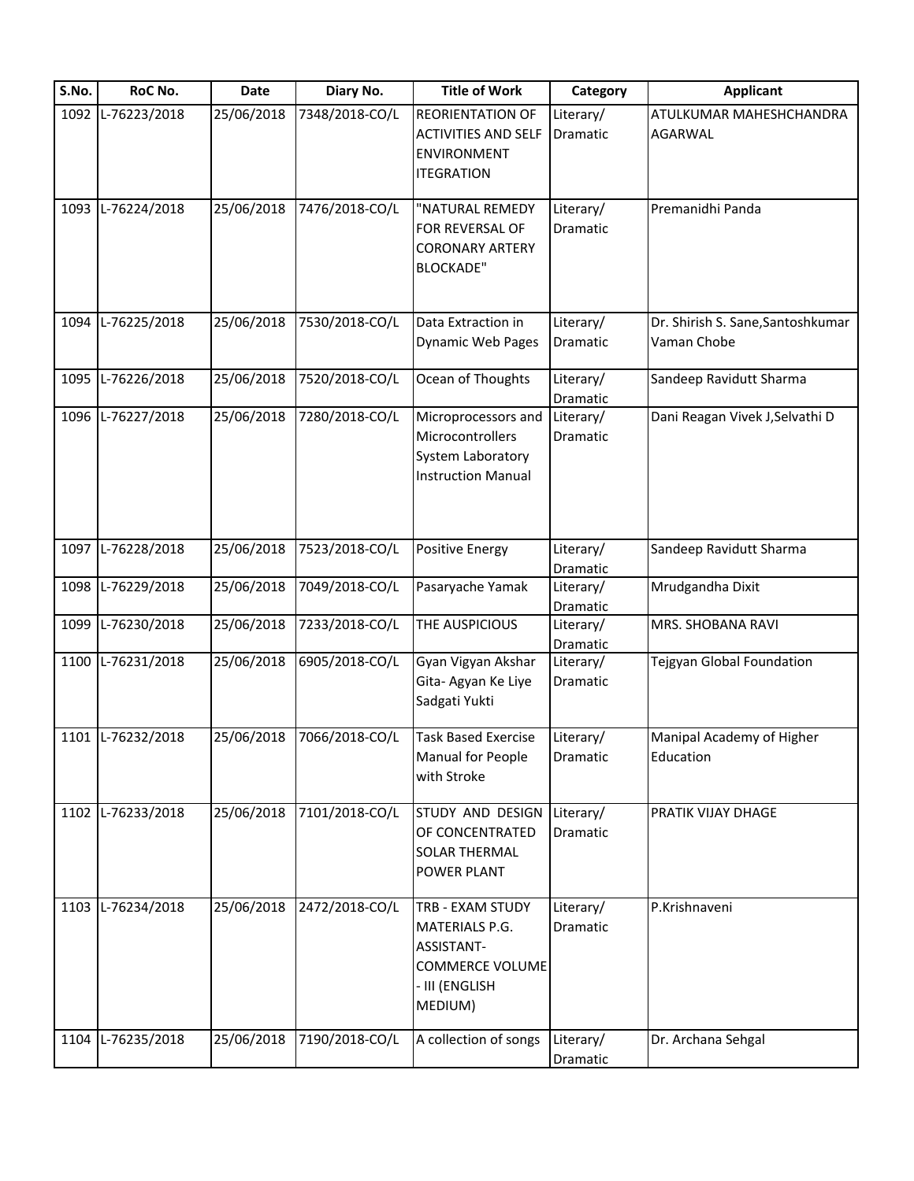| S.No. | RoC No.           | Date       | Diary No.      | <b>Title of Work</b>       | Category        | <b>Applicant</b>                  |
|-------|-------------------|------------|----------------|----------------------------|-----------------|-----------------------------------|
| 1092  | L-76223/2018      | 25/06/2018 | 7348/2018-CO/L | <b>REORIENTATION OF</b>    | Literary/       | ATULKUMAR MAHESHCHANDRA           |
|       |                   |            |                | <b>ACTIVITIES AND SELF</b> | Dramatic        | AGARWAL                           |
|       |                   |            |                | ENVIRONMENT                |                 |                                   |
|       |                   |            |                | <b>ITEGRATION</b>          |                 |                                   |
| 1093  | L-76224/2018      | 25/06/2018 | 7476/2018-CO/L | "NATURAL REMEDY            | Literary/       | Premanidhi Panda                  |
|       |                   |            |                | FOR REVERSAL OF            | Dramatic        |                                   |
|       |                   |            |                | <b>CORONARY ARTERY</b>     |                 |                                   |
|       |                   |            |                | <b>BLOCKADE"</b>           |                 |                                   |
|       |                   |            |                |                            |                 |                                   |
| 1094  | L-76225/2018      | 25/06/2018 | 7530/2018-CO/L | Data Extraction in         | Literary/       | Dr. Shirish S. Sane, Santoshkumar |
|       |                   |            |                | <b>Dynamic Web Pages</b>   | Dramatic        | Vaman Chobe                       |
| 1095  | L-76226/2018      | 25/06/2018 | 7520/2018-CO/L | Ocean of Thoughts          | Literary/       | Sandeep Ravidutt Sharma           |
|       |                   |            |                |                            | Dramatic        |                                   |
| 1096  | L-76227/2018      | 25/06/2018 | 7280/2018-CO/L | Microprocessors and        | Literary/       | Dani Reagan Vivek J, Selvathi D   |
|       |                   |            |                | Microcontrollers           | Dramatic        |                                   |
|       |                   |            |                | System Laboratory          |                 |                                   |
|       |                   |            |                | <b>Instruction Manual</b>  |                 |                                   |
|       |                   |            |                |                            |                 |                                   |
|       |                   |            |                |                            |                 |                                   |
| 1097  | L-76228/2018      | 25/06/2018 | 7523/2018-CO/L | Positive Energy            | Literary/       | Sandeep Ravidutt Sharma           |
|       |                   |            |                |                            | Dramatic        |                                   |
| 1098  | L-76229/2018      | 25/06/2018 | 7049/2018-CO/L | Pasaryache Yamak           | Literary/       | Mrudgandha Dixit                  |
|       |                   |            |                |                            | Dramatic        |                                   |
| 1099  | L-76230/2018      | 25/06/2018 | 7233/2018-CO/L | THE AUSPICIOUS             | Literary/       | MRS. SHOBANA RAVI                 |
|       |                   |            |                |                            | Dramatic        |                                   |
| 1100  | L-76231/2018      | 25/06/2018 | 6905/2018-CO/L | Gyan Vigyan Akshar         | Literary/       | Tejgyan Global Foundation         |
|       |                   |            |                | Gita- Agyan Ke Liye        | <b>Dramatic</b> |                                   |
|       |                   |            |                | Sadgati Yukti              |                 |                                   |
|       | 1101 L-76232/2018 | 25/06/2018 | 7066/2018-CO/L | <b>Task Based Exercise</b> | Literary/       | Manipal Academy of Higher         |
|       |                   |            |                | Manual for People          | Dramatic        | Education                         |
|       |                   |            |                | with Stroke                |                 |                                   |
| 1102  | L-76233/2018      | 25/06/2018 | 7101/2018-CO/L | STUDY AND DESIGN           | Literary/       | PRATIK VIJAY DHAGE                |
|       |                   |            |                | OF CONCENTRATED            | Dramatic        |                                   |
|       |                   |            |                | SOLAR THERMAL              |                 |                                   |
|       |                   |            |                | POWER PLANT                |                 |                                   |
|       |                   |            |                |                            |                 |                                   |
| 1103  | L-76234/2018      | 25/06/2018 | 2472/2018-CO/L | TRB - EXAM STUDY           | Literary/       | P.Krishnaveni                     |
|       |                   |            |                | MATERIALS P.G.             | Dramatic        |                                   |
|       |                   |            |                | ASSISTANT-                 |                 |                                   |
|       |                   |            |                | COMMERCE VOLUME            |                 |                                   |
|       |                   |            |                | - III (ENGLISH             |                 |                                   |
|       |                   |            |                | MEDIUM)                    |                 |                                   |
| 1104  | L-76235/2018      | 25/06/2018 | 7190/2018-CO/L | A collection of songs      | Literary/       | Dr. Archana Sehgal                |
|       |                   |            |                |                            | Dramatic        |                                   |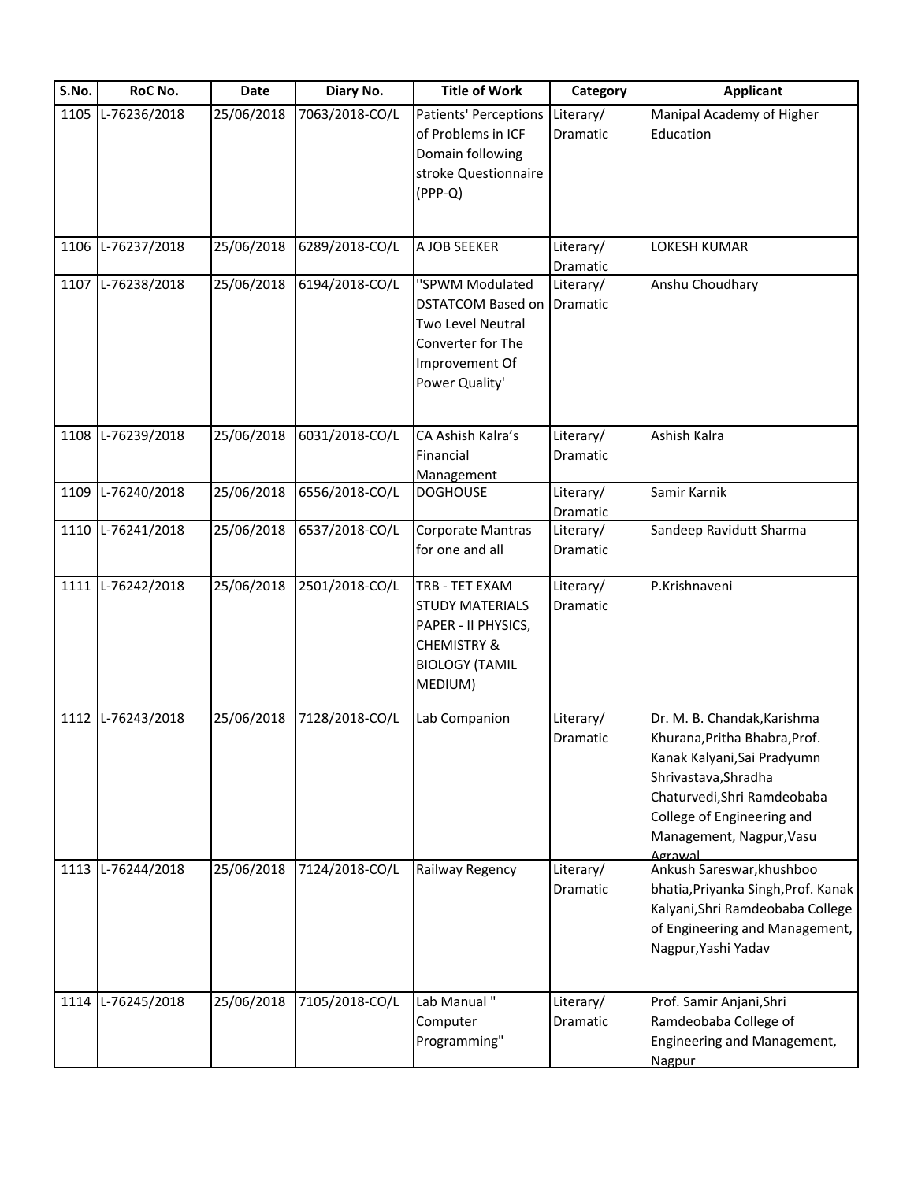| S.No. | RoC No.           | Date       | Diary No.      | <b>Title of Work</b>         | Category        | <b>Applicant</b>                    |
|-------|-------------------|------------|----------------|------------------------------|-----------------|-------------------------------------|
|       | 1105 L-76236/2018 | 25/06/2018 | 7063/2018-CO/L | <b>Patients' Perceptions</b> | Literary/       | Manipal Academy of Higher           |
|       |                   |            |                | of Problems in ICF           | <b>Dramatic</b> | Education                           |
|       |                   |            |                | Domain following             |                 |                                     |
|       |                   |            |                | stroke Questionnaire         |                 |                                     |
|       |                   |            |                | (PPP-Q)                      |                 |                                     |
|       |                   |            |                |                              |                 |                                     |
| 1106  | L-76237/2018      | 25/06/2018 | 6289/2018-CO/L | A JOB SEEKER                 | Literary/       | <b>LOKESH KUMAR</b>                 |
|       |                   |            |                |                              | Dramatic        |                                     |
|       | 1107 L-76238/2018 | 25/06/2018 | 6194/2018-CO/L | "SPWM Modulated              | Literary/       | Anshu Choudhary                     |
|       |                   |            |                | <b>DSTATCOM Based on</b>     | Dramatic        |                                     |
|       |                   |            |                | Two Level Neutral            |                 |                                     |
|       |                   |            |                | Converter for The            |                 |                                     |
|       |                   |            |                |                              |                 |                                     |
|       |                   |            |                | Improvement Of               |                 |                                     |
|       |                   |            |                | Power Quality'               |                 |                                     |
|       | 1108 L-76239/2018 | 25/06/2018 | 6031/2018-CO/L | CA Ashish Kalra's            | Literary/       | Ashish Kalra                        |
|       |                   |            |                |                              |                 |                                     |
|       |                   |            |                | Financial                    | Dramatic        |                                     |
|       |                   |            |                | Management                   |                 |                                     |
| 1109  | L-76240/2018      | 25/06/2018 | 6556/2018-CO/L | <b>DOGHOUSE</b>              | Literary/       | Samir Karnik                        |
|       |                   |            |                |                              | Dramatic        |                                     |
|       | 1110 L-76241/2018 | 25/06/2018 | 6537/2018-CO/L | Corporate Mantras            | Literary/       | Sandeep Ravidutt Sharma             |
|       |                   |            |                | for one and all              | Dramatic        |                                     |
|       | 1111 L-76242/2018 | 25/06/2018 | 2501/2018-CO/L | TRB - TET EXAM               | Literary/       | P.Krishnaveni                       |
|       |                   |            |                | <b>STUDY MATERIALS</b>       | Dramatic        |                                     |
|       |                   |            |                | PAPER - II PHYSICS,          |                 |                                     |
|       |                   |            |                | <b>CHEMISTRY &amp;</b>       |                 |                                     |
|       |                   |            |                | <b>BIOLOGY (TAMIL</b>        |                 |                                     |
|       |                   |            |                | MEDIUM)                      |                 |                                     |
|       |                   |            |                |                              |                 |                                     |
|       | 1112 L-76243/2018 | 25/06/2018 | 7128/2018-CO/L | Lab Companion                | Literary/       | Dr. M. B. Chandak, Karishma         |
|       |                   |            |                |                              | Dramatic        | Khurana, Pritha Bhabra, Prof.       |
|       |                   |            |                |                              |                 | Kanak Kalyani, Sai Pradyumn         |
|       |                   |            |                |                              |                 | Shrivastava, Shradha                |
|       |                   |            |                |                              |                 | Chaturvedi, Shri Ramdeobaba         |
|       |                   |            |                |                              |                 | College of Engineering and          |
|       |                   |            |                |                              |                 | Management, Nagpur, Vasu            |
|       |                   |            |                |                              |                 | Agrawal                             |
|       | 1113 L-76244/2018 | 25/06/2018 | 7124/2018-CO/L | Railway Regency              | Literary/       | Ankush Sareswar, khushboo           |
|       |                   |            |                |                              | Dramatic        | bhatia, Priyanka Singh, Prof. Kanak |
|       |                   |            |                |                              |                 | Kalyani, Shri Ramdeobaba College    |
|       |                   |            |                |                              |                 | of Engineering and Management,      |
|       |                   |            |                |                              |                 | Nagpur, Yashi Yadav                 |
|       |                   |            |                |                              |                 |                                     |
| 1114  | L-76245/2018      | 25/06/2018 | 7105/2018-CO/L | Lab Manual"                  | Literary/       | Prof. Samir Anjani, Shri            |
|       |                   |            |                | Computer                     | Dramatic        | Ramdeobaba College of               |
|       |                   |            |                | Programming"                 |                 | Engineering and Management,         |
|       |                   |            |                |                              |                 | Nagpur                              |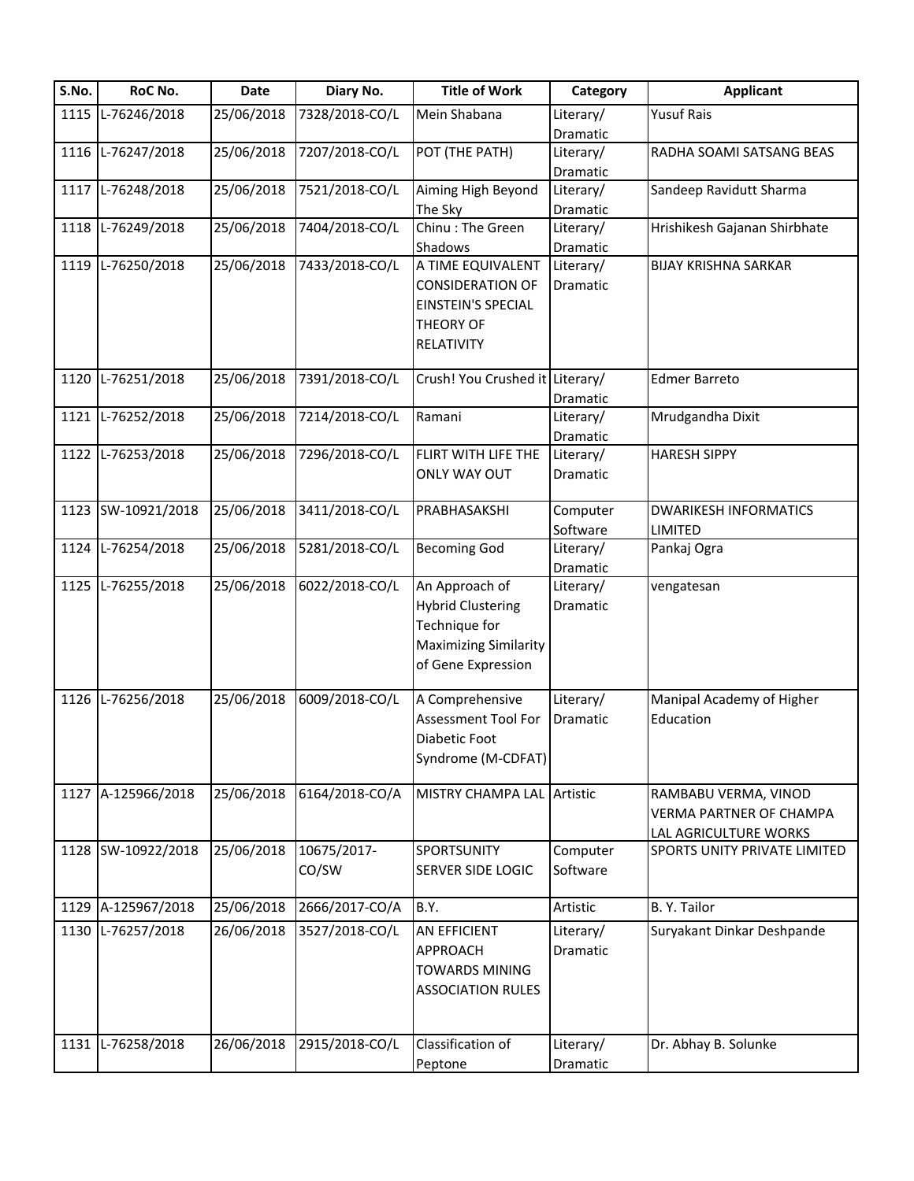| S.No. | RoC No.            | <b>Date</b> | Diary No.      | <b>Title of Work</b>            | Category  | <b>Applicant</b>             |
|-------|--------------------|-------------|----------------|---------------------------------|-----------|------------------------------|
| 1115  | L-76246/2018       | 25/06/2018  | 7328/2018-CO/L | Mein Shabana                    | Literary/ | <b>Yusuf Rais</b>            |
|       |                    |             |                |                                 | Dramatic  |                              |
| 1116  | L-76247/2018       | 25/06/2018  | 7207/2018-CO/L | POT (THE PATH)                  | Literary/ | RADHA SOAMI SATSANG BEAS     |
|       |                    |             |                |                                 | Dramatic  |                              |
| 1117  | L-76248/2018       | 25/06/2018  | 7521/2018-CO/L | Aiming High Beyond              | Literary/ | Sandeep Ravidutt Sharma      |
|       |                    |             |                | The Sky                         | Dramatic  |                              |
| 1118  | L-76249/2018       | 25/06/2018  | 7404/2018-CO/L | Chinu: The Green                | Literary/ | Hrishikesh Gajanan Shirbhate |
|       |                    |             |                | Shadows                         | Dramatic  |                              |
| 1119  | L-76250/2018       | 25/06/2018  | 7433/2018-CO/L | A TIME EQUIVALENT               | Literary/ | <b>BIJAY KRISHNA SARKAR</b>  |
|       |                    |             |                | <b>CONSIDERATION OF</b>         | Dramatic  |                              |
|       |                    |             |                | <b>EINSTEIN'S SPECIAL</b>       |           |                              |
|       |                    |             |                | THEORY OF                       |           |                              |
|       |                    |             |                | RELATIVITY                      |           |                              |
|       |                    |             |                |                                 |           |                              |
| 1120  | L-76251/2018       | 25/06/2018  | 7391/2018-CO/L | Crush! You Crushed it Literary/ |           | <b>Edmer Barreto</b>         |
|       |                    |             |                |                                 | Dramatic  |                              |
| 1121  | L-76252/2018       | 25/06/2018  | 7214/2018-CO/L | Ramani                          | Literary/ | Mrudgandha Dixit             |
|       |                    |             |                |                                 | Dramatic  |                              |
| 1122  | L-76253/2018       | 25/06/2018  | 7296/2018-CO/L | FLIRT WITH LIFE THE             | Literary/ | <b>HARESH SIPPY</b>          |
|       |                    |             |                | ONLY WAY OUT                    | Dramatic  |                              |
|       |                    |             |                |                                 |           |                              |
|       | 1123 SW-10921/2018 | 25/06/2018  | 3411/2018-CO/L | PRABHASAKSHI                    | Computer  | <b>DWARIKESH INFORMATICS</b> |
|       |                    |             |                |                                 | Software  | <b>LIMITED</b>               |
| 1124  | L-76254/2018       | 25/06/2018  | 5281/2018-CO/L | <b>Becoming God</b>             | Literary/ | Pankaj Ogra                  |
|       |                    |             |                |                                 | Dramatic  |                              |
| 1125  | L-76255/2018       | 25/06/2018  | 6022/2018-CO/L | An Approach of                  | Literary/ | vengatesan                   |
|       |                    |             |                | <b>Hybrid Clustering</b>        | Dramatic  |                              |
|       |                    |             |                | Technique for                   |           |                              |
|       |                    |             |                | <b>Maximizing Similarity</b>    |           |                              |
|       |                    |             |                | of Gene Expression              |           |                              |
|       |                    |             |                |                                 |           |                              |
|       | 1126 L-76256/2018  | 25/06/2018  | 6009/2018-CO/L | A Comprehensive                 | Literary/ | Manipal Academy of Higher    |
|       |                    |             |                | <b>Assessment Tool For</b>      | Dramatic  | Education                    |
|       |                    |             |                | Diabetic Foot                   |           |                              |
|       |                    |             |                | Syndrome (M-CDFAT)              |           |                              |
|       |                    |             |                |                                 |           |                              |
|       | 1127 A-125966/2018 | 25/06/2018  | 6164/2018-CO/A | MISTRY CHAMPA LAL Artistic      |           | RAMBABU VERMA, VINOD         |
|       |                    |             |                |                                 |           | VERMA PARTNER OF CHAMPA      |
|       |                    |             |                |                                 |           | LAL AGRICULTURE WORKS        |
|       | 1128 SW-10922/2018 | 25/06/2018  | 10675/2017-    | SPORTSUNITY                     | Computer  | SPORTS UNITY PRIVATE LIMITED |
|       |                    |             | CO/SW          | <b>SERVER SIDE LOGIC</b>        | Software  |                              |
|       |                    |             |                |                                 |           |                              |
| 1129  | A-125967/2018      | 25/06/2018  | 2666/2017-CO/A | B.Y.                            | Artistic  | B. Y. Tailor                 |
| 1130  | L-76257/2018       | 26/06/2018  | 3527/2018-CO/L | <b>AN EFFICIENT</b>             | Literary/ | Suryakant Dinkar Deshpande   |
|       |                    |             |                | APPROACH                        | Dramatic  |                              |
|       |                    |             |                |                                 |           |                              |
|       |                    |             |                | <b>TOWARDS MINING</b>           |           |                              |
|       |                    |             |                | <b>ASSOCIATION RULES</b>        |           |                              |
|       |                    |             |                |                                 |           |                              |
| 1131  | L-76258/2018       | 26/06/2018  | 2915/2018-CO/L | Classification of               | Literary/ | Dr. Abhay B. Solunke         |
|       |                    |             |                | Peptone                         | Dramatic  |                              |
|       |                    |             |                |                                 |           |                              |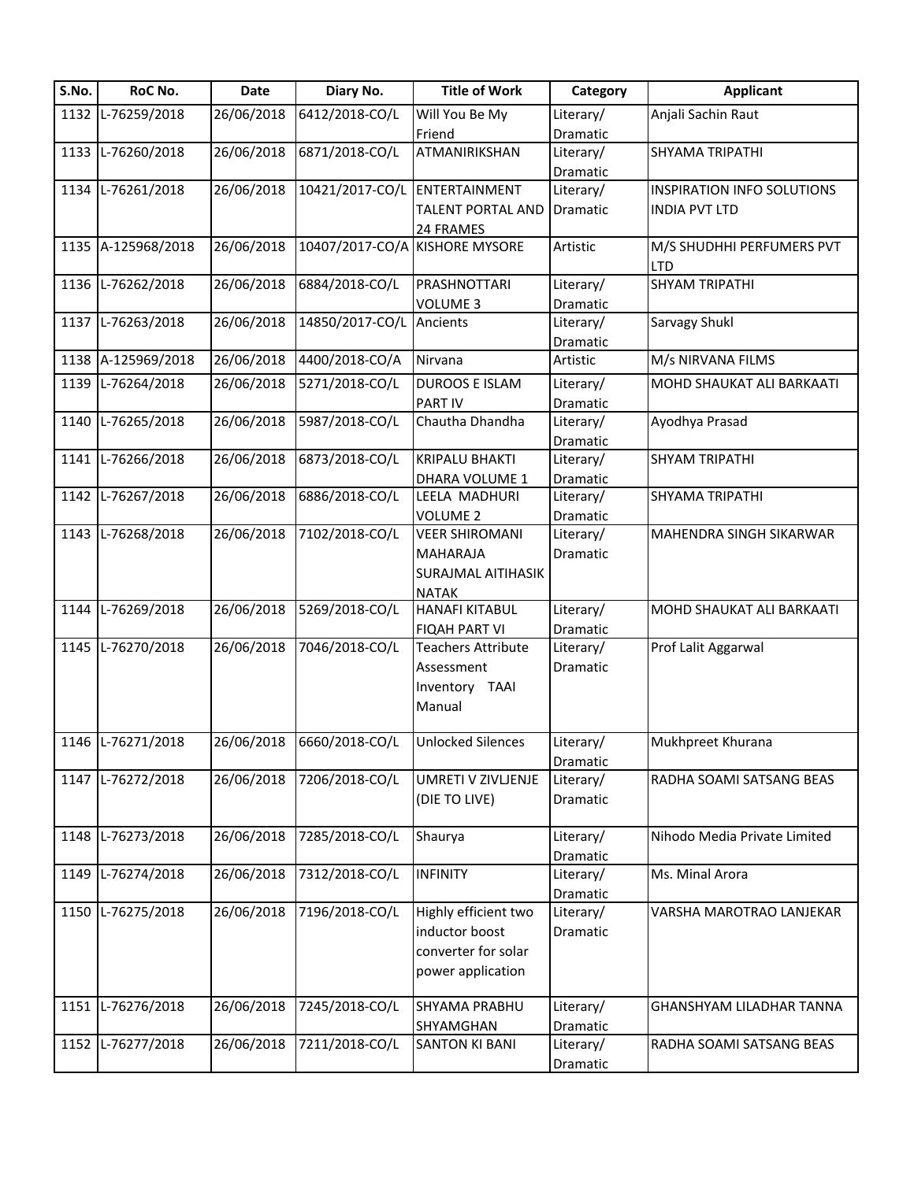| S.No. | RoC No.            | <b>Date</b> | Diary No.                     | <b>Title of Work</b>           | Category  | <b>Applicant</b>                  |
|-------|--------------------|-------------|-------------------------------|--------------------------------|-----------|-----------------------------------|
|       | 1132 L-76259/2018  | 26/06/2018  | 6412/2018-CO/L                | Will You Be My                 | Literary/ | Anjali Sachin Raut                |
|       |                    |             |                               | Friend                         | Dramatic  |                                   |
|       | 1133 L-76260/2018  | 26/06/2018  | 6871/2018-CO/L                | ATMANIRIKSHAN                  | Literary/ | SHYAMA TRIPATHI                   |
|       |                    |             |                               |                                | Dramatic  |                                   |
|       | 1134 L-76261/2018  | 26/06/2018  | 10421/2017-CO/L ENTERTAINMENT |                                | Literary/ | <b>INSPIRATION INFO SOLUTIONS</b> |
|       |                    |             |                               | <b>TALENT PORTAL AND</b>       | Dramatic  | <b>INDIA PVT LTD</b>              |
|       |                    |             |                               | 24 FRAMES                      |           |                                   |
|       | 1135 A-125968/2018 | 26/06/2018  |                               | 10407/2017-CO/A KISHORE MYSORE | Artistic  | M/S SHUDHHI PERFUMERS PVT         |
|       |                    |             |                               |                                |           | <b>LTD</b>                        |
|       | 1136 L-76262/2018  | 26/06/2018  | 6884/2018-CO/L                | PRASHNOTTARI                   | Literary/ | <b>SHYAM TRIPATHI</b>             |
|       |                    |             |                               | <b>VOLUME 3</b>                | Dramatic  |                                   |
|       | 1137 L-76263/2018  | 26/06/2018  | 14850/2017-CO/L               | Ancients                       | Literary/ | Sarvagy Shukl                     |
|       |                    |             |                               |                                | Dramatic  |                                   |
|       | 1138 A-125969/2018 | 26/06/2018  | 4400/2018-CO/A                | Nirvana                        | Artistic  | M/s NIRVANA FILMS                 |
|       | 1139 L-76264/2018  | 26/06/2018  | 5271/2018-CO/L                | <b>DUROOS E ISLAM</b>          | Literary/ | MOHD SHAUKAT ALI BARKAATI         |
|       |                    |             |                               | <b>PARTIV</b>                  | Dramatic  |                                   |
|       | 1140 L-76265/2018  | 26/06/2018  | 5987/2018-CO/L                | Chautha Dhandha                | Literary/ | Ayodhya Prasad                    |
|       |                    |             |                               |                                | Dramatic  |                                   |
|       | 1141 L-76266/2018  | 26/06/2018  | 6873/2018-CO/L                | <b>KRIPALU BHAKTI</b>          | Literary/ | <b>SHYAM TRIPATHI</b>             |
|       |                    |             |                               | DHARA VOLUME 1                 | Dramatic  |                                   |
|       | 1142 L-76267/2018  | 26/06/2018  | 6886/2018-CO/L                | LEELA MADHURI                  | Literary/ | SHYAMA TRIPATHI                   |
|       |                    |             |                               | <b>VOLUME 2</b>                | Dramatic  |                                   |
|       | 1143 L-76268/2018  | 26/06/2018  | 7102/2018-CO/L                | <b>VEER SHIROMANI</b>          | Literary/ | MAHENDRA SINGH SIKARWAR           |
|       |                    |             |                               | <b>MAHARAJA</b>                | Dramatic  |                                   |
|       |                    |             |                               | <b>SURAJMAL AITIHASIK</b>      |           |                                   |
|       |                    |             |                               | <b>NATAK</b>                   |           |                                   |
|       | 1144 L-76269/2018  | 26/06/2018  | 5269/2018-CO/L                | <b>HANAFI KITABUL</b>          | Literary/ | MOHD SHAUKAT ALI BARKAATI         |
|       |                    |             |                               | <b>FIQAH PART VI</b>           | Dramatic  |                                   |
|       | 1145 L-76270/2018  | 26/06/2018  | 7046/2018-CO/L                | <b>Teachers Attribute</b>      | Literary/ | Prof Lalit Aggarwal               |
|       |                    |             |                               | Assessment                     | Dramatic  |                                   |
|       |                    |             |                               | Inventory TAAI                 |           |                                   |
|       |                    |             |                               | Manual                         |           |                                   |
|       |                    |             |                               |                                |           |                                   |
|       | 1146 L-76271/2018  | 26/06/2018  | 6660/2018-CO/L                | <b>Unlocked Silences</b>       | Literary/ | Mukhpreet Khurana                 |
|       |                    |             |                               |                                | Dramatic  |                                   |
|       | 1147 L-76272/2018  | 26/06/2018  | 7206/2018-CO/L                | UMRETI V ZIVLJENJE             | Literary/ | RADHA SOAMI SATSANG BEAS          |
|       |                    |             |                               | (DIE TO LIVE)                  | Dramatic  |                                   |
|       |                    |             |                               |                                |           |                                   |
|       | 1148 L-76273/2018  | 26/06/2018  | 7285/2018-CO/L                | Shaurya                        | Literary/ | Nihodo Media Private Limited      |
|       |                    |             |                               |                                | Dramatic  |                                   |
| 1149  | L-76274/2018       | 26/06/2018  | 7312/2018-CO/L                | <b>INFINITY</b>                | Literary/ | Ms. Minal Arora                   |
|       |                    |             |                               |                                | Dramatic  |                                   |
|       | 1150 L-76275/2018  | 26/06/2018  | 7196/2018-CO/L                | Highly efficient two           | Literary/ | VARSHA MAROTRAO LANJEKAR          |
|       |                    |             |                               | inductor boost                 | Dramatic  |                                   |
|       |                    |             |                               | converter for solar            |           |                                   |
|       |                    |             |                               | power application              |           |                                   |
|       |                    |             |                               |                                |           |                                   |
|       | 1151 L-76276/2018  | 26/06/2018  | 7245/2018-CO/L                | SHYAMA PRABHU                  | Literary/ | GHANSHYAM LILADHAR TANNA          |
|       |                    |             |                               | SHYAMGHAN                      | Dramatic  |                                   |
|       | 1152 L-76277/2018  | 26/06/2018  | 7211/2018-CO/L                | <b>SANTON KI BANI</b>          | Literary/ | RADHA SOAMI SATSANG BEAS          |
|       |                    |             |                               |                                | Dramatic  |                                   |
|       |                    |             |                               |                                |           |                                   |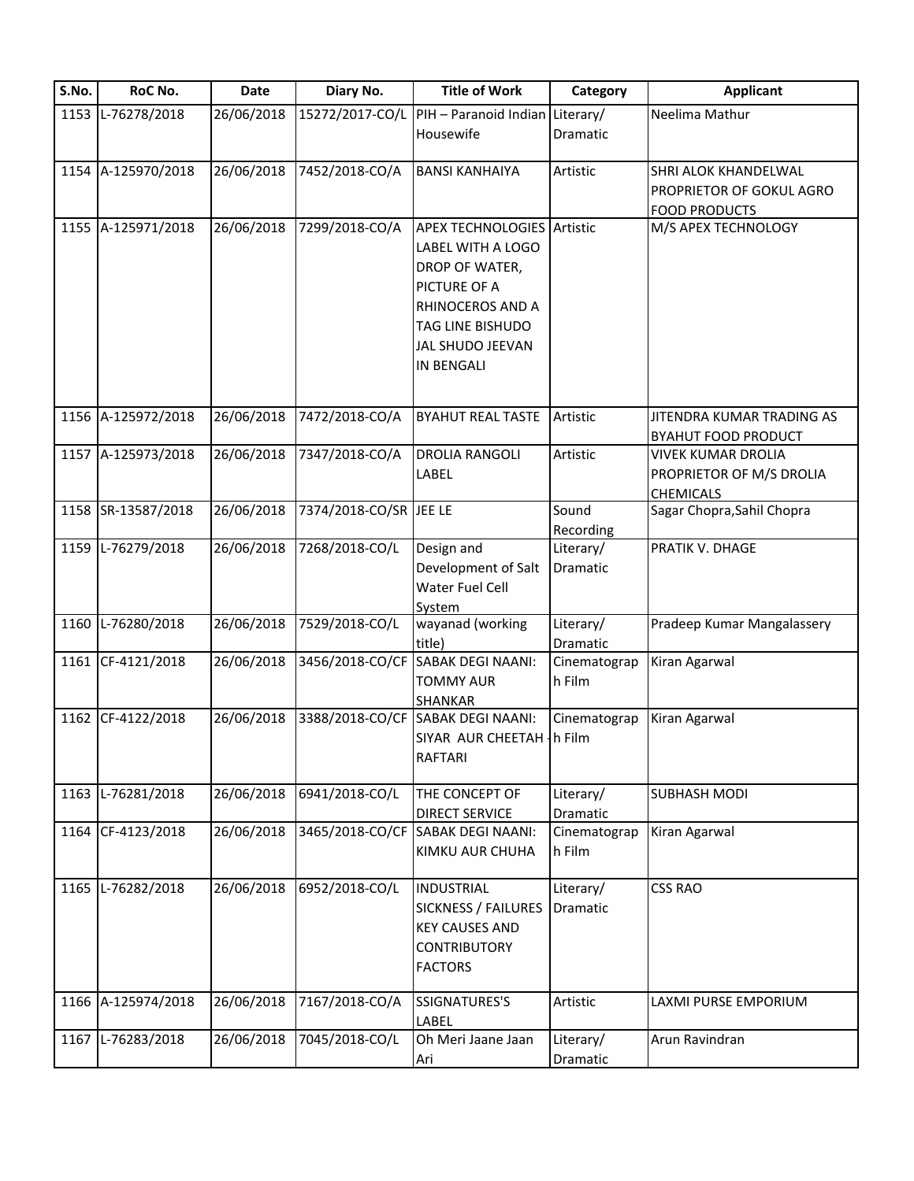| 1153 L-76278/2018<br>26/06/2018<br>15272/2017-CO/L<br>PIH - Paranoid Indian Literary/   |                 |                            |
|-----------------------------------------------------------------------------------------|-----------------|----------------------------|
|                                                                                         |                 | Neelima Mathur             |
| Housewife                                                                               | <b>Dramatic</b> |                            |
|                                                                                         |                 |                            |
| 1154 A-125970/2018<br>26/06/2018<br>7452/2018-CO/A<br><b>BANSI KANHAIYA</b>             | Artistic        | SHRI ALOK KHANDELWAL       |
|                                                                                         |                 | PROPRIETOR OF GOKUL AGRO   |
|                                                                                         |                 | <b>FOOD PRODUCTS</b>       |
| 1155 A-125971/2018<br>26/06/2018<br>7299/2018-CO/A<br><b>APEX TECHNOLOGIES</b> Artistic |                 | M/S APEX TECHNOLOGY        |
| LABEL WITH A LOGO                                                                       |                 |                            |
| DROP OF WATER,                                                                          |                 |                            |
| PICTURE OF A                                                                            |                 |                            |
| RHINOCEROS AND A                                                                        |                 |                            |
| TAG LINE BISHUDO                                                                        |                 |                            |
| JAL SHUDO JEEVAN                                                                        |                 |                            |
| <b>IN BENGALI</b>                                                                       |                 |                            |
|                                                                                         |                 |                            |
|                                                                                         |                 |                            |
| 26/06/2018<br>1156 A-125972/2018<br>7472/2018-CO/A<br><b>BYAHUT REAL TASTE</b>          | Artistic        | JITENDRA KUMAR TRADING AS  |
|                                                                                         |                 | <b>BYAHUT FOOD PRODUCT</b> |
| 1157 A-125973/2018<br>26/06/2018<br>7347/2018-CO/A<br><b>DROLIA RANGOLI</b>             | Artistic        | <b>VIVEK KUMAR DROLIA</b>  |
| LABEL                                                                                   |                 | PROPRIETOR OF M/S DROLIA   |
| 26/06/2018<br>7374/2018-CO/SR JEE LE                                                    | Sound           | <b>CHEMICALS</b>           |
| 1158 SR-13587/2018                                                                      |                 | Sagar Chopra, Sahil Chopra |
| 7268/2018-CO/L                                                                          | Recording       | PRATIK V. DHAGE            |
| 1159 L-76279/2018<br>26/06/2018<br>Design and                                           | Literary/       |                            |
| Development of Salt                                                                     | Dramatic        |                            |
| Water Fuel Cell                                                                         |                 |                            |
| System<br>7529/2018-CO/L<br>1160 L-76280/2018<br>26/06/2018<br>wayanad (working         | Literary/       | Pradeep Kumar Mangalassery |
| title)                                                                                  | Dramatic        |                            |
| 3456/2018-CO/CF<br><b>SABAK DEGI NAANI:</b><br>1161 CF-4121/2018<br>26/06/2018          | Cinematograp    | Kiran Agarwal              |
| <b>TOMMY AUR</b>                                                                        | h Film          |                            |
| SHANKAR                                                                                 |                 |                            |
| 3388/2018-CO/CF SABAK DEGI NAANI:<br>1162 CF-4122/2018<br>26/06/2018                    | Cinematograp    | Kiran Agarwal              |
| SIYAR AUR CHEETAH - h Film                                                              |                 |                            |
| <b>RAFTARI</b>                                                                          |                 |                            |
|                                                                                         |                 |                            |
| 1163 L-76281/2018<br>26/06/2018<br>6941/2018-CO/L<br>THE CONCEPT OF                     | Literary/       | <b>SUBHASH MODI</b>        |
| <b>DIRECT SERVICE</b>                                                                   | Dramatic        |                            |
| 26/06/2018<br>3465/2018-CO/CF<br>1164 CF-4123/2018<br><b>SABAK DEGI NAANI:</b>          | Cinematograp    | Kiran Agarwal              |
| KIMKU AUR CHUHA                                                                         | h Film          |                            |
|                                                                                         |                 |                            |
| 1165 L-76282/2018<br>26/06/2018<br>6952/2018-CO/L<br><b>INDUSTRIAL</b>                  | Literary/       | <b>CSS RAO</b>             |
| <b>SICKNESS / FAILURES</b>                                                              | Dramatic        |                            |
| <b>KEY CAUSES AND</b>                                                                   |                 |                            |
| <b>CONTRIBUTORY</b>                                                                     |                 |                            |
| <b>FACTORS</b>                                                                          |                 |                            |
|                                                                                         |                 |                            |
| 26/06/2018<br>1166 A-125974/2018<br>7167/2018-CO/A<br>SSIGNATURES'S                     | Artistic        | LAXMI PURSE EMPORIUM       |
| LABEL                                                                                   |                 |                            |
| 1167 L-76283/2018<br>26/06/2018<br>7045/2018-CO/L<br>Oh Meri Jaane Jaan                 | Literary/       | Arun Ravindran             |
| Ari                                                                                     | Dramatic        |                            |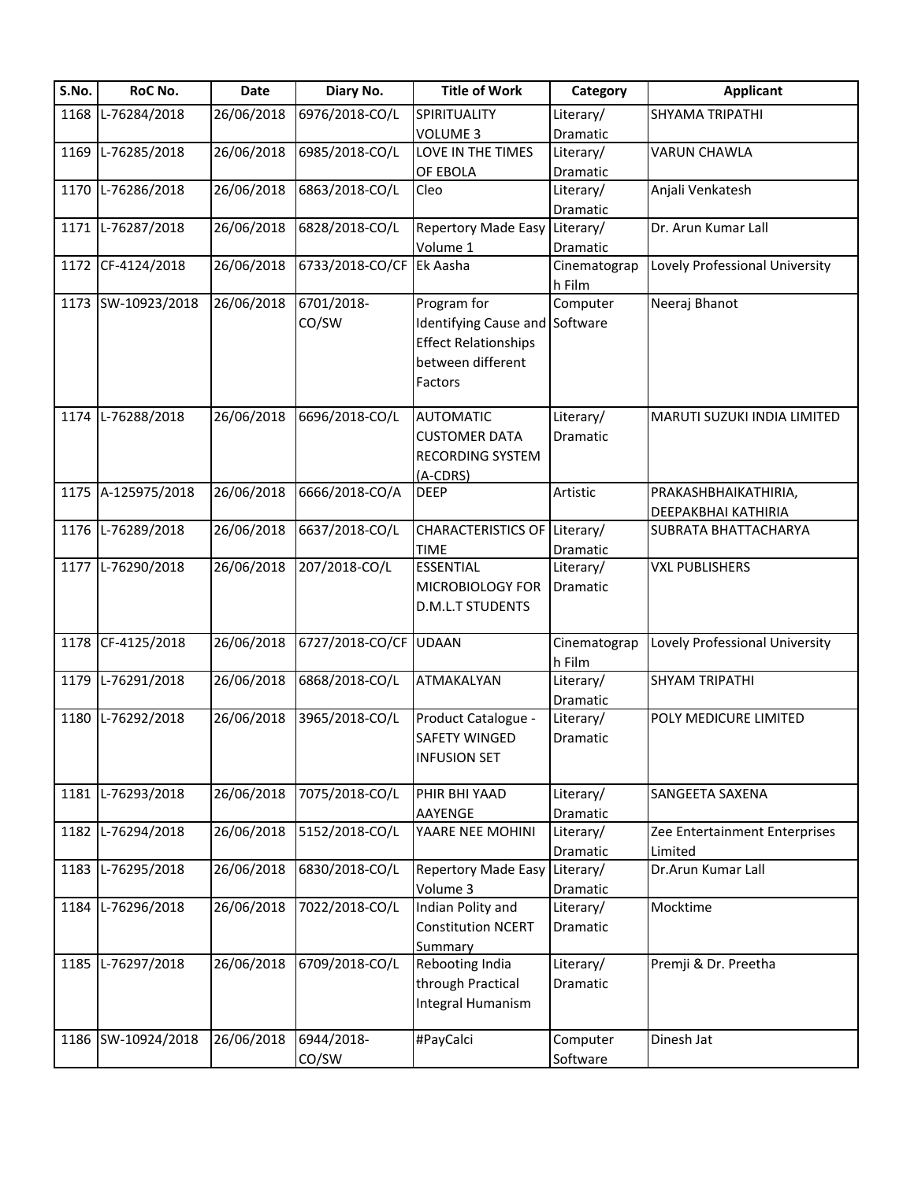| S.No. | RoC No.            | Date       | Diary No.       | <b>Title of Work</b>           | Category     | <b>Applicant</b>               |
|-------|--------------------|------------|-----------------|--------------------------------|--------------|--------------------------------|
| 1168  | L-76284/2018       | 26/06/2018 | 6976/2018-CO/L  | SPIRITUALITY                   | Literary/    | SHYAMA TRIPATHI                |
|       |                    |            |                 | <b>VOLUME 3</b>                | Dramatic     |                                |
| 1169  | L-76285/2018       | 26/06/2018 | 6985/2018-CO/L  | LOVE IN THE TIMES              | Literary/    | <b>VARUN CHAWLA</b>            |
|       |                    |            |                 | OF EBOLA                       | Dramatic     |                                |
|       | 1170 L-76286/2018  | 26/06/2018 | 6863/2018-CO/L  | Cleo                           | Literary/    | Anjali Venkatesh               |
|       |                    |            |                 |                                | Dramatic     |                                |
|       | 1171 L-76287/2018  | 26/06/2018 | 6828/2018-CO/L  | <b>Repertory Made Easy</b>     | Literary/    | Dr. Arun Kumar Lall            |
|       |                    |            |                 | Volume 1                       | Dramatic     |                                |
|       | 1172 CF-4124/2018  | 26/06/2018 | 6733/2018-CO/CF | Ek Aasha                       | Cinematograp | Lovely Professional University |
|       |                    |            |                 |                                | h Film       |                                |
|       | 1173 SW-10923/2018 | 26/06/2018 | 6701/2018-      | Program for                    | Computer     | Neeraj Bhanot                  |
|       |                    |            | CO/SW           | Identifying Cause and Software |              |                                |
|       |                    |            |                 | <b>Effect Relationships</b>    |              |                                |
|       |                    |            |                 | between different              |              |                                |
|       |                    |            |                 | Factors                        |              |                                |
|       |                    |            |                 |                                |              |                                |
|       | 1174 L-76288/2018  | 26/06/2018 | 6696/2018-CO/L  | <b>AUTOMATIC</b>               | Literary/    | MARUTI SUZUKI INDIA LIMITED    |
|       |                    |            |                 | <b>CUSTOMER DATA</b>           | Dramatic     |                                |
|       |                    |            |                 | <b>RECORDING SYSTEM</b>        |              |                                |
|       |                    |            |                 | (A-CDRS)                       |              |                                |
|       | 1175 A-125975/2018 | 26/06/2018 | 6666/2018-CO/A  | <b>DEEP</b>                    | Artistic     | PRAKASHBHAIKATHIRIA,           |
|       |                    |            |                 |                                |              | DEEPAKBHAI KATHIRIA            |
|       | 1176 L-76289/2018  | 26/06/2018 | 6637/2018-CO/L  | CHARACTERISTICS OF Literary/   |              | SUBRATA BHATTACHARYA           |
|       |                    |            |                 | <b>TIME</b>                    | Dramatic     |                                |
|       | 1177 L-76290/2018  | 26/06/2018 | 207/2018-CO/L   | <b>ESSENTIAL</b>               | Literary/    | <b>VXL PUBLISHERS</b>          |
|       |                    |            |                 | MICROBIOLOGY FOR               | Dramatic     |                                |
|       |                    |            |                 | <b>D.M.L.T STUDENTS</b>        |              |                                |
|       | 1178 CF-4125/2018  | 26/06/2018 | 6727/2018-CO/CF | <b>UDAAN</b>                   | Cinematograp | Lovely Professional University |
|       |                    |            |                 |                                | h Film       |                                |
|       | 1179 L-76291/2018  | 26/06/2018 | 6868/2018-CO/L  | ATMAKALYAN                     | Literary/    | <b>SHYAM TRIPATHI</b>          |
|       |                    |            |                 |                                | Dramatic     |                                |
|       | 1180 L-76292/2018  | 26/06/2018 | 3965/2018-CO/L  | Product Catalogue -            | Literary/    | POLY MEDICURE LIMITED          |
|       |                    |            |                 | SAFETY WINGED                  | Dramatic     |                                |
|       |                    |            |                 | <b>INFUSION SET</b>            |              |                                |
|       |                    |            |                 |                                |              |                                |
| 1181  | L-76293/2018       | 26/06/2018 | 7075/2018-CO/L  | PHIR BHI YAAD                  | Literary/    | SANGEETA SAXENA                |
|       |                    |            |                 | AAYENGE                        | Dramatic     |                                |
| 1182  | L-76294/2018       | 26/06/2018 | 5152/2018-CO/L  | YAARE NEE MOHINI               | Literary/    | Zee Entertainment Enterprises  |
|       |                    |            |                 |                                | Dramatic     | Limited                        |
|       | 1183 L-76295/2018  | 26/06/2018 | 6830/2018-CO/L  | <b>Repertory Made Easy</b>     | Literary/    | Dr.Arun Kumar Lall             |
|       |                    |            |                 | Volume 3                       | Dramatic     |                                |
|       | 1184 L-76296/2018  | 26/06/2018 | 7022/2018-CO/L  | Indian Polity and              | Literary/    | Mocktime                       |
|       |                    |            |                 | <b>Constitution NCERT</b>      | Dramatic     |                                |
|       |                    |            |                 | <b>Summary</b>                 |              |                                |
|       | 1185 L-76297/2018  | 26/06/2018 | 6709/2018-CO/L  | Rebooting India                | Literary/    | Premji & Dr. Preetha           |
|       |                    |            |                 | through Practical              | Dramatic     |                                |
|       |                    |            |                 | Integral Humanism              |              |                                |
|       |                    |            |                 |                                |              |                                |
|       | 1186 SW-10924/2018 | 26/06/2018 | 6944/2018-      | #PayCalci                      | Computer     | Dinesh Jat                     |
|       |                    |            | CO/SW           |                                | Software     |                                |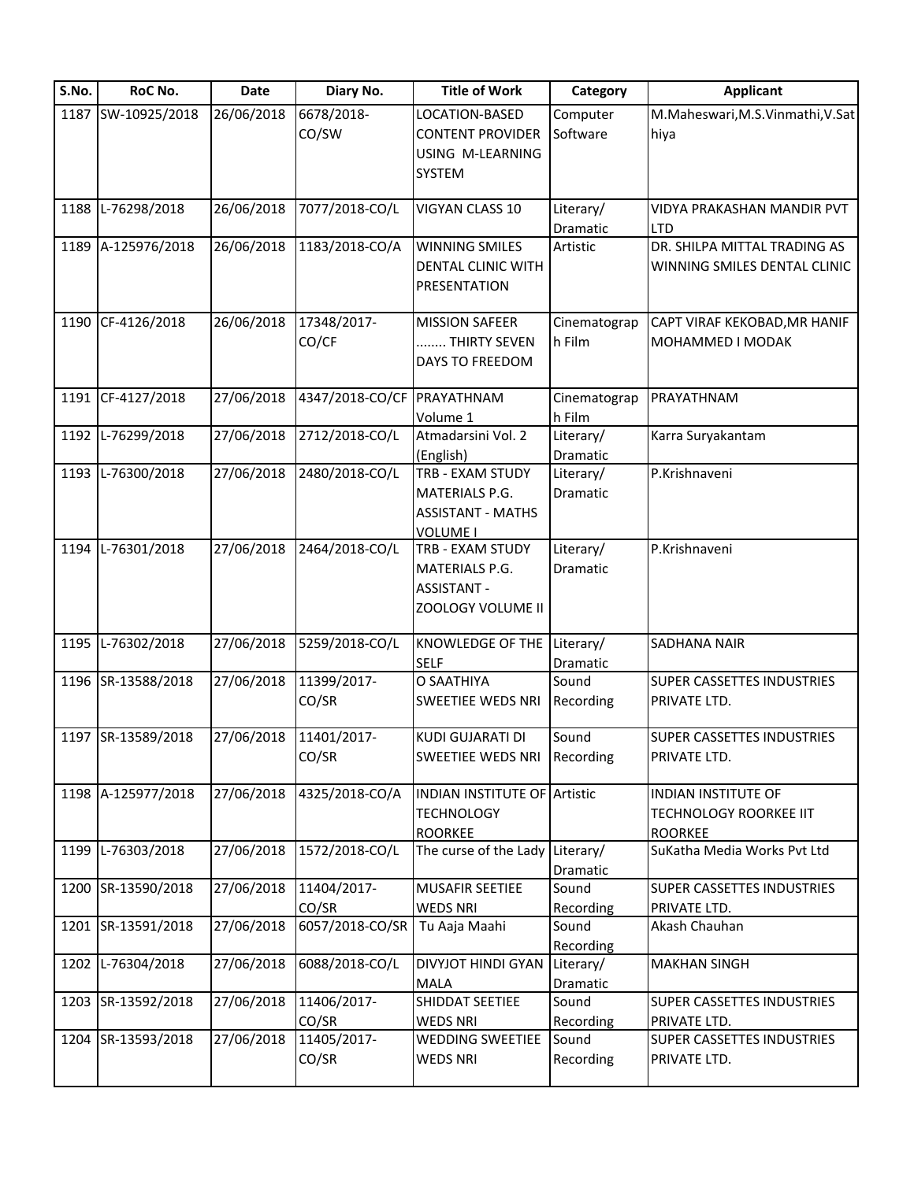| S.No. | RoC No.            | <b>Date</b> | Diary No.                  | <b>Title of Work</b>                | Category     | <b>Applicant</b>                              |
|-------|--------------------|-------------|----------------------------|-------------------------------------|--------------|-----------------------------------------------|
|       | 1187 SW-10925/2018 | 26/06/2018  | 6678/2018-                 | LOCATION-BASED                      | Computer     | M.Maheswari, M.S.Vinmathi, V.Sat              |
|       |                    |             | CO/SW                      | <b>CONTENT PROVIDER</b>             | Software     | hiya                                          |
|       |                    |             |                            | USING M-LEARNING                    |              |                                               |
|       |                    |             |                            | SYSTEM                              |              |                                               |
| 1188  | L-76298/2018       | 26/06/2018  | 7077/2018-CO/L             | VIGYAN CLASS 10                     | Literary/    | VIDYA PRAKASHAN MANDIR PVT                    |
|       |                    |             |                            |                                     | Dramatic     | <b>LTD</b>                                    |
|       | 1189 A-125976/2018 | 26/06/2018  | 1183/2018-CO/A             | <b>WINNING SMILES</b>               | Artistic     | DR. SHILPA MITTAL TRADING AS                  |
|       |                    |             |                            | DENTAL CLINIC WITH                  |              | WINNING SMILES DENTAL CLINIC                  |
|       |                    |             |                            | PRESENTATION                        |              |                                               |
|       | 1190 CF-4126/2018  | 26/06/2018  | 17348/2017-                | <b>MISSION SAFEER</b>               | Cinematograp | CAPT VIRAF KEKOBAD, MR HANIF                  |
|       |                    |             | CO/CF                      | THIRTY SEVEN                        | h Film       | MOHAMMED I MODAK                              |
|       |                    |             |                            | DAYS TO FREEDOM                     |              |                                               |
|       | 1191 CF-4127/2018  | 27/06/2018  | 4347/2018-CO/CF PRAYATHNAM |                                     | Cinematograp | PRAYATHNAM                                    |
|       |                    |             |                            | Volume 1                            | h Film       |                                               |
|       | 1192 L-76299/2018  | 27/06/2018  | 2712/2018-CO/L             | Atmadarsini Vol. 2                  | Literary/    | Karra Suryakantam                             |
|       |                    |             |                            | (English)                           | Dramatic     |                                               |
|       | 1193 L-76300/2018  | 27/06/2018  | 2480/2018-CO/L             | TRB - EXAM STUDY                    | Literary/    | P.Krishnaveni                                 |
|       |                    |             |                            | MATERIALS P.G.                      | Dramatic     |                                               |
|       |                    |             |                            | <b>ASSISTANT - MATHS</b>            |              |                                               |
|       |                    |             |                            | <b>VOLUME I</b>                     |              |                                               |
|       | 1194 L-76301/2018  | 27/06/2018  | 2464/2018-CO/L             | TRB - EXAM STUDY                    | Literary/    | P.Krishnaveni                                 |
|       |                    |             |                            | <b>MATERIALS P.G.</b>               | Dramatic     |                                               |
|       |                    |             |                            | <b>ASSISTANT -</b>                  |              |                                               |
|       |                    |             |                            | ZOOLOGY VOLUME II                   |              |                                               |
|       | 1195 L-76302/2018  | 27/06/2018  | 5259/2018-CO/L             | KNOWLEDGE OF THE                    | Literary/    | SADHANA NAIR                                  |
|       |                    |             |                            | <b>SELF</b>                         | Dramatic     |                                               |
|       | 1196 SR-13588/2018 | 27/06/2018  | 11399/2017-                | O SAATHIYA                          | Sound        | SUPER CASSETTES INDUSTRIES                    |
|       |                    |             | CO/SR                      | SWEETIEE WEDS NRI                   | Recording    | PRIVATE LTD.                                  |
|       | 1197 SR-13589/2018 | 27/06/2018  | 11401/2017-                | KUDI GUJARATI DI                    | Sound        | SUPER CASSETTES INDUSTRIES                    |
|       |                    |             | CO/SR                      | SWEETIEE WEDS NRI                   | Recording    | PRIVATE LTD.                                  |
|       |                    |             |                            |                                     |              |                                               |
|       | 1198 A-125977/2018 | 27/06/2018  | 4325/2018-CO/A             | <b>INDIAN INSTITUTE OF Artistic</b> |              | <b>INDIAN INSTITUTE OF</b>                    |
|       |                    |             |                            | <b>TECHNOLOGY</b>                   |              | TECHNOLOGY ROORKEE IIT                        |
|       | 1199 L-76303/2018  | 27/06/2018  | 1572/2018-CO/L             | ROORKEE<br>The curse of the Lady    | Literary/    | <b>ROORKEE</b><br>SuKatha Media Works Pvt Ltd |
|       |                    |             |                            |                                     | Dramatic     |                                               |
|       | 1200 SR-13590/2018 | 27/06/2018  | 11404/2017-                | MUSAFIR SEETIEE                     | Sound        | SUPER CASSETTES INDUSTRIES                    |
|       |                    |             | CO/SR                      | <b>WEDS NRI</b>                     | Recording    | PRIVATE LTD.                                  |
|       | 1201 SR-13591/2018 | 27/06/2018  | 6057/2018-CO/SR            | Tu Aaja Maahi                       | Sound        | Akash Chauhan                                 |
|       |                    |             |                            |                                     | Recording    |                                               |
|       | 1202 L-76304/2018  | 27/06/2018  | 6088/2018-CO/L             | DIVYJOT HINDI GYAN                  | Literary/    | <b>MAKHAN SINGH</b>                           |
|       |                    |             |                            | MALA                                | Dramatic     |                                               |
|       | 1203 SR-13592/2018 | 27/06/2018  | 11406/2017-                | SHIDDAT SEETIEE                     | Sound        | SUPER CASSETTES INDUSTRIES                    |
|       |                    |             | CO/SR                      | <b>WEDS NRI</b>                     | Recording    | PRIVATE LTD.                                  |
|       | 1204 SR-13593/2018 | 27/06/2018  | 11405/2017-                | WEDDING SWEETIEE                    | Sound        | SUPER CASSETTES INDUSTRIES                    |
|       |                    |             | CO/SR                      | <b>WEDS NRI</b>                     | Recording    | PRIVATE LTD.                                  |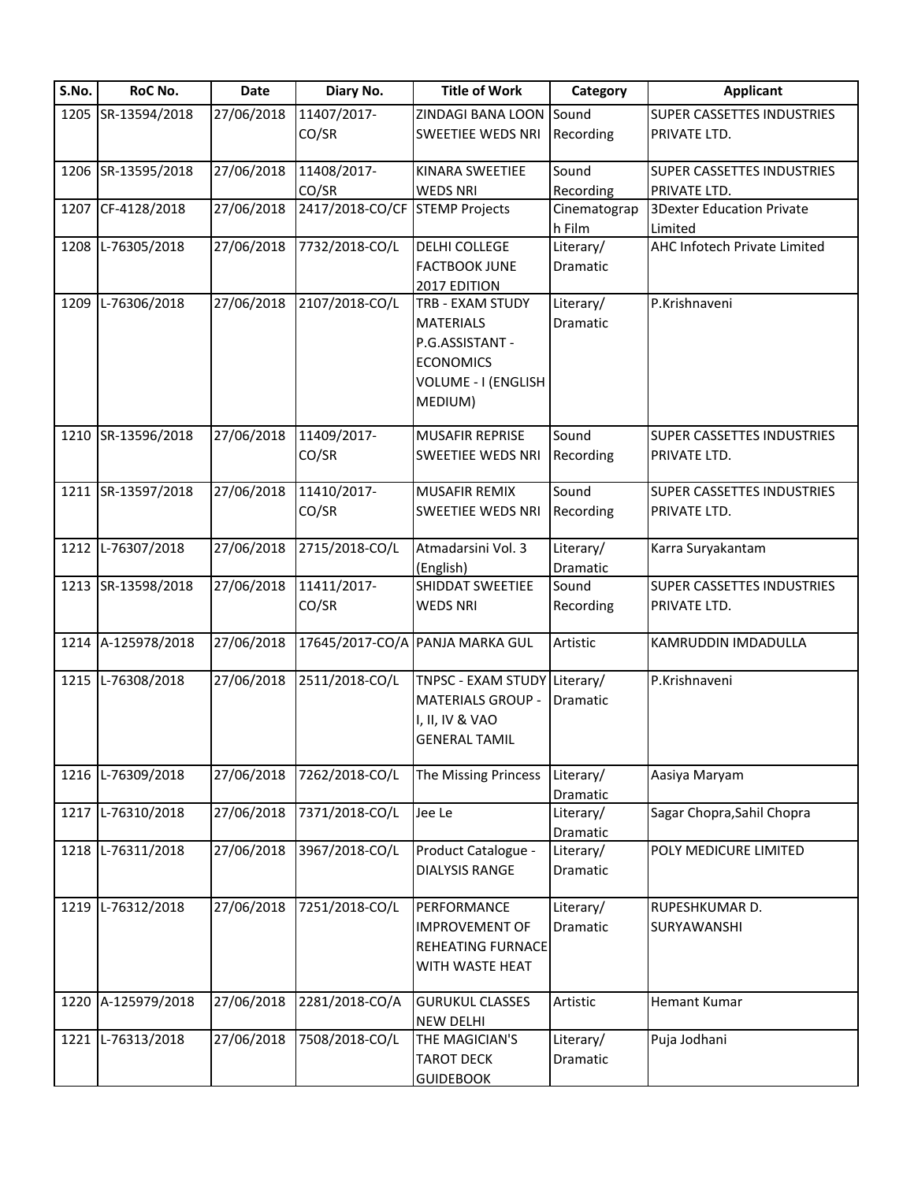| S.No. | RoC No.            | Date       | Diary No.                      | <b>Title of Work</b>                 | Category     | <b>Applicant</b>                  |
|-------|--------------------|------------|--------------------------------|--------------------------------------|--------------|-----------------------------------|
|       | 1205 SR-13594/2018 | 27/06/2018 | 11407/2017-                    | ZINDAGI BANA LOON                    | Sound        | <b>SUPER CASSETTES INDUSTRIES</b> |
|       |                    |            | CO/SR                          | <b>SWEETIEE WEDS NRI</b>             | Recording    | PRIVATE LTD.                      |
|       | 1206 SR-13595/2018 | 27/06/2018 | 11408/2017-                    | KINARA SWEETIEE                      | Sound        | <b>SUPER CASSETTES INDUSTRIES</b> |
|       |                    |            | CO/SR                          | <b>WEDS NRI</b>                      | Recording    | PRIVATE LTD.                      |
|       | 1207 CF-4128/2018  | 27/06/2018 | 2417/2018-CO/CF STEMP Projects |                                      | Cinematograp | <b>3Dexter Education Private</b>  |
|       |                    |            |                                |                                      | h Film       | Limited                           |
|       | 1208 L-76305/2018  | 27/06/2018 | 7732/2018-CO/L                 | <b>DELHI COLLEGE</b>                 | Literary/    | AHC Infotech Private Limited      |
|       |                    |            |                                | <b>FACTBOOK JUNE</b><br>2017 EDITION | Dramatic     |                                   |
| 1209  | L-76306/2018       | 27/06/2018 | 2107/2018-CO/L                 | TRB - EXAM STUDY                     | Literary/    | P.Krishnaveni                     |
|       |                    |            |                                | <b>MATERIALS</b>                     | Dramatic     |                                   |
|       |                    |            |                                | P.G.ASSISTANT -                      |              |                                   |
|       |                    |            |                                | <b>ECONOMICS</b>                     |              |                                   |
|       |                    |            |                                | VOLUME - I (ENGLISH                  |              |                                   |
|       |                    |            |                                | MEDIUM)                              |              |                                   |
|       |                    |            |                                |                                      |              |                                   |
|       | 1210 SR-13596/2018 | 27/06/2018 | 11409/2017-                    | <b>MUSAFIR REPRISE</b>               | Sound        | SUPER CASSETTES INDUSTRIES        |
|       |                    |            | CO/SR                          | <b>SWEETIEE WEDS NRI</b>             | Recording    | PRIVATE LTD.                      |
|       |                    |            |                                |                                      |              |                                   |
|       | 1211 SR-13597/2018 | 27/06/2018 | 11410/2017-                    | MUSAFIR REMIX                        | Sound        | SUPER CASSETTES INDUSTRIES        |
|       |                    |            | CO/SR                          | <b>SWEETIEE WEDS NRI</b>             | Recording    | PRIVATE LTD.                      |
|       |                    |            |                                |                                      |              |                                   |
|       | 1212 L-76307/2018  | 27/06/2018 | 2715/2018-CO/L                 | Atmadarsini Vol. 3                   | Literary/    | Karra Suryakantam                 |
|       |                    |            |                                | (English)                            | Dramatic     |                                   |
|       | 1213 SR-13598/2018 | 27/06/2018 | 11411/2017-                    | SHIDDAT SWEETIEE                     | Sound        | SUPER CASSETTES INDUSTRIES        |
|       |                    |            | CO/SR                          | <b>WEDS NRI</b>                      | Recording    | PRIVATE LTD.                      |
|       |                    |            |                                |                                      |              |                                   |
|       | 1214 A-125978/2018 | 27/06/2018 |                                | 17645/2017-CO/A PANJA MARKA GUL      | Artistic     | KAMRUDDIN IMDADULLA               |
|       | 1215 L-76308/2018  | 27/06/2018 | 2511/2018-CO/L                 | TNPSC - EXAM STUDY Literary/         |              | P.Krishnaveni                     |
|       |                    |            |                                | <b>MATERIALS GROUP -</b>             | Dramatic     |                                   |
|       |                    |            |                                | I, II, IV & VAO                      |              |                                   |
|       |                    |            |                                | <b>GENERAL TAMIL</b>                 |              |                                   |
|       |                    |            |                                |                                      |              |                                   |
|       | 1216 L-76309/2018  | 27/06/2018 | 7262/2018-CO/L                 | The Missing Princess                 | Literary/    | Aasiya Maryam                     |
|       |                    |            |                                |                                      | Dramatic     |                                   |
|       | 1217 L-76310/2018  | 27/06/2018 | 7371/2018-CO/L                 | Jee Le                               | Literary/    | Sagar Chopra, Sahil Chopra        |
|       |                    |            |                                |                                      | Dramatic     |                                   |
|       | 1218 L-76311/2018  | 27/06/2018 | 3967/2018-CO/L                 | Product Catalogue -                  | Literary/    | POLY MEDICURE LIMITED             |
|       |                    |            |                                | <b>DIALYSIS RANGE</b>                | Dramatic     |                                   |
|       |                    |            |                                |                                      |              |                                   |
|       | 1219 L-76312/2018  | 27/06/2018 | 7251/2018-CO/L                 | PERFORMANCE                          | Literary/    | RUPESHKUMAR D.                    |
|       |                    |            |                                | <b>IMPROVEMENT OF</b>                | Dramatic     | SURYAWANSHI                       |
|       |                    |            |                                | <b>REHEATING FURNACE</b>             |              |                                   |
|       |                    |            |                                | WITH WASTE HEAT                      |              |                                   |
|       |                    |            |                                |                                      |              |                                   |
|       | 1220 A-125979/2018 | 27/06/2018 | 2281/2018-CO/A                 | <b>GURUKUL CLASSES</b>               | Artistic     | <b>Hemant Kumar</b>               |
|       |                    |            |                                | <b>NEW DELHI</b>                     |              |                                   |
|       | 1221 L-76313/2018  | 27/06/2018 | 7508/2018-CO/L                 | THE MAGICIAN'S                       | Literary/    | Puja Jodhani                      |
|       |                    |            |                                | <b>TAROT DECK</b>                    | Dramatic     |                                   |
|       |                    |            |                                | <b>GUIDEBOOK</b>                     |              |                                   |
|       |                    |            |                                |                                      |              |                                   |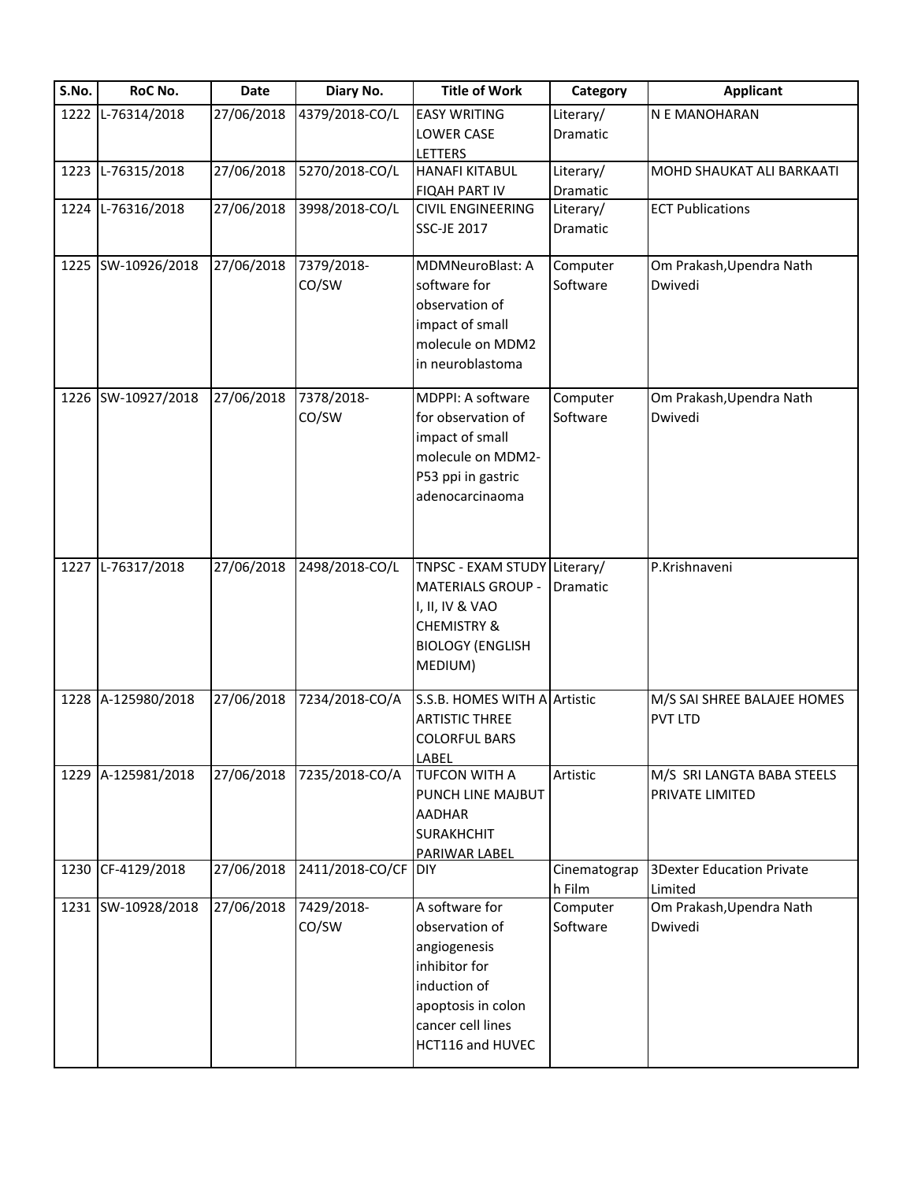| S.No. | RoC No.            | <b>Date</b> | Diary No.           | <b>Title of Work</b>         | Category     | <b>Applicant</b>                 |
|-------|--------------------|-------------|---------------------|------------------------------|--------------|----------------------------------|
|       | 1222 L-76314/2018  | 27/06/2018  | 4379/2018-CO/L      | <b>EASY WRITING</b>          | Literary/    | N E MANOHARAN                    |
|       |                    |             |                     | LOWER CASE                   | Dramatic     |                                  |
|       |                    |             |                     | LETTERS                      |              |                                  |
|       | 1223 L-76315/2018  | 27/06/2018  | 5270/2018-CO/L      | <b>HANAFI KITABUL</b>        | Literary/    | MOHD SHAUKAT ALI BARKAATI        |
|       |                    |             |                     | <b>FIQAH PART IV</b>         | Dramatic     |                                  |
|       | 1224 L-76316/2018  | 27/06/2018  | 3998/2018-CO/L      | <b>CIVIL ENGINEERING</b>     | Literary/    | <b>ECT Publications</b>          |
|       |                    |             |                     | SSC-JE 2017                  | Dramatic     |                                  |
|       | 1225 SW-10926/2018 | 27/06/2018  | 7379/2018-          | <b>MDMNeuroBlast: A</b>      | Computer     | Om Prakash, Upendra Nath         |
|       |                    |             | CO/SW               | software for                 | Software     | Dwivedi                          |
|       |                    |             |                     | observation of               |              |                                  |
|       |                    |             |                     | impact of small              |              |                                  |
|       |                    |             |                     | molecule on MDM2             |              |                                  |
|       |                    |             |                     | in neuroblastoma             |              |                                  |
|       | 1226 SW-10927/2018 | 27/06/2018  | 7378/2018-          | MDPPI: A software            | Computer     | Om Prakash, Upendra Nath         |
|       |                    |             | CO/SW               | for observation of           | Software     | Dwivedi                          |
|       |                    |             |                     | impact of small              |              |                                  |
|       |                    |             |                     | molecule on MDM2-            |              |                                  |
|       |                    |             |                     | P53 ppi in gastric           |              |                                  |
|       |                    |             |                     | adenocarcinaoma              |              |                                  |
|       |                    |             |                     |                              |              |                                  |
|       |                    |             |                     |                              |              |                                  |
|       | 1227 L-76317/2018  | 27/06/2018  | 2498/2018-CO/L      | TNPSC - EXAM STUDY Literary/ |              | P.Krishnaveni                    |
|       |                    |             |                     | <b>MATERIALS GROUP -</b>     | Dramatic     |                                  |
|       |                    |             |                     | I, II, IV & VAO              |              |                                  |
|       |                    |             |                     | <b>CHEMISTRY &amp;</b>       |              |                                  |
|       |                    |             |                     | <b>BIOLOGY (ENGLISH</b>      |              |                                  |
|       |                    |             |                     | MEDIUM)                      |              |                                  |
|       |                    |             |                     |                              |              |                                  |
|       | 1228 A-125980/2018 | 27/06/2018  | 7234/2018-CO/A      | S.S.B. HOMES WITH A Artistic |              | M/S SAI SHREE BALAJEE HOMES      |
|       |                    |             |                     | <b>ARTISTIC THREE</b>        |              | <b>PVT LTD</b>                   |
|       |                    |             |                     | <b>COLORFUL BARS</b>         |              |                                  |
|       | 1229 A-125981/2018 | 27/06/2018  | 7235/2018-CO/A      | LABEL<br>TUFCON WITH A       | Artistic     | M/S SRI LANGTA BABA STEELS       |
|       |                    |             |                     | PUNCH LINE MAJBUT            |              | PRIVATE LIMITED                  |
|       |                    |             |                     |                              |              |                                  |
|       |                    |             |                     | <b>AADHAR</b>                |              |                                  |
|       |                    |             |                     | <b>SURAKHCHIT</b>            |              |                                  |
|       | 1230 CF-4129/2018  | 27/06/2018  | 2411/2018-CO/CF DIY | <b>PARIWAR LABEL</b>         | Cinematograp | <b>3Dexter Education Private</b> |
|       |                    |             |                     |                              | h Film       | Limited                          |
|       | 1231 SW-10928/2018 | 27/06/2018  | 7429/2018-          | A software for               | Computer     | Om Prakash, Upendra Nath         |
|       |                    |             | CO/SW               | observation of               | Software     | Dwivedi                          |
|       |                    |             |                     | angiogenesis                 |              |                                  |
|       |                    |             |                     | inhibitor for                |              |                                  |
|       |                    |             |                     | induction of                 |              |                                  |
|       |                    |             |                     | apoptosis in colon           |              |                                  |
|       |                    |             |                     | cancer cell lines            |              |                                  |
|       |                    |             |                     | HCT116 and HUVEC             |              |                                  |
|       |                    |             |                     |                              |              |                                  |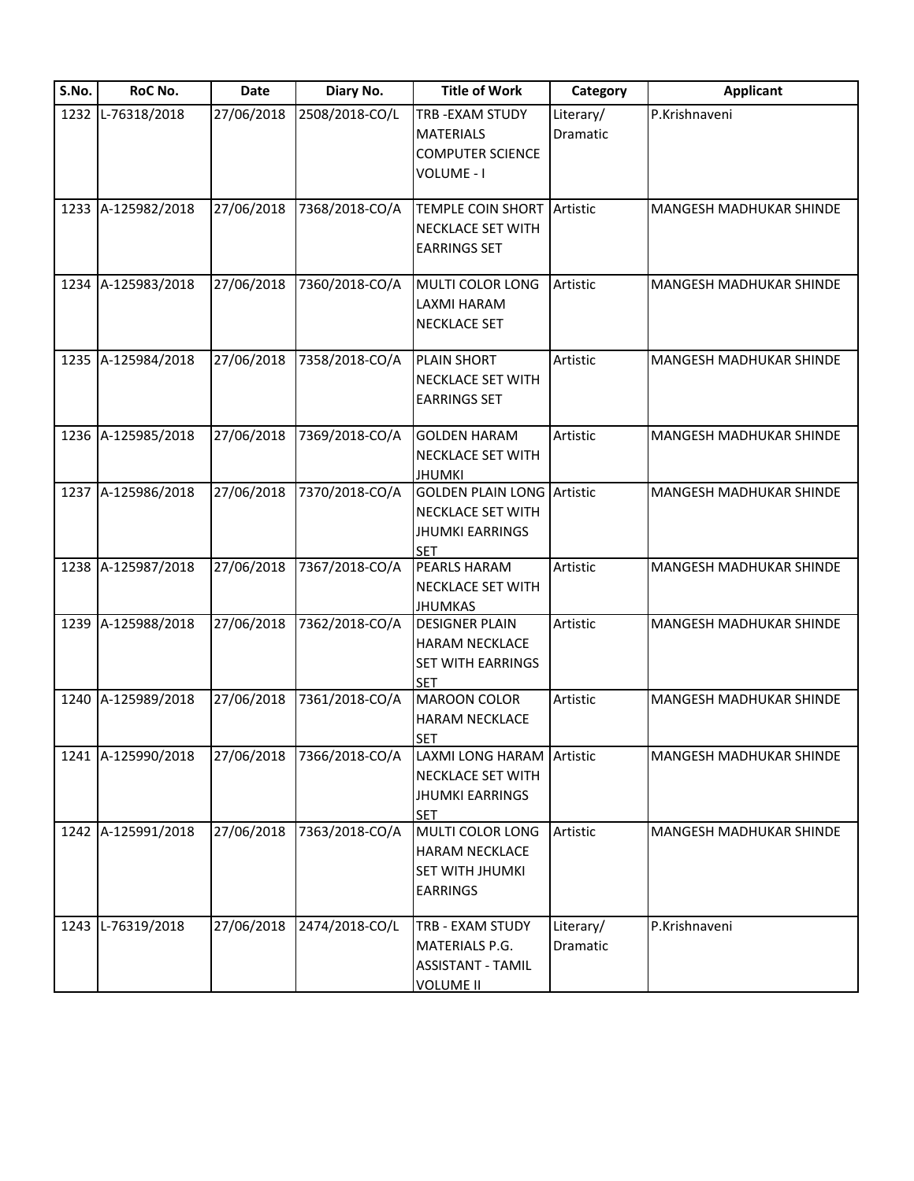| S.No. | RoC No.            | Date       | Diary No.      | <b>Title of Work</b>                                                                           | Category              | <b>Applicant</b>               |
|-------|--------------------|------------|----------------|------------------------------------------------------------------------------------------------|-----------------------|--------------------------------|
|       | 1232 L-76318/2018  | 27/06/2018 | 2508/2018-CO/L | TRB-EXAM STUDY<br><b>MATERIALS</b><br><b>COMPUTER SCIENCE</b><br>VOLUME - I                    | Literary/<br>Dramatic | P.Krishnaveni                  |
|       | 1233 A-125982/2018 | 27/06/2018 | 7368/2018-CO/A | <b>TEMPLE COIN SHORT Artistic</b><br>NECKLACE SET WITH<br><b>EARRINGS SET</b>                  |                       | <b>MANGESH MADHUKAR SHINDE</b> |
|       | 1234 A-125983/2018 | 27/06/2018 | 7360/2018-CO/A | MULTI COLOR LONG<br>LAXMI HARAM<br><b>NECKLACE SET</b>                                         | Artistic              | MANGESH MADHUKAR SHINDE        |
|       | 1235 A-125984/2018 | 27/06/2018 | 7358/2018-CO/A | <b>PLAIN SHORT</b><br>NECKLACE SET WITH<br><b>EARRINGS SET</b>                                 | Artistic              | <b>MANGESH MADHUKAR SHINDE</b> |
|       | 1236 A-125985/2018 | 27/06/2018 | 7369/2018-CO/A | <b>GOLDEN HARAM</b><br>NECKLACE SET WITH<br><b>JHUMKI</b>                                      | Artistic              | <b>MANGESH MADHUKAR SHINDE</b> |
|       | 1237 A-125986/2018 | 27/06/2018 | 7370/2018-CO/A | <b>GOLDEN PLAIN LONG Artistic</b><br>NECKLACE SET WITH<br><b>JHUMKI EARRINGS</b><br><b>SET</b> |                       | <b>MANGESH MADHUKAR SHINDE</b> |
|       | 1238 A-125987/2018 | 27/06/2018 | 7367/2018-CO/A | PEARLS HARAM<br>NECKLACE SET WITH<br><b>JHUMKAS</b>                                            | Artistic              | MANGESH MADHUKAR SHINDE        |
|       | 1239 A-125988/2018 | 27/06/2018 | 7362/2018-CO/A | <b>DESIGNER PLAIN</b><br><b>HARAM NECKLACE</b><br>SET WITH EARRINGS<br><b>SET</b>              | Artistic              | <b>MANGESH MADHUKAR SHINDE</b> |
|       | 1240 A-125989/2018 | 27/06/2018 | 7361/2018-CO/A | <b>MAROON COLOR</b><br><b>HARAM NECKLACE</b><br><b>SET</b>                                     | Artistic              | MANGESH MADHUKAR SHINDE        |
|       | 1241 A-125990/2018 | 27/06/2018 | 7366/2018-CO/A | LAXMI LONG HARAM Artistic<br><b>NECKLACE SET WITH</b><br><b>JHUMKI EARRINGS</b><br><b>SET</b>  |                       | MANGESH MADHUKAR SHINDE        |
|       | 1242 A-125991/2018 | 27/06/2018 | 7363/2018-CO/A | MULTI COLOR LONG<br><b>HARAM NECKLACE</b><br>SET WITH JHUMKI<br><b>EARRINGS</b>                | Artistic              | MANGESH MADHUKAR SHINDE        |
|       | 1243 L-76319/2018  | 27/06/2018 | 2474/2018-CO/L | TRB - EXAM STUDY<br>MATERIALS P.G.<br><b>ASSISTANT - TAMIL</b><br><b>VOLUME II</b>             | Literary/<br>Dramatic | P.Krishnaveni                  |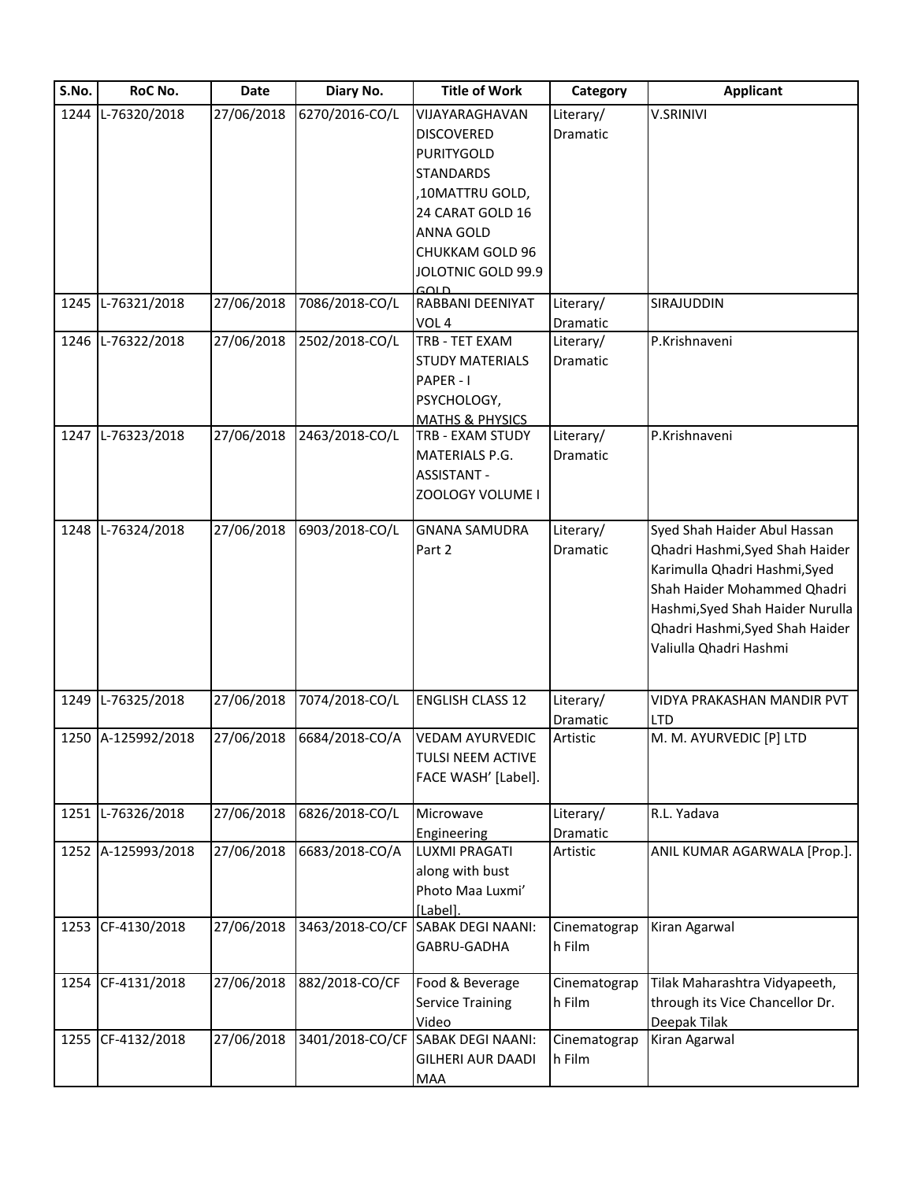| S.No. | RoC No.            | <b>Date</b> | Diary No.       | <b>Title of Work</b>              | Category     | <b>Applicant</b>                 |
|-------|--------------------|-------------|-----------------|-----------------------------------|--------------|----------------------------------|
|       | 1244 L-76320/2018  | 27/06/2018  | 6270/2016-CO/L  | VIJAYARAGHAVAN                    | Literary/    | <b>V.SRINIVI</b>                 |
|       |                    |             |                 | <b>DISCOVERED</b>                 | Dramatic     |                                  |
|       |                    |             |                 | <b>PURITYGOLD</b>                 |              |                                  |
|       |                    |             |                 | <b>STANDARDS</b>                  |              |                                  |
|       |                    |             |                 | ,10MATTRU GOLD,                   |              |                                  |
|       |                    |             |                 | 24 CARAT GOLD 16                  |              |                                  |
|       |                    |             |                 | <b>ANNA GOLD</b>                  |              |                                  |
|       |                    |             |                 | CHUKKAM GOLD 96                   |              |                                  |
|       |                    |             |                 | JOLOTNIC GOLD 99.9                |              |                                  |
|       |                    |             |                 | GOLD                              |              |                                  |
|       | 1245 L-76321/2018  | 27/06/2018  | 7086/2018-CO/L  | RABBANI DEENIYAT                  | Literary/    | SIRAJUDDIN                       |
|       |                    |             |                 | VOL <sub>4</sub>                  | Dramatic     |                                  |
|       | 1246 L-76322/2018  | 27/06/2018  | 2502/2018-CO/L  | TRB - TET EXAM                    | Literary/    | P.Krishnaveni                    |
|       |                    |             |                 | <b>STUDY MATERIALS</b>            | Dramatic     |                                  |
|       |                    |             |                 | PAPER - I                         |              |                                  |
|       |                    |             |                 | PSYCHOLOGY,                       |              |                                  |
|       |                    |             |                 | <b>MATHS &amp; PHYSICS</b>        |              |                                  |
|       | 1247 L-76323/2018  | 27/06/2018  | 2463/2018-CO/L  | TRB - EXAM STUDY                  | Literary/    | P.Krishnaveni                    |
|       |                    |             |                 | MATERIALS P.G.                    | Dramatic     |                                  |
|       |                    |             |                 | <b>ASSISTANT -</b>                |              |                                  |
|       |                    |             |                 | ZOOLOGY VOLUME I                  |              |                                  |
|       |                    |             |                 |                                   |              |                                  |
| 1248  | L-76324/2018       | 27/06/2018  | 6903/2018-CO/L  | <b>GNANA SAMUDRA</b>              | Literary/    | Syed Shah Haider Abul Hassan     |
|       |                    |             |                 | Part 2                            | Dramatic     | Qhadri Hashmi, Syed Shah Haider  |
|       |                    |             |                 |                                   |              | Karimulla Qhadri Hashmi, Syed    |
|       |                    |             |                 |                                   |              | Shah Haider Mohammed Qhadri      |
|       |                    |             |                 |                                   |              | Hashmi, Syed Shah Haider Nurulla |
|       |                    |             |                 |                                   |              | Qhadri Hashmi, Syed Shah Haider  |
|       |                    |             |                 |                                   |              | Valiulla Qhadri Hashmi           |
|       |                    |             |                 |                                   |              |                                  |
|       | 1249 L-76325/2018  | 27/06/2018  | 7074/2018-CO/L  | <b>ENGLISH CLASS 12</b>           | Literary/    | VIDYA PRAKASHAN MANDIR PVT       |
|       |                    |             |                 |                                   | Dramatic     | LTD                              |
|       | 1250 A-125992/2018 | 27/06/2018  | 6684/2018-CO/A  | <b>VEDAM AYURVEDIC</b>            | Artistic     | M. M. AYURVEDIC [P] LTD          |
|       |                    |             |                 | TULSI NEEM ACTIVE                 |              |                                  |
|       |                    |             |                 | FACE WASH' [Label].               |              |                                  |
|       |                    |             |                 |                                   |              |                                  |
|       | 1251 L-76326/2018  | 27/06/2018  | 6826/2018-CO/L  | Microwave                         | Literary/    | R.L. Yadava                      |
|       |                    |             |                 | Engineering                       | Dramatic     |                                  |
|       | 1252 A-125993/2018 | 27/06/2018  | 6683/2018-CO/A  | <b>LUXMI PRAGATI</b>              | Artistic     | ANIL KUMAR AGARWALA [Prop.].     |
|       |                    |             |                 | along with bust                   |              |                                  |
|       |                    |             |                 | Photo Maa Luxmi'                  |              |                                  |
|       |                    |             |                 | [Label].                          |              |                                  |
|       | 1253 CF-4130/2018  | 27/06/2018  |                 | 3463/2018-CO/CF SABAK DEGI NAANI: | Cinematograp | Kiran Agarwal                    |
|       |                    |             |                 | GABRU-GADHA                       | h Film       |                                  |
|       |                    |             |                 |                                   |              |                                  |
|       | 1254 CF-4131/2018  | 27/06/2018  | 882/2018-CO/CF  | Food & Beverage                   | Cinematograp | Tilak Maharashtra Vidyapeeth,    |
|       |                    |             |                 | <b>Service Training</b>           | h Film       | through its Vice Chancellor Dr.  |
|       |                    |             |                 | Video                             |              | Deepak Tilak                     |
|       | 1255 CF-4132/2018  | 27/06/2018  | 3401/2018-CO/CF | <b>SABAK DEGI NAANI:</b>          | Cinematograp | Kiran Agarwal                    |
|       |                    |             |                 | <b>GILHERI AUR DAADI</b>          | h Film       |                                  |
|       |                    |             |                 | MAA                               |              |                                  |
|       |                    |             |                 |                                   |              |                                  |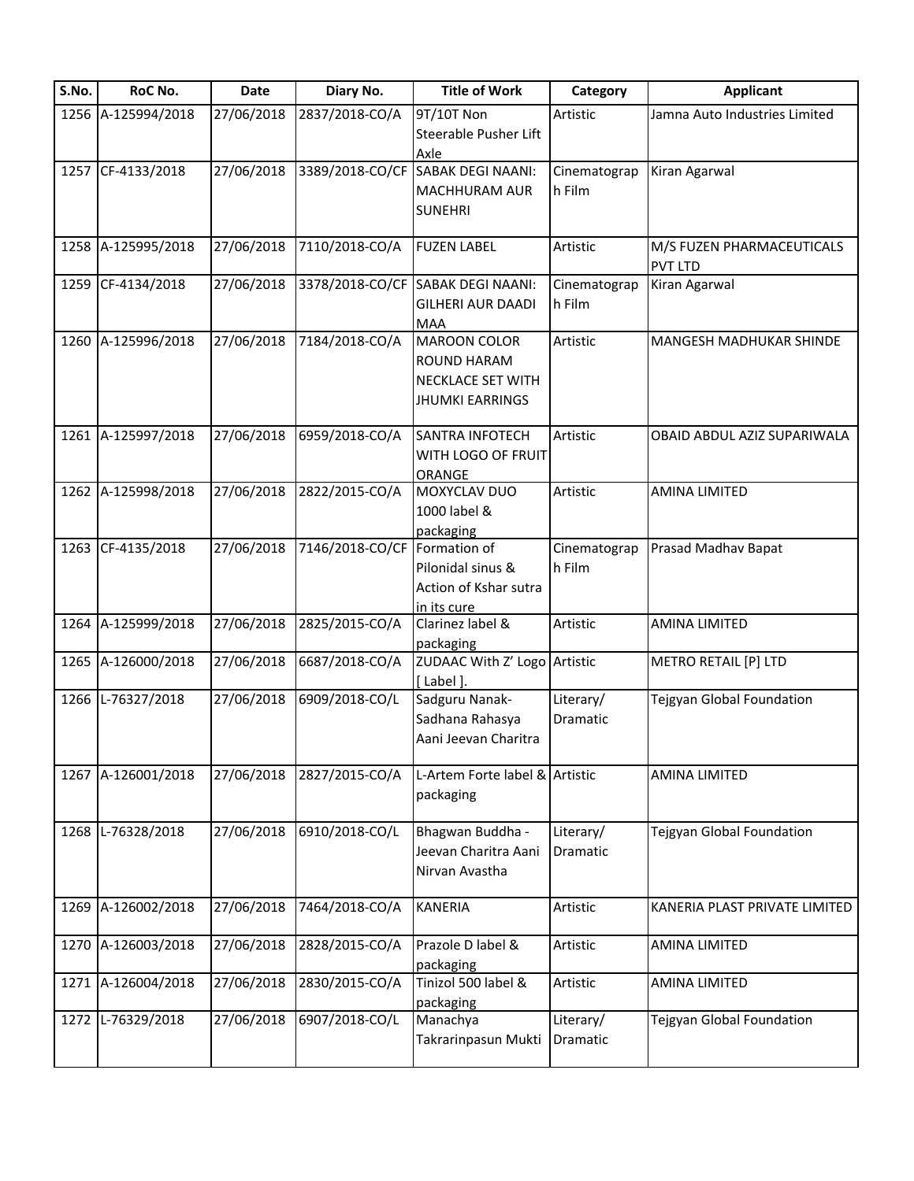| S.No. | RoC No.            | <b>Date</b>          | Diary No.       | <b>Title of Work</b>              | Category     | <b>Applicant</b>              |
|-------|--------------------|----------------------|-----------------|-----------------------------------|--------------|-------------------------------|
|       | 1256 A-125994/2018 | 27/06/2018           | 2837/2018-CO/A  | 9T/10T Non                        | Artistic     | Jamna Auto Industries Limited |
|       |                    |                      |                 | Steerable Pusher Lift             |              |                               |
|       |                    |                      |                 | Axle                              |              |                               |
|       | 1257 CF-4133/2018  | 27/06/2018           | 3389/2018-CO/CF | <b>SABAK DEGI NAANI:</b>          | Cinematograp | Kiran Agarwal                 |
|       |                    |                      |                 | <b>MACHHURAM AUR</b>              | h Film       |                               |
|       |                    |                      |                 | <b>SUNEHRI</b>                    |              |                               |
|       |                    |                      |                 |                                   |              |                               |
|       | 1258 A-125995/2018 | 27/06/2018           | 7110/2018-CO/A  | <b>FUZEN LABEL</b>                | Artistic     | M/S FUZEN PHARMACEUTICALS     |
|       |                    |                      |                 |                                   |              | <b>PVT LTD</b>                |
|       | 1259 CF-4134/2018  | 27/06/2018           |                 | 3378/2018-CO/CF SABAK DEGI NAANI: | Cinematograp | Kiran Agarwal                 |
|       |                    |                      |                 |                                   |              |                               |
|       |                    |                      |                 | <b>GILHERI AUR DAADI</b>          | h Film       |                               |
|       |                    |                      |                 | <b>MAA</b>                        |              |                               |
|       | 1260 A-125996/2018 | 27/06/2018           | 7184/2018-CO/A  | <b>MAROON COLOR</b>               | Artistic     | MANGESH MADHUKAR SHINDE       |
|       |                    |                      |                 | ROUND HARAM                       |              |                               |
|       |                    |                      |                 | <b>NECKLACE SET WITH</b>          |              |                               |
|       |                    |                      |                 | <b>JHUMKI EARRINGS</b>            |              |                               |
|       |                    |                      |                 |                                   |              |                               |
|       | 1261 A-125997/2018 | 27/06/2018           | 6959/2018-CO/A  | <b>SANTRA INFOTECH</b>            | Artistic     | OBAID ABDUL AZIZ SUPARIWALA   |
|       |                    |                      |                 | WITH LOGO OF FRUIT                |              |                               |
|       |                    |                      |                 | ORANGE                            |              |                               |
|       | 1262 A-125998/2018 | 27/06/2018           | 2822/2015-CO/A  | MOXYCLAV DUO                      | Artistic     | AMINA LIMITED                 |
|       |                    |                      |                 |                                   |              |                               |
|       |                    |                      |                 | 1000 label &                      |              |                               |
|       |                    |                      |                 | packaging                         |              |                               |
|       | 1263 CF-4135/2018  | $\frac{27}{06}/2018$ | 7146/2018-CO/CF | Formation of                      | Cinematograp | Prasad Madhav Bapat           |
|       |                    |                      |                 | Pilonidal sinus &                 | h Film       |                               |
|       |                    |                      |                 | Action of Kshar sutra             |              |                               |
|       |                    |                      |                 | in its cure                       |              |                               |
|       | 1264 A-125999/2018 | 27/06/2018           | 2825/2015-CO/A  | Clarinez label &                  | Artistic     | <b>AMINA LIMITED</b>          |
|       |                    |                      |                 | packaging                         |              |                               |
|       | 1265 A-126000/2018 | 27/06/2018           | 6687/2018-CO/A  | ZUDAAC With Z' Logo Artistic      |              | METRO RETAIL [P] LTD          |
|       |                    |                      |                 |                                   |              |                               |
|       |                    |                      |                 | [Label].                          |              |                               |
|       | 1266 L-76327/2018  | 27/06/2018           | 6909/2018-CO/L  | Sadguru Nanak-                    | Literary/    | Tejgyan Global Foundation     |
|       |                    |                      |                 | Sadhana Rahasya                   | Dramatic     |                               |
|       |                    |                      |                 | Aani Jeevan Charitra              |              |                               |
|       |                    |                      |                 |                                   |              |                               |
|       | 1267 A-126001/2018 | 27/06/2018           | 2827/2015-CO/A  | L-Artem Forte label & Artistic    |              | AMINA LIMITED                 |
|       |                    |                      |                 | packaging                         |              |                               |
|       |                    |                      |                 |                                   |              |                               |
| 1268  | L-76328/2018       | 27/06/2018           | 6910/2018-CO/L  | Bhagwan Buddha -                  | Literary/    | Tejgyan Global Foundation     |
|       |                    |                      |                 | Jeevan Charitra Aani              | Dramatic     |                               |
|       |                    |                      |                 |                                   |              |                               |
|       |                    |                      |                 | Nirvan Avastha                    |              |                               |
|       |                    |                      |                 |                                   |              |                               |
|       | 1269 A-126002/2018 | 27/06/2018           | 7464/2018-CO/A  | <b>KANERIA</b>                    | Artistic     | KANERIA PLAST PRIVATE LIMITED |
|       |                    |                      |                 |                                   |              |                               |
|       | 1270 A-126003/2018 | 27/06/2018           | 2828/2015-CO/A  | Prazole D label &                 | Artistic     | <b>AMINA LIMITED</b>          |
|       |                    |                      |                 | packaging                         |              |                               |
|       | 1271 A-126004/2018 | 27/06/2018           | 2830/2015-CO/A  | Tinizol 500 label &               | Artistic     | <b>AMINA LIMITED</b>          |
|       |                    |                      |                 | packaging                         |              |                               |
| 1272  | L-76329/2018       | 27/06/2018           | 6907/2018-CO/L  | Manachya                          | Literary/    | Tejgyan Global Foundation     |
|       |                    |                      |                 | Takrarinpasun Mukti               |              |                               |
|       |                    |                      |                 |                                   | Dramatic     |                               |
|       |                    |                      |                 |                                   |              |                               |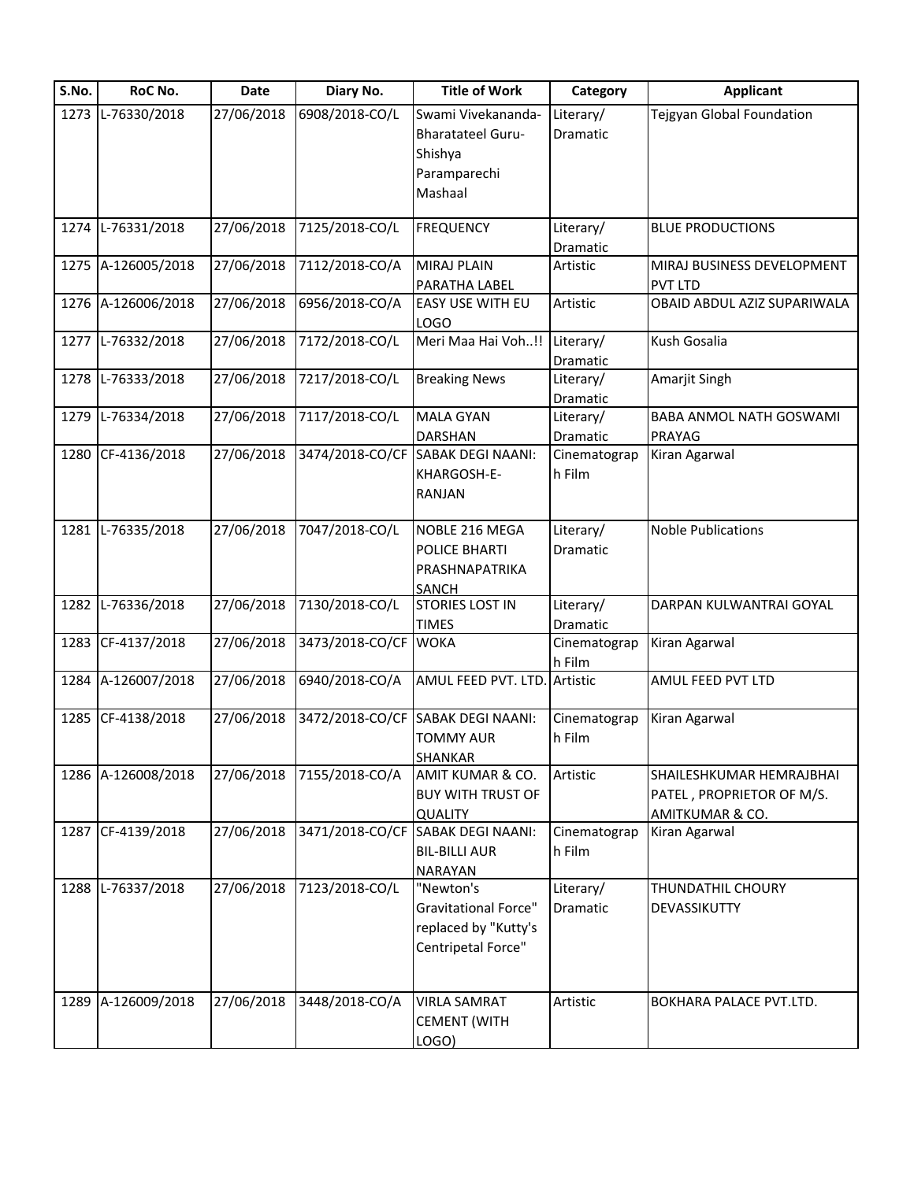| S.No. | RoC No.            | Date       | Diary No.            | <b>Title of Work</b>                                                                   | Category               | <b>Applicant</b>                                                         |
|-------|--------------------|------------|----------------------|----------------------------------------------------------------------------------------|------------------------|--------------------------------------------------------------------------|
|       | 1273 L-76330/2018  | 27/06/2018 | 6908/2018-CO/L       | Swami Vivekananda-<br><b>Bharatateel Guru-</b><br>Shishya<br>Paramparechi<br>Mashaal   | Literary/<br>Dramatic  | Tejgyan Global Foundation                                                |
|       | 1274 L-76331/2018  | 27/06/2018 | 7125/2018-CO/L       | <b>FREQUENCY</b>                                                                       | Literary/<br>Dramatic  | <b>BLUE PRODUCTIONS</b>                                                  |
|       | 1275 A-126005/2018 | 27/06/2018 | 7112/2018-CO/A       | <b>MIRAJ PLAIN</b><br>PARATHA LABEL                                                    | Artistic               | MIRAJ BUSINESS DEVELOPMENT<br><b>PVT LTD</b>                             |
|       | 1276 A-126006/2018 | 27/06/2018 | 6956/2018-CO/A       | EASY USE WITH EU<br><b>LOGO</b>                                                        | Artistic               | OBAID ABDUL AZIZ SUPARIWALA                                              |
|       | 1277 L-76332/2018  | 27/06/2018 | 7172/2018-CO/L       | Meri Maa Hai Voh!!                                                                     | Literary/<br>Dramatic  | Kush Gosalia                                                             |
|       | 1278 L-76333/2018  | 27/06/2018 | 7217/2018-CO/L       | <b>Breaking News</b>                                                                   | Literary/<br>Dramatic  | Amarjit Singh                                                            |
|       | 1279 L-76334/2018  | 27/06/2018 | 7117/2018-CO/L       | <b>MALA GYAN</b><br><b>DARSHAN</b>                                                     | Literary/<br>Dramatic  | BABA ANMOL NATH GOSWAMI<br>PRAYAG                                        |
|       | 1280 CF-4136/2018  | 27/06/2018 |                      | 3474/2018-CO/CF SABAK DEGI NAANI:<br>KHARGOSH-E-<br>RANJAN                             | Cinematograp<br>h Film | Kiran Agarwal                                                            |
|       | 1281 L-76335/2018  | 27/06/2018 | 7047/2018-CO/L       | NOBLE 216 MEGA<br>POLICE BHARTI<br>PRASHNAPATRIKA<br><b>SANCH</b>                      | Literary/<br>Dramatic  | <b>Noble Publications</b>                                                |
|       | 1282 L-76336/2018  | 27/06/2018 | 7130/2018-CO/L       | <b>STORIES LOST IN</b><br><b>TIMES</b>                                                 | Literary/<br>Dramatic  | DARPAN KULWANTRAI GOYAL                                                  |
|       | 1283 CF-4137/2018  | 27/06/2018 | 3473/2018-CO/CF WOKA |                                                                                        | Cinematograp<br>h Film | Kiran Agarwal                                                            |
|       | 1284 A-126007/2018 | 27/06/2018 | 6940/2018-CO/A       | AMUL FEED PVT. LTD.                                                                    | Artistic               | AMUL FEED PVT LTD                                                        |
|       | 1285 CF-4138/2018  | 27/06/2018 |                      | 3472/2018-CO/CF SABAK DEGI NAANI:<br><b>TOMMY AUR</b><br>SHANKAR                       | Cinematograp<br>h Film | Kiran Agarwal                                                            |
|       | 1286 A-126008/2018 | 27/06/2018 | 7155/2018-CO/A       | AMIT KUMAR & CO.<br><b>BUY WITH TRUST OF</b><br><b>QUALITY</b>                         | Artistic               | SHAILESHKUMAR HEMRAJBHAI<br>PATEL, PROPRIETOR OF M/S.<br>AMITKUMAR & CO. |
|       | 1287 CF-4139/2018  | 27/06/2018 | 3471/2018-CO/CF      | <b>SABAK DEGI NAANI:</b><br><b>BIL-BILLI AUR</b><br><b>NARAYAN</b>                     | Cinematograp<br>h Film | Kiran Agarwal                                                            |
|       | 1288 L-76337/2018  | 27/06/2018 | 7123/2018-CO/L       | "Newton's<br><b>Gravitational Force"</b><br>replaced by "Kutty's<br>Centripetal Force" | Literary/<br>Dramatic  | THUNDATHIL CHOURY<br>DEVASSIKUTTY                                        |
|       | 1289 A-126009/2018 | 27/06/2018 | 3448/2018-CO/A       | <b>VIRLA SAMRAT</b><br><b>CEMENT (WITH</b><br>LOGO)                                    | Artistic               | BOKHARA PALACE PVT.LTD.                                                  |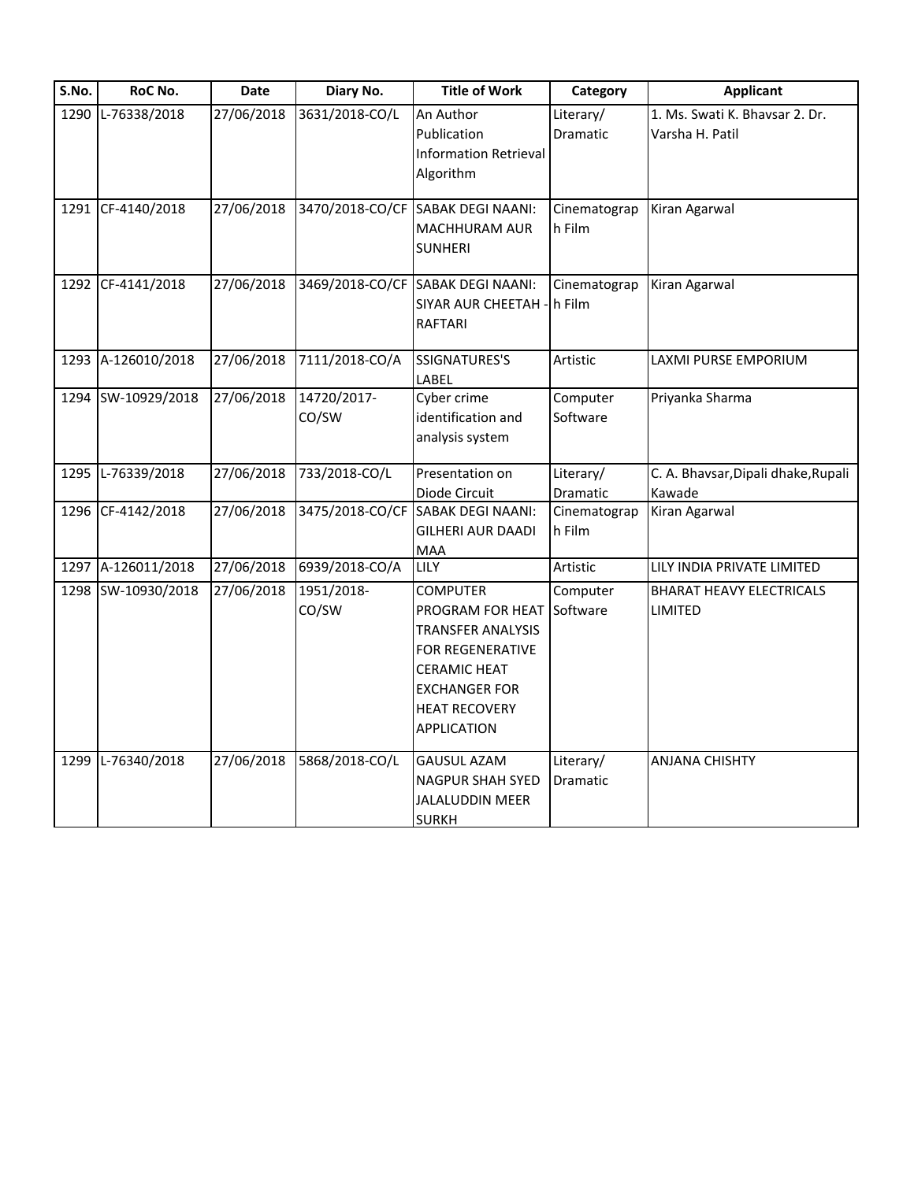| S.No. | RoC No.            | <b>Date</b> | Diary No.            | <b>Title of Work</b>                                                                                                                                                             | Category                     | <b>Applicant</b>                                  |
|-------|--------------------|-------------|----------------------|----------------------------------------------------------------------------------------------------------------------------------------------------------------------------------|------------------------------|---------------------------------------------------|
| 1290  | L-76338/2018       | 27/06/2018  | 3631/2018-CO/L       | An Author<br>Publication<br><b>Information Retrieval</b><br>Algorithm                                                                                                            | Literary/<br>Dramatic        | 1. Ms. Swati K. Bhavsar 2. Dr.<br>Varsha H. Patil |
|       | 1291 CF-4140/2018  | 27/06/2018  |                      | 3470/2018-CO/CF SABAK DEGI NAANI:<br><b>MACHHURAM AUR</b><br><b>SUNHERI</b>                                                                                                      | Cinematograp<br>h Film       | Kiran Agarwal                                     |
|       | 1292 CF-4141/2018  | 27/06/2018  |                      | 3469/2018-CO/CF SABAK DEGI NAANI:<br><b>SIYAR AUR CHEETAH</b><br>RAFTARI                                                                                                         | Cinematograp<br>h Film       | Kiran Agarwal                                     |
|       | 1293 A-126010/2018 | 27/06/2018  | 7111/2018-CO/A       | <b>SSIGNATURES'S</b><br>LABEL                                                                                                                                                    | Artistic                     | LAXMI PURSE EMPORIUM                              |
|       | 1294 SW-10929/2018 | 27/06/2018  | 14720/2017-<br>CO/SW | Cyber crime<br>identification and<br>analysis system                                                                                                                             | Computer<br>Software         | Priyanka Sharma                                   |
|       | 1295 L-76339/2018  | 27/06/2018  | 733/2018-CO/L        | Presentation on<br>Diode Circuit                                                                                                                                                 | Literary/<br>Dramatic        | C. A. Bhavsar, Dipali dhake, Rupali<br>Kawade     |
|       | 1296 CF-4142/2018  | 27/06/2018  | 3475/2018-CO/CF      | <b>SABAK DEGI NAANI:</b><br>GILHERI AUR DAADI<br><b>MAA</b>                                                                                                                      | Cinematograp<br>h Film       | Kiran Agarwal                                     |
|       | 1297 A-126011/2018 | 27/06/2018  | 6939/2018-CO/A       | <b>LILY</b>                                                                                                                                                                      | Artistic                     | LILY INDIA PRIVATE LIMITED                        |
|       | 1298 SW-10930/2018 | 27/06/2018  | 1951/2018-<br>CO/SW  | <b>COMPUTER</b><br>PROGRAM FOR HEAT<br><b>TRANSFER ANALYSIS</b><br><b>FOR REGENERATIVE</b><br><b>CERAMIC HEAT</b><br><b>EXCHANGER FOR</b><br><b>HEAT RECOVERY</b><br>APPLICATION | Computer<br>Software         | <b>BHARAT HEAVY ELECTRICALS</b><br><b>LIMITED</b> |
| 1299  | L-76340/2018       | 27/06/2018  | 5868/2018-CO/L       | <b>GAUSUL AZAM</b><br><b>NAGPUR SHAH SYED</b><br>JALALUDDIN MEER<br><b>SURKH</b>                                                                                                 | Literary/<br><b>Dramatic</b> | <b>ANJANA CHISHTY</b>                             |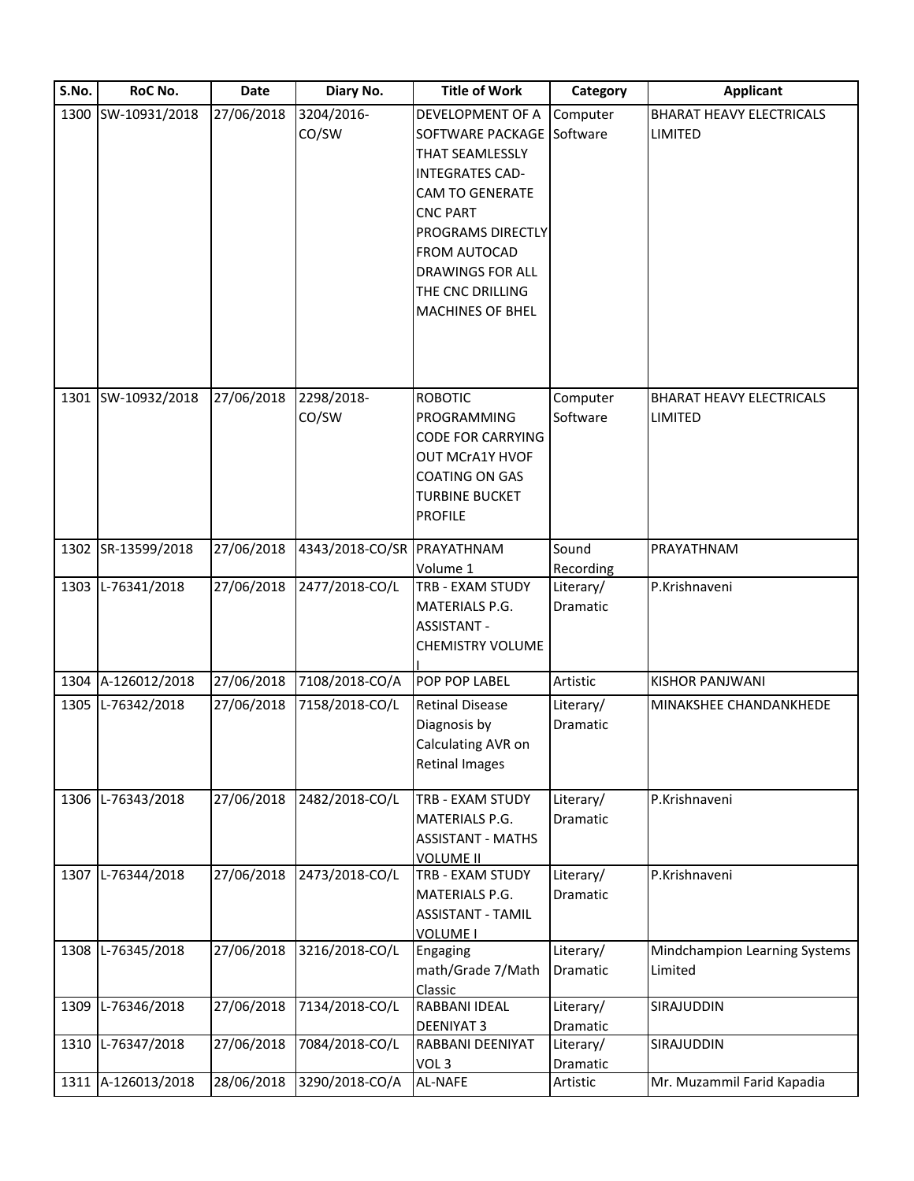| S.No. | RoC No.            | <b>Date</b> | Diary No.                  | <b>Title of Work</b>                 | Category  | <b>Applicant</b>                |
|-------|--------------------|-------------|----------------------------|--------------------------------------|-----------|---------------------------------|
|       | 1300 SW-10931/2018 | 27/06/2018  | 3204/2016-                 | DEVELOPMENT OF A                     | Computer  | <b>BHARAT HEAVY ELECTRICALS</b> |
|       |                    |             | CO/SW                      | SOFTWARE PACKAGE Software            |           | LIMITED                         |
|       |                    |             |                            | THAT SEAMLESSLY                      |           |                                 |
|       |                    |             |                            | <b>INTEGRATES CAD-</b>               |           |                                 |
|       |                    |             |                            | <b>CAM TO GENERATE</b>               |           |                                 |
|       |                    |             |                            | <b>CNC PART</b>                      |           |                                 |
|       |                    |             |                            | PROGRAMS DIRECTLY                    |           |                                 |
|       |                    |             |                            | FROM AUTOCAD                         |           |                                 |
|       |                    |             |                            | <b>DRAWINGS FOR ALL</b>              |           |                                 |
|       |                    |             |                            | THE CNC DRILLING                     |           |                                 |
|       |                    |             |                            | <b>MACHINES OF BHEL</b>              |           |                                 |
|       |                    |             |                            |                                      |           |                                 |
|       |                    |             |                            |                                      |           |                                 |
|       |                    |             |                            |                                      |           |                                 |
|       | 1301 SW-10932/2018 | 27/06/2018  | 2298/2018-                 | <b>ROBOTIC</b>                       | Computer  | <b>BHARAT HEAVY ELECTRICALS</b> |
|       |                    |             | CO/SW                      | <b>PROGRAMMING</b>                   | Software  | LIMITED                         |
|       |                    |             |                            | <b>CODE FOR CARRYING</b>             |           |                                 |
|       |                    |             |                            | OUT MCrA1Y HVOF                      |           |                                 |
|       |                    |             |                            | <b>COATING ON GAS</b>                |           |                                 |
|       |                    |             |                            | <b>TURBINE BUCKET</b>                |           |                                 |
|       |                    |             |                            | <b>PROFILE</b>                       |           |                                 |
|       | 1302 SR-13599/2018 | 27/06/2018  | 4343/2018-CO/SR PRAYATHNAM |                                      | Sound     | PRAYATHNAM                      |
|       |                    |             |                            | Volume 1                             | Recording |                                 |
|       | 1303 L-76341/2018  | 27/06/2018  | 2477/2018-CO/L             | TRB - EXAM STUDY                     | Literary/ | P.Krishnaveni                   |
|       |                    |             |                            | MATERIALS P.G.                       | Dramatic  |                                 |
|       |                    |             |                            | <b>ASSISTANT -</b>                   |           |                                 |
|       |                    |             |                            | <b>CHEMISTRY VOLUME</b>              |           |                                 |
|       | 1304 A-126012/2018 | 27/06/2018  | 7108/2018-CO/A             | POP POP LABEL                        | Artistic  | <b>KISHOR PANJWANI</b>          |
|       | 1305 L-76342/2018  | 27/06/2018  | 7158/2018-CO/L             | <b>Retinal Disease</b>               | Literary/ | MINAKSHEE CHANDANKHEDE          |
|       |                    |             |                            | Diagnosis by                         | Dramatic  |                                 |
|       |                    |             |                            | Calculating AVR on                   |           |                                 |
|       |                    |             |                            | <b>Retinal Images</b>                |           |                                 |
|       |                    |             |                            |                                      |           |                                 |
|       | 1306 L-76343/2018  | 27/06/2018  | 2482/2018-CO/L             | TRB - EXAM STUDY                     | Literary/ | P.Krishnaveni                   |
|       |                    |             |                            | MATERIALS P.G.                       | Dramatic  |                                 |
|       |                    |             |                            | <b>ASSISTANT - MATHS</b>             |           |                                 |
|       | 1307 L-76344/2018  | 27/06/2018  | 2473/2018-CO/L             | <b>VOLUME II</b><br>TRB - EXAM STUDY | Literary/ | P.Krishnaveni                   |
|       |                    |             |                            | MATERIALS P.G.                       | Dramatic  |                                 |
|       |                    |             |                            | <b>ASSISTANT - TAMIL</b>             |           |                                 |
|       |                    |             |                            | <b>VOLUME I</b>                      |           |                                 |
| 1308  | L-76345/2018       | 27/06/2018  | 3216/2018-CO/L             | Engaging                             | Literary/ | Mindchampion Learning Systems   |
|       |                    |             |                            | math/Grade 7/Math                    | Dramatic  | Limited                         |
|       |                    |             |                            | Classic                              |           |                                 |
| 1309  | L-76346/2018       | 27/06/2018  | 7134/2018-CO/L             | RABBANI IDEAL                        | Literary/ | SIRAJUDDIN                      |
|       |                    |             |                            | <b>DEENIYAT 3</b>                    | Dramatic  |                                 |
| 1310  | L-76347/2018       | 27/06/2018  | 7084/2018-CO/L             | RABBANI DEENIYAT                     | Literary/ | SIRAJUDDIN                      |
|       |                    |             |                            | VOL <sub>3</sub>                     | Dramatic  |                                 |
|       | 1311 A-126013/2018 | 28/06/2018  | 3290/2018-CO/A             | AL-NAFE                              | Artistic  | Mr. Muzammil Farid Kapadia      |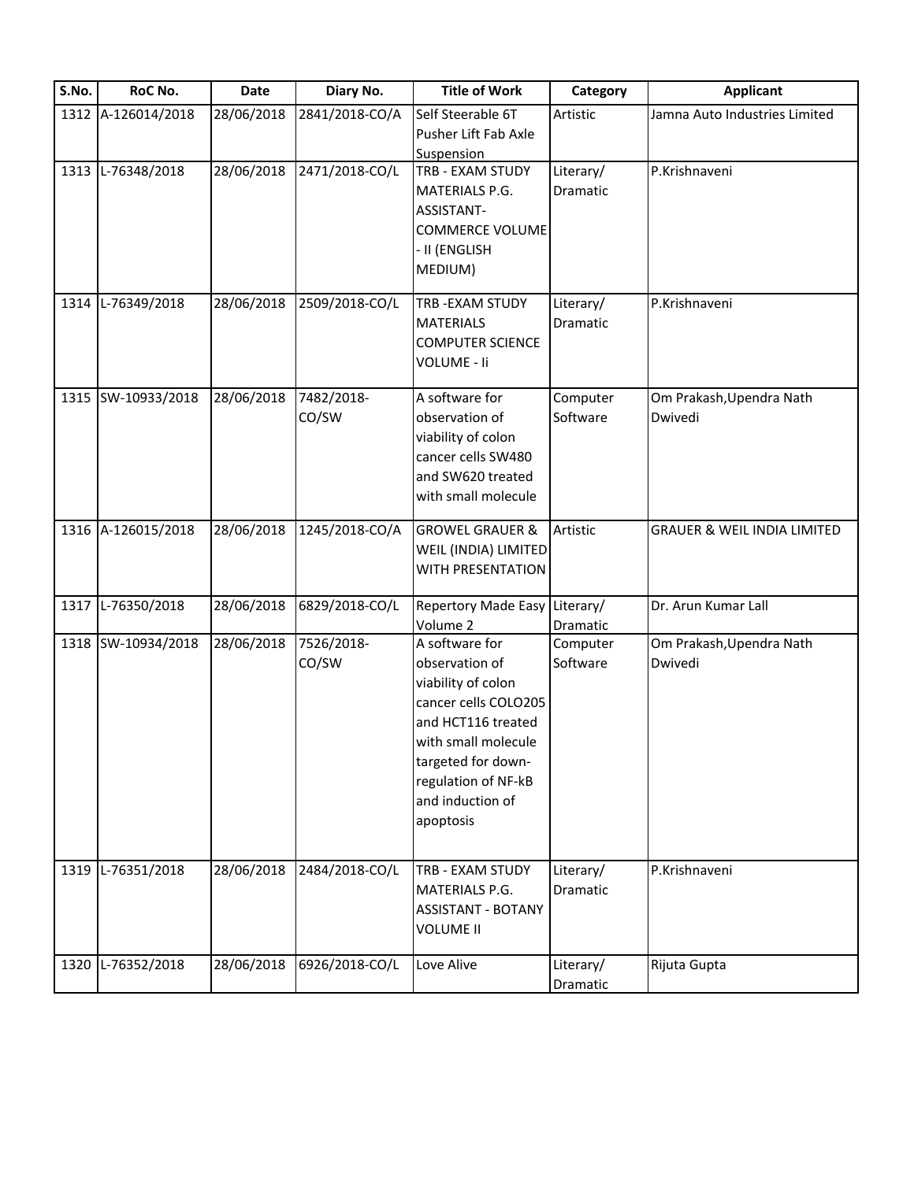| S.No. | RoC No.                                 | <b>Date</b> | Diary No.           | <b>Title of Work</b>                                                                                                                                                                                      | Category                     | <b>Applicant</b>                                     |
|-------|-----------------------------------------|-------------|---------------------|-----------------------------------------------------------------------------------------------------------------------------------------------------------------------------------------------------------|------------------------------|------------------------------------------------------|
|       | 1312 A-126014/2018                      | 28/06/2018  | 2841/2018-CO/A      | Self Steerable 6T<br>Pusher Lift Fab Axle<br>Suspension                                                                                                                                                   | Artistic                     | Jamna Auto Industries Limited                        |
|       | 1313 L-76348/2018                       | 28/06/2018  | 2471/2018-CO/L      | TRB - EXAM STUDY<br>MATERIALS P.G.<br>ASSISTANT-<br>COMMERCE VOLUME<br>- II (ENGLISH<br>MEDIUM)                                                                                                           | Literary/<br>Dramatic        | P.Krishnaveni                                        |
|       | 1314 L-76349/2018                       | 28/06/2018  | 2509/2018-CO/L      | TRB-EXAM STUDY<br><b>MATERIALS</b><br><b>COMPUTER SCIENCE</b><br>VOLUME - Ii                                                                                                                              | Literary/<br>Dramatic        | P.Krishnaveni                                        |
|       | 1315 SW-10933/2018                      | 28/06/2018  | 7482/2018-<br>CO/SW | A software for<br>observation of<br>viability of colon<br>cancer cells SW480<br>and SW620 treated<br>with small molecule                                                                                  | Computer<br>Software         | Om Prakash, Upendra Nath<br>Dwivedi                  |
|       | 1316 A-126015/2018                      | 28/06/2018  | 1245/2018-CO/A      | <b>GROWEL GRAUER &amp;</b><br>WEIL (INDIA) LIMITED<br>WITH PRESENTATION                                                                                                                                   | Artistic                     | <b>GRAUER &amp; WEIL INDIA LIMITED</b>               |
|       | 1317 L-76350/2018                       | 28/06/2018  | 6829/2018-CO/L      | Repertory Made Easy Literary/<br>Volume 2                                                                                                                                                                 | Dramatic                     | Dr. Arun Kumar Lall                                  |
|       | 1318 SW-10934/2018<br>1319 L-76351/2018 | 28/06/2018  | 7526/2018-<br>CO/SW | A software for<br>observation of<br>viability of colon<br>cancer cells COLO205<br>and HCT116 treated<br>with small molecule<br>targeted for down-<br>regulation of NF-kB<br>and induction of<br>apoptosis | Computer<br>Software         | Om Prakash, Upendra Nath<br>Dwivedi<br>P.Krishnaveni |
|       |                                         | 28/06/2018  | 2484/2018-CO/L      | TRB - EXAM STUDY<br>MATERIALS P.G.<br><b>ASSISTANT - BOTANY</b><br><b>VOLUME II</b>                                                                                                                       | Literary/<br><b>Dramatic</b> |                                                      |
|       | 1320 L-76352/2018                       | 28/06/2018  | 6926/2018-CO/L      | Love Alive                                                                                                                                                                                                | Literary/<br>Dramatic        | Rijuta Gupta                                         |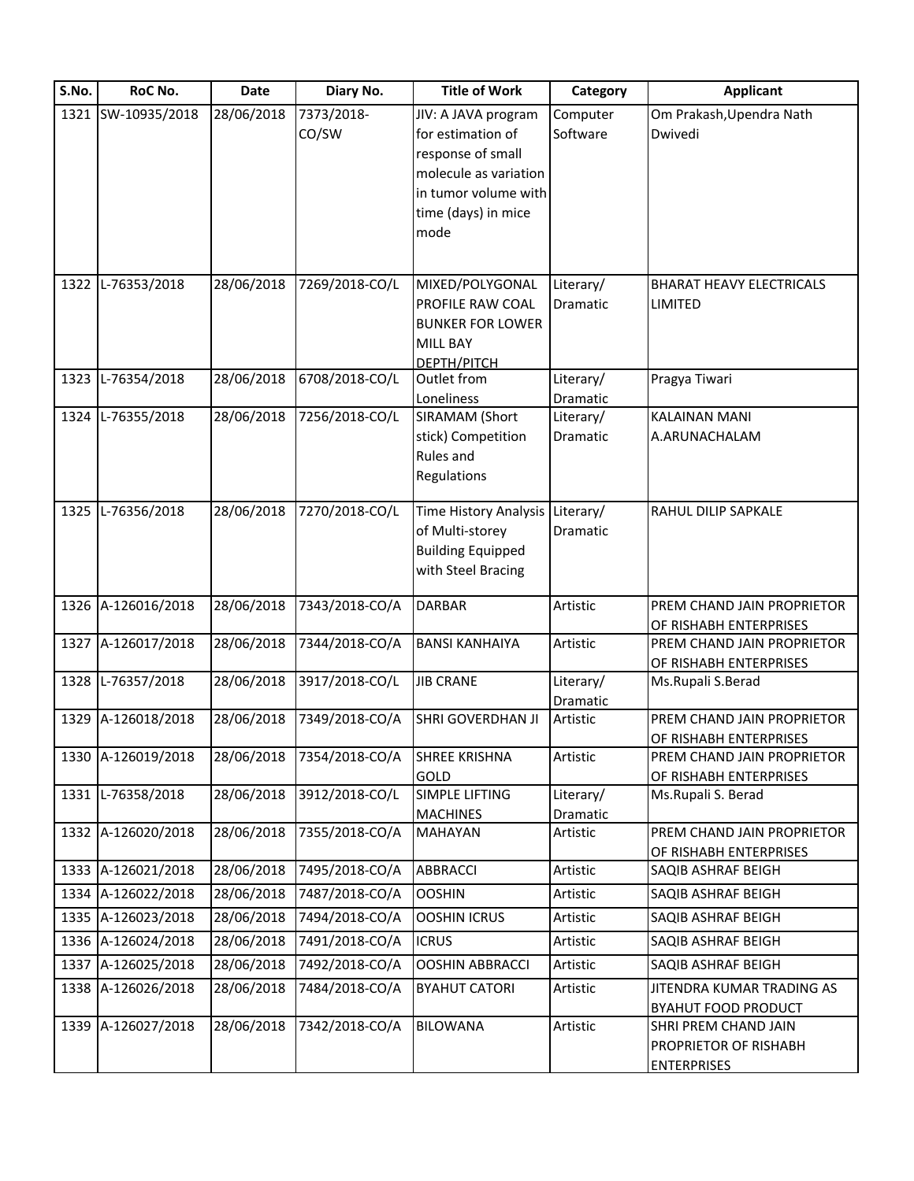| S.No. | RoC No.            | <b>Date</b> | Diary No.      | <b>Title of Work</b>            | Category  | <b>Applicant</b>                                     |
|-------|--------------------|-------------|----------------|---------------------------------|-----------|------------------------------------------------------|
|       | 1321 SW-10935/2018 | 28/06/2018  | 7373/2018-     | JIV: A JAVA program             | Computer  | Om Prakash, Upendra Nath                             |
|       |                    |             | CO/SW          | for estimation of               | Software  | Dwivedi                                              |
|       |                    |             |                | response of small               |           |                                                      |
|       |                    |             |                | molecule as variation           |           |                                                      |
|       |                    |             |                | in tumor volume with            |           |                                                      |
|       |                    |             |                | time (days) in mice             |           |                                                      |
|       |                    |             |                | mode                            |           |                                                      |
|       |                    |             |                |                                 |           |                                                      |
|       | 1322 L-76353/2018  | 28/06/2018  | 7269/2018-CO/L | MIXED/POLYGONAL                 | Literary/ | <b>BHARAT HEAVY ELECTRICALS</b>                      |
|       |                    |             |                | PROFILE RAW COAL                | Dramatic  | LIMITED                                              |
|       |                    |             |                | <b>BUNKER FOR LOWER</b>         |           |                                                      |
|       |                    |             |                | <b>MILL BAY</b>                 |           |                                                      |
|       |                    |             |                | DEPTH/PITCH                     |           |                                                      |
|       | 1323 L-76354/2018  | 28/06/2018  | 6708/2018-CO/L | Outlet from                     | Literary/ | Pragya Tiwari                                        |
|       |                    |             |                | Loneliness                      | Dramatic  |                                                      |
|       | 1324 L-76355/2018  | 28/06/2018  | 7256/2018-CO/L | SIRAMAM (Short                  | Literary/ | <b>KALAINAN MANI</b>                                 |
|       |                    |             |                | stick) Competition<br>Rules and | Dramatic  | A.ARUNACHALAM                                        |
|       |                    |             |                |                                 |           |                                                      |
|       |                    |             |                | Regulations                     |           |                                                      |
|       | 1325 L-76356/2018  | 28/06/2018  | 7270/2018-CO/L | Time History Analysis           | Literary/ | RAHUL DILIP SAPKALE                                  |
|       |                    |             |                | of Multi-storey                 | Dramatic  |                                                      |
|       |                    |             |                | <b>Building Equipped</b>        |           |                                                      |
|       |                    |             |                | with Steel Bracing              |           |                                                      |
|       |                    |             |                |                                 |           |                                                      |
|       | 1326 A-126016/2018 | 28/06/2018  | 7343/2018-CO/A | <b>DARBAR</b>                   | Artistic  | PREM CHAND JAIN PROPRIETOR                           |
|       | 1327 A-126017/2018 | 28/06/2018  | 7344/2018-CO/A | <b>BANSI KANHAIYA</b>           | Artistic  | OF RISHABH ENTERPRISES<br>PREM CHAND JAIN PROPRIETOR |
|       |                    |             |                |                                 |           | OF RISHABH ENTERPRISES                               |
|       | 1328 L-76357/2018  | 28/06/2018  | 3917/2018-CO/L | <b>JIB CRANE</b>                | Literary/ | Ms.Rupali S.Berad                                    |
|       |                    |             |                |                                 | Dramatic  |                                                      |
|       | 1329 A-126018/2018 | 28/06/2018  | 7349/2018-CO/A | SHRI GOVERDHAN JI               | Artistic  | PREM CHAND JAIN PROPRIETOR                           |
|       |                    |             |                |                                 |           | OF RISHABH ENTERPRISES                               |
|       | 1330 A-126019/2018 | 28/06/2018  | 7354/2018-CO/A | <b>SHREE KRISHNA</b>            | Artistic  | PREM CHAND JAIN PROPRIETOR                           |
|       |                    |             |                | GOLD                            |           | OF RISHABH ENTERPRISES                               |
|       | 1331 L-76358/2018  | 28/06/2018  | 3912/2018-CO/L | <b>SIMPLE LIFTING</b>           | Literary/ | Ms.Rupali S. Berad                                   |
|       |                    |             |                | <b>MACHINES</b>                 | Dramatic  |                                                      |
|       | 1332 A-126020/2018 | 28/06/2018  | 7355/2018-CO/A | MAHAYAN                         | Artistic  | PREM CHAND JAIN PROPRIETOR<br>OF RISHABH ENTERPRISES |
|       | 1333 A-126021/2018 | 28/06/2018  | 7495/2018-CO/A | <b>ABBRACCI</b>                 | Artistic  | SAQIB ASHRAF BEIGH                                   |
|       | 1334 A-126022/2018 | 28/06/2018  | 7487/2018-CO/A | <b>OOSHIN</b>                   | Artistic  | SAQIB ASHRAF BEIGH                                   |
|       | 1335 A-126023/2018 | 28/06/2018  | 7494/2018-CO/A | <b>OOSHIN ICRUS</b>             | Artistic  | SAQIB ASHRAF BEIGH                                   |
|       |                    |             |                |                                 |           |                                                      |
|       | 1336 A-126024/2018 | 28/06/2018  | 7491/2018-CO/A | <b>ICRUS</b>                    | Artistic  | SAQIB ASHRAF BEIGH                                   |
|       | 1337 A-126025/2018 | 28/06/2018  | 7492/2018-CO/A | <b>OOSHIN ABBRACCI</b>          | Artistic  | SAQIB ASHRAF BEIGH                                   |
|       | 1338 A-126026/2018 | 28/06/2018  | 7484/2018-CO/A | <b>BYAHUT CATORI</b>            | Artistic  | JITENDRA KUMAR TRADING AS                            |
|       | 1339 A-126027/2018 | 28/06/2018  | 7342/2018-CO/A | <b>BILOWANA</b>                 | Artistic  | <b>BYAHUT FOOD PRODUCT</b><br>SHRI PREM CHAND JAIN   |
|       |                    |             |                |                                 |           | PROPRIETOR OF RISHABH                                |
|       |                    |             |                |                                 |           | <b>ENTERPRISES</b>                                   |
|       |                    |             |                |                                 |           |                                                      |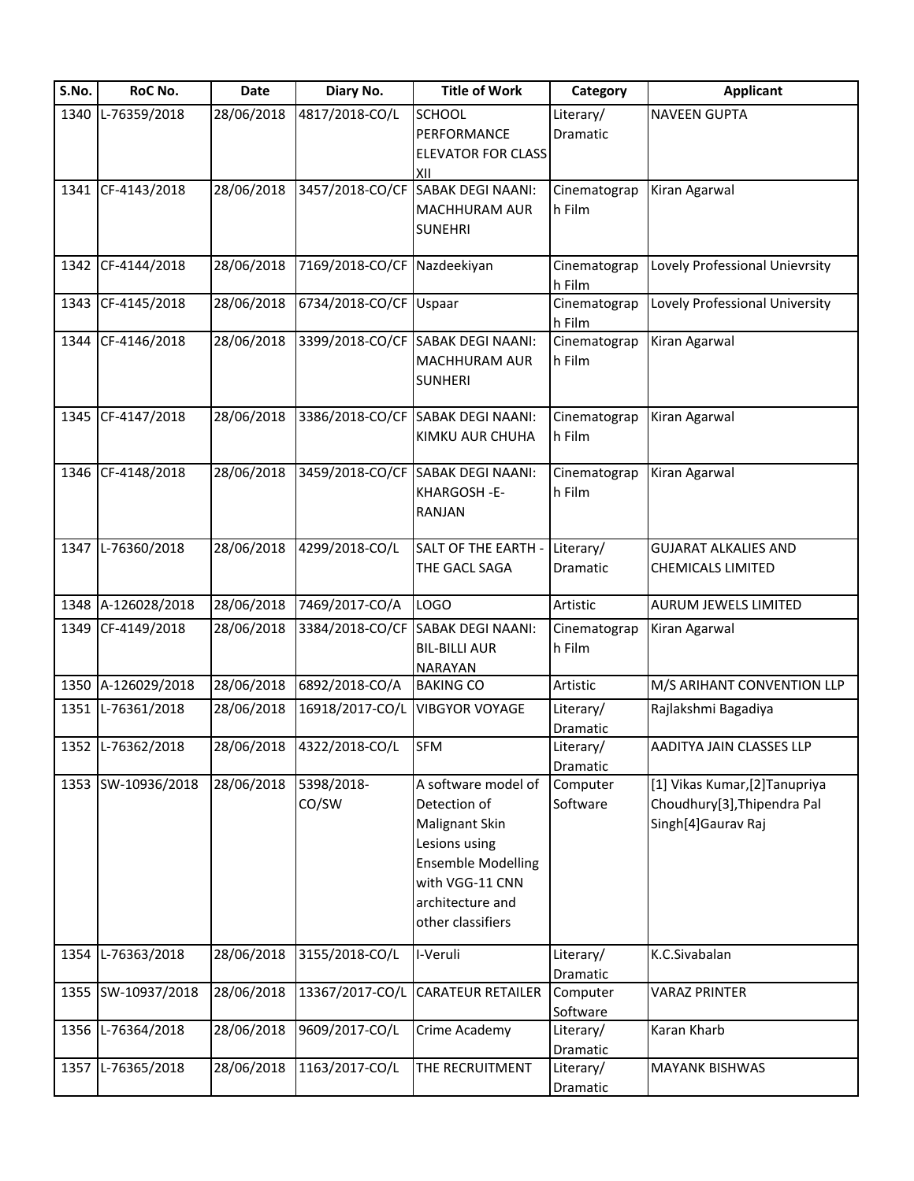| S.No. | RoC No.            | Date       | Diary No.                   | <b>Title of Work</b>              | Category     | <b>Applicant</b>               |
|-------|--------------------|------------|-----------------------------|-----------------------------------|--------------|--------------------------------|
| 1340  | L-76359/2018       | 28/06/2018 | 4817/2018-CO/L              | <b>SCHOOL</b>                     | Literary/    | <b>NAVEEN GUPTA</b>            |
|       |                    |            |                             | PERFORMANCE                       | Dramatic     |                                |
|       |                    |            |                             | <b>ELEVATOR FOR CLASS</b>         |              |                                |
|       |                    |            |                             | XII                               |              |                                |
|       | 1341 CF-4143/2018  | 28/06/2018 | 3457/2018-CO/CF             | <b>SABAK DEGI NAANI:</b>          | Cinematograp | Kiran Agarwal                  |
|       |                    |            |                             | MACHHURAM AUR                     | h Film       |                                |
|       |                    |            |                             | <b>SUNEHRI</b>                    |              |                                |
|       |                    |            |                             |                                   |              |                                |
|       | 1342 CF-4144/2018  | 28/06/2018 | 7169/2018-CO/CF Nazdeekiyan |                                   | Cinematograp | Lovely Professional Unievrsity |
|       |                    |            |                             |                                   | h Film       |                                |
|       | 1343 CF-4145/2018  | 28/06/2018 | 6734/2018-CO/CF Uspaar      |                                   | Cinematograp | Lovely Professional University |
|       | 1344 CF-4146/2018  |            |                             |                                   | h Film       |                                |
|       |                    | 28/06/2018 |                             | 3399/2018-CO/CF SABAK DEGI NAANI: | Cinematograp | Kiran Agarwal                  |
|       |                    |            |                             | MACHHURAM AUR                     | h Film       |                                |
|       |                    |            |                             | <b>SUNHERI</b>                    |              |                                |
|       | 1345 CF-4147/2018  | 28/06/2018 |                             | 3386/2018-CO/CF SABAK DEGI NAANI: | Cinematograp | Kiran Agarwal                  |
|       |                    |            |                             | KIMKU AUR CHUHA                   | h Film       |                                |
|       |                    |            |                             |                                   |              |                                |
|       | 1346 CF-4148/2018  | 28/06/2018 |                             | 3459/2018-CO/CF SABAK DEGI NAANI: | Cinematograp | Kiran Agarwal                  |
|       |                    |            |                             | KHARGOSH-E-                       | h Film       |                                |
|       |                    |            |                             | RANJAN                            |              |                                |
|       |                    |            |                             |                                   |              |                                |
|       | 1347 L-76360/2018  | 28/06/2018 | 4299/2018-CO/L              | SALT OF THE EARTH -               | Literary/    | <b>GUJARAT ALKALIES AND</b>    |
|       |                    |            |                             | THE GACL SAGA                     | Dramatic     | <b>CHEMICALS LIMITED</b>       |
|       |                    |            |                             |                                   |              |                                |
|       | 1348 A-126028/2018 | 28/06/2018 | 7469/2017-CO/A              | LOGO                              | Artistic     | AURUM JEWELS LIMITED           |
|       | 1349 CF-4149/2018  | 28/06/2018 | 3384/2018-CO/CF             | <b>SABAK DEGI NAANI:</b>          | Cinematograp | Kiran Agarwal                  |
|       |                    |            |                             | <b>BIL-BILLI AUR</b>              | h Film       |                                |
|       |                    |            |                             | <b>NARAYAN</b>                    |              |                                |
|       | 1350 A-126029/2018 | 28/06/2018 | 6892/2018-CO/A              | <b>BAKING CO</b>                  | Artistic     | M/S ARIHANT CONVENTION LLP     |
|       | 1351 L-76361/2018  | 28/06/2018 | 16918/2017-CO/L             | <b>VIBGYOR VOYAGE</b>             | Literary/    | Rajlakshmi Bagadiya            |
|       |                    |            |                             |                                   | Dramatic     |                                |
|       | 1352 L-76362/2018  |            | 28/06/2018 4322/2018-CO/L   | <b>SFM</b>                        | Literary/    | AADITYA JAIN CLASSES LLP       |
|       |                    |            |                             |                                   | Dramatic     |                                |
|       | 1353 SW-10936/2018 | 28/06/2018 | 5398/2018-                  | A software model of               | Computer     | [1] Vikas Kumar, [2] Tanupriya |
|       |                    |            | CO/SW                       | Detection of                      | Software     | Choudhury[3], Thipendra Pal    |
|       |                    |            |                             | Malignant Skin                    |              | Singh[4]Gaurav Raj             |
|       |                    |            |                             | Lesions using                     |              |                                |
|       |                    |            |                             | <b>Ensemble Modelling</b>         |              |                                |
|       |                    |            |                             | with VGG-11 CNN                   |              |                                |
|       |                    |            |                             | architecture and                  |              |                                |
|       |                    |            |                             | other classifiers                 |              |                                |
| 1354  | L-76363/2018       | 28/06/2018 | 3155/2018-CO/L              | I-Veruli                          | Literary/    | K.C.Sivabalan                  |
|       |                    |            |                             |                                   | Dramatic     |                                |
|       | 1355 SW-10937/2018 | 28/06/2018 | 13367/2017-CO/L             | <b>CARATEUR RETAILER</b>          | Computer     | <b>VARAZ PRINTER</b>           |
|       |                    |            |                             |                                   | Software     |                                |
|       | 1356 L-76364/2018  | 28/06/2018 | 9609/2017-CO/L              | Crime Academy                     | Literary/    | Karan Kharb                    |
|       |                    |            |                             |                                   | Dramatic     |                                |
|       | 1357 L-76365/2018  | 28/06/2018 | 1163/2017-CO/L              | THE RECRUITMENT                   | Literary/    | <b>MAYANK BISHWAS</b>          |
|       |                    |            |                             |                                   | Dramatic     |                                |
|       |                    |            |                             |                                   |              |                                |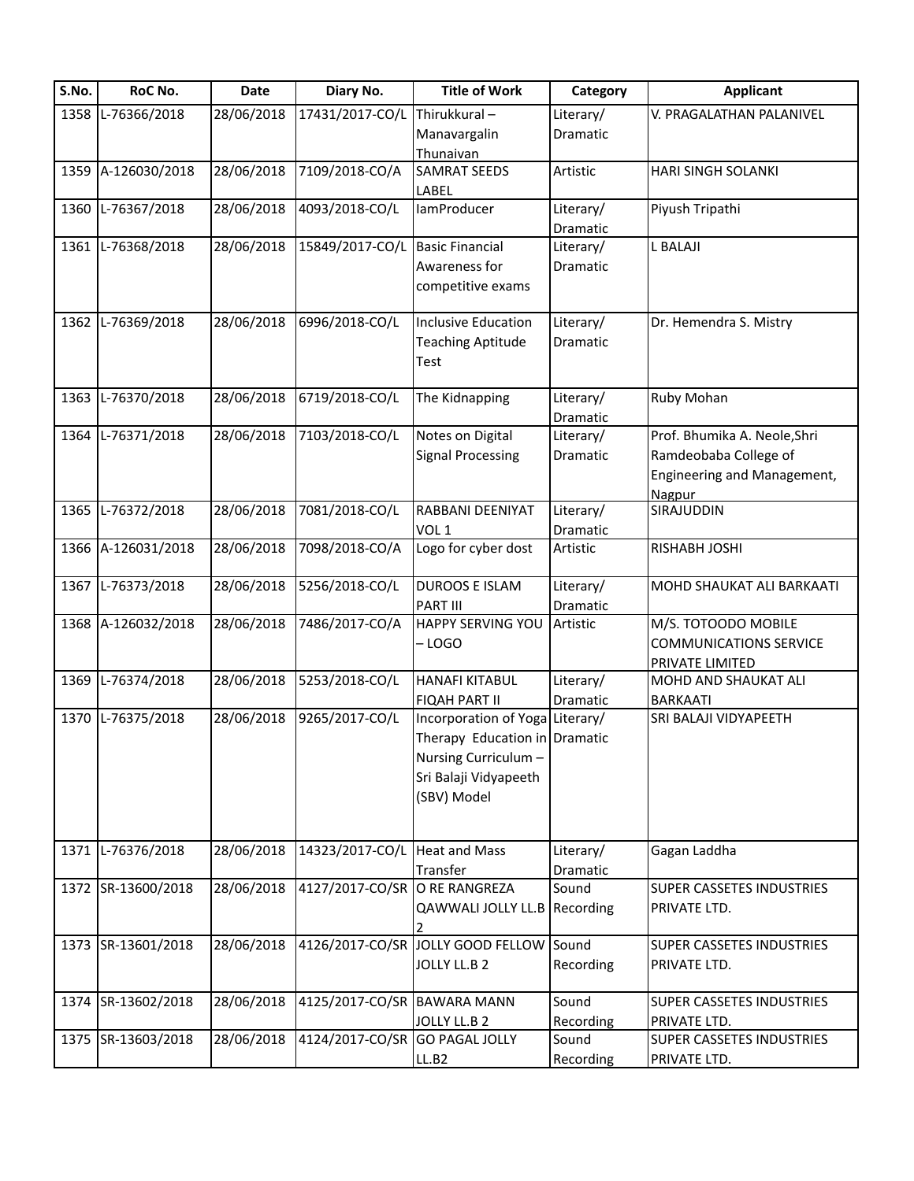| S.No. | RoC No.            | <b>Date</b> | Diary No.       | <b>Title of Work</b>                    | Category          | <b>Applicant</b>                 |
|-------|--------------------|-------------|-----------------|-----------------------------------------|-------------------|----------------------------------|
| 1358  | L-76366/2018       | 28/06/2018  | 17431/2017-CO/L | Thirukkural-                            | Literary/         | V. PRAGALATHAN PALANIVEL         |
|       |                    |             |                 | Manavargalin                            | Dramatic          |                                  |
|       |                    |             |                 | Thunaivan                               |                   |                                  |
| 1359  | A-126030/2018      | 28/06/2018  | 7109/2018-CO/A  | <b>SAMRAT SEEDS</b>                     | Artistic          | HARI SINGH SOLANKI               |
|       |                    |             |                 | LABEL                                   |                   |                                  |
| 1360  | L-76367/2018       | 28/06/2018  | 4093/2018-CO/L  | IamProducer                             | Literary/         | Piyush Tripathi                  |
|       |                    |             |                 |                                         | Dramatic          |                                  |
| 1361  | L-76368/2018       | 28/06/2018  | 15849/2017-CO/L | <b>Basic Financial</b>                  | Literary/         | <b>L BALAJI</b>                  |
|       |                    |             |                 | Awareness for                           | Dramatic          |                                  |
|       |                    |             |                 | competitive exams                       |                   |                                  |
| 1362  | L-76369/2018       | 28/06/2018  | 6996/2018-CO/L  | Inclusive Education                     | Literary/         | Dr. Hemendra S. Mistry           |
|       |                    |             |                 |                                         |                   |                                  |
|       |                    |             |                 | <b>Teaching Aptitude</b>                | Dramatic          |                                  |
|       |                    |             |                 | Test                                    |                   |                                  |
| 1363  | L-76370/2018       | 28/06/2018  | 6719/2018-CO/L  | The Kidnapping                          | Literary/         | Ruby Mohan                       |
|       |                    |             |                 |                                         | Dramatic          |                                  |
| 1364  | L-76371/2018       | 28/06/2018  | 7103/2018-CO/L  | Notes on Digital                        | Literary/         | Prof. Bhumika A. Neole, Shri     |
|       |                    |             |                 | <b>Signal Processing</b>                | Dramatic          | Ramdeobaba College of            |
|       |                    |             |                 |                                         |                   | Engineering and Management,      |
|       |                    |             |                 |                                         |                   | Nagpur                           |
| 1365  | L-76372/2018       | 28/06/2018  | 7081/2018-CO/L  | RABBANI DEENIYAT                        | Literary/         | SIRAJUDDIN                       |
|       |                    |             |                 | VOL <sub>1</sub>                        | Dramatic          |                                  |
| 1366  | A-126031/2018      | 28/06/2018  | 7098/2018-CO/A  | Logo for cyber dost                     | Artistic          | RISHABH JOSHI                    |
|       |                    |             |                 |                                         |                   |                                  |
| 1367  | L-76373/2018       | 28/06/2018  | 5256/2018-CO/L  | <b>DUROOS E ISLAM</b>                   | Literary/         | MOHD SHAUKAT ALI BARKAATI        |
|       |                    |             |                 | <b>PART III</b>                         | Dramatic          |                                  |
| 1368  | A-126032/2018      | 28/06/2018  | 7486/2017-CO/A  | <b>HAPPY SERVING YOU</b>                | Artistic          | M/S. TOTOODO MOBILE              |
|       |                    |             |                 | -LOGO                                   |                   | <b>COMMUNICATIONS SERVICE</b>    |
|       |                    |             |                 |                                         |                   | PRIVATE LIMITED                  |
| 1369  | L-76374/2018       | 28/06/2018  | 5253/2018-CO/L  | <b>HANAFI KITABUL</b>                   | Literary/         | MOHD AND SHAUKAT ALI             |
|       |                    |             |                 | <b>FIQAH PART II</b>                    | Dramatic          | <b>BARKAATI</b>                  |
| 1370  | L-76375/2018       | 28/06/2018  | 9265/2017-CO/L  | Incorporation of Yoga Literary/         |                   | SRI BALAJI VIDYAPEETH            |
|       |                    |             |                 | Therapy Education in Dramatic           |                   |                                  |
|       |                    |             |                 | Nursing Curriculum -                    |                   |                                  |
|       |                    |             |                 | Sri Balaji Vidyapeeth                   |                   |                                  |
|       |                    |             |                 | (SBV) Model                             |                   |                                  |
|       |                    |             |                 |                                         |                   |                                  |
|       |                    |             |                 |                                         |                   |                                  |
| 1371  | L-76376/2018       | 28/06/2018  | 14323/2017-CO/L | <b>Heat and Mass</b>                    | Literary/         | Gagan Laddha                     |
|       | 1372 SR-13600/2018 | 28/06/2018  | 4127/2017-CO/SR | Transfer<br>O RE RANGREZA               | Dramatic<br>Sound | SUPER CASSETES INDUSTRIES        |
|       |                    |             |                 |                                         |                   |                                  |
|       |                    |             |                 | QAWWALI JOLLY LL.B                      | Recording         | PRIVATE LTD.                     |
|       | 1373 SR-13601/2018 | 28/06/2018  |                 | 4126/2017-CO/SR JOLLY GOOD FELLOW Sound |                   | <b>SUPER CASSETES INDUSTRIES</b> |
|       |                    |             |                 | JOLLY LL.B 2                            | Recording         | PRIVATE LTD.                     |
|       |                    |             |                 |                                         |                   |                                  |
| 1374  | SR-13602/2018      | 28/06/2018  | 4125/2017-CO/SR | <b>BAWARA MANN</b>                      | Sound             | SUPER CASSETES INDUSTRIES        |
|       |                    |             |                 | JOLLY LL.B 2                            | Recording         | PRIVATE LTD.                     |
|       | 1375 SR-13603/2018 | 28/06/2018  | 4124/2017-CO/SR | <b>GO PAGAL JOLLY</b>                   | Sound             | <b>SUPER CASSETES INDUSTRIES</b> |
|       |                    |             |                 | LL.B2                                   | Recording         | PRIVATE LTD.                     |
|       |                    |             |                 |                                         |                   |                                  |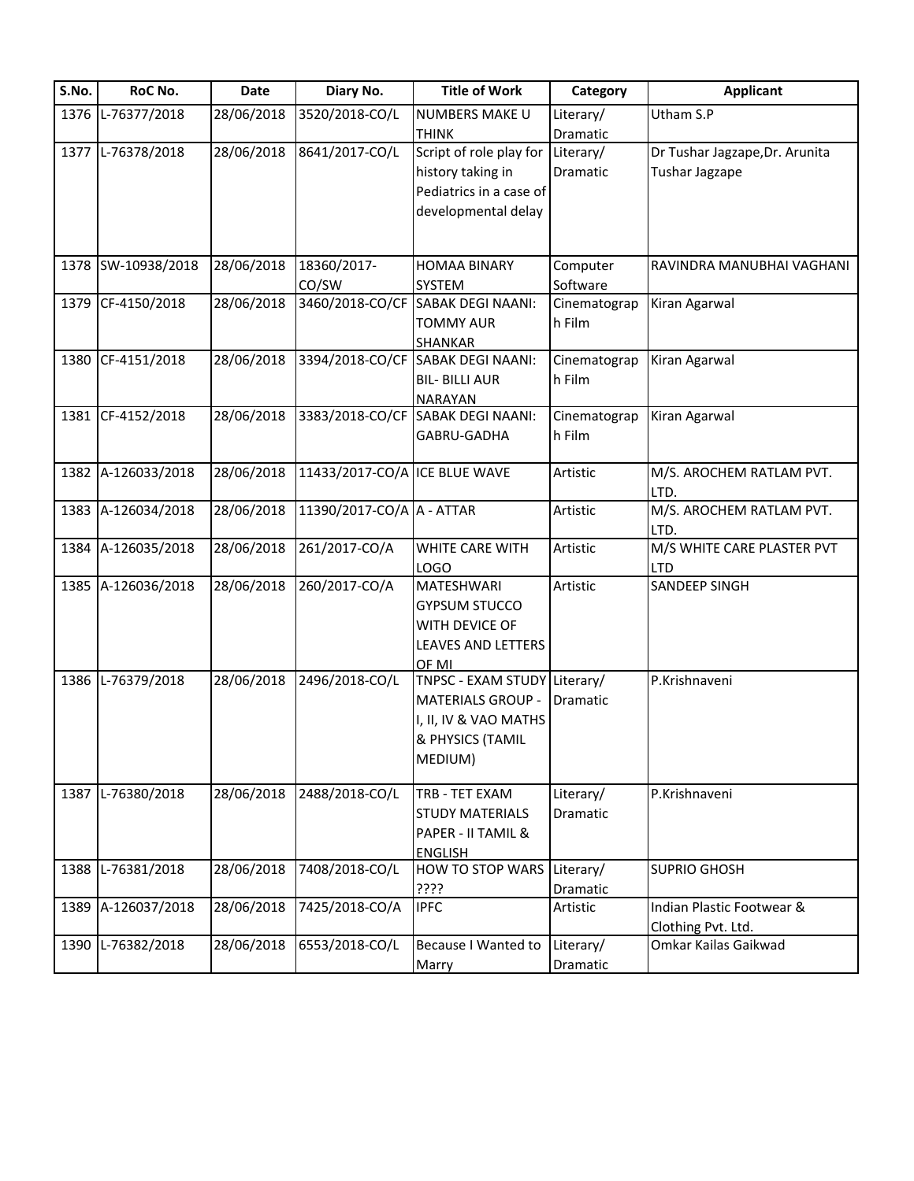| S.No. | RoC No.            | <b>Date</b> | Diary No.                     | <b>Title of Work</b>              | Category        | <b>Applicant</b>                   |
|-------|--------------------|-------------|-------------------------------|-----------------------------------|-----------------|------------------------------------|
|       | 1376 L-76377/2018  | 28/06/2018  | 3520/2018-CO/L                | NUMBERS MAKE U                    | Literary/       | Utham S.P                          |
|       |                    |             |                               | <b>THINK</b>                      | Dramatic        |                                    |
|       | 1377 L-76378/2018  | 28/06/2018  | 8641/2017-CO/L                | Script of role play for           | Literary/       | Dr Tushar Jagzape, Dr. Arunita     |
|       |                    |             |                               | history taking in                 | Dramatic        | <b>Tushar Jagzape</b>              |
|       |                    |             |                               | Pediatrics in a case of           |                 |                                    |
|       |                    |             |                               | developmental delay               |                 |                                    |
|       |                    |             |                               |                                   |                 |                                    |
|       | 1378 SW-10938/2018 | 28/06/2018  | 18360/2017-                   | <b>HOMAA BINARY</b>               | Computer        | RAVINDRA MANUBHAI VAGHANI          |
|       |                    |             | CO/SW                         | SYSTEM                            | Software        |                                    |
|       | 1379 CF-4150/2018  | 28/06/2018  | 3460/2018-CO/CF               | <b>SABAK DEGI NAANI:</b>          | Cinematograp    | Kiran Agarwal                      |
|       |                    |             |                               | <b>TOMMY AUR</b>                  | h Film          |                                    |
|       |                    |             |                               | SHANKAR                           |                 |                                    |
|       | 1380 CF-4151/2018  | 28/06/2018  |                               | 3394/2018-CO/CF SABAK DEGI NAANI: | Cinematograp    | Kiran Agarwal                      |
|       |                    |             |                               | <b>BIL- BILLI AUR</b>             | h Film          |                                    |
|       |                    |             |                               | NARAYAN                           |                 |                                    |
|       | 1381 CF-4152/2018  | 28/06/2018  |                               | 3383/2018-CO/CF SABAK DEGI NAANI: | Cinematograp    | Kiran Agarwal                      |
|       |                    |             |                               | GABRU-GADHA                       | h Film          |                                    |
|       |                    |             |                               |                                   |                 |                                    |
|       | 1382 A-126033/2018 | 28/06/2018  | 11433/2017-CO/A ICE BLUE WAVE |                                   | Artistic        | M/S. AROCHEM RATLAM PVT.           |
|       |                    |             |                               |                                   |                 | LTD.                               |
|       | 1383 A-126034/2018 | 28/06/2018  | 11390/2017-CO/A A - ATTAR     |                                   | Artistic        | M/S. AROCHEM RATLAM PVT.           |
|       |                    |             |                               |                                   |                 | LTD.                               |
|       | 1384 A-126035/2018 | 28/06/2018  | 261/2017-CO/A                 | WHITE CARE WITH                   | Artistic        | M/S WHITE CARE PLASTER PVT         |
|       | 1385 A-126036/2018 | 28/06/2018  | 260/2017-CO/A                 | <b>LOGO</b><br><b>MATESHWARI</b>  | Artistic        | <b>LTD</b><br><b>SANDEEP SINGH</b> |
|       |                    |             |                               | <b>GYPSUM STUCCO</b>              |                 |                                    |
|       |                    |             |                               | WITH DEVICE OF                    |                 |                                    |
|       |                    |             |                               | LEAVES AND LETTERS                |                 |                                    |
|       |                    |             |                               | OF MI                             |                 |                                    |
|       | 1386 L-76379/2018  | 28/06/2018  | 2496/2018-CO/L                | TNPSC - EXAM STUDY Literary/      |                 | P.Krishnaveni                      |
|       |                    |             |                               | <b>MATERIALS GROUP -</b>          | <b>Dramatic</b> |                                    |
|       |                    |             |                               | I, II, IV & VAO MATHS             |                 |                                    |
|       |                    |             |                               | & PHYSICS (TAMIL                  |                 |                                    |
|       |                    |             |                               | MEDIUM)                           |                 |                                    |
|       |                    |             |                               |                                   |                 |                                    |
|       | 1387 L-76380/2018  | 28/06/2018  | 2488/2018-CO/L                | TRB - TET EXAM                    | Literary/       | P.Krishnaveni                      |
|       |                    |             |                               | <b>STUDY MATERIALS</b>            | Dramatic        |                                    |
|       |                    |             |                               | PAPER - II TAMIL &                |                 |                                    |
|       |                    |             |                               | <b>ENGLISH</b>                    |                 |                                    |
| 1388  | L-76381/2018       | 28/06/2018  | 7408/2018-CO/L                | HOW TO STOP WARS                  | Literary/       | <b>SUPRIO GHOSH</b>                |
|       |                    |             |                               | ????                              | Dramatic        |                                    |
|       | 1389 A-126037/2018 | 28/06/2018  | 7425/2018-CO/A                | <b>IPFC</b>                       | Artistic        | Indian Plastic Footwear &          |
|       |                    |             |                               |                                   |                 | Clothing Pvt. Ltd.                 |
| 1390  | L-76382/2018       | 28/06/2018  | 6553/2018-CO/L                | <b>Because I Wanted to</b>        | Literary/       | Omkar Kailas Gaikwad               |
|       |                    |             |                               | Marry                             | Dramatic        |                                    |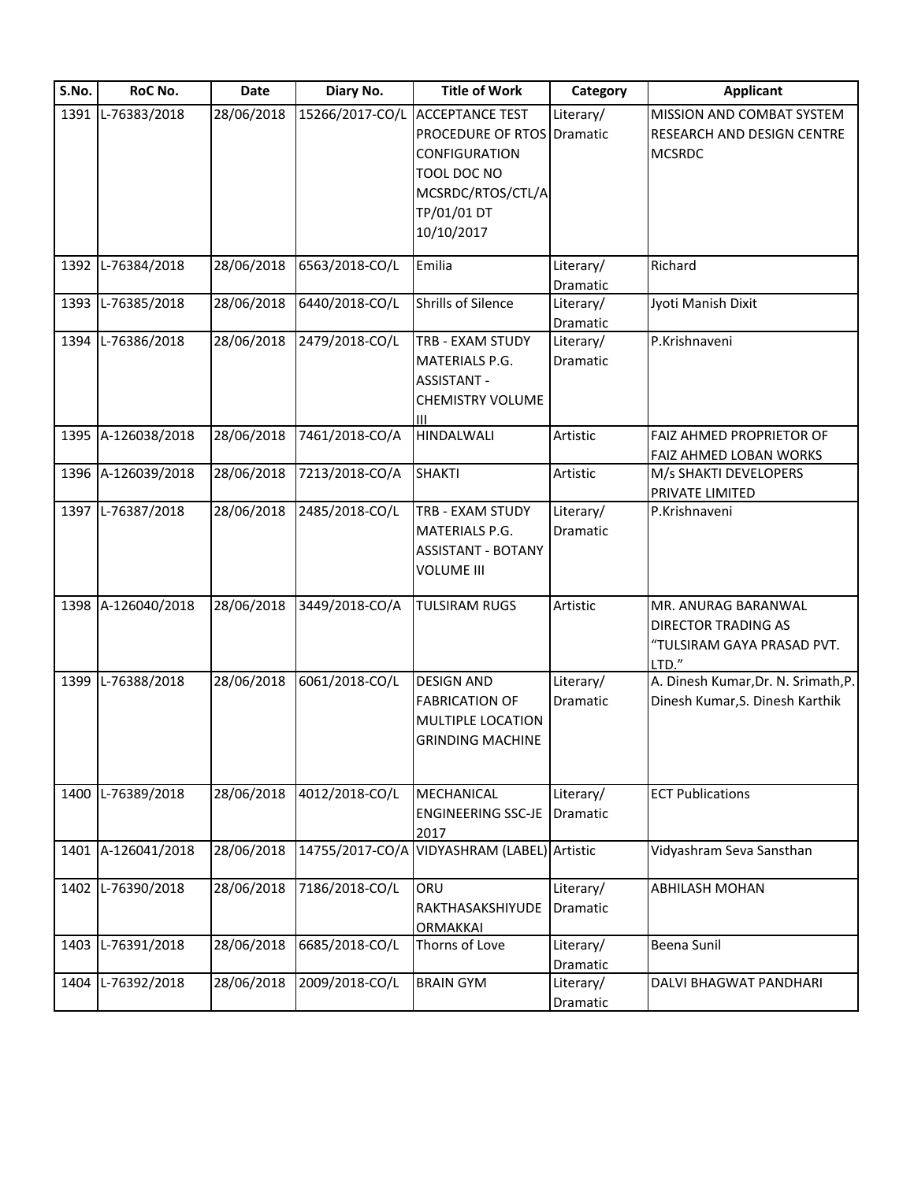| S.No. | RoC No.            | Date       | Diary No.       | <b>Title of Work</b>              | Category  | <b>Applicant</b>                    |
|-------|--------------------|------------|-----------------|-----------------------------------|-----------|-------------------------------------|
|       | 1391 L-76383/2018  | 28/06/2018 | 15266/2017-CO/L | <b>ACCEPTANCE TEST</b>            | Literary/ | MISSION AND COMBAT SYSTEM           |
|       |                    |            |                 | <b>PROCEDURE OF RTOS Dramatic</b> |           | RESEARCH AND DESIGN CENTRE          |
|       |                    |            |                 | CONFIGURATION                     |           | <b>MCSRDC</b>                       |
|       |                    |            |                 | TOOL DOC NO                       |           |                                     |
|       |                    |            |                 | MCSRDC/RTOS/CTL/A                 |           |                                     |
|       |                    |            |                 | TP/01/01 DT                       |           |                                     |
|       |                    |            |                 | 10/10/2017                        |           |                                     |
|       |                    |            |                 |                                   |           |                                     |
| 1392  | L-76384/2018       | 28/06/2018 | 6563/2018-CO/L  | Emilia                            | Literary/ | Richard                             |
|       |                    |            |                 |                                   | Dramatic  |                                     |
| 1393  | L-76385/2018       | 28/06/2018 | 6440/2018-CO/L  | Shrills of Silence                | Literary/ | Jyoti Manish Dixit                  |
|       |                    |            |                 |                                   | Dramatic  |                                     |
| 1394  | L-76386/2018       | 28/06/2018 | 2479/2018-CO/L  | TRB - EXAM STUDY                  | Literary/ | P.Krishnaveni                       |
|       |                    |            |                 | MATERIALS P.G.                    | Dramatic  |                                     |
|       |                    |            |                 | <b>ASSISTANT -</b>                |           |                                     |
|       |                    |            |                 | <b>CHEMISTRY VOLUME</b>           |           |                                     |
|       |                    |            |                 | Ш                                 |           |                                     |
|       | 1395 A-126038/2018 | 28/06/2018 | 7461/2018-CO/A  | <b>HINDALWALI</b>                 | Artistic  | FAIZ AHMED PROPRIETOR OF            |
|       |                    |            |                 |                                   |           | FAIZ AHMED LOBAN WORKS              |
|       | 1396 A-126039/2018 | 28/06/2018 | 7213/2018-CO/A  | <b>SHAKTI</b>                     | Artistic  | M/s SHAKTI DEVELOPERS               |
|       |                    |            |                 |                                   |           | PRIVATE LIMITED                     |
| 1397  | L-76387/2018       | 28/06/2018 | 2485/2018-CO/L  | TRB - EXAM STUDY                  | Literary/ | P.Krishnaveni                       |
|       |                    |            |                 | MATERIALS P.G.                    | Dramatic  |                                     |
|       |                    |            |                 | <b>ASSISTANT - BOTANY</b>         |           |                                     |
|       |                    |            |                 | VOLUME III                        |           |                                     |
|       |                    |            |                 |                                   |           |                                     |
|       | 1398 A-126040/2018 | 28/06/2018 | 3449/2018-CO/A  | <b>TULSIRAM RUGS</b>              | Artistic  | MR. ANURAG BARANWAL                 |
|       |                    |            |                 |                                   |           | DIRECTOR TRADING AS                 |
|       |                    |            |                 |                                   |           | "TULSIRAM GAYA PRASAD PVT.          |
|       |                    |            |                 |                                   |           | LTD."                               |
| 1399  | L-76388/2018       | 28/06/2018 | 6061/2018-CO/L  | <b>DESIGN AND</b>                 | Literary/ | A. Dinesh Kumar, Dr. N. Srimath, P. |
|       |                    |            |                 | <b>FABRICATION OF</b>             | Dramatic  | Dinesh Kumar, S. Dinesh Karthik     |
|       |                    |            |                 | MULTIPLE LOCATION                 |           |                                     |
|       |                    |            |                 | <b>GRINDING MACHINE</b>           |           |                                     |
|       |                    |            |                 |                                   |           |                                     |
|       |                    |            |                 |                                   |           |                                     |
|       | 1400 L-76389/2018  | 28/06/2018 | 4012/2018-CO/L  | <b>MECHANICAL</b>                 | Literary/ | <b>ECT Publications</b>             |
|       |                    |            |                 | <b>ENGINEERING SSC-JE</b>         | Dramatic  |                                     |
|       |                    |            |                 | 2017                              |           |                                     |
| 1401  | A-126041/2018      | 28/06/2018 | 14755/2017-CO/A | VIDYASHRAM (LABEL) Artistic       |           | Vidyashram Seva Sansthan            |
|       |                    |            |                 |                                   |           |                                     |
| 1402  | L-76390/2018       | 28/06/2018 | 7186/2018-CO/L  | ORU                               | Literary/ | <b>ABHILASH MOHAN</b>               |
|       |                    |            |                 | RAKTHASAKSHIYUDE                  | Dramatic  |                                     |
|       |                    |            |                 | ORMAKKAI                          |           |                                     |
| 1403  | L-76391/2018       | 28/06/2018 | 6685/2018-CO/L  | Thorns of Love                    | Literary/ | Beena Sunil                         |
|       |                    |            |                 |                                   | Dramatic  |                                     |
| 1404  | L-76392/2018       | 28/06/2018 | 2009/2018-CO/L  | <b>BRAIN GYM</b>                  | Literary/ | DALVI BHAGWAT PANDHARI              |
|       |                    |            |                 |                                   | Dramatic  |                                     |
|       |                    |            |                 |                                   |           |                                     |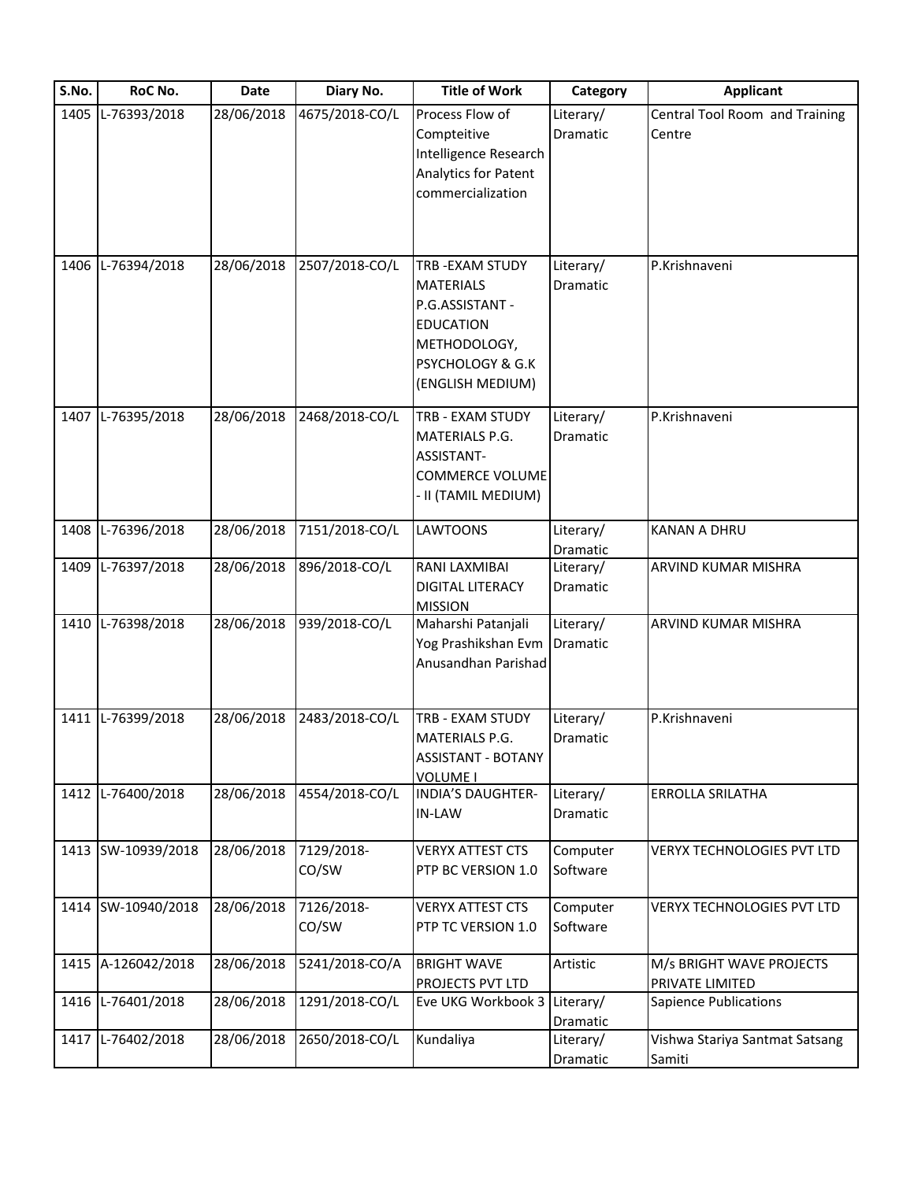| S.No. | RoC No.            | Date       | Diary No.           | <b>Title of Work</b>                                                                                                                     | Category                     | <b>Applicant</b>                            |
|-------|--------------------|------------|---------------------|------------------------------------------------------------------------------------------------------------------------------------------|------------------------------|---------------------------------------------|
| 1405  | L-76393/2018       | 28/06/2018 | 4675/2018-CO/L      | Process Flow of<br>Compteitive<br>Intelligence Research<br><b>Analytics for Patent</b><br>commercialization                              | Literary/<br><b>Dramatic</b> | Central Tool Room and Training<br>Centre    |
|       | 1406 L-76394/2018  | 28/06/2018 | 2507/2018-CO/L      | <b>TRB-EXAM STUDY</b><br><b>MATERIALS</b><br>P.G.ASSISTANT -<br><b>EDUCATION</b><br>METHODOLOGY,<br>PSYCHOLOGY & G.K<br>(ENGLISH MEDIUM) | Literary/<br>Dramatic        | P.Krishnaveni                               |
|       | 1407 L-76395/2018  | 28/06/2018 | 2468/2018-CO/L      | TRB - EXAM STUDY<br>MATERIALS P.G.<br>ASSISTANT-<br><b>COMMERCE VOLUME</b><br>II (TAMIL MEDIUM)                                          | Literary/<br>Dramatic        | P.Krishnaveni                               |
| 1408  | L-76396/2018       | 28/06/2018 | 7151/2018-CO/L      | <b>LAWTOONS</b>                                                                                                                          | Literary/<br>Dramatic        | <b>KANAN A DHRU</b>                         |
|       | 1409 L-76397/2018  | 28/06/2018 | 896/2018-CO/L       | RANI LAXMIBAI<br><b>DIGITAL LITERACY</b><br><b>MISSION</b>                                                                               | Literary/<br>Dramatic        | ARVIND KUMAR MISHRA                         |
|       | 1410 L-76398/2018  | 28/06/2018 | 939/2018-CO/L       | Maharshi Patanjali<br>Yog Prashikshan Evm<br>Anusandhan Parishad                                                                         | Literary/<br>Dramatic        | ARVIND KUMAR MISHRA                         |
|       | 1411 L-76399/2018  | 28/06/2018 | 2483/2018-CO/L      | TRB - EXAM STUDY<br><b>MATERIALS P.G.</b><br><b>ASSISTANT - BOTANY</b><br><b>VOLUME I</b>                                                | Literary/<br>Dramatic        | P.Krishnaveni                               |
|       | 1412 L-76400/2018  | 28/06/2018 | 4554/2018-CO/L      | <b>INDIA'S DAUGHTER-</b><br>IN-LAW                                                                                                       | Literary/<br>Dramatic        | ERROLLA SRILATHA                            |
|       | 1413 SW-10939/2018 | 28/06/2018 | 7129/2018-<br>CO/SW | <b>VERYX ATTEST CTS</b><br>PTP BC VERSION 1.0                                                                                            | Computer<br>Software         | VERYX TECHNOLOGIES PVT LTD                  |
|       | 1414 SW-10940/2018 | 28/06/2018 | 7126/2018-<br>CO/SW | <b>VERYX ATTEST CTS</b><br>PTP TC VERSION 1.0                                                                                            | Computer<br>Software         | <b>VERYX TECHNOLOGIES PVT LTD</b>           |
|       | 1415 A-126042/2018 | 28/06/2018 | 5241/2018-CO/A      | <b>BRIGHT WAVE</b><br>PROJECTS PVT LTD                                                                                                   | Artistic                     | M/s BRIGHT WAVE PROJECTS<br>PRIVATE LIMITED |
|       | 1416 L-76401/2018  | 28/06/2018 | 1291/2018-CO/L      | Eve UKG Workbook 3                                                                                                                       | Literary/<br>Dramatic        | <b>Sapience Publications</b>                |
|       | 1417 L-76402/2018  | 28/06/2018 | 2650/2018-CO/L      | Kundaliya                                                                                                                                | Literary/<br>Dramatic        | Vishwa Stariya Santmat Satsang<br>Samiti    |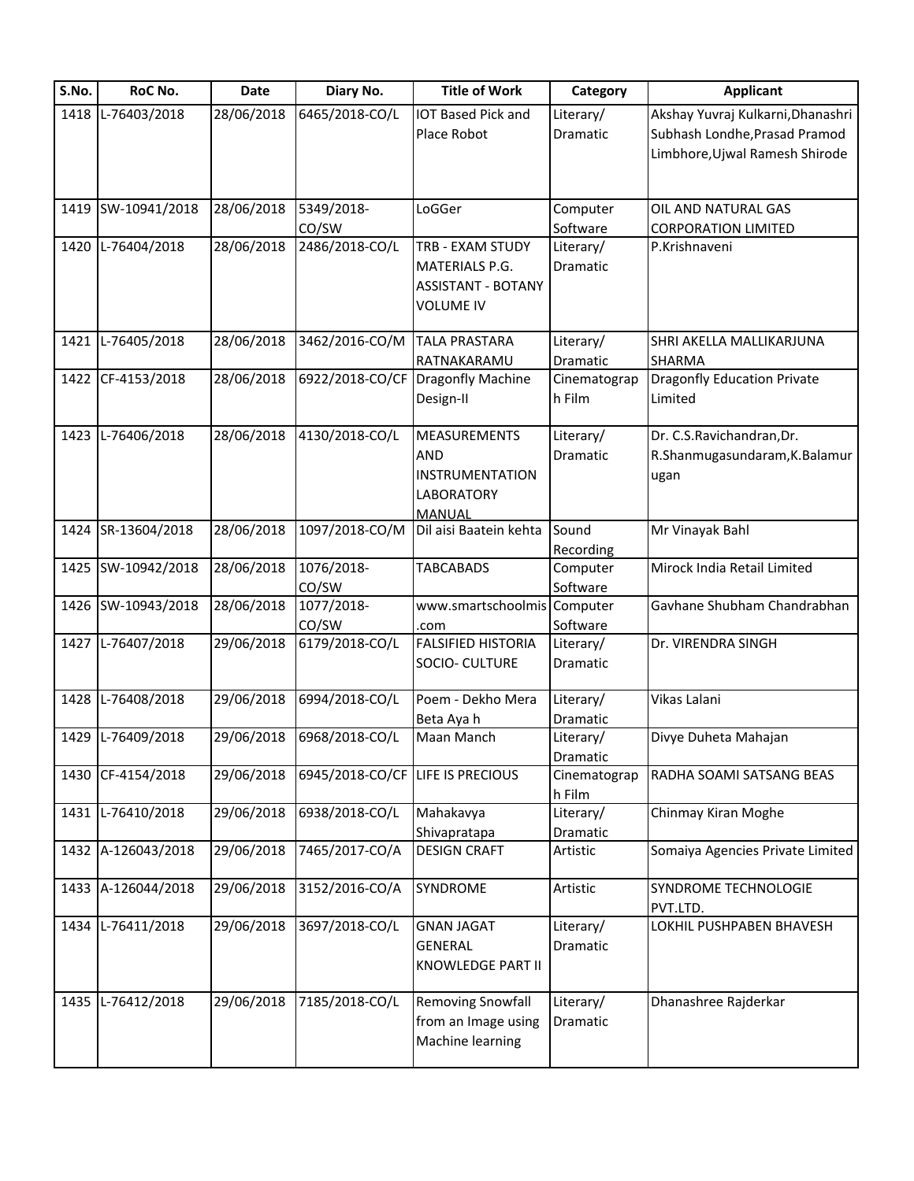| S.No. | RoC No.            | Date       | Diary No.       | <b>Title of Work</b>                | Category     | <b>Applicant</b>                   |
|-------|--------------------|------------|-----------------|-------------------------------------|--------------|------------------------------------|
| 1418  | L-76403/2018       | 28/06/2018 | 6465/2018-CO/L  | <b>IOT Based Pick and</b>           | Literary/    | Akshay Yuvraj Kulkarni, Dhanashri  |
|       |                    |            |                 | Place Robot                         | Dramatic     | Subhash Londhe, Prasad Pramod      |
|       |                    |            |                 |                                     |              | Limbhore, Ujwal Ramesh Shirode     |
|       |                    |            |                 |                                     |              |                                    |
|       | 1419 SW-10941/2018 | 28/06/2018 | 5349/2018-      | LoGGer                              | Computer     | OIL AND NATURAL GAS                |
|       |                    |            | CO/SW           |                                     | Software     | <b>CORPORATION LIMITED</b>         |
|       | 1420 L-76404/2018  | 28/06/2018 | 2486/2018-CO/L  | TRB - EXAM STUDY                    | Literary/    | P.Krishnaveni                      |
|       |                    |            |                 | <b>MATERIALS P.G.</b>               | Dramatic     |                                    |
|       |                    |            |                 | <b>ASSISTANT - BOTANY</b>           |              |                                    |
|       |                    |            |                 | <b>VOLUME IV</b>                    |              |                                    |
|       | 1421 L-76405/2018  | 28/06/2018 | 3462/2016-CO/M  | <b>TALA PRASTARA</b>                | Literary/    | SHRI AKELLA MALLIKARJUNA           |
|       |                    |            |                 | RATNAKARAMU                         | Dramatic     | <b>SHARMA</b>                      |
|       | 1422 CF-4153/2018  | 28/06/2018 | 6922/2018-CO/CF | Dragonfly Machine                   | Cinematograp | <b>Dragonfly Education Private</b> |
|       |                    |            |                 | Design-II                           | h Film       | Limited                            |
|       | 1423 L-76406/2018  | 28/06/2018 | 4130/2018-CO/L  | <b>MEASUREMENTS</b>                 | Literary/    | Dr. C.S.Ravichandran, Dr.          |
|       |                    |            |                 | <b>AND</b>                          | Dramatic     | R.Shanmugasundaram, K.Balamur      |
|       |                    |            |                 | <b>INSTRUMENTATION</b>              |              | ugan                               |
|       |                    |            |                 | <b>LABORATORY</b>                   |              |                                    |
|       |                    |            |                 | <b>MANUAL</b>                       |              |                                    |
|       | 1424 SR-13604/2018 | 28/06/2018 | 1097/2018-CO/M  | Dil aisi Baatein kehta              | Sound        | Mr Vinayak Bahl                    |
|       |                    |            |                 |                                     | Recording    |                                    |
|       | 1425 SW-10942/2018 | 28/06/2018 | 1076/2018-      | <b>TABCABADS</b>                    | Computer     | Mirock India Retail Limited        |
|       |                    |            | CO/SW           |                                     | Software     |                                    |
|       | 1426 SW-10943/2018 | 28/06/2018 | 1077/2018-      | www.smartschoolmis Computer         |              | Gavhane Shubham Chandrabhan        |
|       |                    |            | CO/SW           | .com                                | Software     |                                    |
|       | 1427 L-76407/2018  | 29/06/2018 | 6179/2018-CO/L  | <b>FALSIFIED HISTORIA</b>           | Literary/    | Dr. VIRENDRA SINGH                 |
|       |                    |            |                 | SOCIO- CULTURE                      | Dramatic     |                                    |
|       | 1428 L-76408/2018  | 29/06/2018 | 6994/2018-CO/L  | Poem - Dekho Mera                   | Literary/    | Vikas Lalani                       |
|       |                    |            |                 | Beta Aya h                          | Dramatic     |                                    |
|       | 1429 L-76409/2018  | 29/06/2018 | 6968/2018-CO/L  | Maan Manch                          | Literary/    | Divye Duheta Mahajan               |
|       |                    |            |                 |                                     | Dramatic     |                                    |
|       | 1430 CF-4154/2018  | 29/06/2018 | 6945/2018-CO/CF | LIFE IS PRECIOUS                    | Cinematograp | RADHA SOAMI SATSANG BEAS           |
|       |                    |            |                 |                                     | h Film       |                                    |
| 1431  | L-76410/2018       | 29/06/2018 | 6938/2018-CO/L  | Mahakavya                           | Literary/    | Chinmay Kiran Moghe                |
|       | 1432 A-126043/2018 | 29/06/2018 | 7465/2017-CO/A  | Shivapratapa<br><b>DESIGN CRAFT</b> | Dramatic     |                                    |
|       |                    |            |                 |                                     | Artistic     | Somaiya Agencies Private Limited   |
|       | 1433 A-126044/2018 | 29/06/2018 | 3152/2016-CO/A  | SYNDROME                            | Artistic     | SYNDROME TECHNOLOGIE               |
|       |                    |            |                 |                                     |              | PVT.LTD.                           |
|       | 1434 L-76411/2018  | 29/06/2018 | 3697/2018-CO/L  | <b>GNAN JAGAT</b>                   | Literary/    | LOKHIL PUSHPABEN BHAVESH           |
|       |                    |            |                 | GENERAL                             | Dramatic     |                                    |
|       |                    |            |                 | KNOWLEDGE PART II                   |              |                                    |
|       | 1435 L-76412/2018  | 29/06/2018 | 7185/2018-CO/L  | <b>Removing Snowfall</b>            | Literary/    | Dhanashree Rajderkar               |
|       |                    |            |                 | from an Image using                 | Dramatic     |                                    |
|       |                    |            |                 | Machine learning                    |              |                                    |
|       |                    |            |                 |                                     |              |                                    |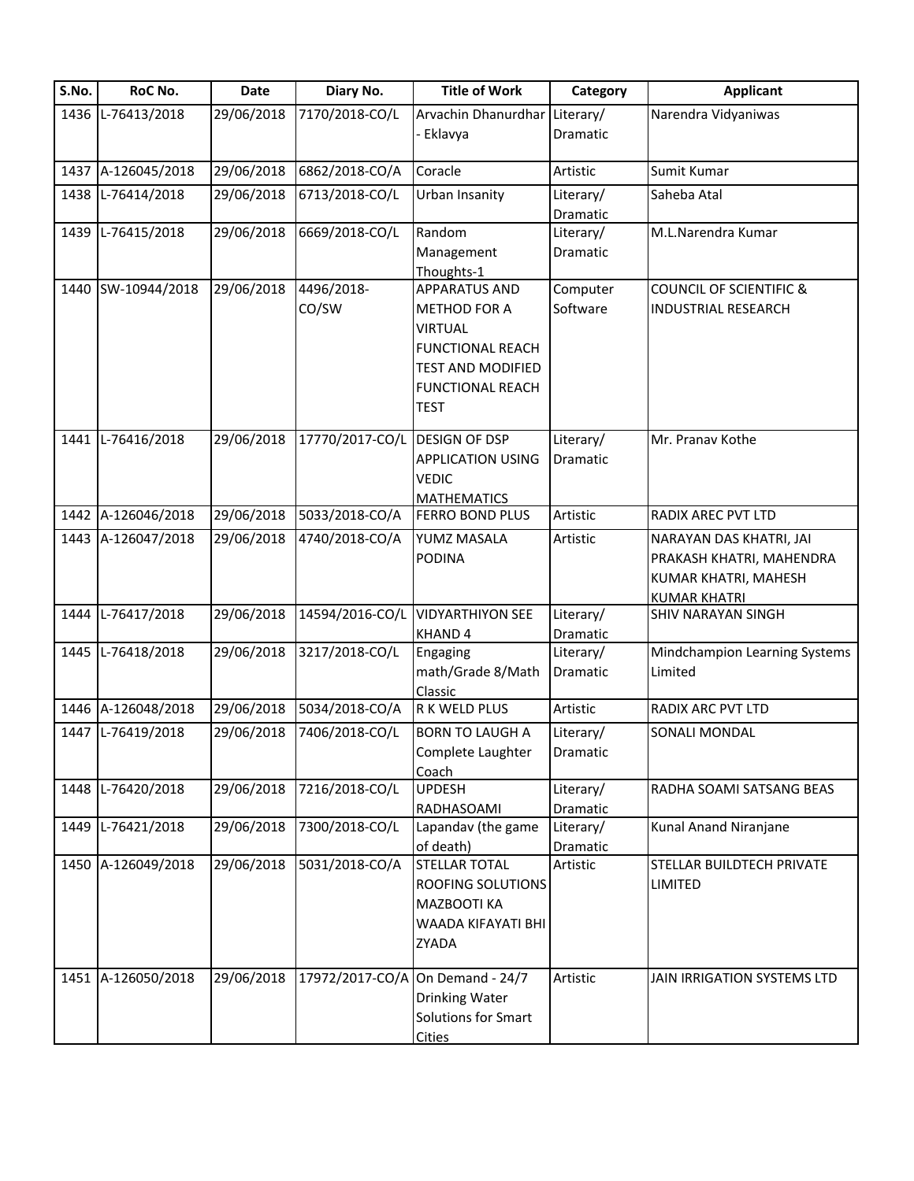| S.No. | RoC No.            | <b>Date</b> | Diary No.       | <b>Title of Work</b>                                | Category              | <b>Applicant</b>                   |
|-------|--------------------|-------------|-----------------|-----------------------------------------------------|-----------------------|------------------------------------|
|       | 1436 L-76413/2018  | 29/06/2018  | 7170/2018-CO/L  | Arvachin Dhanurdhar Literary/                       |                       | Narendra Vidyaniwas                |
|       |                    |             |                 | Eklavya                                             | Dramatic              |                                    |
|       | 1437 A-126045/2018 | 29/06/2018  | 6862/2018-CO/A  | Coracle                                             | Artistic              | Sumit Kumar                        |
|       | 1438 L-76414/2018  | 29/06/2018  | 6713/2018-CO/L  | Urban Insanity                                      | Literary/             | Saheba Atal                        |
|       |                    |             |                 |                                                     | Dramatic              |                                    |
|       | 1439 L-76415/2018  | 29/06/2018  | 6669/2018-CO/L  | Random                                              | Literary/             | M.L.Narendra Kumar                 |
|       |                    |             |                 | Management                                          | Dramatic              |                                    |
|       |                    |             |                 | Thoughts-1                                          |                       |                                    |
|       | 1440 SW-10944/2018 | 29/06/2018  | 4496/2018-      | <b>APPARATUS AND</b>                                | Computer              | <b>COUNCIL OF SCIENTIFIC &amp;</b> |
|       |                    |             | CO/SW           | METHOD FOR A                                        | Software              | <b>INDUSTRIAL RESEARCH</b>         |
|       |                    |             |                 | <b>VIRTUAL</b>                                      |                       |                                    |
|       |                    |             |                 | <b>FUNCTIONAL REACH</b>                             |                       |                                    |
|       |                    |             |                 | <b>TEST AND MODIFIED</b><br><b>FUNCTIONAL REACH</b> |                       |                                    |
|       |                    |             |                 | <b>TEST</b>                                         |                       |                                    |
|       |                    |             |                 |                                                     |                       |                                    |
|       | 1441 L-76416/2018  | 29/06/2018  | 17770/2017-CO/L | <b>DESIGN OF DSP</b>                                | Literary/             | Mr. Pranav Kothe                   |
|       |                    |             |                 | <b>APPLICATION USING</b>                            | Dramatic              |                                    |
|       |                    |             |                 | <b>VEDIC</b>                                        |                       |                                    |
|       |                    |             |                 | <b>MATHEMATICS</b>                                  |                       |                                    |
|       | 1442 A-126046/2018 | 29/06/2018  | 5033/2018-CO/A  | <b>FERRO BOND PLUS</b>                              | Artistic              | RADIX AREC PVT LTD                 |
|       | 1443 A-126047/2018 | 29/06/2018  | 4740/2018-CO/A  | YUMZ MASALA                                         | Artistic              | NARAYAN DAS KHATRI, JAI            |
|       |                    |             |                 | <b>PODINA</b>                                       |                       | PRAKASH KHATRI, MAHENDRA           |
|       |                    |             |                 |                                                     |                       | KUMAR KHATRI, MAHESH               |
|       |                    |             |                 |                                                     |                       | <b>KUMAR KHATRI</b>                |
| 1444  | L-76417/2018       | 29/06/2018  | 14594/2016-CO/L | <b>VIDYARTHIYON SEE</b>                             | Literary/             | SHIV NARAYAN SINGH                 |
|       | 1445 L-76418/2018  | 29/06/2018  | 3217/2018-CO/L  | KHAND 4<br>Engaging                                 | Dramatic<br>Literary/ | Mindchampion Learning Systems      |
|       |                    |             |                 | math/Grade 8/Math                                   | Dramatic              | Limited                            |
|       |                    |             |                 | Classic                                             |                       |                                    |
|       | 1446 A-126048/2018 | 29/06/2018  | 5034/2018-CO/A  | R K WELD PLUS                                       | Artistic              | <b>RADIX ARC PVT LTD</b>           |
|       | 1447 L-76419/2018  | 29/06/2018  | 7406/2018-CO/L  | <b>BORN TO LAUGH A</b>                              | Literary/             | SONALI MONDAL                      |
|       |                    |             |                 | Complete Laughter                                   | Dramatic              |                                    |
|       |                    |             |                 | Coach                                               |                       |                                    |
|       | 1448 L-76420/2018  | 29/06/2018  | 7216/2018-CO/L  | <b>UPDESH</b>                                       | Literary/             | RADHA SOAMI SATSANG BEAS           |
|       |                    |             |                 | RADHASOAMI                                          | Dramatic              |                                    |
| 1449  | L-76421/2018       | 29/06/2018  | 7300/2018-CO/L  | Lapandav (the game                                  | Literary/             | Kunal Anand Niranjane              |
|       |                    |             |                 | of death)                                           | Dramatic              |                                    |
|       | 1450 A-126049/2018 | 29/06/2018  | 5031/2018-CO/A  | <b>STELLAR TOTAL</b>                                | Artistic              | STELLAR BUILDTECH PRIVATE          |
|       |                    |             |                 | ROOFING SOLUTIONS                                   |                       | <b>LIMITED</b>                     |
|       |                    |             |                 | MAZBOOTI KA                                         |                       |                                    |
|       |                    |             |                 | WAADA KIFAYATI BHI                                  |                       |                                    |
|       |                    |             |                 | ZYADA                                               |                       |                                    |
|       | 1451 A-126050/2018 | 29/06/2018  | 17972/2017-CO/A | On Demand - 24/7                                    | Artistic              | JAIN IRRIGATION SYSTEMS LTD        |
|       |                    |             |                 | Drinking Water                                      |                       |                                    |
|       |                    |             |                 | <b>Solutions for Smart</b>                          |                       |                                    |
|       |                    |             |                 | <b>Cities</b>                                       |                       |                                    |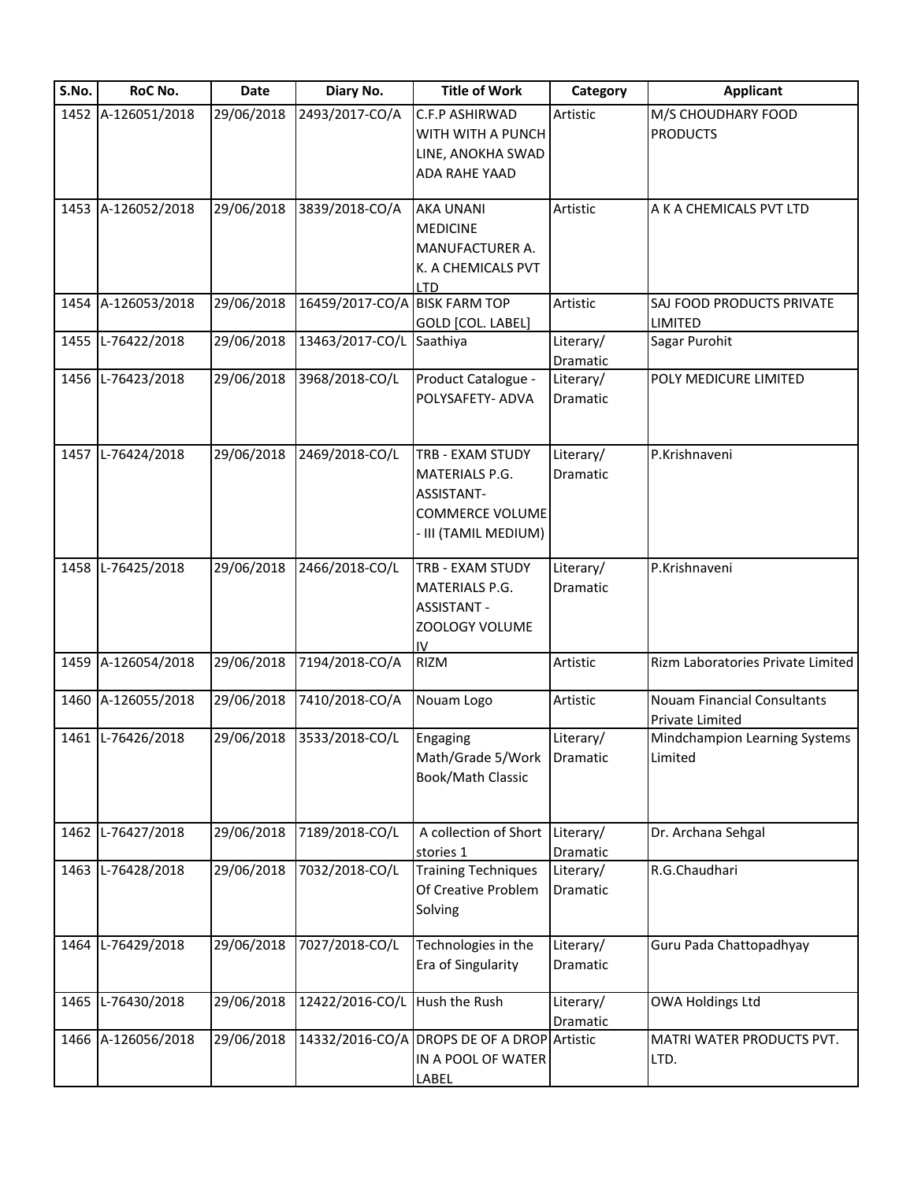| S.No. | RoC No.            | Date       | Diary No.                     | <b>Title of Work</b>                                                                             | Category              | <b>Applicant</b>                                      |
|-------|--------------------|------------|-------------------------------|--------------------------------------------------------------------------------------------------|-----------------------|-------------------------------------------------------|
|       | 1452 A-126051/2018 | 29/06/2018 | 2493/2017-CO/A                | C.F.P ASHIRWAD<br>WITH WITH A PUNCH<br>LINE, ANOKHA SWAD<br>ADA RAHE YAAD                        | Artistic              | M/S CHOUDHARY FOOD<br><b>PRODUCTS</b>                 |
|       | 1453 A-126052/2018 | 29/06/2018 | 3839/2018-CO/A                | <b>AKA UNANI</b><br><b>MEDICINE</b><br>MANUFACTURER A.<br>K. A CHEMICALS PVT<br><b>LTD</b>       | Artistic              | A K A CHEMICALS PVT LTD                               |
|       | 1454 A-126053/2018 | 29/06/2018 | 16459/2017-CO/A BISK FARM TOP | GOLD [COL. LABEL]                                                                                | Artistic              | SAJ FOOD PRODUCTS PRIVATE<br>LIMITED                  |
|       | 1455 L-76422/2018  | 29/06/2018 | 13463/2017-CO/L Saathiya      |                                                                                                  | Literary/<br>Dramatic | Sagar Purohit                                         |
|       | 1456 L-76423/2018  | 29/06/2018 | 3968/2018-CO/L                | Product Catalogue -<br>POLYSAFETY- ADVA                                                          | Literary/<br>Dramatic | POLY MEDICURE LIMITED                                 |
|       | 1457 L-76424/2018  | 29/06/2018 | 2469/2018-CO/L                | TRB - EXAM STUDY<br>MATERIALS P.G.<br>ASSISTANT-<br><b>COMMERCE VOLUME</b><br>III (TAMIL MEDIUM) | Literary/<br>Dramatic | P.Krishnaveni                                         |
|       | 1458 L-76425/2018  | 29/06/2018 | 2466/2018-CO/L                | TRB - EXAM STUDY<br>MATERIALS P.G.<br><b>ASSISTANT -</b><br>ZOOLOGY VOLUME<br>IV                 | Literary/<br>Dramatic | P.Krishnaveni                                         |
|       | 1459 A-126054/2018 | 29/06/2018 | 7194/2018-CO/A                | <b>RIZM</b>                                                                                      | Artistic              | Rizm Laboratories Private Limited                     |
|       | 1460 A-126055/2018 | 29/06/2018 | 7410/2018-CO/A                | Nouam Logo                                                                                       | Artistic              | <b>Nouam Financial Consultants</b><br>Private Limited |
|       | 1461 L-76426/2018  | 29/06/2018 | 3533/2018-CO/L                | Engaging<br>Math/Grade 5/Work<br>Book/Math Classic                                               | Literary/<br>Dramatic | Mindchampion Learning Systems<br>Limited              |
|       | 1462 L-76427/2018  | 29/06/2018 | 7189/2018-CO/L                | A collection of Short<br>stories 1                                                               | Literary/<br>Dramatic | Dr. Archana Sehgal                                    |
|       | 1463 L-76428/2018  | 29/06/2018 | 7032/2018-CO/L                | <b>Training Techniques</b><br>Of Creative Problem<br>Solving                                     | Literary/<br>Dramatic | R.G.Chaudhari                                         |
|       | 1464 L-76429/2018  | 29/06/2018 | 7027/2018-CO/L                | Technologies in the<br>Era of Singularity                                                        | Literary/<br>Dramatic | Guru Pada Chattopadhyay                               |
| 1465  | L-76430/2018       | 29/06/2018 | 12422/2016-CO/L               | Hush the Rush                                                                                    | Literary/<br>Dramatic | OWA Holdings Ltd                                      |
|       | 1466 A-126056/2018 | 29/06/2018 |                               | 14332/2016-CO/A DROPS DE OF A DROP Artistic<br>IN A POOL OF WATER<br>LABEL                       |                       | MATRI WATER PRODUCTS PVT.<br>LTD.                     |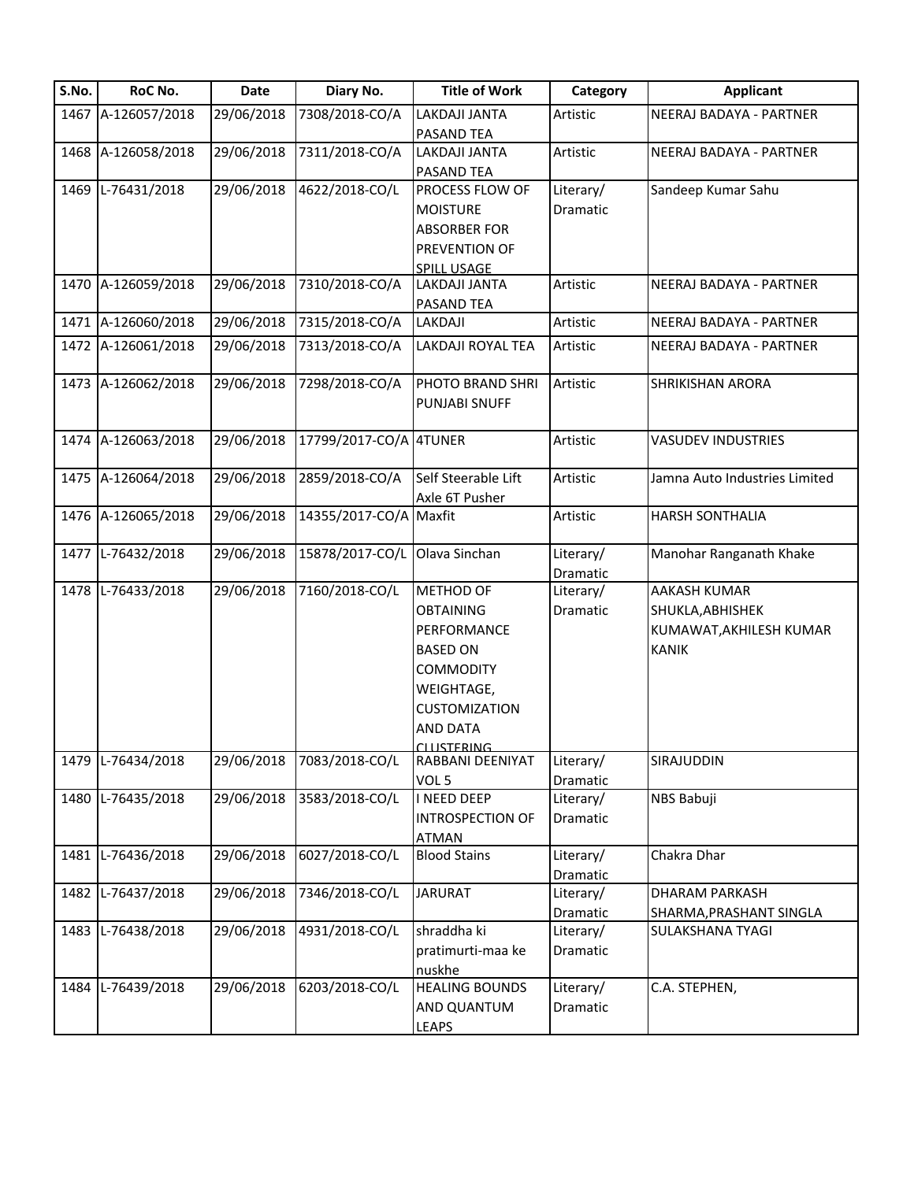| S.No. | RoC No.            | Date       | Diary No.              | <b>Title of Work</b>    | Category              | <b>Applicant</b>              |
|-------|--------------------|------------|------------------------|-------------------------|-----------------------|-------------------------------|
|       | 1467 A-126057/2018 | 29/06/2018 | 7308/2018-CO/A         | LAKDAJI JANTA           | Artistic              | NEERAJ BADAYA - PARTNER       |
|       |                    |            |                        | <b>PASAND TEA</b>       |                       |                               |
|       | 1468 A-126058/2018 | 29/06/2018 | 7311/2018-CO/A         | LAKDAJI JANTA           | Artistic              | NEERAJ BADAYA - PARTNER       |
|       |                    |            |                        | PASAND TEA              |                       |                               |
|       | 1469 L-76431/2018  | 29/06/2018 | 4622/2018-CO/L         | PROCESS FLOW OF         | Literary/             | Sandeep Kumar Sahu            |
|       |                    |            |                        | <b>MOISTURE</b>         | Dramatic              |                               |
|       |                    |            |                        | <b>ABSORBER FOR</b>     |                       |                               |
|       |                    |            |                        | PREVENTION OF           |                       |                               |
|       |                    |            |                        | SPILL USAGE             |                       |                               |
|       | 1470 A-126059/2018 | 29/06/2018 | 7310/2018-CO/A         | LAKDAJI JANTA           | Artistic              | NEERAJ BADAYA - PARTNER       |
|       |                    |            |                        | PASAND TEA              |                       |                               |
|       | 1471 A-126060/2018 | 29/06/2018 | 7315/2018-CO/A         | LAKDAJI                 | Artistic              | NEERAJ BADAYA - PARTNER       |
|       | 1472 A-126061/2018 | 29/06/2018 | 7313/2018-CO/A         | LAKDAJI ROYAL TEA       | Artistic              | NEERAJ BADAYA - PARTNER       |
|       | 1473 A-126062/2018 | 29/06/2018 | 7298/2018-CO/A         | PHOTO BRAND SHRI        | Artistic              | <b>SHRIKISHAN ARORA</b>       |
|       |                    |            |                        | PUNJABI SNUFF           |                       |                               |
|       |                    |            |                        |                         |                       |                               |
| 1474  | A-126063/2018      | 29/06/2018 | 17799/2017-CO/A 4TUNER |                         | Artistic              | <b>VASUDEV INDUSTRIES</b>     |
|       |                    |            |                        |                         |                       |                               |
|       | 1475 A-126064/2018 | 29/06/2018 | 2859/2018-CO/A         | Self Steerable Lift     | Artistic              | Jamna Auto Industries Limited |
|       |                    |            |                        | Axle 6T Pusher          |                       |                               |
|       | 1476 A-126065/2018 | 29/06/2018 | 14355/2017-CO/A Maxfit |                         | Artistic              | <b>HARSH SONTHALIA</b>        |
|       |                    |            |                        |                         |                       |                               |
| 1477  | L-76432/2018       | 29/06/2018 | 15878/2017-CO/L        | Olava Sinchan           | Literary/             | Manohar Ranganath Khake       |
|       |                    |            |                        |                         | Dramatic              |                               |
|       | 1478 L-76433/2018  | 29/06/2018 | 7160/2018-CO/L         | METHOD OF               | Literary/             | <b>AAKASH KUMAR</b>           |
|       |                    |            |                        | <b>OBTAINING</b>        | Dramatic              | SHUKLA, ABHISHEK              |
|       |                    |            |                        | PERFORMANCE             |                       | KUMAWAT, AKHILESH KUMAR       |
|       |                    |            |                        | <b>BASED ON</b>         |                       | <b>KANIK</b>                  |
|       |                    |            |                        | <b>COMMODITY</b>        |                       |                               |
|       |                    |            |                        | WEIGHTAGE,              |                       |                               |
|       |                    |            |                        | <b>CUSTOMIZATION</b>    |                       |                               |
|       |                    |            |                        | <b>AND DATA</b>         |                       |                               |
|       |                    |            |                        | <b>CLUCTEDING</b>       |                       |                               |
|       | 1479 L-76434/2018  | 29/06/2018 | 7083/2018-CO/L         | RABBANI DEENIYAT        | Literary/             | SIRAJUDDIN                    |
|       | 1480 L-76435/2018  | 29/06/2018 | 3583/2018-CO/L         | VOL 5<br>I NEED DEEP    | Dramatic<br>Literary/ | NBS Babuji                    |
|       |                    |            |                        | <b>INTROSPECTION OF</b> | Dramatic              |                               |
|       |                    |            |                        | <b>ATMAN</b>            |                       |                               |
|       | 1481 L-76436/2018  | 29/06/2018 | 6027/2018-CO/L         | <b>Blood Stains</b>     | Literary/             | Chakra Dhar                   |
|       |                    |            |                        |                         | Dramatic              |                               |
| 1482  | L-76437/2018       | 29/06/2018 | 7346/2018-CO/L         | <b>JARURAT</b>          | Literary/             | <b>DHARAM PARKASH</b>         |
|       |                    |            |                        |                         | Dramatic              | SHARMA, PRASHANT SINGLA       |
|       | 1483 L-76438/2018  | 29/06/2018 | 4931/2018-CO/L         | shraddha ki             | Literary/             | <b>SULAKSHANA TYAGI</b>       |
|       |                    |            |                        | pratimurti-maa ke       | Dramatic              |                               |
|       |                    |            |                        | nuskhe                  |                       |                               |
| 1484  | L-76439/2018       | 29/06/2018 | 6203/2018-CO/L         | <b>HEALING BOUNDS</b>   | Literary/             | C.A. STEPHEN,                 |
|       |                    |            |                        | AND QUANTUM             | Dramatic              |                               |
|       |                    |            |                        | <b>LEAPS</b>            |                       |                               |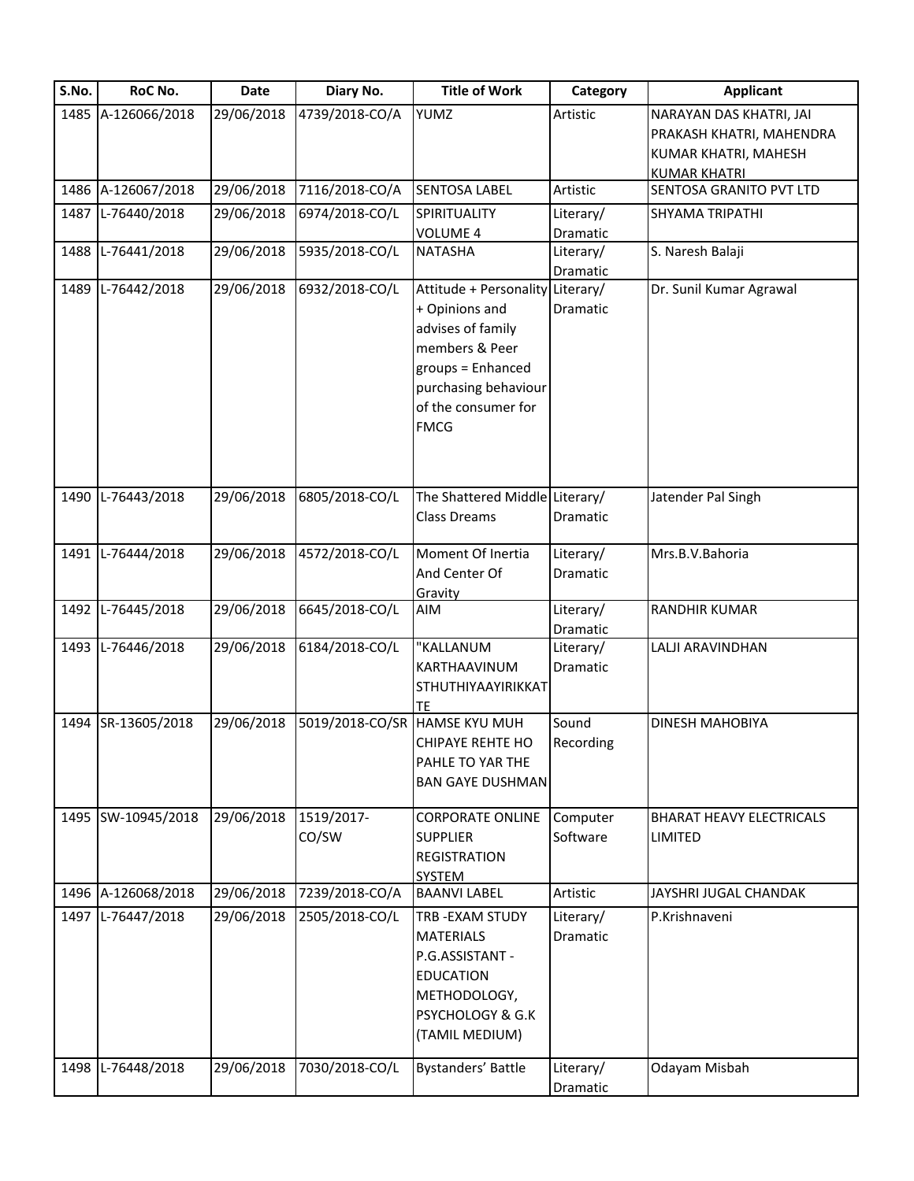| S.No. | RoC No.            | Date       | Diary No.           | <b>Title of Work</b>                                                                                                                                               | Category              | <b>Applicant</b>                                                                                   |
|-------|--------------------|------------|---------------------|--------------------------------------------------------------------------------------------------------------------------------------------------------------------|-----------------------|----------------------------------------------------------------------------------------------------|
|       | 1485 A-126066/2018 | 29/06/2018 | 4739/2018-CO/A      | <b>YUMZ</b>                                                                                                                                                        | Artistic              | NARAYAN DAS KHATRI, JAI<br>PRAKASH KHATRI, MAHENDRA<br>KUMAR KHATRI, MAHESH<br><b>KUMAR KHATRI</b> |
|       | 1486 A-126067/2018 | 29/06/2018 | 7116/2018-CO/A      | <b>SENTOSA LABEL</b>                                                                                                                                               | Artistic              | SENTOSA GRANITO PVT LTD                                                                            |
| 1487  | L-76440/2018       | 29/06/2018 | 6974/2018-CO/L      | SPIRITUALITY<br>VOLUME 4                                                                                                                                           | Literary/<br>Dramatic | SHYAMA TRIPATHI                                                                                    |
| 1488  | L-76441/2018       | 29/06/2018 | 5935/2018-CO/L      | NATASHA                                                                                                                                                            | Literary/<br>Dramatic | S. Naresh Balaji                                                                                   |
|       | 1489 L-76442/2018  | 29/06/2018 | 6932/2018-CO/L      | Attitude + Personality<br>+ Opinions and<br>advises of family<br>members & Peer<br>groups = Enhanced<br>purchasing behaviour<br>of the consumer for<br><b>FMCG</b> | Literary/<br>Dramatic | Dr. Sunil Kumar Agrawal                                                                            |
| 1490  | L-76443/2018       | 29/06/2018 | 6805/2018-CO/L      | The Shattered Middle Literary/<br><b>Class Dreams</b>                                                                                                              | Dramatic              | Jatender Pal Singh                                                                                 |
|       | 1491 L-76444/2018  | 29/06/2018 | 4572/2018-CO/L      | Moment Of Inertia<br>And Center Of<br>Gravity                                                                                                                      | Literary/<br>Dramatic | Mrs.B.V.Bahoria                                                                                    |
|       | 1492 L-76445/2018  | 29/06/2018 | 6645/2018-CO/L      | AIM                                                                                                                                                                | Literary/<br>Dramatic | RANDHIR KUMAR                                                                                      |
|       | 1493 L-76446/2018  | 29/06/2018 | 6184/2018-CO/L      | "KALLANUM<br>KARTHAAVINUM<br>STHUTHIYAAYIRIKKAT<br>TE                                                                                                              | Literary/<br>Dramatic | LALJI ARAVINDHAN                                                                                   |
|       | 1494 SR-13605/2018 | 29/06/2018 |                     | 5019/2018-CO/SR HAMSE KYU MUH<br><b>CHIPAYE REHTE HO</b><br>PAHLE TO YAR THE<br><b>BAN GAYE DUSHMAN</b>                                                            | Sound<br>Recording    | <b>DINESH MAHOBIYA</b>                                                                             |
|       | 1495 SW-10945/2018 | 29/06/2018 | 1519/2017-<br>CO/SW | <b>CORPORATE ONLINE</b><br><b>SUPPLIER</b><br><b>REGISTRATION</b><br><b>SYSTEM</b>                                                                                 | Computer<br>Software  | <b>BHARAT HEAVY ELECTRICALS</b><br>LIMITED                                                         |
|       | 1496 A-126068/2018 | 29/06/2018 | 7239/2018-CO/A      | <b>BAANVI LABEL</b>                                                                                                                                                | Artistic              | JAYSHRI JUGAL CHANDAK                                                                              |
|       | 1497 L-76447/2018  | 29/06/2018 | 2505/2018-CO/L      | TRB - EXAM STUDY<br><b>MATERIALS</b><br>P.G.ASSISTANT -<br><b>EDUCATION</b><br>METHODOLOGY,<br>PSYCHOLOGY & G.K<br>(TAMIL MEDIUM)                                  | Literary/<br>Dramatic | P.Krishnaveni                                                                                      |
|       | 1498 L-76448/2018  | 29/06/2018 | 7030/2018-CO/L      | Bystanders' Battle                                                                                                                                                 | Literary/<br>Dramatic | Odayam Misbah                                                                                      |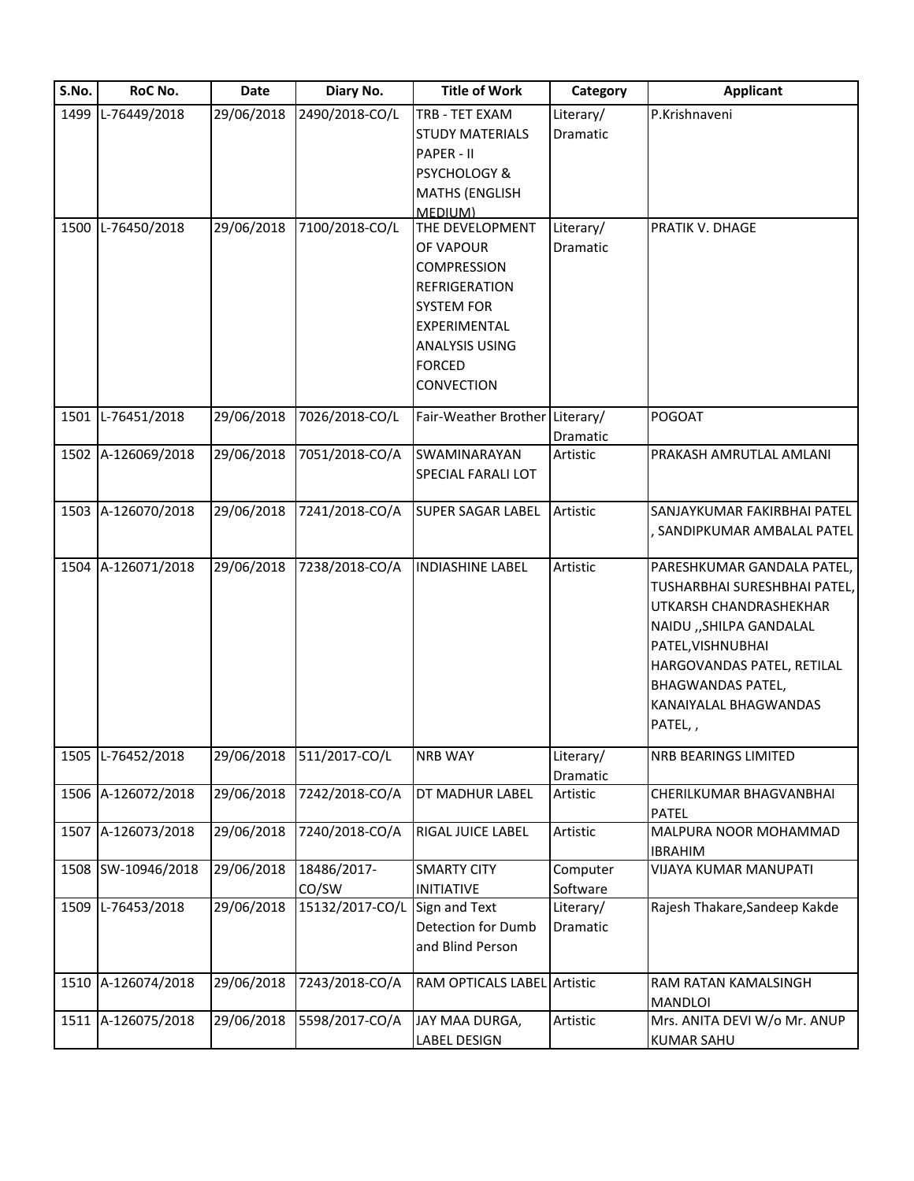| S.No. | RoC No.            | <b>Date</b> | Diary No.       | <b>Title of Work</b>           | Category              | <b>Applicant</b>                       |
|-------|--------------------|-------------|-----------------|--------------------------------|-----------------------|----------------------------------------|
| 1499  | L-76449/2018       | 29/06/2018  | 2490/2018-CO/L  | TRB - TET EXAM                 | Literary/             | P.Krishnaveni                          |
|       |                    |             |                 | <b>STUDY MATERIALS</b>         | <b>Dramatic</b>       |                                        |
|       |                    |             |                 | PAPER - II                     |                       |                                        |
|       |                    |             |                 | <b>PSYCHOLOGY &amp;</b>        |                       |                                        |
|       |                    |             |                 | <b>MATHS (ENGLISH</b>          |                       |                                        |
|       |                    |             |                 | MEDIUM)                        |                       |                                        |
|       | 1500 L-76450/2018  | 29/06/2018  | 7100/2018-CO/L  | THE DEVELOPMENT                | Literary/             | PRATIK V. DHAGE                        |
|       |                    |             |                 | OF VAPOUR                      | Dramatic              |                                        |
|       |                    |             |                 | <b>COMPRESSION</b>             |                       |                                        |
|       |                    |             |                 | <b>REFRIGERATION</b>           |                       |                                        |
|       |                    |             |                 | <b>SYSTEM FOR</b>              |                       |                                        |
|       |                    |             |                 | EXPERIMENTAL                   |                       |                                        |
|       |                    |             |                 | <b>ANALYSIS USING</b>          |                       |                                        |
|       |                    |             |                 | <b>FORCED</b>                  |                       |                                        |
|       |                    |             |                 | <b>CONVECTION</b>              |                       |                                        |
|       |                    |             |                 |                                |                       |                                        |
|       | 1501 L-76451/2018  | 29/06/2018  | 7026/2018-CO/L  | Fair-Weather Brother Literary/ |                       | POGOAT                                 |
|       | 1502 A-126069/2018 | 29/06/2018  | 7051/2018-CO/A  | SWAMINARAYAN                   | Dramatic<br>Artistic  | PRAKASH AMRUTLAL AMLANI                |
|       |                    |             |                 |                                |                       |                                        |
|       |                    |             |                 | SPECIAL FARALI LOT             |                       |                                        |
|       | 1503 A-126070/2018 | 29/06/2018  | 7241/2018-CO/A  | <b>SUPER SAGAR LABEL</b>       | Artistic              | SANJAYKUMAR FAKIRBHAI PATEL            |
|       |                    |             |                 |                                |                       | SANDIPKUMAR AMBALAL PATEL              |
|       |                    |             |                 |                                |                       |                                        |
|       | 1504 A-126071/2018 | 29/06/2018  | 7238/2018-CO/A  | <b>INDIASHINE LABEL</b>        | Artistic              | PARESHKUMAR GANDALA PATEL,             |
|       |                    |             |                 |                                |                       | TUSHARBHAI SURESHBHAI PATEL,           |
|       |                    |             |                 |                                |                       | UTKARSH CHANDRASHEKHAR                 |
|       |                    |             |                 |                                |                       | NAIDU "SHILPA GANDALAL                 |
|       |                    |             |                 |                                |                       | PATEL, VISHNUBHAI                      |
|       |                    |             |                 |                                |                       | HARGOVANDAS PATEL, RETILAL             |
|       |                    |             |                 |                                |                       | <b>BHAGWANDAS PATEL,</b>               |
|       |                    |             |                 |                                |                       | KANAIYALAL BHAGWANDAS                  |
|       |                    |             |                 |                                |                       | PATEL,,                                |
|       |                    |             |                 |                                |                       |                                        |
|       | 1505 L-76452/2018  | 29/06/2018  | 511/2017-CO/L   | <b>NRB WAY</b>                 | Literary/<br>Dramatic | <b>NRB BEARINGS LIMITED</b>            |
|       | 1506 A-126072/2018 | 29/06/2018  | 7242/2018-CO/A  | DT MADHUR LABEL                | Artistic              | CHERILKUMAR BHAGVANBHAI                |
|       |                    |             |                 |                                |                       | PATEL                                  |
|       | 1507 A-126073/2018 | 29/06/2018  | 7240/2018-CO/A  | RIGAL JUICE LABEL              | Artistic              | MALPURA NOOR MOHAMMAD                  |
|       |                    |             |                 |                                |                       | <b>IBRAHIM</b>                         |
|       | 1508 SW-10946/2018 | 29/06/2018  | 18486/2017-     | <b>SMARTY CITY</b>             | Computer              | <b>VIJAYA KUMAR MANUPATI</b>           |
|       |                    |             | CO/SW           | <b>INITIATIVE</b>              | Software              |                                        |
|       | 1509 L-76453/2018  | 29/06/2018  | 15132/2017-CO/L | Sign and Text                  | Literary/             | Rajesh Thakare, Sandeep Kakde          |
|       |                    |             |                 | Detection for Dumb             | Dramatic              |                                        |
|       |                    |             |                 | and Blind Person               |                       |                                        |
|       |                    |             |                 |                                |                       |                                        |
|       | 1510 A-126074/2018 | 29/06/2018  | 7243/2018-CO/A  | RAM OPTICALS LABEL Artistic    |                       | RAM RATAN KAMALSINGH<br><b>MANDLOI</b> |
|       | 1511 A-126075/2018 | 29/06/2018  | 5598/2017-CO/A  | JAY MAA DURGA,                 | Artistic              | Mrs. ANITA DEVI W/o Mr. ANUP           |
|       |                    |             |                 | LABEL DESIGN                   |                       | <b>KUMAR SAHU</b>                      |
|       |                    |             |                 |                                |                       |                                        |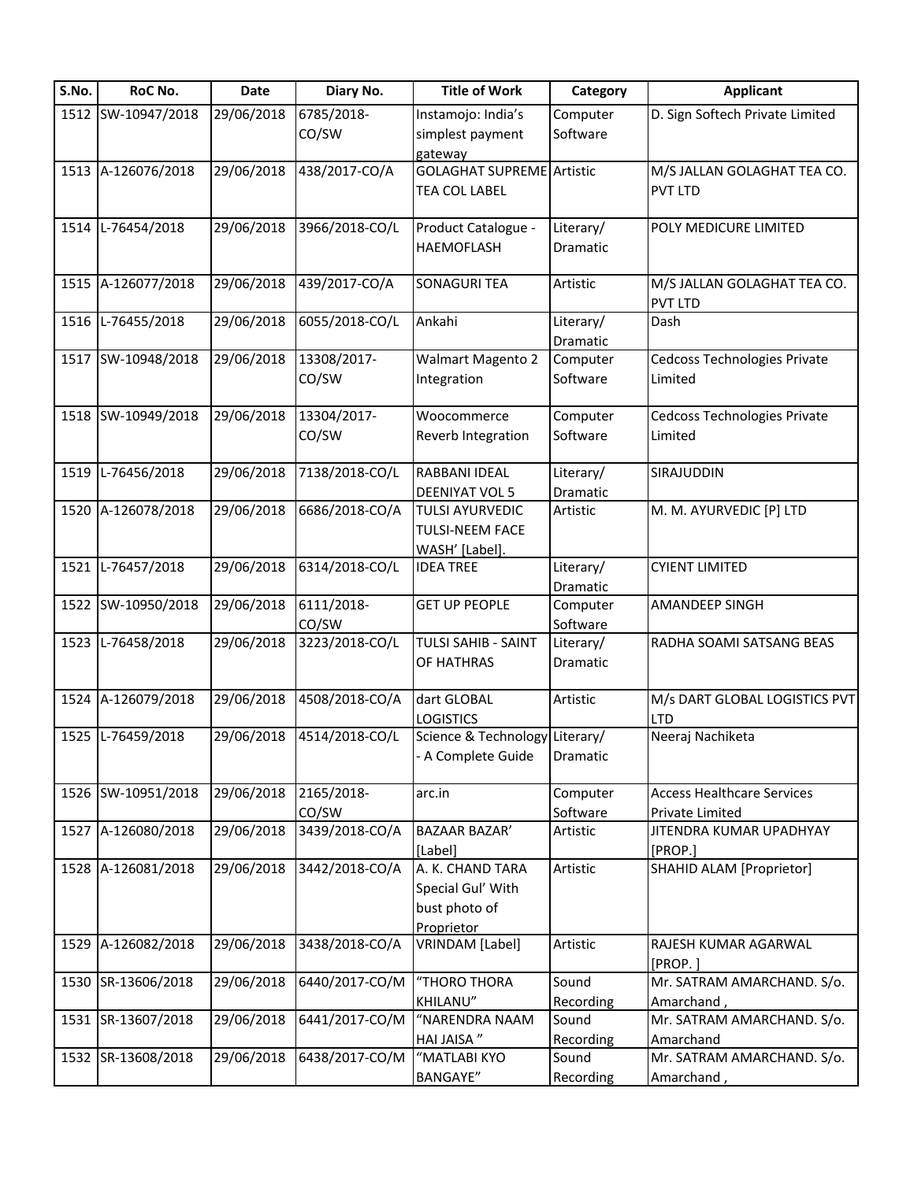| S.No. | RoC No.            | <b>Date</b> | Diary No.      | <b>Title of Work</b>             | Category        | <b>Applicant</b>                      |
|-------|--------------------|-------------|----------------|----------------------------------|-----------------|---------------------------------------|
|       | 1512 SW-10947/2018 | 29/06/2018  | 6785/2018-     | Instamojo: India's               | Computer        | D. Sign Softech Private Limited       |
|       |                    |             | CO/SW          | simplest payment                 | Software        |                                       |
|       |                    |             |                | gateway                          |                 |                                       |
|       | 1513 A-126076/2018 | 29/06/2018  | 438/2017-CO/A  | <b>GOLAGHAT SUPREME</b> Artistic |                 | M/S JALLAN GOLAGHAT TEA CO.           |
|       |                    |             |                | TEA COL LABEL                    |                 | <b>PVT LTD</b>                        |
|       |                    |             |                |                                  |                 |                                       |
|       | 1514 L-76454/2018  | 29/06/2018  | 3966/2018-CO/L | Product Catalogue -              | Literary/       | POLY MEDICURE LIMITED                 |
|       |                    |             |                | <b>HAEMOFLASH</b>                | Dramatic        |                                       |
|       |                    |             |                |                                  |                 |                                       |
|       | 1515 A-126077/2018 | 29/06/2018  | 439/2017-CO/A  | SONAGURI TEA                     | Artistic        | M/S JALLAN GOLAGHAT TEA CO.           |
|       |                    |             |                |                                  |                 | <b>PVT LTD</b>                        |
|       | 1516 L-76455/2018  | 29/06/2018  | 6055/2018-CO/L | Ankahi                           | Literary/       | Dash                                  |
|       |                    |             |                |                                  | Dramatic        |                                       |
|       | 1517 SW-10948/2018 | 29/06/2018  | 13308/2017-    | <b>Walmart Magento 2</b>         | Computer        | Cedcoss Technologies Private          |
|       |                    |             | CO/SW          | Integration                      | Software        | Limited                               |
|       | 1518 SW-10949/2018 | 29/06/2018  | 13304/2017-    | Woocommerce                      | Computer        | Cedcoss Technologies Private          |
|       |                    |             | CO/SW          |                                  | Software        | Limited                               |
|       |                    |             |                | Reverb Integration               |                 |                                       |
| 1519  | L-76456/2018       | 29/06/2018  | 7138/2018-CO/L | RABBANI IDEAL                    | Literary/       | SIRAJUDDIN                            |
|       |                    |             |                | DEENIYAT VOL 5                   | Dramatic        |                                       |
|       | 1520 A-126078/2018 | 29/06/2018  | 6686/2018-CO/A | <b>TULSI AYURVEDIC</b>           | Artistic        | M. M. AYURVEDIC [P] LTD               |
|       |                    |             |                | <b>TULSI-NEEM FACE</b>           |                 |                                       |
|       |                    |             |                | WASH' [Label].                   |                 |                                       |
| 1521  | L-76457/2018       | 29/06/2018  | 6314/2018-CO/L | <b>IDEA TREE</b>                 | Literary/       | <b>CYIENT LIMITED</b>                 |
|       |                    |             |                |                                  | Dramatic        |                                       |
|       | 1522 SW-10950/2018 | 29/06/2018  | 6111/2018-     | <b>GET UP PEOPLE</b>             | Computer        | AMANDEEP SINGH                        |
|       |                    |             | CO/SW          |                                  | Software        |                                       |
|       | 1523 L-76458/2018  | 29/06/2018  | 3223/2018-CO/L | TULSI SAHIB - SAINT              | Literary/       | RADHA SOAMI SATSANG BEAS              |
|       |                    |             |                | OF HATHRAS                       | <b>Dramatic</b> |                                       |
|       |                    |             |                |                                  |                 |                                       |
|       | 1524 A-126079/2018 | 29/06/2018  | 4508/2018-CO/A | dart GLOBAL                      | Artistic        | M/s DART GLOBAL LOGISTICS PVT         |
|       |                    |             |                | <b>LOGISTICS</b>                 |                 | <b>LTD</b>                            |
|       | 1525 L-76459/2018  | 29/06/2018  | 4514/2018-CO/L | Science & Technology Literary/   |                 | Neeraj Nachiketa                      |
|       |                    |             |                | - A Complete Guide               | Dramatic        |                                       |
|       |                    |             |                |                                  |                 |                                       |
|       | 1526 SW-10951/2018 | 29/06/2018  | 2165/2018-     | arc.in                           | Computer        | <b>Access Healthcare Services</b>     |
|       |                    |             | CO/SW          |                                  | Software        | Private Limited                       |
| 1527  | A-126080/2018      | 29/06/2018  | 3439/2018-CO/A | <b>BAZAAR BAZAR'</b>             | Artistic        | JITENDRA KUMAR UPADHYAY               |
|       |                    |             |                | [Label]                          |                 | [PROP.]                               |
|       | 1528 A-126081/2018 | 29/06/2018  | 3442/2018-CO/A | A. K. CHAND TARA                 | Artistic        | SHAHID ALAM [Proprietor]              |
|       |                    |             |                | Special Gul' With                |                 |                                       |
|       |                    |             |                | bust photo of                    |                 |                                       |
|       | 1529 A-126082/2018 | 29/06/2018  | 3438/2018-CO/A | Proprietor                       | Artistic        |                                       |
|       |                    |             |                | VRINDAM [Label]                  |                 | RAJESH KUMAR AGARWAL                  |
|       | 1530 SR-13606/2018 | 29/06/2018  | 6440/2017-CO/M | "THORO THORA                     | Sound           | [PROP.]<br>Mr. SATRAM AMARCHAND. S/o. |
|       |                    |             |                | KHILANU"                         | Recording       | Amarchand,                            |
|       | 1531 SR-13607/2018 | 29/06/2018  | 6441/2017-CO/M | "NARENDRA NAAM                   | Sound           | Mr. SATRAM AMARCHAND. S/o.            |
|       |                    |             |                | HAI JAISA"                       | Recording       | Amarchand                             |
|       | 1532 SR-13608/2018 | 29/06/2018  | 6438/2017-CO/M | "MATLABI KYO                     | Sound           | Mr. SATRAM AMARCHAND. S/o.            |
|       |                    |             |                | <b>BANGAYE"</b>                  | Recording       | Amarchand,                            |
|       |                    |             |                |                                  |                 |                                       |